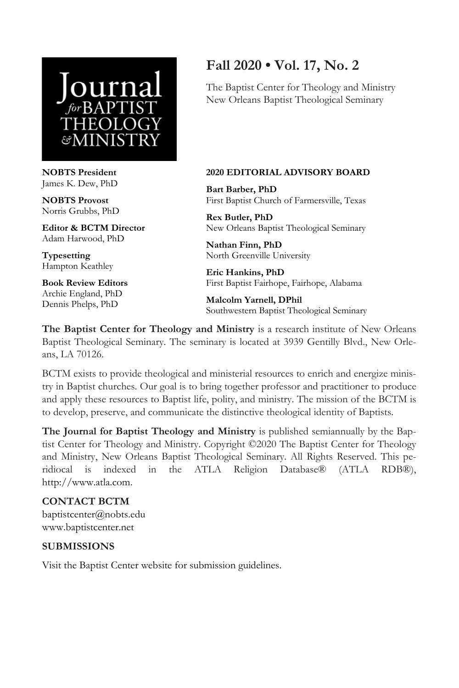

**NOBTS President**  James K. Dew, PhD

**NOBTS Provost**  Norris Grubbs, PhD

**Editor & BCTM Director**  Adam Harwood, PhD

**Typesetting**  Hampton Keathley

**Book Review Editors**  Archie England, PhD Dennis Phelps, PhD

## **Fall 2020 • Vol. 17, No. 2**

The Baptist Center for Theology and Ministry New Orleans Baptist Theological Seminary

#### **2020 EDITORIAL ADVISORY BOARD**

**Bart Barber, PhD**  First Baptist Church of Farmersville, Texas

**Rex Butler, PhD**  New Orleans Baptist Theological Seminary

**Nathan Finn, PhD**  North Greenville University

**Eric Hankins, PhD**  First Baptist Fairhope, Fairhope, Alabama

**Malcolm Yarnell, DPhil**  Southwestern Baptist Theological Seminary

**The Baptist Center for Theology and Ministry** is a research institute of New Orleans Baptist Theological Seminary. The seminary is located at 3939 Gentilly Blvd., New Orleans, LA 70126.

BCTM exists to provide theological and ministerial resources to enrich and energize ministry in Baptist churches. Our goal is to bring together professor and practitioner to produce and apply these resources to Baptist life, polity, and ministry. The mission of the BCTM is to develop, preserve, and communicate the distinctive theological identity of Baptists.

**The Journal for Baptist Theology and Ministry** is published semiannually by the Baptist Center for Theology and Ministry. Copyright ©2020 The Baptist Center for Theology and Ministry, New Orleans Baptist Theological Seminary. All Rights Reserved. This peridiocal is indexed in the ATLA Religion Database® (ATLA RDB®), http://www.atla.com.

### **CONTACT BCTM**

baptistcenter@nobts.edu www.baptistcenter.net

### **SUBMISSIONS**

Visit the Baptist Center website for submission guidelines.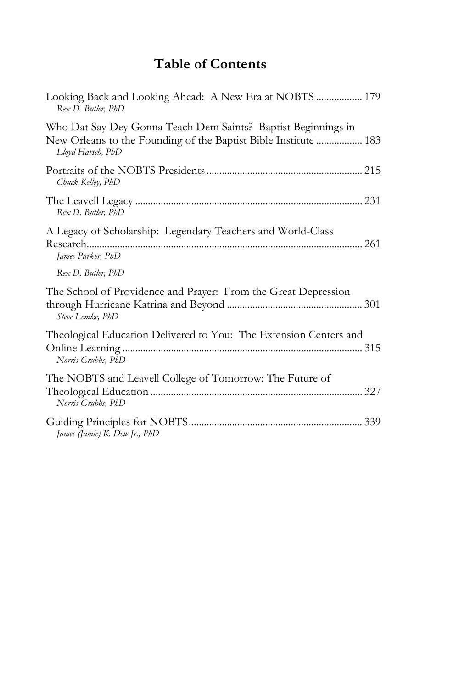# **Table of Contents**

| Looking Back and Looking Ahead: A New Era at NOBTS  179<br>Rex D. Butler, PhD                                                                         |
|-------------------------------------------------------------------------------------------------------------------------------------------------------|
| Who Dat Say Dey Gonna Teach Dem Saints? Baptist Beginnings in<br>New Orleans to the Founding of the Baptist Bible Institute  183<br>Lloyd Harsch, PhD |
| Chuck Kelley, PhD                                                                                                                                     |
| Rex D. Butler, PhD                                                                                                                                    |
| A Legacy of Scholarship: Legendary Teachers and World-Class<br>James Parker, PhD                                                                      |
| Rex D. Butler, PhD                                                                                                                                    |
| The School of Providence and Prayer: From the Great Depression<br>Steve Lemke, PhD                                                                    |
| Theological Education Delivered to You: The Extension Centers and<br>Norris Grubbs, PhD                                                               |
| The NOBTS and Leavell College of Tomorrow: The Future of<br>Norris Grubbs, PhD                                                                        |
| James (Jamie) K. Dew Jr., PhD                                                                                                                         |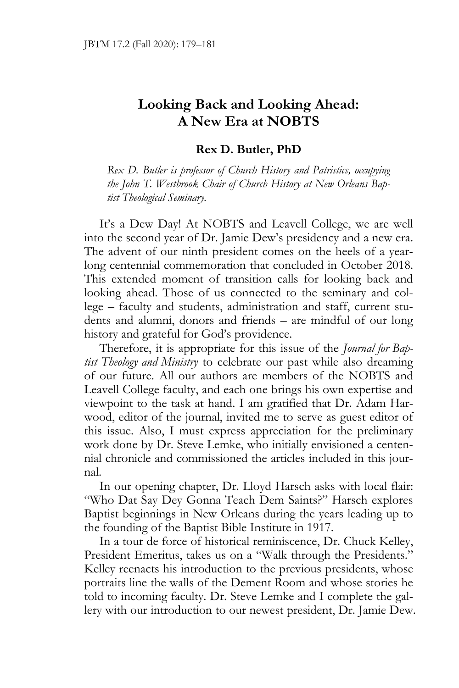### **Looking Back and Looking Ahead: A New Era at NOBTS**

#### **Rex D. Butler, PhD**

*Rex D. Butler is professor of Church History and Patristics, occupying the John T. Westbrook Chair of Church History at New Orleans Baptist Theological Seminary.* 

It's a Dew Day! At NOBTS and Leavell College, we are well into the second year of Dr. Jamie Dew's presidency and a new era. The advent of our ninth president comes on the heels of a yearlong centennial commemoration that concluded in October 2018. This extended moment of transition calls for looking back and looking ahead. Those of us connected to the seminary and college – faculty and students, administration and staff, current students and alumni, donors and friends – are mindful of our long history and grateful for God's providence.

Therefore, it is appropriate for this issue of the *Journal for Baptist Theology and Ministry* to celebrate our past while also dreaming of our future. All our authors are members of the NOBTS and Leavell College faculty, and each one brings his own expertise and viewpoint to the task at hand. I am gratified that Dr. Adam Harwood, editor of the journal, invited me to serve as guest editor of this issue. Also, I must express appreciation for the preliminary work done by Dr. Steve Lemke, who initially envisioned a centennial chronicle and commissioned the articles included in this journal.

In our opening chapter, Dr. Lloyd Harsch asks with local flair: "Who Dat Say Dey Gonna Teach Dem Saints?" Harsch explores Baptist beginnings in New Orleans during the years leading up to the founding of the Baptist Bible Institute in 1917.

In a tour de force of historical reminiscence, Dr. Chuck Kelley, President Emeritus, takes us on a "Walk through the Presidents." Kelley reenacts his introduction to the previous presidents, whose portraits line the walls of the Dement Room and whose stories he told to incoming faculty. Dr. Steve Lemke and I complete the gallery with our introduction to our newest president, Dr. Jamie Dew.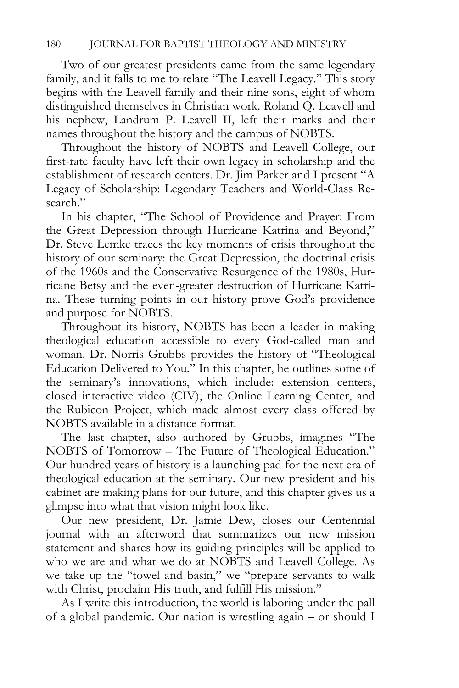Two of our greatest presidents came from the same legendary family, and it falls to me to relate "The Leavell Legacy." This story begins with the Leavell family and their nine sons, eight of whom distinguished themselves in Christian work. Roland Q. Leavell and his nephew, Landrum P. Leavell II, left their marks and their names throughout the history and the campus of NOBTS.

Throughout the history of NOBTS and Leavell College, our first-rate faculty have left their own legacy in scholarship and the establishment of research centers. Dr. Jim Parker and I present "A Legacy of Scholarship: Legendary Teachers and World-Class Research."

In his chapter, "The School of Providence and Prayer: From the Great Depression through Hurricane Katrina and Beyond," Dr. Steve Lemke traces the key moments of crisis throughout the history of our seminary: the Great Depression, the doctrinal crisis of the 1960s and the Conservative Resurgence of the 1980s, Hurricane Betsy and the even-greater destruction of Hurricane Katrina. These turning points in our history prove God's providence and purpose for NOBTS.

Throughout its history, NOBTS has been a leader in making theological education accessible to every God-called man and woman. Dr. Norris Grubbs provides the history of "Theological Education Delivered to You." In this chapter, he outlines some of the seminary's innovations, which include: extension centers, closed interactive video (CIV), the Online Learning Center, and the Rubicon Project, which made almost every class offered by NOBTS available in a distance format.

The last chapter, also authored by Grubbs, imagines "The NOBTS of Tomorrow – The Future of Theological Education." Our hundred years of history is a launching pad for the next era of theological education at the seminary. Our new president and his cabinet are making plans for our future, and this chapter gives us a glimpse into what that vision might look like.

Our new president, Dr. Jamie Dew, closes our Centennial journal with an afterword that summarizes our new mission statement and shares how its guiding principles will be applied to who we are and what we do at NOBTS and Leavell College. As we take up the "towel and basin," we "prepare servants to walk with Christ, proclaim His truth, and fulfill His mission."

As I write this introduction, the world is laboring under the pall of a global pandemic. Our nation is wrestling again – or should I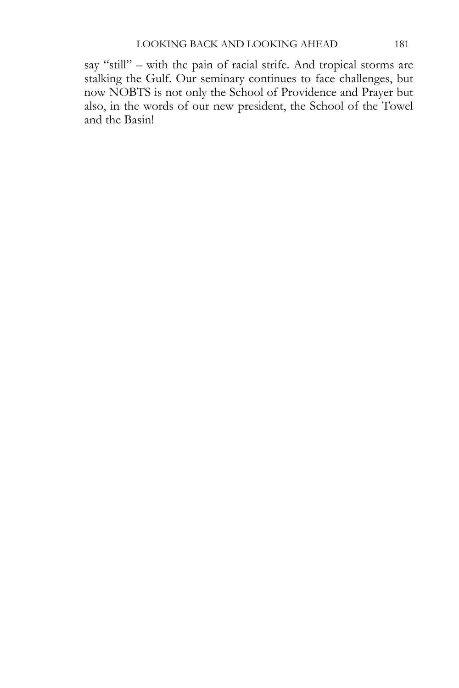say "still" – with the pain of racial strife. And tropical storms are stalking the Gulf. Our seminary continues to face challenges, but now NOBTS is not only the School of Providence and Prayer but also, in the words of our new president, the School of the Towel and the Basin!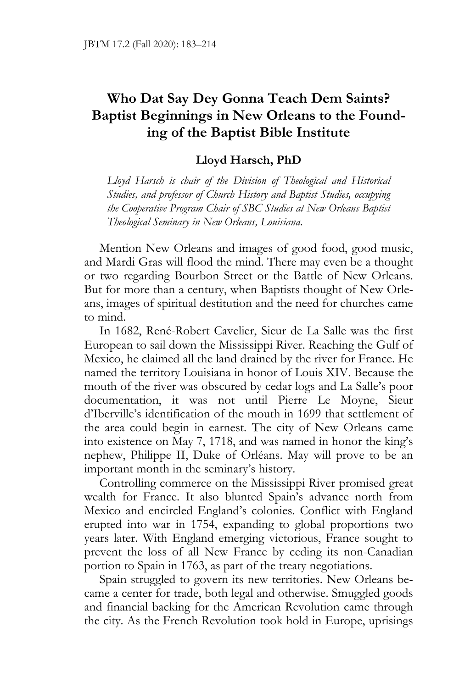### **Who Dat Say Dey Gonna Teach Dem Saints? Baptist Beginnings in New Orleans to the Founding of the Baptist Bible Institute**

### **Lloyd Harsch, PhD**

*Lloyd Harsch is chair of the Division of Theological and Historical Studies, and professor of Church History and Baptist Studies, occupying the Cooperative Program Chair of SBC Studies at New Orleans Baptist Theological Seminary in New Orleans, Louisiana.* 

Mention New Orleans and images of good food, good music, and Mardi Gras will flood the mind. There may even be a thought or two regarding Bourbon Street or the Battle of New Orleans. But for more than a century, when Baptists thought of New Orleans, images of spiritual destitution and the need for churches came to mind.

In 1682, René-Robert Cavelier, Sieur de La Salle was the first European to sail down the Mississippi River. Reaching the Gulf of Mexico, he claimed all the land drained by the river for France. He named the territory Louisiana in honor of Louis XIV. Because the mouth of the river was obscured by cedar logs and La Salle's poor documentation, it was not until Pierre Le Moyne, Sieur d'Iberville's identification of the mouth in 1699 that settlement of the area could begin in earnest. The city of New Orleans came into existence on May 7, 1718, and was named in honor the king's nephew, Philippe II, Duke of Orléans. May will prove to be an important month in the seminary's history.

Controlling commerce on the Mississippi River promised great wealth for France. It also blunted Spain's advance north from Mexico and encircled England's colonies. Conflict with England erupted into war in 1754, expanding to global proportions two years later. With England emerging victorious, France sought to prevent the loss of all New France by ceding its non-Canadian portion to Spain in 1763, as part of the treaty negotiations.

Spain struggled to govern its new territories. New Orleans became a center for trade, both legal and otherwise. Smuggled goods and financial backing for the American Revolution came through the city. As the French Revolution took hold in Europe, uprisings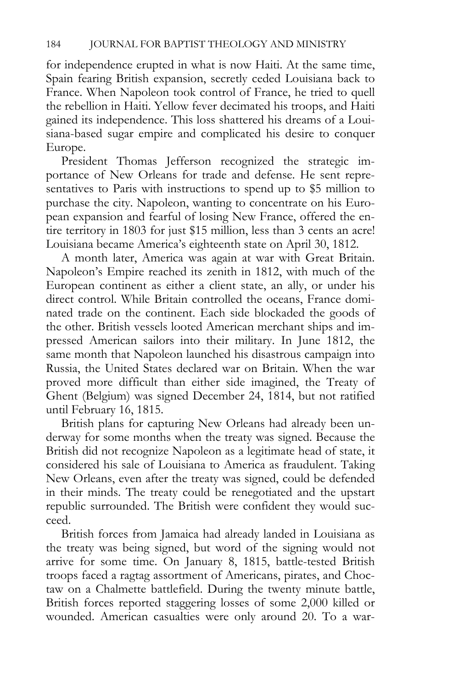for independence erupted in what is now Haiti. At the same time, Spain fearing British expansion, secretly ceded Louisiana back to France. When Napoleon took control of France, he tried to quell the rebellion in Haiti. Yellow fever decimated his troops, and Haiti gained its independence. This loss shattered his dreams of a Louisiana-based sugar empire and complicated his desire to conquer Europe.

President Thomas Jefferson recognized the strategic importance of New Orleans for trade and defense. He sent representatives to Paris with instructions to spend up to \$5 million to purchase the city. Napoleon, wanting to concentrate on his European expansion and fearful of losing New France, offered the entire territory in 1803 for just \$15 million, less than 3 cents an acre! Louisiana became America's eighteenth state on April 30, 1812.

A month later, America was again at war with Great Britain. Napoleon's Empire reached its zenith in 1812, with much of the European continent as either a client state, an ally, or under his direct control. While Britain controlled the oceans, France dominated trade on the continent. Each side blockaded the goods of the other. British vessels looted American merchant ships and impressed American sailors into their military. In June 1812, the same month that Napoleon launched his disastrous campaign into Russia, the United States declared war on Britain. When the war proved more difficult than either side imagined, the Treaty of Ghent (Belgium) was signed December 24, 1814, but not ratified until February 16, 1815.

British plans for capturing New Orleans had already been underway for some months when the treaty was signed. Because the British did not recognize Napoleon as a legitimate head of state, it considered his sale of Louisiana to America as fraudulent. Taking New Orleans, even after the treaty was signed, could be defended in their minds. The treaty could be renegotiated and the upstart republic surrounded. The British were confident they would succeed.

British forces from Jamaica had already landed in Louisiana as the treaty was being signed, but word of the signing would not arrive for some time. On January 8, 1815, battle-tested British troops faced a ragtag assortment of Americans, pirates, and Choctaw on a Chalmette battlefield. During the twenty minute battle, British forces reported staggering losses of some 2,000 killed or wounded. American casualties were only around 20. To a war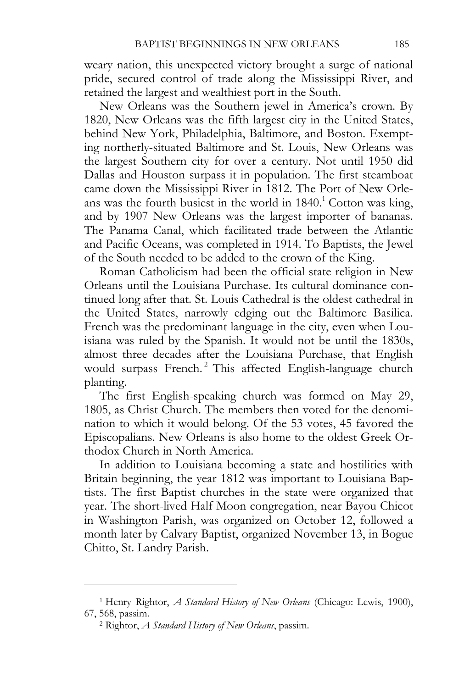weary nation, this unexpected victory brought a surge of national pride, secured control of trade along the Mississippi River, and retained the largest and wealthiest port in the South.

New Orleans was the Southern jewel in America's crown. By 1820, New Orleans was the fifth largest city in the United States, behind New York, Philadelphia, Baltimore, and Boston. Exempting northerly-situated Baltimore and St. Louis, New Orleans was the largest Southern city for over a century. Not until 1950 did Dallas and Houston surpass it in population. The first steamboat came down the Mississippi River in 1812. The Port of New Orleans was the fourth busiest in the world in  $1840<sup>1</sup>$  Cotton was king, and by 1907 New Orleans was the largest importer of bananas. The Panama Canal, which facilitated trade between the Atlantic and Pacific Oceans, was completed in 1914. To Baptists, the Jewel of the South needed to be added to the crown of the King.

Roman Catholicism had been the official state religion in New Orleans until the Louisiana Purchase. Its cultural dominance continued long after that. St. Louis Cathedral is the oldest cathedral in the United States, narrowly edging out the Baltimore Basilica. French was the predominant language in the city, even when Louisiana was ruled by the Spanish. It would not be until the 1830s, almost three decades after the Louisiana Purchase, that English would surpass French.<sup>2</sup> This affected English-language church planting.

The first English-speaking church was formed on May 29, 1805, as Christ Church. The members then voted for the denomination to which it would belong. Of the 53 votes, 45 favored the Episcopalians. New Orleans is also home to the oldest Greek Orthodox Church in North America.

In addition to Louisiana becoming a state and hostilities with Britain beginning, the year 1812 was important to Louisiana Baptists. The first Baptist churches in the state were organized that year. The short-lived Half Moon congregation, near Bayou Chicot in Washington Parish, was organized on October 12, followed a month later by Calvary Baptist, organized November 13, in Bogue Chitto, St. Landry Parish.

<sup>1</sup> Henry Rightor, *A Standard History of New Orleans* (Chicago: Lewis, 1900), 67, 568, passim. 2 Rightor, *A Standard History of New Orleans*, passim.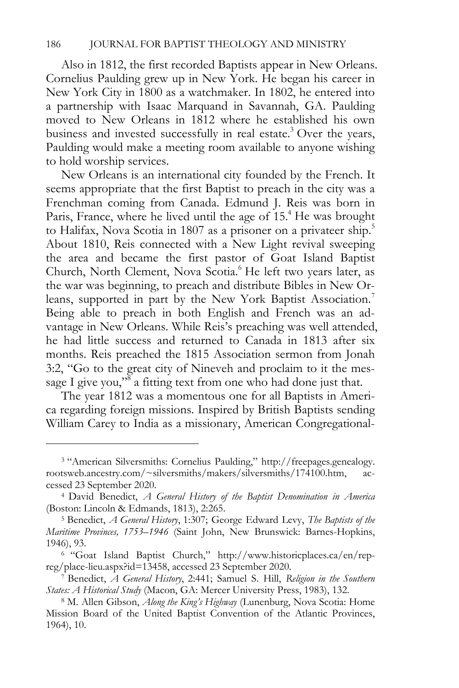Also in 1812, the first recorded Baptists appear in New Orleans. Cornelius Paulding grew up in New York. He began his career in New York City in 1800 as a watchmaker. In 1802, he entered into a partnership with Isaac Marquand in Savannah, GA. Paulding moved to New Orleans in 1812 where he established his own business and invested successfully in real estate.<sup>3</sup> Over the years, Paulding would make a meeting room available to anyone wishing to hold worship services.

New Orleans is an international city founded by the French. It seems appropriate that the first Baptist to preach in the city was a Frenchman coming from Canada. Edmund J. Reis was born in Paris, France, where he lived until the age of 15.<sup>4</sup> He was brought to Halifax, Nova Scotia in 1807 as a prisoner on a privateer ship.<sup>5</sup> About 1810, Reis connected with a New Light revival sweeping the area and became the first pastor of Goat Island Baptist Church, North Clement, Nova Scotia.<sup>6</sup> He left two years later, as the war was beginning, to preach and distribute Bibles in New Orleans, supported in part by the New York Baptist Association.<sup>7</sup> Being able to preach in both English and French was an advantage in New Orleans. While Reis's preaching was well attended, he had little success and returned to Canada in 1813 after six months. Reis preached the 1815 Association sermon from Jonah 3:2, "Go to the great city of Nineveh and proclaim to it the message I give you,"<sup>8</sup> a fitting text from one who had done just that.

The year 1812 was a momentous one for all Baptists in America regarding foreign missions. Inspired by British Baptists sending William Carey to India as a missionary, American Congregational-

<sup>3 &</sup>quot;American Silversmiths: Cornelius Paulding," http://freepages.genealogy. rootsweb.ancestry.com/~silversmiths/makers/silversmiths/174100.htm, accessed 23 September 2020. 4 David Benedict, *A General History of the Baptist Denomination in America*

<sup>(</sup>Boston: Lincoln & Edmands, 1813), 2:265. 5 Benedict, *A General History*, 1:307; George Edward Levy, *The Baptists of the* 

*Maritime Provinces, 1753–1946* (Saint John, New Brunswick: Barnes-Hopkins, 1946), 93. 6 "Goat Island Baptist Church," http://www.historicplaces.ca/en/rep-

reg/place-lieu.aspx?id=13458, accessed 23 September 2020. 7 Benedict, *A General History*, 2:441; Samuel S. Hill, *Religion in the Southern* 

*States: A Historical Study* (Macon, GA: Mercer University Press, 1983), 132. 8 M. Allen Gibson, *Along the King's Highway* (Lunenburg, Nova Scotia: Home

Mission Board of the United Baptist Convention of the Atlantic Provinces, 1964), 10.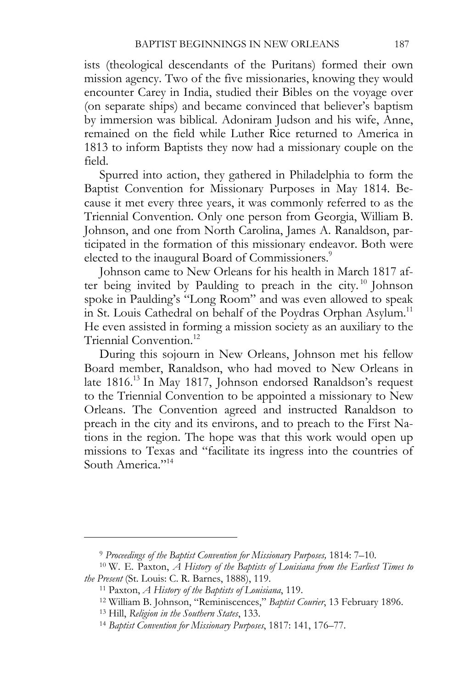ists (theological descendants of the Puritans) formed their own mission agency. Two of the five missionaries, knowing they would encounter Carey in India, studied their Bibles on the voyage over (on separate ships) and became convinced that believer's baptism by immersion was biblical. Adoniram Judson and his wife, Anne, remained on the field while Luther Rice returned to America in 1813 to inform Baptists they now had a missionary couple on the field.

Spurred into action, they gathered in Philadelphia to form the Baptist Convention for Missionary Purposes in May 1814. Because it met every three years, it was commonly referred to as the Triennial Convention. Only one person from Georgia, William B. Johnson, and one from North Carolina, James A. Ranaldson, participated in the formation of this missionary endeavor. Both were elected to the inaugural Board of Commissioners.<sup>9</sup>

Johnson came to New Orleans for his health in March 1817 after being invited by Paulding to preach in the city.<sup>10</sup> Johnson spoke in Paulding's "Long Room" and was even allowed to speak in St. Louis Cathedral on behalf of the Poydras Orphan Asylum.<sup>11</sup> He even assisted in forming a mission society as an auxiliary to the Triennial Convention.<sup>12</sup>

During this sojourn in New Orleans, Johnson met his fellow Board member, Ranaldson, who had moved to New Orleans in late 1816.<sup>13</sup> In May 1817, Johnson endorsed Ranaldson's request to the Triennial Convention to be appointed a missionary to New Orleans. The Convention agreed and instructed Ranaldson to preach in the city and its environs, and to preach to the First Nations in the region. The hope was that this work would open up missions to Texas and "facilitate its ingress into the countries of South America<sup>"14</sup>

<sup>9</sup> *Proceedings of the Baptist Convention for Missionary Purposes,* 1814: 7–10. 10 W. E. Paxton, *A History of the Baptists of Louisiana from the Earliest Times to the Present* (St. Louis: C. R. Barnes, 1888), 119.<br><sup>11</sup> Paxton, *A History of the Baptists of Louisiana*, 119.<br><sup>12</sup> William B. Johnson, "Reminiscences," *Baptist Courier*, 13 February 1896.<br><sup>13</sup> Hill, *Religion in the Sou*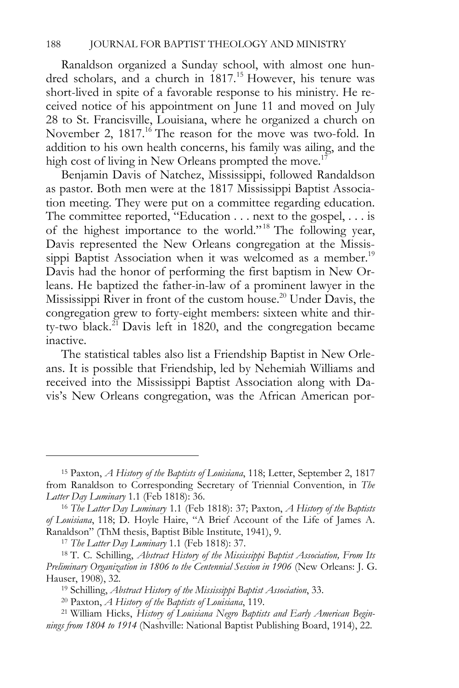Ranaldson organized a Sunday school, with almost one hundred scholars, and a church in 1817.<sup>15</sup> However, his tenure was short-lived in spite of a favorable response to his ministry. He received notice of his appointment on June 11 and moved on July 28 to St. Francisville, Louisiana, where he organized a church on November 2, 1817.<sup>16</sup> The reason for the move was two-fold. In addition to his own health concerns, his family was ailing, and the high cost of living in New Orleans prompted the move.<sup>17</sup>

Benjamin Davis of Natchez, Mississippi, followed Randaldson as pastor. Both men were at the 1817 Mississippi Baptist Association meeting. They were put on a committee regarding education. The committee reported, "Education . . . next to the gospel, . . . is of the highest importance to the world."<sup>18</sup> The following year, Davis represented the New Orleans congregation at the Mississippi Baptist Association when it was welcomed as a member.<sup>19</sup> Davis had the honor of performing the first baptism in New Orleans. He baptized the father-in-law of a prominent lawyer in the Mississippi River in front of the custom house.20 Under Davis, the congregation grew to forty-eight members: sixteen white and thirty-two black.<sup>21</sup> Davis left in 1820, and the congregation became inactive.

The statistical tables also list a Friendship Baptist in New Orleans. It is possible that Friendship, led by Nehemiah Williams and received into the Mississippi Baptist Association along with Davis's New Orleans congregation, was the African American por-

<sup>15</sup> Paxton, *A History of the Baptists of Louisiana*, 118; Letter, September 2, 1817 from Ranaldson to Corresponding Secretary of Triennial Convention, in *The Latter Day Luminary* 1.1 (Feb 1818): 36. 16 *The Latter Day Luminary* 1.1 (Feb 1818): 37; Paxton, *A History of the Baptists* 

*of Louisiana*, 118; D. Hoyle Haire, "A Brief Account of the Life of James A.

<sup>&</sup>lt;sup>17</sup> The Latter Day Luminary 1.1 (Feb 1818): 37.<br><sup>18</sup> T. C. Schilling, *Abstract History of the Mississippi Baptist Association, From Its Preliminary Organization in 1806 to the Centennial Session in 1906* (New Orleans: J. G. Hauser, 1908), 32.<br><sup>19</sup> Schilling, *Abstract History of the Mississippi Baptist Association*, 33.<br><sup>20</sup> Paxton, *A History of the Baptists of Louisiana*, 119.<br><sup>21</sup> William Hicks, *History of Louisiana Negro Baptists and Ear* 

*nings from 1804 to 1914* (Nashville: National Baptist Publishing Board, 1914), 22.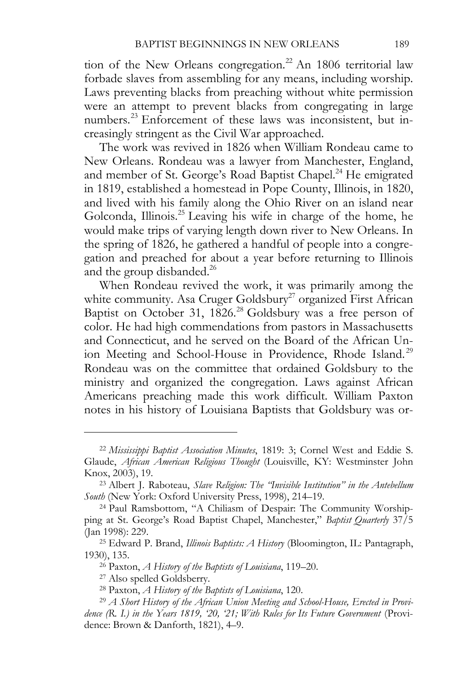tion of the New Orleans congregation.<sup>22</sup> An 1806 territorial law forbade slaves from assembling for any means, including worship. Laws preventing blacks from preaching without white permission were an attempt to prevent blacks from congregating in large numbers.<sup>23</sup> Enforcement of these laws was inconsistent, but increasingly stringent as the Civil War approached.

The work was revived in 1826 when William Rondeau came to New Orleans. Rondeau was a lawyer from Manchester, England, and member of St. George's Road Baptist Chapel.<sup>24</sup> He emigrated in 1819, established a homestead in Pope County, Illinois, in 1820, and lived with his family along the Ohio River on an island near Golconda, Illinois.25 Leaving his wife in charge of the home, he would make trips of varying length down river to New Orleans. In the spring of 1826, he gathered a handful of people into a congregation and preached for about a year before returning to Illinois and the group disbanded.<sup>26</sup>

When Rondeau revived the work, it was primarily among the white community. Asa Cruger Goldsbury<sup>27</sup> organized First African Baptist on October 31, 1826.<sup>28</sup> Goldsbury was a free person of color. He had high commendations from pastors in Massachusetts and Connecticut, and he served on the Board of the African Union Meeting and School-House in Providence, Rhode Island.<sup>29</sup> Rondeau was on the committee that ordained Goldsbury to the ministry and organized the congregation. Laws against African Americans preaching made this work difficult. William Paxton notes in his history of Louisiana Baptists that Goldsbury was or-

<sup>22</sup> *Mississippi Baptist Association Minutes*, 1819: 3; Cornel West and Eddie S. Glaude, *African American Religious Thought* (Louisville, KY: Westminster John Knox, 2003), 19. 23 Albert J. Raboteau, *Slave Religion: The "Invisible Institution" in the Antebellum* 

*South* (New York: Oxford University Press, 1998), 214–19. 24 Paul Ramsbottom, "A Chiliasm of Despair: The Community Worship-

ping at St. George's Road Baptist Chapel, Manchester," *Baptist Quarterly* 37/5

<sup>(</sup>Jan 1998): 229. 25 Edward P. Brand, *Illinois Baptists: A History* (Bloomington, IL: Pantagraph, 1930), 135. 26 Paxton, *A History of the Baptists of Louisiana*, 119–20. 27 Also spelled Goldsberry.

<sup>&</sup>lt;sup>28</sup> Paxton, *A History of the Baptists of Louisiana*, 120.<br><sup>29</sup> A Short History of the African Union Meeting and School-House, Erected in Provi*dence (R. I.) in the Years 1819, '20, '21; With Rules for Its Future Government* (Providence: Brown & Danforth, 1821), 4–9.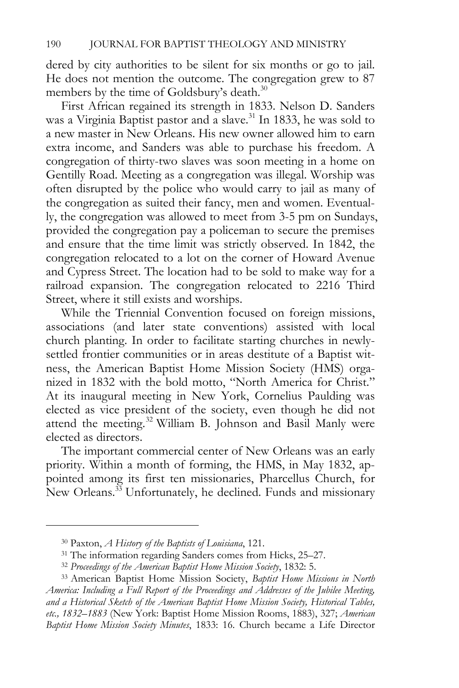dered by city authorities to be silent for six months or go to jail. He does not mention the outcome. The congregation grew to 87 members by the time of Goldsbury's death.<sup>30</sup>

First African regained its strength in 1833. Nelson D. Sanders was a Virginia Baptist pastor and a slave.<sup>31</sup> In 1833, he was sold to a new master in New Orleans. His new owner allowed him to earn extra income, and Sanders was able to purchase his freedom. A congregation of thirty-two slaves was soon meeting in a home on Gentilly Road. Meeting as a congregation was illegal. Worship was often disrupted by the police who would carry to jail as many of the congregation as suited their fancy, men and women. Eventually, the congregation was allowed to meet from 3-5 pm on Sundays, provided the congregation pay a policeman to secure the premises and ensure that the time limit was strictly observed. In 1842, the congregation relocated to a lot on the corner of Howard Avenue and Cypress Street. The location had to be sold to make way for a railroad expansion. The congregation relocated to 2216 Third Street, where it still exists and worships.

While the Triennial Convention focused on foreign missions, associations (and later state conventions) assisted with local church planting. In order to facilitate starting churches in newlysettled frontier communities or in areas destitute of a Baptist witness, the American Baptist Home Mission Society (HMS) organized in 1832 with the bold motto, "North America for Christ." At its inaugural meeting in New York, Cornelius Paulding was elected as vice president of the society, even though he did not attend the meeting.<sup>32</sup> William B. Johnson and Basil Manly were elected as directors.

The important commercial center of New Orleans was an early priority. Within a month of forming, the HMS, in May 1832, appointed among its first ten missionaries, Pharcellus Church, for New Orleans.<sup>33</sup> Unfortunately, he declined. Funds and missionary

<sup>30</sup> Paxton, *A History of the Baptists of Louisiana*, 121. 31 The information regarding Sanders comes from Hicks, 25–27. 32 *Proceedings of the American Baptist Home Mission Society*, 1832: 5.

<sup>33</sup> American Baptist Home Mission Society, *Baptist Home Missions in North America: Including a Full Report of the Proceedings and Addresses of the Jubilee Meeting, and a Historical Sketch of the American Baptist Home Mission Society, Historical Tables, etc., 1832–1883* (New York: Baptist Home Mission Rooms, 1883), 327; *American Baptist Home Mission Society Minutes*, 1833: 16. Church became a Life Director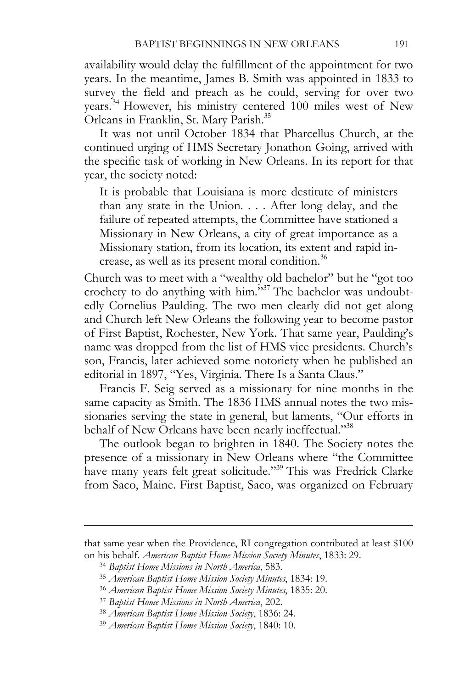availability would delay the fulfillment of the appointment for two years. In the meantime, James B. Smith was appointed in 1833 to survey the field and preach as he could, serving for over two years.34 However, his ministry centered 100 miles west of New Orleans in Franklin, St. Mary Parish.35

It was not until October 1834 that Pharcellus Church, at the continued urging of HMS Secretary Jonathon Going, arrived with the specific task of working in New Orleans. In its report for that year, the society noted:

It is probable that Louisiana is more destitute of ministers than any state in the Union. . . . After long delay, and the failure of repeated attempts, the Committee have stationed a Missionary in New Orleans, a city of great importance as a Missionary station, from its location, its extent and rapid increase, as well as its present moral condition.<sup>36</sup>

Church was to meet with a "wealthy old bachelor" but he "got too crochety to do anything with him."37 The bachelor was undoubtedly Cornelius Paulding. The two men clearly did not get along and Church left New Orleans the following year to become pastor of First Baptist, Rochester, New York. That same year, Paulding's name was dropped from the list of HMS vice presidents. Church's son, Francis, later achieved some notoriety when he published an editorial in 1897, "Yes, Virginia. There Is a Santa Claus."

Francis F. Seig served as a missionary for nine months in the same capacity as Smith. The 1836 HMS annual notes the two missionaries serving the state in general, but laments, "Our efforts in behalf of New Orleans have been nearly ineffectual."38

The outlook began to brighten in 1840. The Society notes the presence of a missionary in New Orleans where "the Committee have many years felt great solicitude."39 This was Fredrick Clarke from Saco, Maine. First Baptist, Saco, was organized on February

that same year when the Providence, RI congregation contributed at least \$100 on his behalf. *American Baptist Home Mission Society Minutes*, 1833: 29.<br><sup>34</sup> Baptist Home Missions in North America, 583.<br><sup>35</sup> American Baptist Home Mission Society Minutes, 1834: 19.<br><sup>36</sup> American Baptist Home Mission S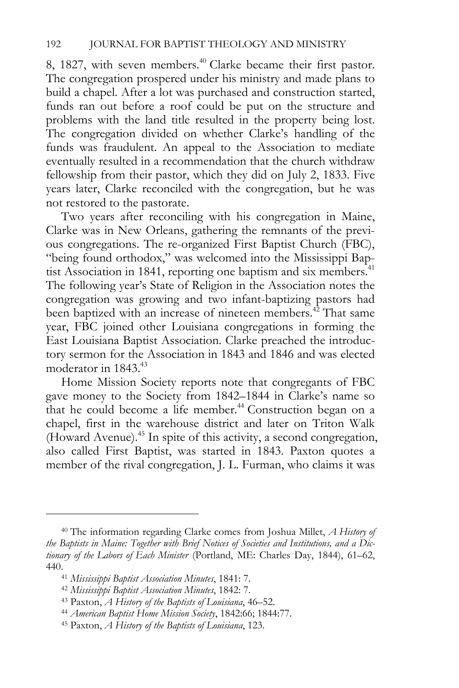8, 1827, with seven members.<sup>40</sup> Clarke became their first pastor. The congregation prospered under his ministry and made plans to build a chapel. After a lot was purchased and construction started, funds ran out before a roof could be put on the structure and problems with the land title resulted in the property being lost. The congregation divided on whether Clarke's handling of the funds was fraudulent. An appeal to the Association to mediate eventually resulted in a recommendation that the church withdraw fellowship from their pastor, which they did on July 2, 1833. Five years later, Clarke reconciled with the congregation, but he was not restored to the pastorate.

Two years after reconciling with his congregation in Maine, Clarke was in New Orleans, gathering the remnants of the previous congregations. The re-organized First Baptist Church (FBC), "being found orthodox," was welcomed into the Mississippi Baptist Association in 1841, reporting one baptism and six members.<sup>41</sup> The following year's State of Religion in the Association notes the congregation was growing and two infant-baptizing pastors had been baptized with an increase of nineteen members.<sup>42</sup> That same year, FBC joined other Louisiana congregations in forming the East Louisiana Baptist Association. Clarke preached the introductory sermon for the Association in 1843 and 1846 and was elected moderator in  $1843.^{43}$ 

Home Mission Society reports note that congregants of FBC gave money to the Society from 1842–1844 in Clarke's name so that he could become a life member.<sup>44</sup> Construction began on a chapel, first in the warehouse district and later on Triton Walk (Howard Avenue).45 In spite of this activity, a second congregation, also called First Baptist, was started in 1843. Paxton quotes a member of the rival congregation, J. L. Furman, who claims it was

<sup>40</sup> The information regarding Clarke comes from Joshua Millet, *A History of the Baptists in Maine: Together with Brief Notices of Societies and Institutions, and a Dictionary of the Labors of Each Minister* (Portland, ME: Charles Day, 1844), 61–62, 440.<br><sup>41</sup> Mississippi Baptist Association Minutes, 1841: 7.<br><sup>42</sup> Mississippi Baptist Association Minutes, 1842: 7.<br><sup>43</sup> Paxton, *A History of the Baptists of Louisiana*, 46–52.<br><sup>44</sup> American Baptist Home Mission Society, 1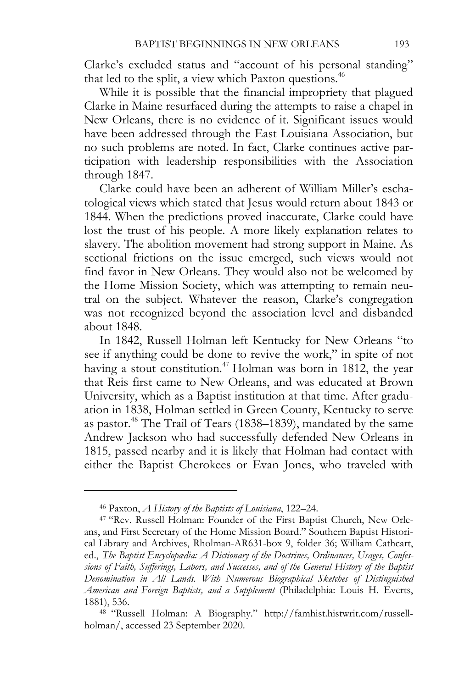Clarke's excluded status and "account of his personal standing" that led to the split, a view which Paxton questions.<sup>46</sup>

While it is possible that the financial impropriety that plagued Clarke in Maine resurfaced during the attempts to raise a chapel in New Orleans, there is no evidence of it. Significant issues would have been addressed through the East Louisiana Association, but no such problems are noted. In fact, Clarke continues active participation with leadership responsibilities with the Association through 1847.

Clarke could have been an adherent of William Miller's eschatological views which stated that Jesus would return about 1843 or 1844. When the predictions proved inaccurate, Clarke could have lost the trust of his people. A more likely explanation relates to slavery. The abolition movement had strong support in Maine. As sectional frictions on the issue emerged, such views would not find favor in New Orleans. They would also not be welcomed by the Home Mission Society, which was attempting to remain neutral on the subject. Whatever the reason, Clarke's congregation was not recognized beyond the association level and disbanded about 1848.

In 1842, Russell Holman left Kentucky for New Orleans "to see if anything could be done to revive the work," in spite of not having a stout constitution.<sup>47</sup> Holman was born in 1812, the year that Reis first came to New Orleans, and was educated at Brown University, which as a Baptist institution at that time. After graduation in 1838, Holman settled in Green County, Kentucky to serve as pastor.48 The Trail of Tears (1838–1839), mandated by the same Andrew Jackson who had successfully defended New Orleans in 1815, passed nearby and it is likely that Holman had contact with either the Baptist Cherokees or Evan Jones, who traveled with

<sup>46</sup> Paxton, *A History of the Baptists of Louisiana*, 122–24. 47 "Rev. Russell Holman: Founder of the First Baptist Church, New Orleans, and First Secretary of the Home Mission Board." Southern Baptist Historical Library and Archives, Rholman-AR631-box 9, folder 36; William Cathcart, ed., *The Baptist Encyclopædia: A Dictionary of the Doctrines, Ordinances, Usages, Confessions of Faith, Sufferings, Labors, and Successes, and of the General History of the Baptist Denomination in All Lands. With Numerous Biographical Sketches of Distinguished American and Foreign Baptists, and a Supplement* (Philadelphia: Louis H. Everts, 1881), 536. 48 "Russell Holman: A Biography." http://famhist.histwrit.com/russell-

holman/, accessed 23 September 2020.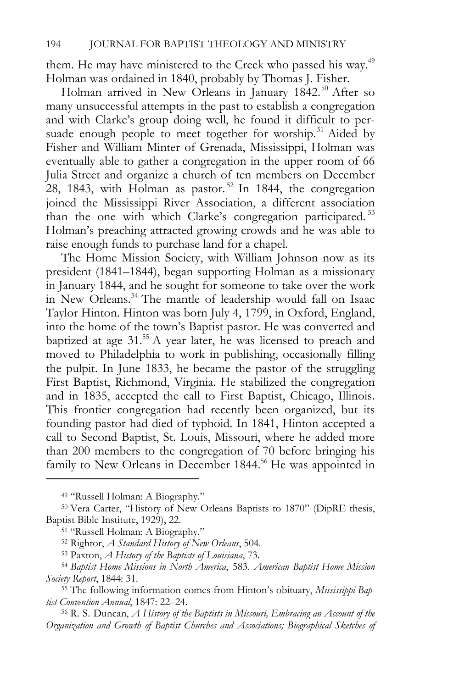them. He may have ministered to the Creek who passed his way.<sup>49</sup> Holman was ordained in 1840, probably by Thomas J. Fisher.

Holman arrived in New Orleans in January 1842.<sup>50</sup> After so many unsuccessful attempts in the past to establish a congregation and with Clarke's group doing well, he found it difficult to persuade enough people to meet together for worship.<sup>51</sup> Aided by Fisher and William Minter of Grenada, Mississippi, Holman was eventually able to gather a congregation in the upper room of 66 Julia Street and organize a church of ten members on December 28, 1843, with Holman as pastor.<sup>52</sup> In 1844, the congregation joined the Mississippi River Association, a different association than the one with which Clarke's congregation participated.<sup>53</sup> Holman's preaching attracted growing crowds and he was able to raise enough funds to purchase land for a chapel.

The Home Mission Society, with William Johnson now as its president (1841–1844), began supporting Holman as a missionary in January 1844, and he sought for someone to take over the work in New Orleans.<sup>54</sup> The mantle of leadership would fall on Isaac Taylor Hinton. Hinton was born July 4, 1799, in Oxford, England, into the home of the town's Baptist pastor. He was converted and baptized at age 31.<sup>55</sup> A year later, he was licensed to preach and moved to Philadelphia to work in publishing, occasionally filling the pulpit. In June 1833, he became the pastor of the struggling First Baptist, Richmond, Virginia. He stabilized the congregation and in 1835, accepted the call to First Baptist, Chicago, Illinois. This frontier congregation had recently been organized, but its founding pastor had died of typhoid. In 1841, Hinton accepted a call to Second Baptist, St. Louis, Missouri, where he added more than 200 members to the congregation of 70 before bringing his family to New Orleans in December 1844.<sup>56</sup> He was appointed in

*Organization and Growth of Baptist Churches and Associations; Biographical Sketches of* 

<sup>49 &</sup>quot;Russell Holman: A Biography."

<sup>&</sup>lt;sup>50</sup> Vera Carter, "History of New Orleans Baptists to 1870" (DipRE thesis, Baptist Bible Institute, 1929), 22.<br><sup>51</sup> "Russell Holman: A Biography."

<sup>52</sup> Rightor, *A Standard History of New Orleans*, 504. 53 Paxton, *A History of the Baptists of Louisiana*, 73. 54 *Baptist Home Missions in North America*, 583. *American Baptist Home Mission Society Report*, 1844: 31. 55 The following information comes from Hinton's obituary, *Mississippi Bap-*

*tist Convention Annual*, 1847: 22–24.<br><sup>56</sup> R. S. Duncan, *A History of the Baptists in Missouri, Embracing an Account of the*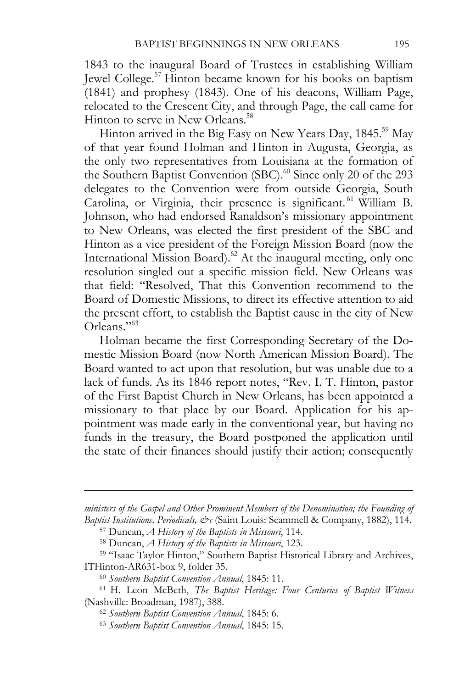1843 to the inaugural Board of Trustees in establishing William Jewel College.57 Hinton became known for his books on baptism (1841) and prophesy (1843). One of his deacons, William Page, relocated to the Crescent City, and through Page, the call came for Hinton to serve in New Orleans.<sup>58</sup>

Hinton arrived in the Big Easy on New Years Day, 1845.<sup>59</sup> May of that year found Holman and Hinton in Augusta, Georgia, as the only two representatives from Louisiana at the formation of the Southern Baptist Convention (SBC).<sup>60</sup> Since only 20 of the 293 delegates to the Convention were from outside Georgia, South Carolina, or Virginia, their presence is significant. 61 William B. Johnson, who had endorsed Ranaldson's missionary appointment to New Orleans, was elected the first president of the SBC and Hinton as a vice president of the Foreign Mission Board (now the International Mission Board).<sup>62</sup> At the inaugural meeting, only one resolution singled out a specific mission field. New Orleans was that field: "Resolved, That this Convention recommend to the Board of Domestic Missions, to direct its effective attention to aid the present effort, to establish the Baptist cause in the city of New Orleans."63

Holman became the first Corresponding Secretary of the Domestic Mission Board (now North American Mission Board). The Board wanted to act upon that resolution, but was unable due to a lack of funds. As its 1846 report notes, "Rev. I. T. Hinton, pastor of the First Baptist Church in New Orleans, has been appointed a missionary to that place by our Board. Application for his appointment was made early in the conventional year, but having no funds in the treasury, the Board postponed the application until the state of their finances should justify their action; consequently

*ministers of the Gospel and Other Prominent Members of the Denomination; the Founding of*  Baptist Institutions, Periodicals, & CSaint Louis: Scammell & Company, 1882), 114.<br><sup>57</sup> Duncan, *A History of the Baptists in Missouri*, 114.<br><sup>58</sup> Duncan, *A History of the Baptists in Missouri*, 123.<br><sup>59</sup> "Isaac Taylor Hi

ITHinton-AR631-box 9, folder 35.<br><sup>60</sup> Southern Baptist Convention Annual, 1845: 11.<br><sup>61</sup> H. Leon McBeth, *The Baptist Heritage: Four Centuries of Baptist Witness* 

<sup>(</sup>Nashville: Broadman, 1987), 388. 62 *Southern Baptist Convention Annual*, 1845: 6. 63 *Southern Baptist Convention Annual*, 1845: 15.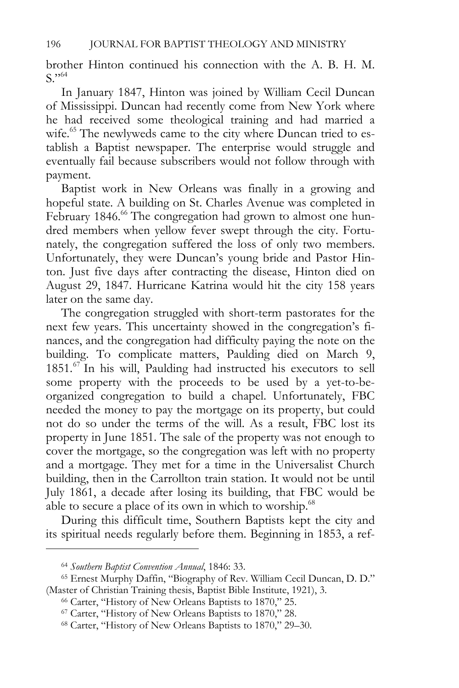brother Hinton continued his connection with the A. B. H. M.  $S.$ <sup> $564$ </sup>

In January 1847, Hinton was joined by William Cecil Duncan of Mississippi. Duncan had recently come from New York where he had received some theological training and had married a wife.<sup>65</sup> The newlyweds came to the city where Duncan tried to establish a Baptist newspaper. The enterprise would struggle and eventually fail because subscribers would not follow through with payment.

Baptist work in New Orleans was finally in a growing and hopeful state. A building on St. Charles Avenue was completed in February 1846.<sup>66</sup> The congregation had grown to almost one hundred members when yellow fever swept through the city. Fortunately, the congregation suffered the loss of only two members. Unfortunately, they were Duncan's young bride and Pastor Hinton. Just five days after contracting the disease, Hinton died on August 29, 1847. Hurricane Katrina would hit the city 158 years later on the same day.

The congregation struggled with short-term pastorates for the next few years. This uncertainty showed in the congregation's finances, and the congregation had difficulty paying the note on the building. To complicate matters, Paulding died on March 9, 1851.<sup>67</sup> In his will, Paulding had instructed his executors to sell some property with the proceeds to be used by a yet-to-beorganized congregation to build a chapel. Unfortunately, FBC needed the money to pay the mortgage on its property, but could not do so under the terms of the will. As a result, FBC lost its property in June 1851. The sale of the property was not enough to cover the mortgage, so the congregation was left with no property and a mortgage. They met for a time in the Universalist Church building, then in the Carrollton train station. It would not be until July 1861, a decade after losing its building, that FBC would be able to secure a place of its own in which to worship. $68$ 

During this difficult time, Southern Baptists kept the city and its spiritual needs regularly before them. Beginning in 1853, a ref-

<sup>&</sup>lt;sup>64</sup> Southern Baptist Convention Annual, 1846: 33.<br><sup>65</sup> Ernest Murphy Daffin, "Biography of Rev. William Cecil Duncan, D. D." (Master of Christian Training thesis, Baptist Bible Institute, 1921), 3.<br><sup>66</sup> Carter, "History of New Orleans Baptists to 1870," 25.<br><sup>67</sup> Carter, "History of New Orleans Baptists to 1870," 28.<br><sup>68</sup> Carter, "History of New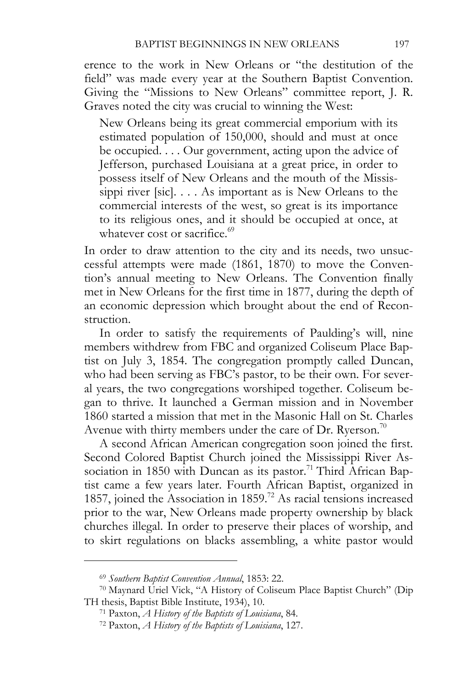erence to the work in New Orleans or "the destitution of the field" was made every year at the Southern Baptist Convention. Giving the "Missions to New Orleans" committee report, J. R. Graves noted the city was crucial to winning the West:

New Orleans being its great commercial emporium with its estimated population of 150,000, should and must at once be occupied. . . . Our government, acting upon the advice of Jefferson, purchased Louisiana at a great price, in order to possess itself of New Orleans and the mouth of the Mississippi river [sic].... As important as is New Orleans to the commercial interests of the west, so great is its importance to its religious ones, and it should be occupied at once, at whatever cost or sacrifice.<sup>69</sup>

In order to draw attention to the city and its needs, two unsuccessful attempts were made (1861, 1870) to move the Convention's annual meeting to New Orleans. The Convention finally met in New Orleans for the first time in 1877, during the depth of an economic depression which brought about the end of Reconstruction.

In order to satisfy the requirements of Paulding's will, nine members withdrew from FBC and organized Coliseum Place Baptist on July 3, 1854. The congregation promptly called Duncan, who had been serving as FBC's pastor, to be their own. For several years, the two congregations worshiped together. Coliseum began to thrive. It launched a German mission and in November 1860 started a mission that met in the Masonic Hall on St. Charles Avenue with thirty members under the care of Dr. Ryerson.<sup>70</sup>

A second African American congregation soon joined the first. Second Colored Baptist Church joined the Mississippi River Association in 1850 with Duncan as its pastor.<sup>71</sup> Third African Baptist came a few years later. Fourth African Baptist, organized in 1857, joined the Association in 1859.<sup>72</sup> As racial tensions increased prior to the war, New Orleans made property ownership by black churches illegal. In order to preserve their places of worship, and to skirt regulations on blacks assembling, a white pastor would

<sup>69</sup> *Southern Baptist Convention Annual*, 1853: 22. 70 Maynard Uriel Vick, "A History of Coliseum Place Baptist Church" (Dip TH thesis, Baptist Bible Institute, 1934), 10. 71 Paxton, *A History of the Baptists of Louisiana*, 84. 72 Paxton, *A History of the Baptists of Louisiana*, 127.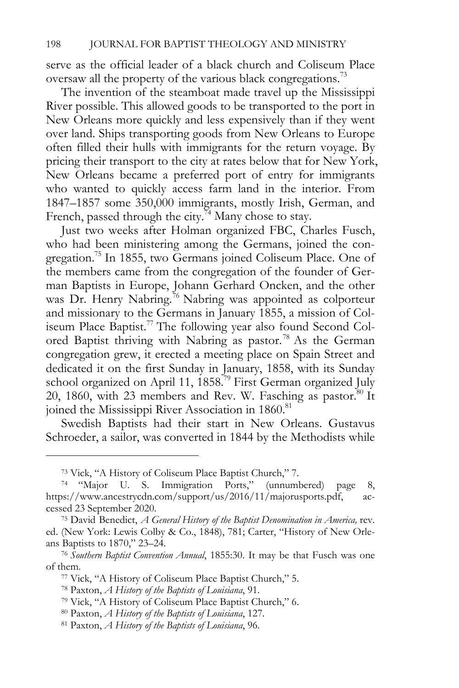serve as the official leader of a black church and Coliseum Place oversaw all the property of the various black congregations.73

The invention of the steamboat made travel up the Mississippi River possible. This allowed goods to be transported to the port in New Orleans more quickly and less expensively than if they went over land. Ships transporting goods from New Orleans to Europe often filled their hulls with immigrants for the return voyage. By pricing their transport to the city at rates below that for New York, New Orleans became a preferred port of entry for immigrants who wanted to quickly access farm land in the interior. From 1847–1857 some 350,000 immigrants, mostly Irish, German, and French, passed through the city.<sup>74</sup> Many chose to stay.

Just two weeks after Holman organized FBC, Charles Fusch, who had been ministering among the Germans, joined the congregation.75 In 1855, two Germans joined Coliseum Place. One of the members came from the congregation of the founder of German Baptists in Europe, Johann Gerhard Oncken, and the other was Dr. Henry Nabring.<sup>76</sup> Nabring was appointed as colporteur and missionary to the Germans in January 1855, a mission of Coliseum Place Baptist.<sup>77</sup> The following year also found Second Colored Baptist thriving with Nabring as pastor.<sup>78</sup> As the German congregation grew, it erected a meeting place on Spain Street and dedicated it on the first Sunday in January, 1858, with its Sunday school organized on April 11, 1858.<sup>79</sup> First German organized July 20, 1860, with 23 members and Rev. W. Fasching as pastor. $80$  It joined the Mississippi River Association in 1860.<sup>81</sup>

Swedish Baptists had their start in New Orleans. Gustavus Schroeder, a sailor, was converted in 1844 by the Methodists while

<sup>73</sup> Vick, "A History of Coliseum Place Baptist Church," 7.

<sup>74 &</sup>quot;Major U. S. Immigration Ports," (unnumbered) page 8, https://www.ancestrycdn.com/support/us/2016/11/majorusports.pdf, accessed 23 September 2020. 75 David Benedict, *A General History of the Baptist Denomination in America,* rev.

ed. (New York: Lewis Colby & Co., 1848), 781; Carter, "History of New Orleans Baptists to 1870," 23–24. 76 *Southern Baptist Convention Annual*, 1855:30. It may be that Fusch was one

of them. 77 Vick, "A History of Coliseum Place Baptist Church," 5.

<sup>78</sup> Paxton, *A History of the Baptists of Louisiana*, 91. 79 Vick, "A History of Coliseum Place Baptist Church," 6.

<sup>80</sup> Paxton, *A History of the Baptists of Louisiana*, 127. 81 Paxton, *A History of the Baptists of Louisiana*, 96.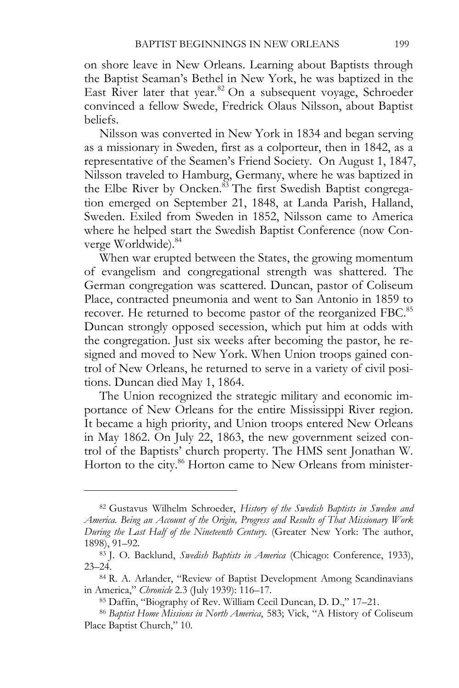on shore leave in New Orleans. Learning about Baptists through the Baptist Seaman's Bethel in New York, he was baptized in the East River later that year.<sup>82</sup> On a subsequent voyage, Schroeder convinced a fellow Swede, Fredrick Olaus Nilsson, about Baptist beliefs.

Nilsson was converted in New York in 1834 and began serving as a missionary in Sweden, first as a colporteur, then in 1842, as a representative of the Seamen's Friend Society. On August 1, 1847, Nilsson traveled to Hamburg, Germany, where he was baptized in the Elbe River by Oncken.<sup>83</sup> The first Swedish Baptist congregation emerged on September 21, 1848, at Landa Parish, Halland, Sweden. Exiled from Sweden in 1852, Nilsson came to America where he helped start the Swedish Baptist Conference (now Converge Worldwide).<sup>84</sup>

When war erupted between the States, the growing momentum of evangelism and congregational strength was shattered. The German congregation was scattered. Duncan, pastor of Coliseum Place, contracted pneumonia and went to San Antonio in 1859 to recover. He returned to become pastor of the reorganized FBC.<sup>85</sup> Duncan strongly opposed secession, which put him at odds with the congregation. Just six weeks after becoming the pastor, he resigned and moved to New York. When Union troops gained control of New Orleans, he returned to serve in a variety of civil positions. Duncan died May 1, 1864.

The Union recognized the strategic military and economic importance of New Orleans for the entire Mississippi River region. It became a high priority, and Union troops entered New Orleans in May 1862. On July 22, 1863, the new government seized control of the Baptists' church property. The HMS sent Jonathan W. Horton to the city.<sup>86</sup> Horton came to New Orleans from minister-

<sup>82</sup> Gustavus Wilhelm Schroeder, *History of the Swedish Baptists in Sweden and America. Being an Account of the Origin, Progress and Results of That Missionary Work During the Last Half of the Nineteenth Century*. (Greater New York: The author, 1898), 91–92. 83 J. O. Backlund, *Swedish Baptists in America* (Chicago: Conference, 1933),

<sup>23–24. 84</sup> R. A. Arlander, "Review of Baptist Development Among Scandinavians

in America," *Chronicle* 2.3 (July 1939): 116–17. 85 Daffin, "Biography of Rev. William Cecil Duncan, D. D.," 17–21. 86 *Baptist Home Missions in North America*, 583; Vick, "A History of Coliseum

Place Baptist Church," 10.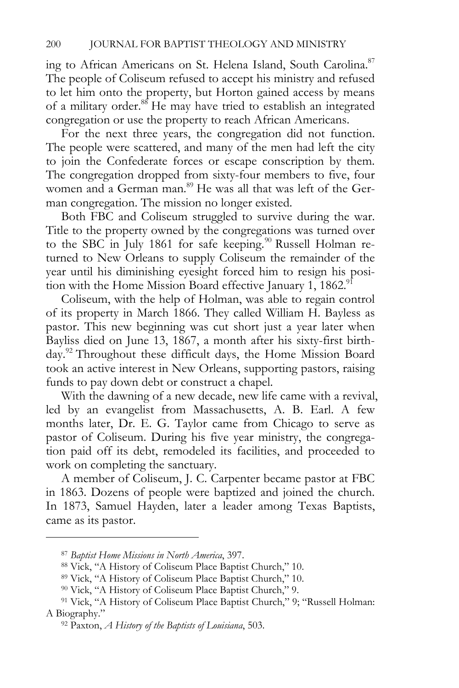ing to African Americans on St. Helena Island, South Carolina.<sup>87</sup> The people of Coliseum refused to accept his ministry and refused to let him onto the property, but Horton gained access by means of a military order.<sup>88</sup> He may have tried to establish an integrated congregation or use the property to reach African Americans.

For the next three years, the congregation did not function. The people were scattered, and many of the men had left the city to join the Confederate forces or escape conscription by them. The congregation dropped from sixty-four members to five, four women and a German man.<sup>89</sup> He was all that was left of the German congregation. The mission no longer existed.

Both FBC and Coliseum struggled to survive during the war. Title to the property owned by the congregations was turned over to the SBC in July 1861 for safe keeping.<sup>90</sup> Russell Holman returned to New Orleans to supply Coliseum the remainder of the year until his diminishing eyesight forced him to resign his position with the Home Mission Board effective January  $1, 1862$ .<sup>91</sup>

Coliseum, with the help of Holman, was able to regain control of its property in March 1866. They called William H. Bayless as pastor. This new beginning was cut short just a year later when Bayliss died on June 13, 1867, a month after his sixty-first birthday.<sup>92</sup> Throughout these difficult days, the Home Mission Board took an active interest in New Orleans, supporting pastors, raising funds to pay down debt or construct a chapel.

With the dawning of a new decade, new life came with a revival, led by an evangelist from Massachusetts, A. B. Earl. A few months later, Dr. E. G. Taylor came from Chicago to serve as pastor of Coliseum. During his five year ministry, the congregation paid off its debt, remodeled its facilities, and proceeded to work on completing the sanctuary.

A member of Coliseum, J. C. Carpenter became pastor at FBC in 1863. Dozens of people were baptized and joined the church. In 1873, Samuel Hayden, later a leader among Texas Baptists, came as its pastor.

<sup>&</sup>lt;sup>87</sup> Baptist Home Missions in North America, 397.<br><sup>88</sup> Vick, "A History of Coliseum Place Baptist Church," 10.

<sup>89</sup> Vick, "A History of Coliseum Place Baptist Church," 10.

<sup>90</sup> Vick, "A History of Coliseum Place Baptist Church," 9.

<sup>91</sup> Vick, "A History of Coliseum Place Baptist Church," 9; "Russell Holman: A Biography." 92 Paxton, *A History of the Baptists of Louisiana*, 503.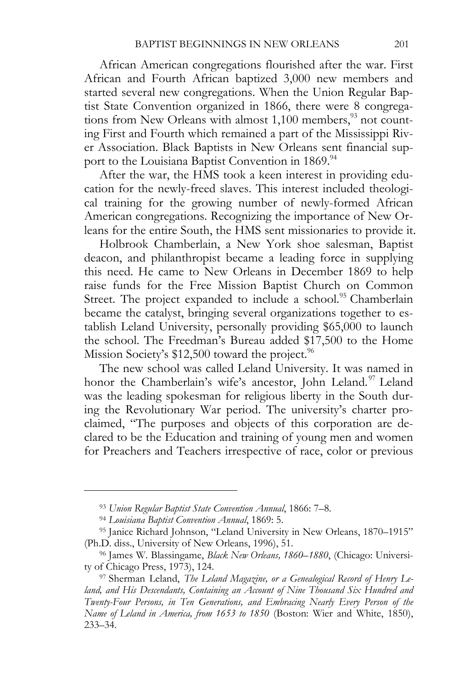African American congregations flourished after the war. First African and Fourth African baptized 3,000 new members and started several new congregations. When the Union Regular Baptist State Convention organized in 1866, there were 8 congregations from New Orleans with almost  $1,100$  members, $93$  not counting First and Fourth which remained a part of the Mississippi River Association. Black Baptists in New Orleans sent financial support to the Louisiana Baptist Convention in 1869.<sup>94</sup>

After the war, the HMS took a keen interest in providing education for the newly-freed slaves. This interest included theological training for the growing number of newly-formed African American congregations. Recognizing the importance of New Orleans for the entire South, the HMS sent missionaries to provide it.

Holbrook Chamberlain, a New York shoe salesman, Baptist deacon, and philanthropist became a leading force in supplying this need. He came to New Orleans in December 1869 to help raise funds for the Free Mission Baptist Church on Common Street. The project expanded to include a school.<sup>95</sup> Chamberlain became the catalyst, bringing several organizations together to establish Leland University, personally providing \$65,000 to launch the school. The Freedman's Bureau added \$17,500 to the Home Mission Society's  $$12,500$  toward the project.<sup>96</sup>

The new school was called Leland University. It was named in honor the Chamberlain's wife's ancestor, John Leland.<sup>97</sup> Leland was the leading spokesman for religious liberty in the South during the Revolutionary War period. The university's charter proclaimed, "The purposes and objects of this corporation are declared to be the Education and training of young men and women for Preachers and Teachers irrespective of race, color or previous

<sup>&</sup>lt;sup>93</sup> Union Regular Baptist State Convention Annual, 1866: 7–8.<br><sup>94</sup> Louisiana Baptist Convention Annual, 1869: 5.<br><sup>95</sup> Janice Richard Johnson, "Leland University in New Orleans, 1870–1915" (Ph.D. diss., University of New Orleans, 1996), 51. 96 James W. Blassingame, *Black New Orleans, 1860–1880*, (Chicago: Universi-

ty of Chicago Press, 1973), 124.<br><sup>97</sup> Sherman Leland, *The Leland Magazine, or a Genealogical Record of Henry Le-*

*land, and His Descendants, Containing an Account of Nine Thousand Six Hundred and Twenty-Four Persons, in Ten Generations, and Embracing Nearly Every Person of the Name of Leland in America, from 1653 to 1850* (Boston: Wier and White, 1850), 233–34.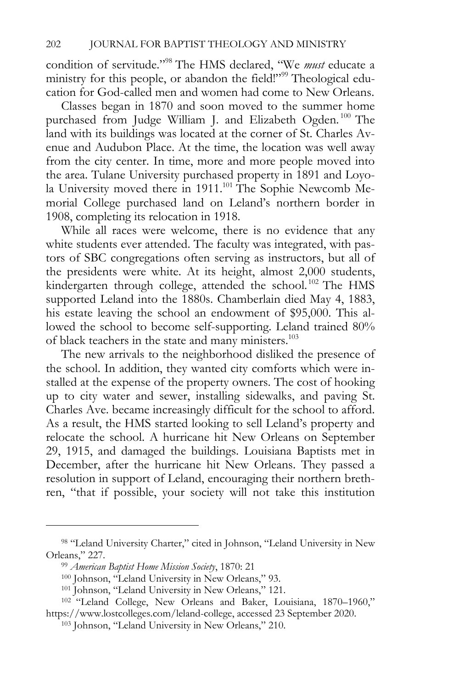condition of servitude."98 The HMS declared, "We *must* educate a ministry for this people, or abandon the field!"<sup>99</sup> Theological education for God-called men and women had come to New Orleans.

Classes began in 1870 and soon moved to the summer home purchased from Judge William J. and Elizabeth Ogden.<sup>100</sup> The land with its buildings was located at the corner of St. Charles Avenue and Audubon Place. At the time, the location was well away from the city center. In time, more and more people moved into the area. Tulane University purchased property in 1891 and Loyola University moved there in 1911.<sup>101</sup> The Sophie Newcomb Memorial College purchased land on Leland's northern border in 1908, completing its relocation in 1918.

While all races were welcome, there is no evidence that any white students ever attended. The faculty was integrated, with pastors of SBC congregations often serving as instructors, but all of the presidents were white. At its height, almost 2,000 students, kindergarten through college, attended the school.<sup>102</sup> The HMS supported Leland into the 1880s. Chamberlain died May 4, 1883, his estate leaving the school an endowment of \$95,000. This allowed the school to become self-supporting. Leland trained 80% of black teachers in the state and many ministers.<sup>103</sup>

The new arrivals to the neighborhood disliked the presence of the school. In addition, they wanted city comforts which were installed at the expense of the property owners. The cost of hooking up to city water and sewer, installing sidewalks, and paving St. Charles Ave. became increasingly difficult for the school to afford. As a result, the HMS started looking to sell Leland's property and relocate the school. A hurricane hit New Orleans on September 29, 1915, and damaged the buildings. Louisiana Baptists met in December, after the hurricane hit New Orleans. They passed a resolution in support of Leland, encouraging their northern brethren, "that if possible, your society will not take this institution

<sup>98 &</sup>quot;Leland University Charter," cited in Johnson, "Leland University in New Orleans," 227.<br><sup>99</sup> *American Baptist Home Mission Society*, 1870: 21<br><sup>100</sup> Johnson, "Leland University in New Orleans," 93.<br><sup>101</sup> Johnson, "Leland University in New Orleans," 121.<br><sup>102</sup> "Leland College, New Orleans and Ba

https://www.lostcolleges.com/leland-college, accessed 23 September 2020. 103 Johnson, "Leland University in New Orleans," 210.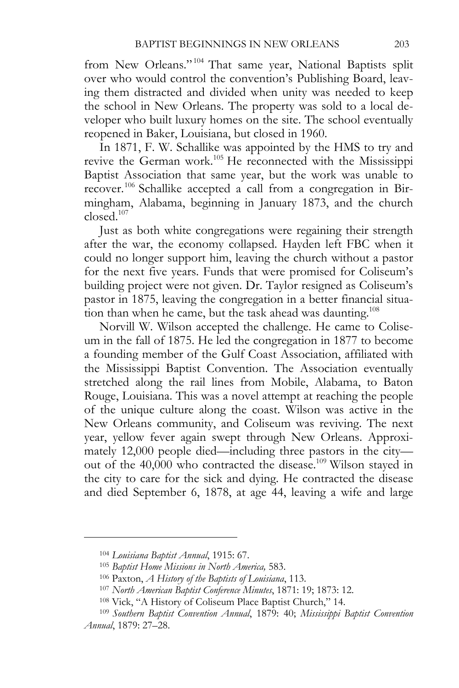from New Orleans."<sup>104</sup> That same year, National Baptists split over who would control the convention's Publishing Board, leaving them distracted and divided when unity was needed to keep the school in New Orleans. The property was sold to a local developer who built luxury homes on the site. The school eventually reopened in Baker, Louisiana, but closed in 1960.

In 1871, F. W. Schallike was appointed by the HMS to try and revive the German work.<sup>105</sup> He reconnected with the Mississippi Baptist Association that same year, but the work was unable to recover.106 Schallike accepted a call from a congregation in Birmingham, Alabama, beginning in January 1873, and the church  $closed.<sup>107</sup>$ 

Just as both white congregations were regaining their strength after the war, the economy collapsed. Hayden left FBC when it could no longer support him, leaving the church without a pastor for the next five years. Funds that were promised for Coliseum's building project were not given. Dr. Taylor resigned as Coliseum's pastor in 1875, leaving the congregation in a better financial situation than when he came, but the task ahead was daunting.<sup>108</sup>

Norvill W. Wilson accepted the challenge. He came to Coliseum in the fall of 1875. He led the congregation in 1877 to become a founding member of the Gulf Coast Association, affiliated with the Mississippi Baptist Convention. The Association eventually stretched along the rail lines from Mobile, Alabama, to Baton Rouge, Louisiana. This was a novel attempt at reaching the people of the unique culture along the coast. Wilson was active in the New Orleans community, and Coliseum was reviving. The next year, yellow fever again swept through New Orleans. Approximately 12,000 people died—including three pastors in the city out of the 40,000 who contracted the disease.109 Wilson stayed in the city to care for the sick and dying. He contracted the disease and died September 6, 1878, at age 44, leaving a wife and large

<sup>&</sup>lt;sup>104</sup> Louisiana Baptist Annual, 1915: 67.<br><sup>105</sup> Baptist Home Missions in North America, 583.<br><sup>106</sup> Paxton, A History of the Baptists of Louisiana, 113.<br><sup>107</sup> North American Baptist Conference Minutes, 1871: 19; 1873: 12.<br><sup></sup> *Annual*, 1879: 27–28.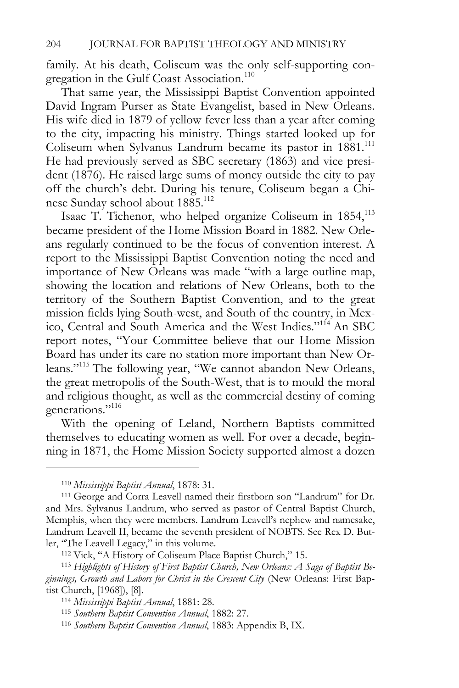family. At his death, Coliseum was the only self-supporting congregation in the Gulf Coast Association.<sup>110</sup>

That same year, the Mississippi Baptist Convention appointed David Ingram Purser as State Evangelist, based in New Orleans. His wife died in 1879 of yellow fever less than a year after coming to the city, impacting his ministry. Things started looked up for Coliseum when Sylvanus Landrum became its pastor in 1881.<sup>111</sup> He had previously served as SBC secretary (1863) and vice president (1876). He raised large sums of money outside the city to pay off the church's debt. During his tenure, Coliseum began a Chinese Sunday school about 1885.<sup>112</sup>

Isaac T. Tichenor, who helped organize Coliseum in 1854,<sup>113</sup> became president of the Home Mission Board in 1882. New Orleans regularly continued to be the focus of convention interest. A report to the Mississippi Baptist Convention noting the need and importance of New Orleans was made "with a large outline map, showing the location and relations of New Orleans, both to the territory of the Southern Baptist Convention, and to the great mission fields lying South-west, and South of the country, in Mexico, Central and South America and the West Indies."114 An SBC report notes, "Your Committee believe that our Home Mission Board has under its care no station more important than New Orleans."115 The following year, "We cannot abandon New Orleans, the great metropolis of the South-West, that is to mould the moral and religious thought, as well as the commercial destiny of coming generations."116

With the opening of Leland, Northern Baptists committed themselves to educating women as well. For over a decade, beginning in 1871, the Home Mission Society supported almost a dozen

<sup>&</sup>lt;sup>110</sup> *Mississippi Baptist Annual*, 1878: 31.<br><sup>111</sup> George and Corra Leavell named their firstborn son "Landrum" for Dr. and Mrs. Sylvanus Landrum, who served as pastor of Central Baptist Church, Memphis, when they were members. Landrum Leavell's nephew and namesake, Landrum Leavell II, became the seventh president of NOBTS. See Rex D. Butler, "The Leavell Legacy," in this volume. 112 Vick, "A History of Coliseum Place Baptist Church," 15. 113 *Highlights of History of First Baptist Church, New Orleans: A Saga of Baptist Be-*

*ginnings, Growth and Labors for Christ in the Crescent City* (New Orleans: First Baptist Church, [1968]), [8]. 114 *Mississippi Baptist Annual*, 1881: 28. 115 *Southern Baptist Convention Annual*, 1882: 27. 116 *Southern Baptist Convention Annual*, 1883: Appendix B, IX.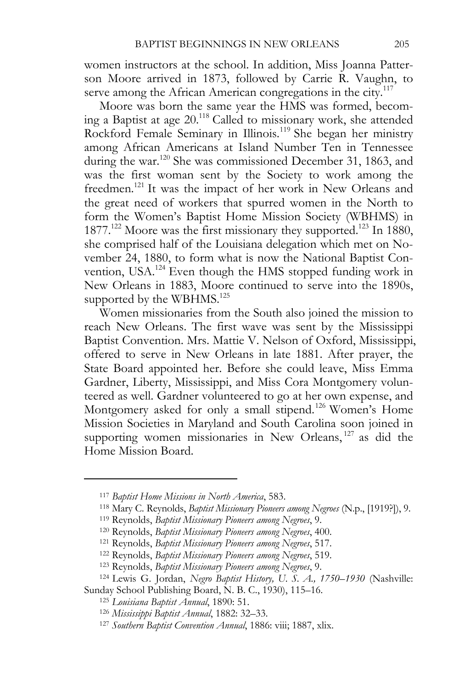women instructors at the school. In addition, Miss Joanna Patterson Moore arrived in 1873, followed by Carrie R. Vaughn, to serve among the African American congregations in the city.<sup>117</sup>

Moore was born the same year the HMS was formed, becoming a Baptist at age 20.118 Called to missionary work, she attended Rockford Female Seminary in Illinois.119 She began her ministry among African Americans at Island Number Ten in Tennessee during the war.<sup>120</sup> She was commissioned December 31, 1863, and was the first woman sent by the Society to work among the freedmen.<sup>121</sup> It was the impact of her work in New Orleans and the great need of workers that spurred women in the North to form the Women's Baptist Home Mission Society (WBHMS) in 1877.<sup>122</sup> Moore was the first missionary they supported.<sup>123</sup> In 1880, she comprised half of the Louisiana delegation which met on November 24, 1880, to form what is now the National Baptist Convention, USA.124 Even though the HMS stopped funding work in New Orleans in 1883, Moore continued to serve into the 1890s, supported by the WBHMS.<sup>125</sup>

Women missionaries from the South also joined the mission to reach New Orleans. The first wave was sent by the Mississippi Baptist Convention. Mrs. Mattie V. Nelson of Oxford, Mississippi, offered to serve in New Orleans in late 1881. After prayer, the State Board appointed her. Before she could leave, Miss Emma Gardner, Liberty, Mississippi, and Miss Cora Montgomery volunteered as well. Gardner volunteered to go at her own expense, and Montgomery asked for only a small stipend.<sup>126</sup> Women's Home Mission Societies in Maryland and South Carolina soon joined in supporting women missionaries in New Orleans, <sup>127</sup> as did the Home Mission Board.

<sup>&</sup>lt;sup>117</sup> Baptist Home Missions in North America, 583.<br><sup>118</sup> Mary C. Reynolds, *Baptist Missionary Pioneers among Negroes* (N.p., [1919?]), 9.<br><sup>119</sup> Reynolds, *Baptist Missionary Pioneers among Negroes*, 9.<br><sup>120</sup> Reynolds, *Ba* 

Sunday School Publishing Board, N. B. C., 1930), 115–16.<br><sup>125</sup> Louisiana Baptist Annual, 1890: 51.<br><sup>126</sup> Mississippi Baptist Annual, 1882: 32–33.<br><sup>127</sup> Southern Baptist Convention Annual, 1886: viii; 1887, xlix.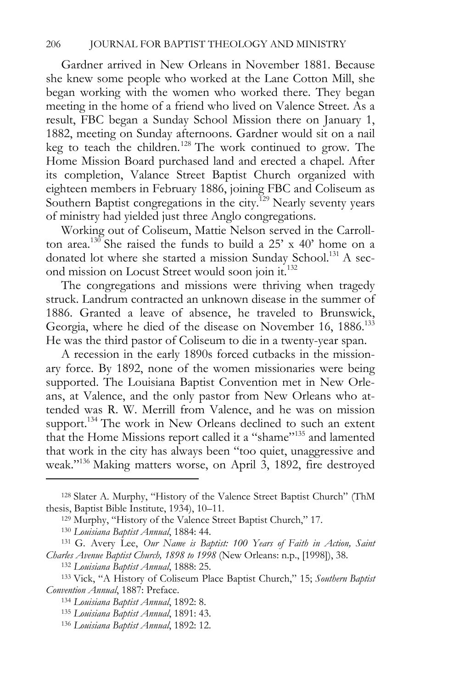Gardner arrived in New Orleans in November 1881. Because she knew some people who worked at the Lane Cotton Mill, she began working with the women who worked there. They began meeting in the home of a friend who lived on Valence Street. As a result, FBC began a Sunday School Mission there on January 1, 1882, meeting on Sunday afternoons. Gardner would sit on a nail keg to teach the children.<sup>128</sup> The work continued to grow. The Home Mission Board purchased land and erected a chapel. After its completion, Valance Street Baptist Church organized with eighteen members in February 1886, joining FBC and Coliseum as Southern Baptist congregations in the city.<sup> $129$ </sup> Nearly seventy years of ministry had yielded just three Anglo congregations.

Working out of Coliseum, Mattie Nelson served in the Carrollton area.<sup>130</sup> She raised the funds to build a  $25'$  x 40' home on a donated lot where she started a mission Sunday School.<sup>131</sup> A second mission on Locust Street would soon join it.132

The congregations and missions were thriving when tragedy struck. Landrum contracted an unknown disease in the summer of 1886. Granted a leave of absence, he traveled to Brunswick, Georgia, where he died of the disease on November 16, 1886.<sup>133</sup> He was the third pastor of Coliseum to die in a twenty-year span.

A recession in the early 1890s forced cutbacks in the missionary force. By 1892, none of the women missionaries were being supported. The Louisiana Baptist Convention met in New Orleans, at Valence, and the only pastor from New Orleans who attended was R. W. Merrill from Valence, and he was on mission support.<sup>134</sup> The work in New Orleans declined to such an extent that the Home Missions report called it a "shame"<sup>135</sup> and lamented that work in the city has always been "too quiet, unaggressive and weak."136 Making matters worse, on April 3, 1892, fire destroyed

<sup>128</sup> Slater A. Murphy, "History of the Valence Street Baptist Church" (ThM thesis, Baptist Bible Institute, 1934), 10–11.<br><sup>129</sup> Murphy, "History of the Valence Street Baptist Church," 17.<br><sup>130</sup> Louisiana Baptist Annual, 1884: 44.<br><sup>131</sup> G. Avery Lee, *Our Name is Baptist: 100 Years of Faith in Act* 

*Charles Avenue Baptist Church, 1898 to 1998* (New Orleans: n.p., [1998]), 38. 132 *Louisiana Baptist Annual*, 1888: 25. 133 Vick, "A History of Coliseum Place Baptist Church," 15; *Southern Baptist* 

*Convention Annual*, 1887: Preface. 134 *Louisiana Baptist Annual*, 1892: 8. 135 *Louisiana Baptist Annual*, 1891: 43. 136 *Louisiana Baptist Annual*, 1892: 12.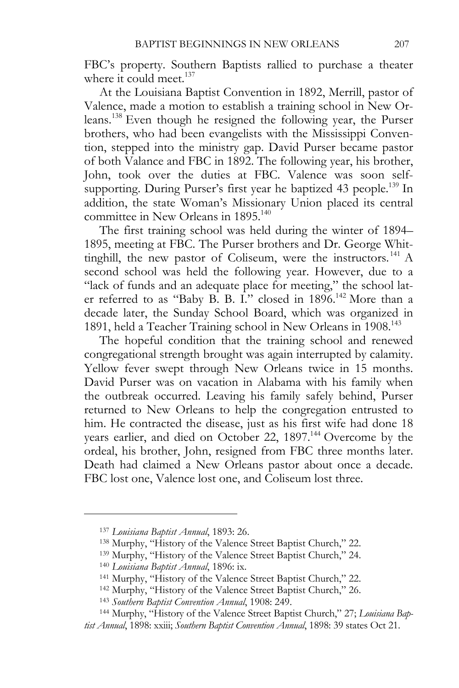FBC's property. Southern Baptists rallied to purchase a theater where it could meet.<sup>137</sup>

At the Louisiana Baptist Convention in 1892, Merrill, pastor of Valence, made a motion to establish a training school in New Orleans.138 Even though he resigned the following year, the Purser brothers, who had been evangelists with the Mississippi Convention, stepped into the ministry gap. David Purser became pastor of both Valance and FBC in 1892. The following year, his brother, John, took over the duties at FBC. Valence was soon selfsupporting. During Purser's first year he baptized 43 people.<sup>139</sup> In addition, the state Woman's Missionary Union placed its central committee in New Orleans in 1895.<sup>140</sup>

The first training school was held during the winter of 1894– 1895, meeting at FBC. The Purser brothers and Dr. George Whittinghill, the new pastor of Coliseum, were the instructors.<sup>141</sup> A second school was held the following year. However, due to a "lack of funds and an adequate place for meeting," the school later referred to as "Baby B. B. I." closed in 1896.<sup>142</sup> More than a decade later, the Sunday School Board, which was organized in 1891, held a Teacher Training school in New Orleans in 1908.143

The hopeful condition that the training school and renewed congregational strength brought was again interrupted by calamity. Yellow fever swept through New Orleans twice in 15 months. David Purser was on vacation in Alabama with his family when the outbreak occurred. Leaving his family safely behind, Purser returned to New Orleans to help the congregation entrusted to him. He contracted the disease, just as his first wife had done 18 years earlier, and died on October 22, 1897.<sup>144</sup> Overcome by the ordeal, his brother, John, resigned from FBC three months later. Death had claimed a New Orleans pastor about once a decade. FBC lost one, Valence lost one, and Coliseum lost three.

<sup>&</sup>lt;sup>137</sup> Louisiana Baptist Annual, 1893: 26.<br><sup>138</sup> Murphy, "History of the Valence Street Baptist Church," 22.<br><sup>139</sup> Murphy, "History of the Valence Street Baptist Church," 24.<br><sup>140</sup> Louisiana Baptist Annual, 1896: ix.<br><sup>141</sup>

*tist Annual*, 1898: xxiii; *Southern Baptist Convention Annual*, 1898: 39 states Oct 21.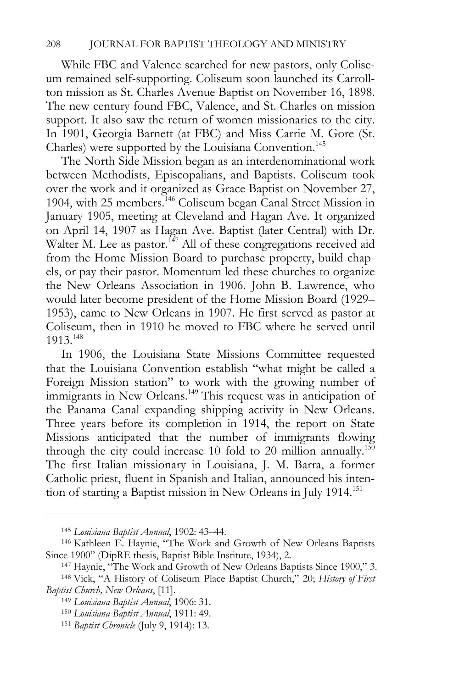While FBC and Valence searched for new pastors, only Coliseum remained self-supporting. Coliseum soon launched its Carrollton mission as St. Charles Avenue Baptist on November 16, 1898. The new century found FBC, Valence, and St. Charles on mission support. It also saw the return of women missionaries to the city. In 1901, Georgia Barnett (at FBC) and Miss Carrie M. Gore (St. Charles) were supported by the Louisiana Convention.<sup>145</sup>

The North Side Mission began as an interdenominational work between Methodists, Episcopalians, and Baptists. Coliseum took over the work and it organized as Grace Baptist on November 27, 1904, with 25 members.<sup>146</sup> Coliseum began Canal Street Mission in January 1905, meeting at Cleveland and Hagan Ave. It organized on April 14, 1907 as Hagan Ave. Baptist (later Central) with Dr. Walter M. Lee as pastor.<sup>147</sup> All of these congregations received aid from the Home Mission Board to purchase property, build chapels, or pay their pastor. Momentum led these churches to organize the New Orleans Association in 1906. John B. Lawrence, who would later become president of the Home Mission Board (1929– 1953), came to New Orleans in 1907. He first served as pastor at Coliseum, then in 1910 he moved to FBC where he served until 1913.148

In 1906, the Louisiana State Missions Committee requested that the Louisiana Convention establish "what might be called a Foreign Mission station" to work with the growing number of immigrants in New Orleans.<sup>149</sup> This request was in anticipation of the Panama Canal expanding shipping activity in New Orleans. Three years before its completion in 1914, the report on State Missions anticipated that the number of immigrants flowing through the city could increase 10 fold to 20 million annually.<sup>150</sup> The first Italian missionary in Louisiana, J. M. Barra, a former Catholic priest, fluent in Spanish and Italian, announced his intention of starting a Baptist mission in New Orleans in July 1914.151

<sup>&</sup>lt;sup>145</sup> Louisiana Baptist Annual, 1902: 43–44.<br><sup>146</sup> Kathleen E. Haynie, "The Work and Growth of New Orleans Baptists Since 1900" (DipRE thesis, Baptist Bible Institute, 1934), 2. 147 Haynie, "The Work and Growth of New Orleans Baptists Since 1900," 3. 148 Vick, "A History of Coliseum Place Baptist Church," 20; *History of First* 

*Baptist Church, New Orleans*, [11]. 149 *Louisiana Baptist Annual*, 1906: 31. 150 *Louisiana Baptist Annual*, 1911: 49. 151 *Baptist Chronicle* (July 9, 1914): 13.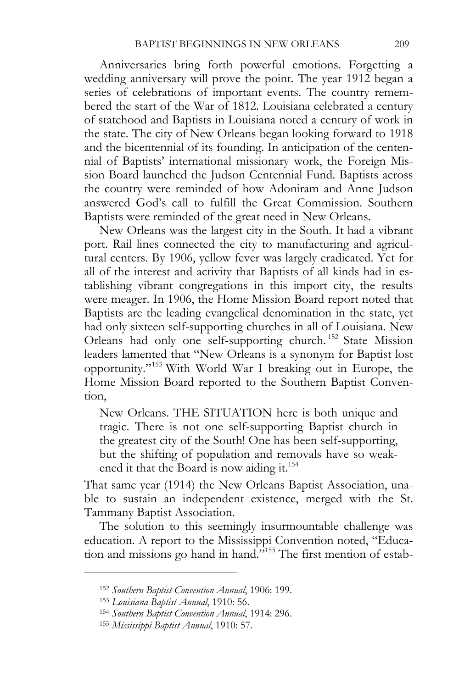Anniversaries bring forth powerful emotions. Forgetting a wedding anniversary will prove the point. The year 1912 began a series of celebrations of important events. The country remembered the start of the War of 1812. Louisiana celebrated a century of statehood and Baptists in Louisiana noted a century of work in the state. The city of New Orleans began looking forward to 1918 and the bicentennial of its founding. In anticipation of the centennial of Baptists' international missionary work, the Foreign Mission Board launched the Judson Centennial Fund. Baptists across the country were reminded of how Adoniram and Anne Judson answered God's call to fulfill the Great Commission. Southern Baptists were reminded of the great need in New Orleans.

New Orleans was the largest city in the South. It had a vibrant port. Rail lines connected the city to manufacturing and agricultural centers. By 1906, yellow fever was largely eradicated. Yet for all of the interest and activity that Baptists of all kinds had in establishing vibrant congregations in this import city, the results were meager. In 1906, the Home Mission Board report noted that Baptists are the leading evangelical denomination in the state, yet had only sixteen self-supporting churches in all of Louisiana. New Orleans had only one self-supporting church. 152 State Mission leaders lamented that "New Orleans is a synonym for Baptist lost opportunity."153 With World War I breaking out in Europe, the Home Mission Board reported to the Southern Baptist Convention,

New Orleans. THE SITUATION here is both unique and tragic. There is not one self-supporting Baptist church in the greatest city of the South! One has been self-supporting, but the shifting of population and removals have so weakened it that the Board is now aiding it.<sup>154</sup>

That same year (1914) the New Orleans Baptist Association, unable to sustain an independent existence, merged with the St. Tammany Baptist Association.

The solution to this seemingly insurmountable challenge was education. A report to the Mississippi Convention noted, "Education and missions go hand in hand."<sup>155</sup> The first mention of estab-

<sup>152</sup> *Southern Baptist Convention Annual*, 1906: 199. 153 *Louisiana Baptist Annual*, 1910: 56. 154 *Southern Baptist Convention Annual*, 1914: 296. 155 *Mississippi Baptist Annual*, 1910: 57.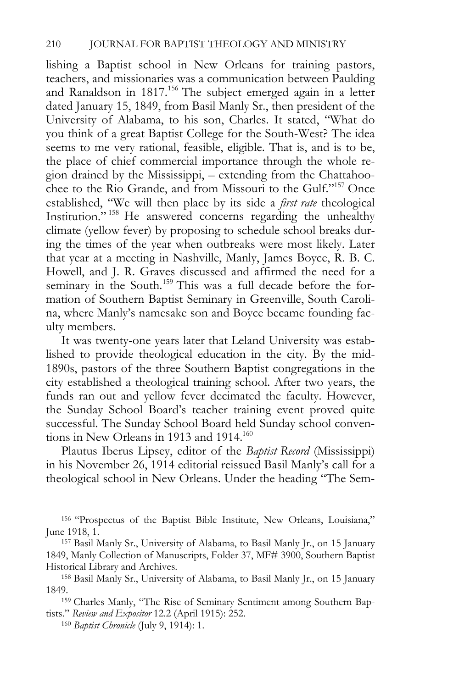lishing a Baptist school in New Orleans for training pastors, teachers, and missionaries was a communication between Paulding and Ranaldson in 1817.<sup>156</sup> The subject emerged again in a letter dated January 15, 1849, from Basil Manly Sr., then president of the University of Alabama, to his son, Charles. It stated, "What do you think of a great Baptist College for the South-West? The idea seems to me very rational, feasible, eligible. That is, and is to be, the place of chief commercial importance through the whole region drained by the Mississippi, – extending from the Chattahoochee to the Rio Grande, and from Missouri to the Gulf."157 Once established, "We will then place by its side a *first rate* theological Institution." 158 He answered concerns regarding the unhealthy climate (yellow fever) by proposing to schedule school breaks during the times of the year when outbreaks were most likely. Later that year at a meeting in Nashville, Manly, James Boyce, R. B. C. Howell, and J. R. Graves discussed and affirmed the need for a seminary in the South.<sup>159</sup> This was a full decade before the formation of Southern Baptist Seminary in Greenville, South Carolina, where Manly's namesake son and Boyce became founding faculty members.

It was twenty-one years later that Leland University was established to provide theological education in the city. By the mid-1890s, pastors of the three Southern Baptist congregations in the city established a theological training school. After two years, the funds ran out and yellow fever decimated the faculty. However, the Sunday School Board's teacher training event proved quite successful. The Sunday School Board held Sunday school conventions in New Orleans in 1913 and 1914.<sup>160</sup>

Plautus Iberus Lipsey, editor of the *Baptist Record* (Mississippi) in his November 26, 1914 editorial reissued Basil Manly's call for a theological school in New Orleans. Under the heading "The Sem-

<sup>156 &</sup>quot;Prospectus of the Baptist Bible Institute, New Orleans, Louisiana," June 1918, 1. 157 Basil Manly Sr., University of Alabama, to Basil Manly Jr., on 15 January

<sup>1849,</sup> Manly Collection of Manuscripts, Folder 37, MF# 3900, Southern Baptist Historical Library and Archives. 158 Basil Manly Sr., University of Alabama, to Basil Manly Jr., on 15 January

<sup>1849. 159</sup> Charles Manly, "The Rise of Seminary Sentiment among Southern Bap-

tists." *Review and Expositor* 12.2 (April 1915): 252. 160 *Baptist Chronicle* (July 9, 1914): 1.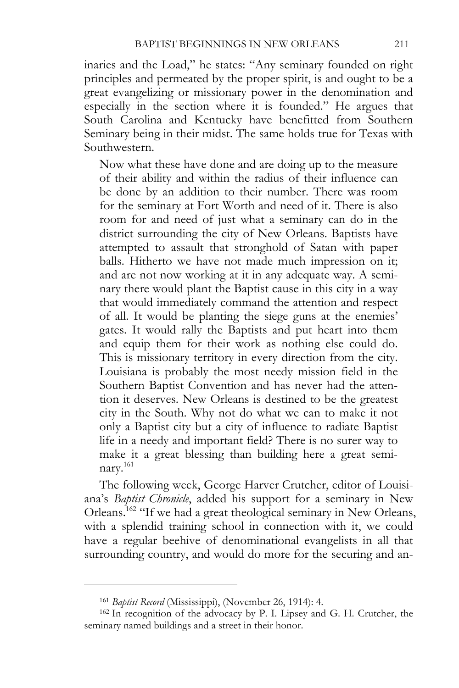inaries and the Load," he states: "Any seminary founded on right principles and permeated by the proper spirit, is and ought to be a great evangelizing or missionary power in the denomination and especially in the section where it is founded." He argues that South Carolina and Kentucky have benefitted from Southern Seminary being in their midst. The same holds true for Texas with Southwestern.

Now what these have done and are doing up to the measure of their ability and within the radius of their influence can be done by an addition to their number. There was room for the seminary at Fort Worth and need of it. There is also room for and need of just what a seminary can do in the district surrounding the city of New Orleans. Baptists have attempted to assault that stronghold of Satan with paper balls. Hitherto we have not made much impression on it; and are not now working at it in any adequate way. A seminary there would plant the Baptist cause in this city in a way that would immediately command the attention and respect of all. It would be planting the siege guns at the enemies' gates. It would rally the Baptists and put heart into them and equip them for their work as nothing else could do. This is missionary territory in every direction from the city. Louisiana is probably the most needy mission field in the Southern Baptist Convention and has never had the attention it deserves. New Orleans is destined to be the greatest city in the South. Why not do what we can to make it not only a Baptist city but a city of influence to radiate Baptist life in a needy and important field? There is no surer way to make it a great blessing than building here a great seminary.<sup>161</sup>

The following week, George Harver Crutcher, editor of Louisiana's *Baptist Chronicle*, added his support for a seminary in New Orleans.162 "If we had a great theological seminary in New Orleans, with a splendid training school in connection with it, we could have a regular beehive of denominational evangelists in all that surrounding country, and would do more for the securing and an-

<sup>161</sup> *Baptist Record* (Mississippi), (November 26, 1914): 4. 162 In recognition of the advocacy by P. I. Lipsey and G. H. Crutcher, the seminary named buildings and a street in their honor.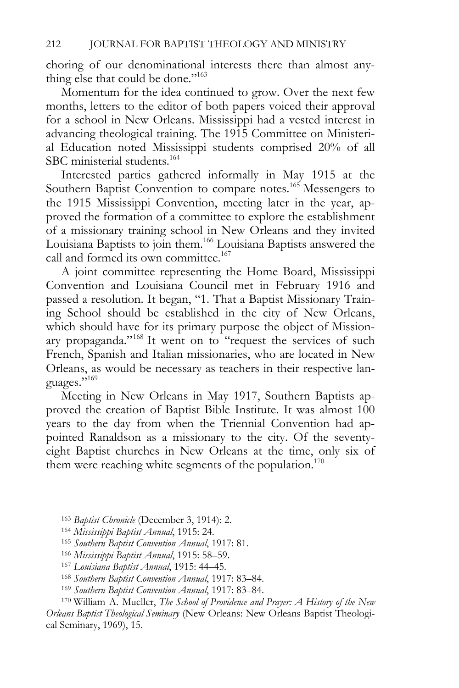choring of our denominational interests there than almost anything else that could be done."<sup>163</sup>

Momentum for the idea continued to grow. Over the next few months, letters to the editor of both papers voiced their approval for a school in New Orleans. Mississippi had a vested interest in advancing theological training. The 1915 Committee on Ministerial Education noted Mississippi students comprised 20% of all SBC ministerial students.<sup>164</sup>

Interested parties gathered informally in May 1915 at the Southern Baptist Convention to compare notes.<sup>165</sup> Messengers to the 1915 Mississippi Convention, meeting later in the year, approved the formation of a committee to explore the establishment of a missionary training school in New Orleans and they invited Louisiana Baptists to join them.166 Louisiana Baptists answered the call and formed its own committee.<sup>167</sup>

A joint committee representing the Home Board, Mississippi Convention and Louisiana Council met in February 1916 and passed a resolution. It began, "1. That a Baptist Missionary Training School should be established in the city of New Orleans, which should have for its primary purpose the object of Missionary propaganda."168 It went on to "request the services of such French, Spanish and Italian missionaries, who are located in New Orleans, as would be necessary as teachers in their respective languages."169

Meeting in New Orleans in May 1917, Southern Baptists approved the creation of Baptist Bible Institute. It was almost 100 years to the day from when the Triennial Convention had appointed Ranaldson as a missionary to the city. Of the seventyeight Baptist churches in New Orleans at the time, only six of them were reaching white segments of the population.<sup>170</sup>

<sup>&</sup>lt;sup>163</sup> Baptist Chronicle (December 3, 1914): 2.<br><sup>164</sup> Mississippi Baptist Annual, 1915: 24.<br><sup>165</sup> Southern Baptist Convention Annual, 1917: 81.<br><sup>166</sup> Mississippi Baptist Annual, 1915: 58–59.<br><sup>167</sup> Louisiana Baptist Annual, *Orleans Baptist Theological Seminary* (New Orleans: New Orleans Baptist Theological Seminary, 1969), 15.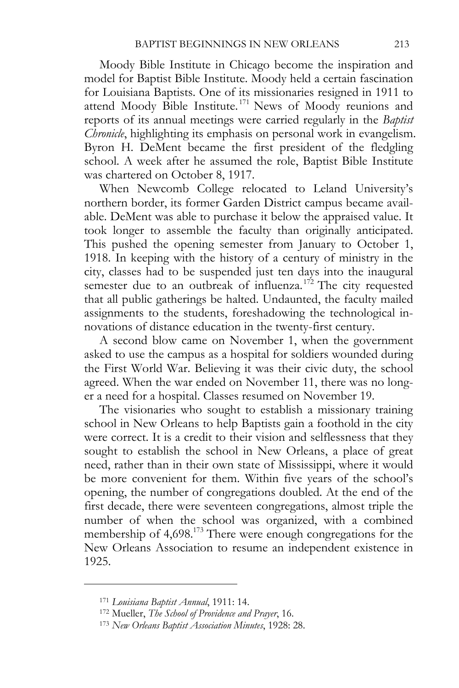Moody Bible Institute in Chicago become the inspiration and model for Baptist Bible Institute. Moody held a certain fascination for Louisiana Baptists. One of its missionaries resigned in 1911 to attend Moody Bible Institute.<sup>171</sup> News of Moody reunions and reports of its annual meetings were carried regularly in the *Baptist Chronicle*, highlighting its emphasis on personal work in evangelism. Byron H. DeMent became the first president of the fledgling school. A week after he assumed the role, Baptist Bible Institute was chartered on October 8, 1917.

When Newcomb College relocated to Leland University's northern border, its former Garden District campus became available. DeMent was able to purchase it below the appraised value. It took longer to assemble the faculty than originally anticipated. This pushed the opening semester from January to October 1, 1918. In keeping with the history of a century of ministry in the city, classes had to be suspended just ten days into the inaugural semester due to an outbreak of influenza.<sup>172</sup> The city requested that all public gatherings be halted. Undaunted, the faculty mailed assignments to the students, foreshadowing the technological innovations of distance education in the twenty-first century.

A second blow came on November 1, when the government asked to use the campus as a hospital for soldiers wounded during the First World War. Believing it was their civic duty, the school agreed. When the war ended on November 11, there was no longer a need for a hospital. Classes resumed on November 19.

The visionaries who sought to establish a missionary training school in New Orleans to help Baptists gain a foothold in the city were correct. It is a credit to their vision and selflessness that they sought to establish the school in New Orleans, a place of great need, rather than in their own state of Mississippi, where it would be more convenient for them. Within five years of the school's opening, the number of congregations doubled. At the end of the first decade, there were seventeen congregations, almost triple the number of when the school was organized, with a combined membership of 4,698.173 There were enough congregations for the New Orleans Association to resume an independent existence in 1925.

<sup>171</sup> *Louisiana Baptist Annual*, 1911: 14. 172 Mueller, *The School of Providence and Prayer*, 16. 173 *New Orleans Baptist Association Minutes*, 1928: 28.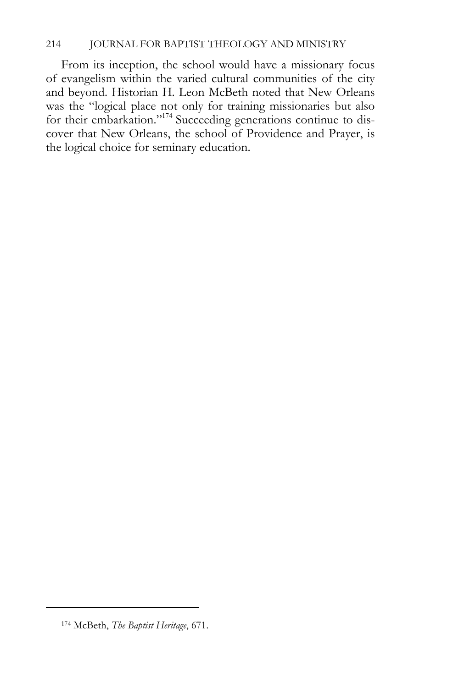# 214 JOURNAL FOR BAPTIST THEOLOGY AND MINISTRY

From its inception, the school would have a missionary focus of evangelism within the varied cultural communities of the city and beyond. Historian H. Leon McBeth noted that New Orleans was the "logical place not only for training missionaries but also for their embarkation."174 Succeeding generations continue to discover that New Orleans, the school of Providence and Prayer, is the logical choice for seminary education.

<sup>174</sup> McBeth, *The Baptist Heritage*, 671.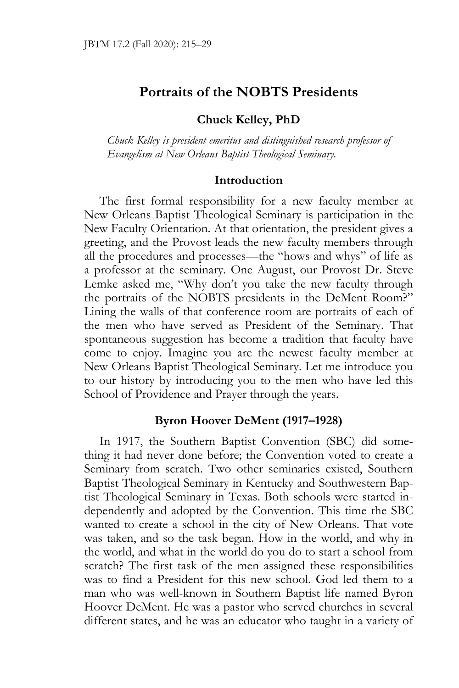# **Portraits of the NOBTS Presidents**

# **Chuck Kelley, PhD**

*Chuck Kelley is president emeritus and distinguished research professor of Evangelism at New Orleans Baptist Theological Seminary.* 

#### **Introduction**

The first formal responsibility for a new faculty member at New Orleans Baptist Theological Seminary is participation in the New Faculty Orientation. At that orientation, the president gives a greeting, and the Provost leads the new faculty members through all the procedures and processes—the "hows and whys" of life as a professor at the seminary. One August, our Provost Dr. Steve Lemke asked me, "Why don't you take the new faculty through the portraits of the NOBTS presidents in the DeMent Room?" Lining the walls of that conference room are portraits of each of the men who have served as President of the Seminary. That spontaneous suggestion has become a tradition that faculty have come to enjoy. Imagine you are the newest faculty member at New Orleans Baptist Theological Seminary. Let me introduce you to our history by introducing you to the men who have led this School of Providence and Prayer through the years.

### **Byron Hoover DeMent (1917–1928)**

In 1917, the Southern Baptist Convention (SBC) did something it had never done before; the Convention voted to create a Seminary from scratch. Two other seminaries existed, Southern Baptist Theological Seminary in Kentucky and Southwestern Baptist Theological Seminary in Texas. Both schools were started independently and adopted by the Convention. This time the SBC wanted to create a school in the city of New Orleans. That vote was taken, and so the task began. How in the world, and why in the world, and what in the world do you do to start a school from scratch? The first task of the men assigned these responsibilities was to find a President for this new school. God led them to a man who was well-known in Southern Baptist life named Byron Hoover DeMent. He was a pastor who served churches in several different states, and he was an educator who taught in a variety of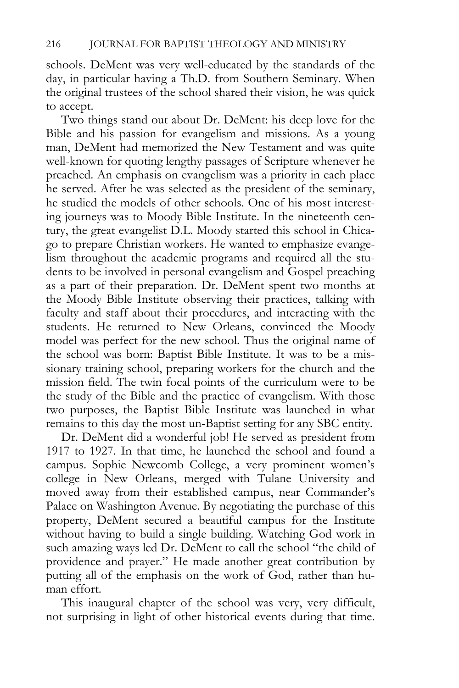schools. DeMent was very well-educated by the standards of the day, in particular having a Th.D. from Southern Seminary. When the original trustees of the school shared their vision, he was quick to accept.

Two things stand out about Dr. DeMent: his deep love for the Bible and his passion for evangelism and missions. As a young man, DeMent had memorized the New Testament and was quite well-known for quoting lengthy passages of Scripture whenever he preached. An emphasis on evangelism was a priority in each place he served. After he was selected as the president of the seminary, he studied the models of other schools. One of his most interesting journeys was to Moody Bible Institute. In the nineteenth century, the great evangelist D.L. Moody started this school in Chicago to prepare Christian workers. He wanted to emphasize evangelism throughout the academic programs and required all the students to be involved in personal evangelism and Gospel preaching as a part of their preparation. Dr. DeMent spent two months at the Moody Bible Institute observing their practices, talking with faculty and staff about their procedures, and interacting with the students. He returned to New Orleans, convinced the Moody model was perfect for the new school. Thus the original name of the school was born: Baptist Bible Institute. It was to be a missionary training school, preparing workers for the church and the mission field. The twin focal points of the curriculum were to be the study of the Bible and the practice of evangelism. With those two purposes, the Baptist Bible Institute was launched in what remains to this day the most un-Baptist setting for any SBC entity.

Dr. DeMent did a wonderful job! He served as president from 1917 to 1927. In that time, he launched the school and found a campus. Sophie Newcomb College, a very prominent women's college in New Orleans, merged with Tulane University and moved away from their established campus, near Commander's Palace on Washington Avenue. By negotiating the purchase of this property, DeMent secured a beautiful campus for the Institute without having to build a single building. Watching God work in such amazing ways led Dr. DeMent to call the school "the child of providence and prayer." He made another great contribution by putting all of the emphasis on the work of God, rather than human effort.

This inaugural chapter of the school was very, very difficult, not surprising in light of other historical events during that time.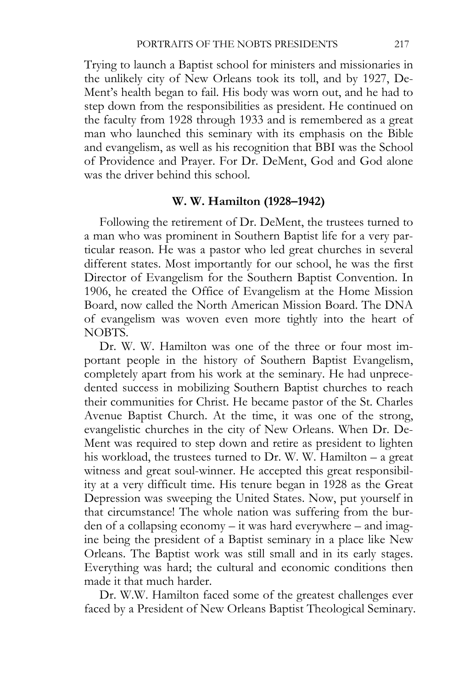Trying to launch a Baptist school for ministers and missionaries in the unlikely city of New Orleans took its toll, and by 1927, De-Ment's health began to fail. His body was worn out, and he had to step down from the responsibilities as president. He continued on the faculty from 1928 through 1933 and is remembered as a great man who launched this seminary with its emphasis on the Bible and evangelism, as well as his recognition that BBI was the School of Providence and Prayer. For Dr. DeMent, God and God alone was the driver behind this school.

#### **W. W. Hamilton (1928–1942)**

Following the retirement of Dr. DeMent, the trustees turned to a man who was prominent in Southern Baptist life for a very particular reason. He was a pastor who led great churches in several different states. Most importantly for our school, he was the first Director of Evangelism for the Southern Baptist Convention. In 1906, he created the Office of Evangelism at the Home Mission Board, now called the North American Mission Board. The DNA of evangelism was woven even more tightly into the heart of NOBTS.

Dr. W. W. Hamilton was one of the three or four most important people in the history of Southern Baptist Evangelism, completely apart from his work at the seminary. He had unprecedented success in mobilizing Southern Baptist churches to reach their communities for Christ. He became pastor of the St. Charles Avenue Baptist Church. At the time, it was one of the strong, evangelistic churches in the city of New Orleans. When Dr. De-Ment was required to step down and retire as president to lighten his workload, the trustees turned to Dr. W. W. Hamilton – a great witness and great soul-winner. He accepted this great responsibility at a very difficult time. His tenure began in 1928 as the Great Depression was sweeping the United States. Now, put yourself in that circumstance! The whole nation was suffering from the burden of a collapsing economy – it was hard everywhere – and imagine being the president of a Baptist seminary in a place like New Orleans. The Baptist work was still small and in its early stages. Everything was hard; the cultural and economic conditions then made it that much harder.

Dr. W.W. Hamilton faced some of the greatest challenges ever faced by a President of New Orleans Baptist Theological Seminary.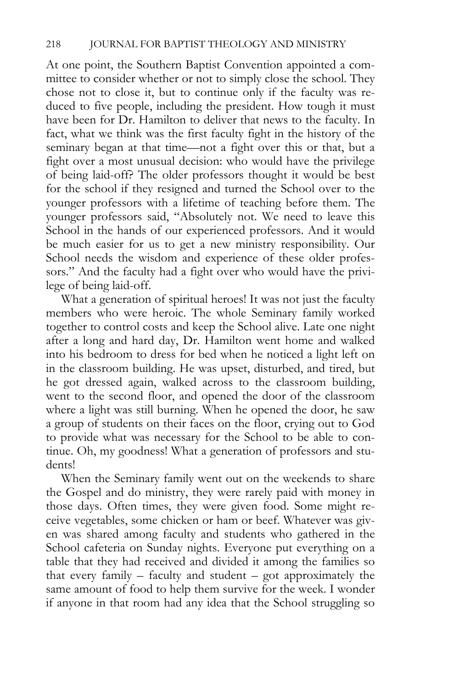At one point, the Southern Baptist Convention appointed a committee to consider whether or not to simply close the school. They chose not to close it, but to continue only if the faculty was reduced to five people, including the president. How tough it must have been for Dr. Hamilton to deliver that news to the faculty. In fact, what we think was the first faculty fight in the history of the seminary began at that time—not a fight over this or that, but a fight over a most unusual decision: who would have the privilege of being laid-off? The older professors thought it would be best for the school if they resigned and turned the School over to the younger professors with a lifetime of teaching before them. The younger professors said, "Absolutely not. We need to leave this School in the hands of our experienced professors. And it would be much easier for us to get a new ministry responsibility. Our School needs the wisdom and experience of these older professors." And the faculty had a fight over who would have the privilege of being laid-off.

What a generation of spiritual heroes! It was not just the faculty members who were heroic. The whole Seminary family worked together to control costs and keep the School alive. Late one night after a long and hard day, Dr. Hamilton went home and walked into his bedroom to dress for bed when he noticed a light left on in the classroom building. He was upset, disturbed, and tired, but he got dressed again, walked across to the classroom building, went to the second floor, and opened the door of the classroom where a light was still burning. When he opened the door, he saw a group of students on their faces on the floor, crying out to God to provide what was necessary for the School to be able to continue. Oh, my goodness! What a generation of professors and students!

When the Seminary family went out on the weekends to share the Gospel and do ministry, they were rarely paid with money in those days. Often times, they were given food. Some might receive vegetables, some chicken or ham or beef. Whatever was given was shared among faculty and students who gathered in the School cafeteria on Sunday nights. Everyone put everything on a table that they had received and divided it among the families so that every family – faculty and student – got approximately the same amount of food to help them survive for the week. I wonder if anyone in that room had any idea that the School struggling so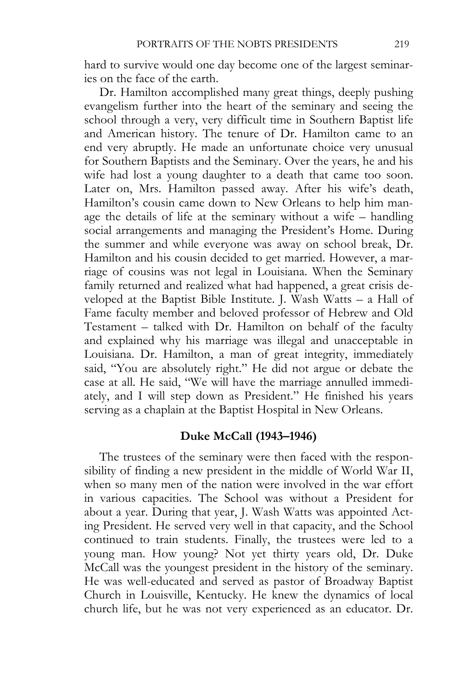hard to survive would one day become one of the largest seminaries on the face of the earth.

Dr. Hamilton accomplished many great things, deeply pushing evangelism further into the heart of the seminary and seeing the school through a very, very difficult time in Southern Baptist life and American history. The tenure of Dr. Hamilton came to an end very abruptly. He made an unfortunate choice very unusual for Southern Baptists and the Seminary. Over the years, he and his wife had lost a young daughter to a death that came too soon. Later on, Mrs. Hamilton passed away. After his wife's death, Hamilton's cousin came down to New Orleans to help him manage the details of life at the seminary without a wife – handling social arrangements and managing the President's Home. During the summer and while everyone was away on school break, Dr. Hamilton and his cousin decided to get married. However, a marriage of cousins was not legal in Louisiana. When the Seminary family returned and realized what had happened, a great crisis developed at the Baptist Bible Institute. J. Wash Watts – a Hall of Fame faculty member and beloved professor of Hebrew and Old Testament – talked with Dr. Hamilton on behalf of the faculty and explained why his marriage was illegal and unacceptable in Louisiana. Dr. Hamilton, a man of great integrity, immediately said, "You are absolutely right." He did not argue or debate the case at all. He said, "We will have the marriage annulled immediately, and I will step down as President." He finished his years serving as a chaplain at the Baptist Hospital in New Orleans.

### **Duke McCall (1943–1946)**

The trustees of the seminary were then faced with the responsibility of finding a new president in the middle of World War II, when so many men of the nation were involved in the war effort in various capacities. The School was without a President for about a year. During that year, J. Wash Watts was appointed Acting President. He served very well in that capacity, and the School continued to train students. Finally, the trustees were led to a young man. How young? Not yet thirty years old, Dr. Duke McCall was the youngest president in the history of the seminary. He was well-educated and served as pastor of Broadway Baptist Church in Louisville, Kentucky. He knew the dynamics of local church life, but he was not very experienced as an educator. Dr.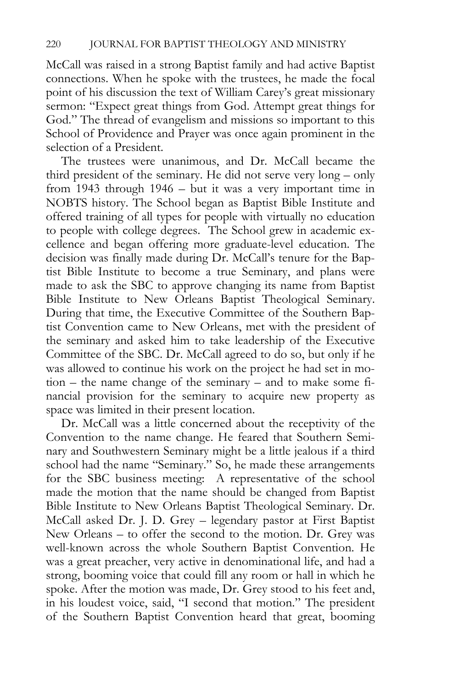McCall was raised in a strong Baptist family and had active Baptist connections. When he spoke with the trustees, he made the focal point of his discussion the text of William Carey's great missionary sermon: "Expect great things from God. Attempt great things for God." The thread of evangelism and missions so important to this School of Providence and Prayer was once again prominent in the selection of a President.

The trustees were unanimous, and Dr. McCall became the third president of the seminary. He did not serve very long – only from 1943 through 1946 – but it was a very important time in NOBTS history. The School began as Baptist Bible Institute and offered training of all types for people with virtually no education to people with college degrees. The School grew in academic excellence and began offering more graduate-level education. The decision was finally made during Dr. McCall's tenure for the Baptist Bible Institute to become a true Seminary, and plans were made to ask the SBC to approve changing its name from Baptist Bible Institute to New Orleans Baptist Theological Seminary. During that time, the Executive Committee of the Southern Baptist Convention came to New Orleans, met with the president of the seminary and asked him to take leadership of the Executive Committee of the SBC. Dr. McCall agreed to do so, but only if he was allowed to continue his work on the project he had set in motion – the name change of the seminary – and to make some financial provision for the seminary to acquire new property as space was limited in their present location.

Dr. McCall was a little concerned about the receptivity of the Convention to the name change. He feared that Southern Seminary and Southwestern Seminary might be a little jealous if a third school had the name "Seminary." So, he made these arrangements for the SBC business meeting: A representative of the school made the motion that the name should be changed from Baptist Bible Institute to New Orleans Baptist Theological Seminary. Dr. McCall asked Dr. J. D. Grey – legendary pastor at First Baptist New Orleans – to offer the second to the motion. Dr. Grey was well-known across the whole Southern Baptist Convention. He was a great preacher, very active in denominational life, and had a strong, booming voice that could fill any room or hall in which he spoke. After the motion was made, Dr. Grey stood to his feet and, in his loudest voice, said, "I second that motion." The president of the Southern Baptist Convention heard that great, booming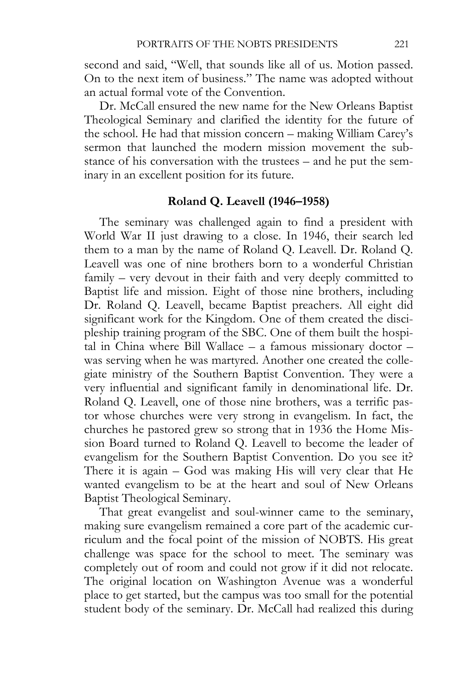second and said, "Well, that sounds like all of us. Motion passed. On to the next item of business." The name was adopted without an actual formal vote of the Convention.

Dr. McCall ensured the new name for the New Orleans Baptist Theological Seminary and clarified the identity for the future of the school. He had that mission concern – making William Carey's sermon that launched the modern mission movement the substance of his conversation with the trustees – and he put the seminary in an excellent position for its future.

# **Roland Q. Leavell (1946–1958)**

The seminary was challenged again to find a president with World War II just drawing to a close. In 1946, their search led them to a man by the name of Roland Q. Leavell. Dr. Roland Q. Leavell was one of nine brothers born to a wonderful Christian family – very devout in their faith and very deeply committed to Baptist life and mission. Eight of those nine brothers, including Dr. Roland Q. Leavell, became Baptist preachers. All eight did significant work for the Kingdom. One of them created the discipleship training program of the SBC. One of them built the hospital in China where Bill Wallace – a famous missionary doctor – was serving when he was martyred. Another one created the collegiate ministry of the Southern Baptist Convention. They were a very influential and significant family in denominational life. Dr. Roland Q. Leavell, one of those nine brothers, was a terrific pastor whose churches were very strong in evangelism. In fact, the churches he pastored grew so strong that in 1936 the Home Mission Board turned to Roland Q. Leavell to become the leader of evangelism for the Southern Baptist Convention. Do you see it? There it is again – God was making His will very clear that He wanted evangelism to be at the heart and soul of New Orleans Baptist Theological Seminary.

That great evangelist and soul-winner came to the seminary, making sure evangelism remained a core part of the academic curriculum and the focal point of the mission of NOBTS. His great challenge was space for the school to meet. The seminary was completely out of room and could not grow if it did not relocate. The original location on Washington Avenue was a wonderful place to get started, but the campus was too small for the potential student body of the seminary. Dr. McCall had realized this during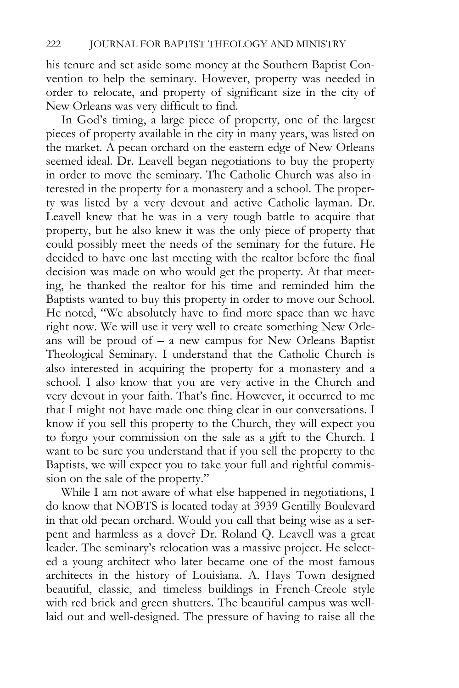his tenure and set aside some money at the Southern Baptist Convention to help the seminary. However, property was needed in order to relocate, and property of significant size in the city of New Orleans was very difficult to find.

In God's timing, a large piece of property, one of the largest pieces of property available in the city in many years, was listed on the market. A pecan orchard on the eastern edge of New Orleans seemed ideal. Dr. Leavell began negotiations to buy the property in order to move the seminary. The Catholic Church was also interested in the property for a monastery and a school. The property was listed by a very devout and active Catholic layman. Dr. Leavell knew that he was in a very tough battle to acquire that property, but he also knew it was the only piece of property that could possibly meet the needs of the seminary for the future. He decided to have one last meeting with the realtor before the final decision was made on who would get the property. At that meeting, he thanked the realtor for his time and reminded him the Baptists wanted to buy this property in order to move our School. He noted, "We absolutely have to find more space than we have right now. We will use it very well to create something New Orleans will be proud of – a new campus for New Orleans Baptist Theological Seminary. I understand that the Catholic Church is also interested in acquiring the property for a monastery and a school. I also know that you are very active in the Church and very devout in your faith. That's fine. However, it occurred to me that I might not have made one thing clear in our conversations. I know if you sell this property to the Church, they will expect you to forgo your commission on the sale as a gift to the Church. I want to be sure you understand that if you sell the property to the Baptists, we will expect you to take your full and rightful commission on the sale of the property."

While I am not aware of what else happened in negotiations, I do know that NOBTS is located today at 3939 Gentilly Boulevard in that old pecan orchard. Would you call that being wise as a serpent and harmless as a dove? Dr. Roland Q. Leavell was a great leader. The seminary's relocation was a massive project. He selected a young architect who later became one of the most famous architects in the history of Louisiana. A. Hays Town designed beautiful, classic, and timeless buildings in French-Creole style with red brick and green shutters. The beautiful campus was welllaid out and well-designed. The pressure of having to raise all the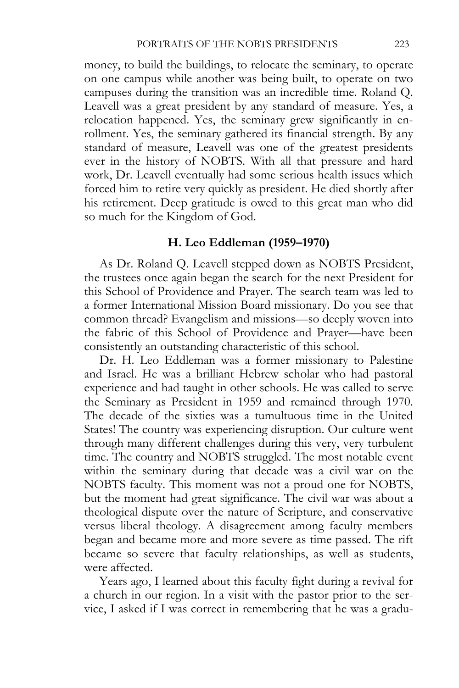money, to build the buildings, to relocate the seminary, to operate on one campus while another was being built, to operate on two campuses during the transition was an incredible time. Roland Q. Leavell was a great president by any standard of measure. Yes, a relocation happened. Yes, the seminary grew significantly in enrollment. Yes, the seminary gathered its financial strength. By any standard of measure, Leavell was one of the greatest presidents ever in the history of NOBTS. With all that pressure and hard work, Dr. Leavell eventually had some serious health issues which forced him to retire very quickly as president. He died shortly after his retirement. Deep gratitude is owed to this great man who did so much for the Kingdom of God.

#### **H. Leo Eddleman (1959–1970)**

As Dr. Roland Q. Leavell stepped down as NOBTS President, the trustees once again began the search for the next President for this School of Providence and Prayer. The search team was led to a former International Mission Board missionary. Do you see that common thread? Evangelism and missions—so deeply woven into the fabric of this School of Providence and Prayer—have been consistently an outstanding characteristic of this school.

Dr. H. Leo Eddleman was a former missionary to Palestine and Israel. He was a brilliant Hebrew scholar who had pastoral experience and had taught in other schools. He was called to serve the Seminary as President in 1959 and remained through 1970. The decade of the sixties was a tumultuous time in the United States! The country was experiencing disruption. Our culture went through many different challenges during this very, very turbulent time. The country and NOBTS struggled. The most notable event within the seminary during that decade was a civil war on the NOBTS faculty. This moment was not a proud one for NOBTS, but the moment had great significance. The civil war was about a theological dispute over the nature of Scripture, and conservative versus liberal theology. A disagreement among faculty members began and became more and more severe as time passed. The rift became so severe that faculty relationships, as well as students, were affected.

Years ago, I learned about this faculty fight during a revival for a church in our region. In a visit with the pastor prior to the service, I asked if I was correct in remembering that he was a gradu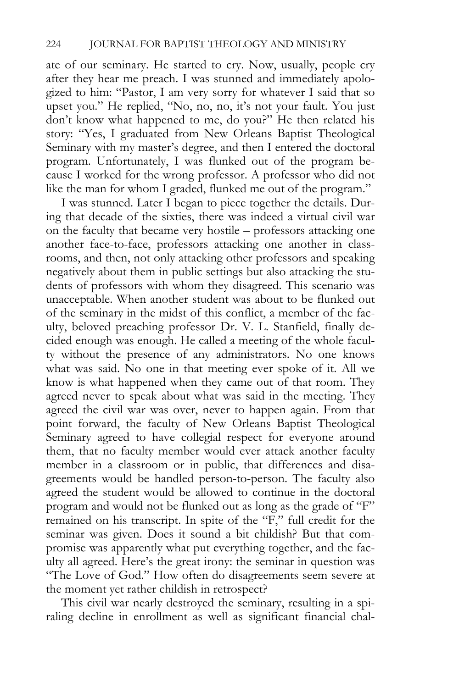ate of our seminary. He started to cry. Now, usually, people cry after they hear me preach. I was stunned and immediately apologized to him: "Pastor, I am very sorry for whatever I said that so upset you." He replied, "No, no, no, it's not your fault. You just don't know what happened to me, do you?" He then related his story: "Yes, I graduated from New Orleans Baptist Theological Seminary with my master's degree, and then I entered the doctoral program. Unfortunately, I was flunked out of the program because I worked for the wrong professor. A professor who did not like the man for whom I graded, flunked me out of the program."

I was stunned. Later I began to piece together the details. During that decade of the sixties, there was indeed a virtual civil war on the faculty that became very hostile – professors attacking one another face-to-face, professors attacking one another in classrooms, and then, not only attacking other professors and speaking negatively about them in public settings but also attacking the students of professors with whom they disagreed. This scenario was unacceptable. When another student was about to be flunked out of the seminary in the midst of this conflict, a member of the faculty, beloved preaching professor Dr. V. L. Stanfield, finally decided enough was enough. He called a meeting of the whole faculty without the presence of any administrators. No one knows what was said. No one in that meeting ever spoke of it. All we know is what happened when they came out of that room. They agreed never to speak about what was said in the meeting. They agreed the civil war was over, never to happen again. From that point forward, the faculty of New Orleans Baptist Theological Seminary agreed to have collegial respect for everyone around them, that no faculty member would ever attack another faculty member in a classroom or in public, that differences and disagreements would be handled person-to-person. The faculty also agreed the student would be allowed to continue in the doctoral program and would not be flunked out as long as the grade of "F" remained on his transcript. In spite of the "F," full credit for the seminar was given. Does it sound a bit childish? But that compromise was apparently what put everything together, and the faculty all agreed. Here's the great irony: the seminar in question was "The Love of God." How often do disagreements seem severe at the moment yet rather childish in retrospect?

This civil war nearly destroyed the seminary, resulting in a spiraling decline in enrollment as well as significant financial chal-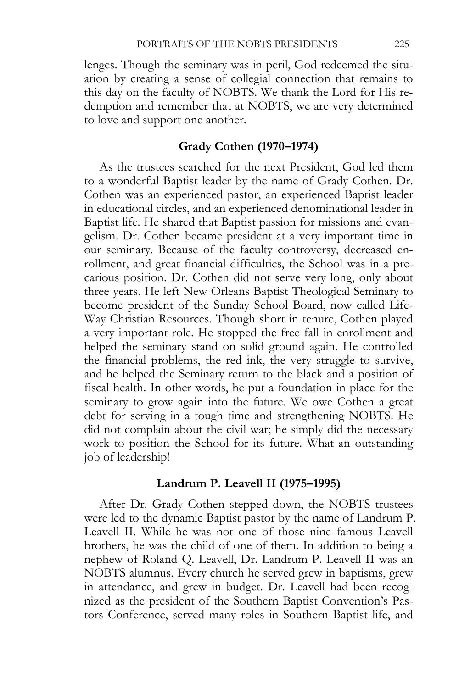lenges. Though the seminary was in peril, God redeemed the situation by creating a sense of collegial connection that remains to this day on the faculty of NOBTS. We thank the Lord for His redemption and remember that at NOBTS, we are very determined to love and support one another.

# **Grady Cothen (1970–1974)**

As the trustees searched for the next President, God led them to a wonderful Baptist leader by the name of Grady Cothen. Dr. Cothen was an experienced pastor, an experienced Baptist leader in educational circles, and an experienced denominational leader in Baptist life. He shared that Baptist passion for missions and evangelism. Dr. Cothen became president at a very important time in our seminary. Because of the faculty controversy, decreased enrollment, and great financial difficulties, the School was in a precarious position. Dr. Cothen did not serve very long, only about three years. He left New Orleans Baptist Theological Seminary to become president of the Sunday School Board, now called Life-Way Christian Resources. Though short in tenure, Cothen played a very important role. He stopped the free fall in enrollment and helped the seminary stand on solid ground again. He controlled the financial problems, the red ink, the very struggle to survive, and he helped the Seminary return to the black and a position of fiscal health. In other words, he put a foundation in place for the seminary to grow again into the future. We owe Cothen a great debt for serving in a tough time and strengthening NOBTS. He did not complain about the civil war; he simply did the necessary work to position the School for its future. What an outstanding job of leadership!

### **Landrum P. Leavell II (1975–1995)**

After Dr. Grady Cothen stepped down, the NOBTS trustees were led to the dynamic Baptist pastor by the name of Landrum P. Leavell II. While he was not one of those nine famous Leavell brothers, he was the child of one of them. In addition to being a nephew of Roland Q. Leavell, Dr. Landrum P. Leavell II was an NOBTS alumnus. Every church he served grew in baptisms, grew in attendance, and grew in budget. Dr. Leavell had been recognized as the president of the Southern Baptist Convention's Pastors Conference, served many roles in Southern Baptist life, and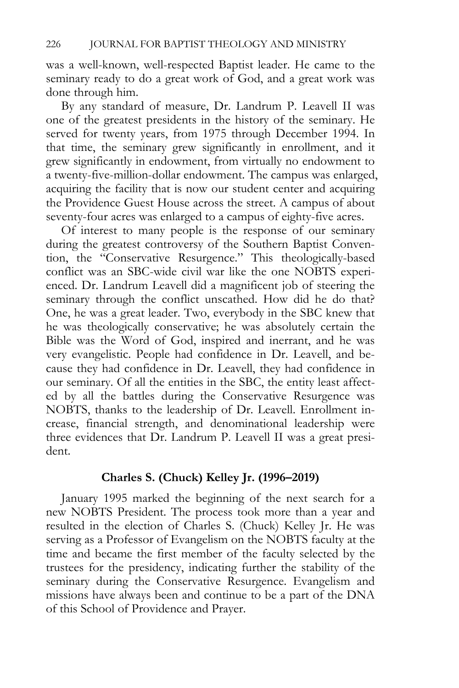was a well-known, well-respected Baptist leader. He came to the seminary ready to do a great work of God, and a great work was done through him.

By any standard of measure, Dr. Landrum P. Leavell II was one of the greatest presidents in the history of the seminary. He served for twenty years, from 1975 through December 1994. In that time, the seminary grew significantly in enrollment, and it grew significantly in endowment, from virtually no endowment to a twenty-five-million-dollar endowment. The campus was enlarged, acquiring the facility that is now our student center and acquiring the Providence Guest House across the street. A campus of about seventy-four acres was enlarged to a campus of eighty-five acres.

Of interest to many people is the response of our seminary during the greatest controversy of the Southern Baptist Convention, the "Conservative Resurgence." This theologically-based conflict was an SBC-wide civil war like the one NOBTS experienced. Dr. Landrum Leavell did a magnificent job of steering the seminary through the conflict unscathed. How did he do that? One, he was a great leader. Two, everybody in the SBC knew that he was theologically conservative; he was absolutely certain the Bible was the Word of God, inspired and inerrant, and he was very evangelistic. People had confidence in Dr. Leavell, and because they had confidence in Dr. Leavell, they had confidence in our seminary. Of all the entities in the SBC, the entity least affected by all the battles during the Conservative Resurgence was NOBTS, thanks to the leadership of Dr. Leavell. Enrollment increase, financial strength, and denominational leadership were three evidences that Dr. Landrum P. Leavell II was a great president.

### **Charles S. (Chuck) Kelley Jr. (1996–2019)**

January 1995 marked the beginning of the next search for a new NOBTS President. The process took more than a year and resulted in the election of Charles S. (Chuck) Kelley Jr. He was serving as a Professor of Evangelism on the NOBTS faculty at the time and became the first member of the faculty selected by the trustees for the presidency, indicating further the stability of the seminary during the Conservative Resurgence. Evangelism and missions have always been and continue to be a part of the DNA of this School of Providence and Prayer.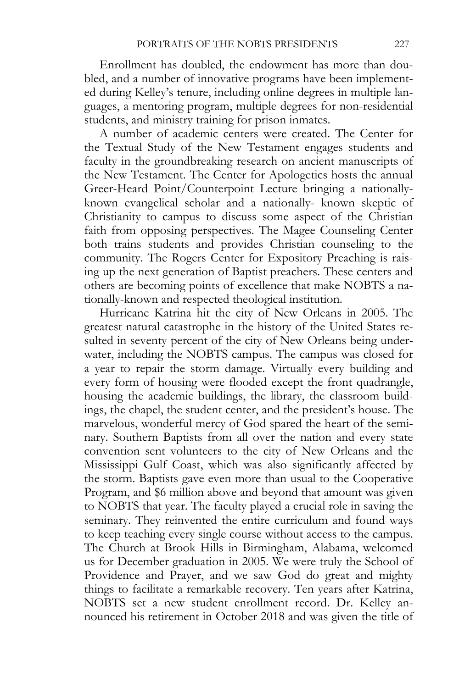Enrollment has doubled, the endowment has more than doubled, and a number of innovative programs have been implemented during Kelley's tenure, including online degrees in multiple languages, a mentoring program, multiple degrees for non-residential students, and ministry training for prison inmates.

A number of academic centers were created. The Center for the Textual Study of the New Testament engages students and faculty in the groundbreaking research on ancient manuscripts of the New Testament. The Center for Apologetics hosts the annual Greer-Heard Point/Counterpoint Lecture bringing a nationallyknown evangelical scholar and a nationally- known skeptic of Christianity to campus to discuss some aspect of the Christian faith from opposing perspectives. The Magee Counseling Center both trains students and provides Christian counseling to the community. The Rogers Center for Expository Preaching is raising up the next generation of Baptist preachers. These centers and others are becoming points of excellence that make NOBTS a nationally-known and respected theological institution.

Hurricane Katrina hit the city of New Orleans in 2005. The greatest natural catastrophe in the history of the United States resulted in seventy percent of the city of New Orleans being underwater, including the NOBTS campus. The campus was closed for a year to repair the storm damage. Virtually every building and every form of housing were flooded except the front quadrangle, housing the academic buildings, the library, the classroom buildings, the chapel, the student center, and the president's house. The marvelous, wonderful mercy of God spared the heart of the seminary. Southern Baptists from all over the nation and every state convention sent volunteers to the city of New Orleans and the Mississippi Gulf Coast, which was also significantly affected by the storm. Baptists gave even more than usual to the Cooperative Program, and \$6 million above and beyond that amount was given to NOBTS that year. The faculty played a crucial role in saving the seminary. They reinvented the entire curriculum and found ways to keep teaching every single course without access to the campus. The Church at Brook Hills in Birmingham, Alabama, welcomed us for December graduation in 2005. We were truly the School of Providence and Prayer, and we saw God do great and mighty things to facilitate a remarkable recovery. Ten years after Katrina, NOBTS set a new student enrollment record. Dr. Kelley announced his retirement in October 2018 and was given the title of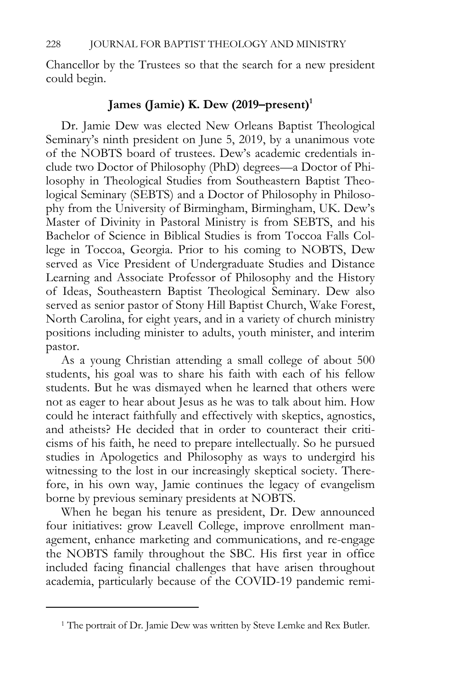Chancellor by the Trustees so that the search for a new president could begin.

# James (Jamie) K. Dew (2019–present)<sup>1</sup>

Dr. Jamie Dew was elected New Orleans Baptist Theological Seminary's ninth president on June 5, 2019, by a unanimous vote of the NOBTS board of trustees. Dew's academic credentials include two Doctor of Philosophy (PhD) degrees—a Doctor of Philosophy in Theological Studies from Southeastern Baptist Theological Seminary (SEBTS) and a Doctor of Philosophy in Philosophy from the University of Birmingham, Birmingham, UK. Dew's Master of Divinity in Pastoral Ministry is from SEBTS, and his Bachelor of Science in Biblical Studies is from Toccoa Falls College in Toccoa, Georgia. Prior to his coming to NOBTS, Dew served as Vice President of Undergraduate Studies and Distance Learning and Associate Professor of Philosophy and the History of Ideas, Southeastern Baptist Theological Seminary. Dew also served as senior pastor of Stony Hill Baptist Church, Wake Forest, North Carolina, for eight years, and in a variety of church ministry positions including minister to adults, youth minister, and interim pastor.

As a young Christian attending a small college of about 500 students, his goal was to share his faith with each of his fellow students. But he was dismayed when he learned that others were not as eager to hear about Jesus as he was to talk about him. How could he interact faithfully and effectively with skeptics, agnostics, and atheists? He decided that in order to counteract their criticisms of his faith, he need to prepare intellectually. So he pursued studies in Apologetics and Philosophy as ways to undergird his witnessing to the lost in our increasingly skeptical society. Therefore, in his own way, Jamie continues the legacy of evangelism borne by previous seminary presidents at NOBTS.

When he began his tenure as president, Dr. Dew announced four initiatives: grow Leavell College, improve enrollment management, enhance marketing and communications, and re-engage the NOBTS family throughout the SBC. His first year in office included facing financial challenges that have arisen throughout academia, particularly because of the COVID-19 pandemic remi-

<sup>&</sup>lt;sup>1</sup> The portrait of Dr. Jamie Dew was written by Steve Lemke and Rex Butler.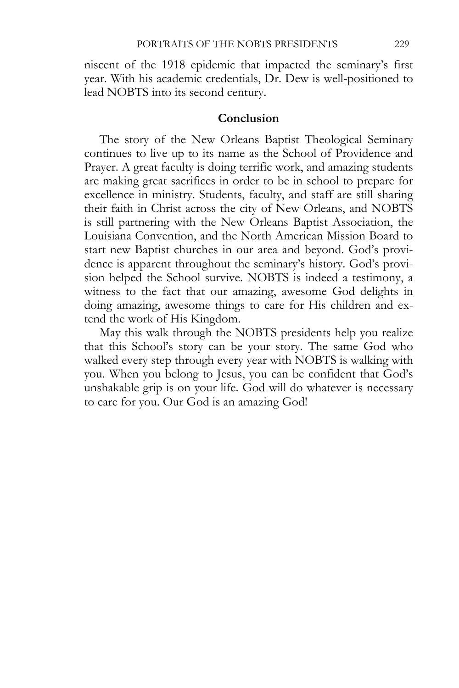niscent of the 1918 epidemic that impacted the seminary's first year. With his academic credentials, Dr. Dew is well-positioned to lead NOBTS into its second century.

### **Conclusion**

The story of the New Orleans Baptist Theological Seminary continues to live up to its name as the School of Providence and Prayer. A great faculty is doing terrific work, and amazing students are making great sacrifices in order to be in school to prepare for excellence in ministry. Students, faculty, and staff are still sharing their faith in Christ across the city of New Orleans, and NOBTS is still partnering with the New Orleans Baptist Association, the Louisiana Convention, and the North American Mission Board to start new Baptist churches in our area and beyond. God's providence is apparent throughout the seminary's history. God's provision helped the School survive. NOBTS is indeed a testimony, a witness to the fact that our amazing, awesome God delights in doing amazing, awesome things to care for His children and extend the work of His Kingdom.

May this walk through the NOBTS presidents help you realize that this School's story can be your story. The same God who walked every step through every year with NOBTS is walking with you. When you belong to Jesus, you can be confident that God's unshakable grip is on your life. God will do whatever is necessary to care for you. Our God is an amazing God!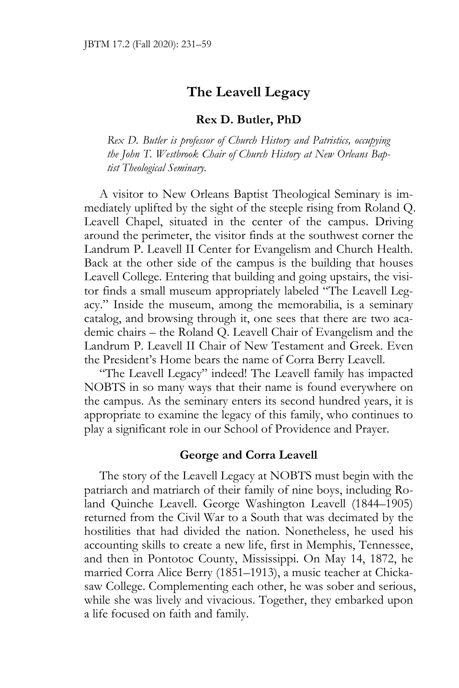# **The Leavell Legacy**

### **Rex D. Butler, PhD**

*Rex D. Butler is professor of Church History and Patristics, occupying the John T. Westbrook Chair of Church History at New Orleans Baptist Theological Seminary.* 

A visitor to New Orleans Baptist Theological Seminary is immediately uplifted by the sight of the steeple rising from Roland Q. Leavell Chapel, situated in the center of the campus. Driving around the perimeter, the visitor finds at the southwest corner the Landrum P. Leavell II Center for Evangelism and Church Health. Back at the other side of the campus is the building that houses Leavell College. Entering that building and going upstairs, the visitor finds a small museum appropriately labeled "The Leavell Legacy." Inside the museum, among the memorabilia, is a seminary catalog, and browsing through it, one sees that there are two academic chairs – the Roland Q. Leavell Chair of Evangelism and the Landrum P. Leavell II Chair of New Testament and Greek. Even the President's Home bears the name of Corra Berry Leavell.

"The Leavell Legacy" indeed! The Leavell family has impacted NOBTS in so many ways that their name is found everywhere on the campus. As the seminary enters its second hundred years, it is appropriate to examine the legacy of this family, who continues to play a significant role in our School of Providence and Prayer.

# **George and Corra Leavell**

The story of the Leavell Legacy at NOBTS must begin with the patriarch and matriarch of their family of nine boys, including Roland Quinche Leavell. George Washington Leavell (1844–1905) returned from the Civil War to a South that was decimated by the hostilities that had divided the nation. Nonetheless, he used his accounting skills to create a new life, first in Memphis, Tennessee, and then in Pontotoc County, Mississippi. On May 14, 1872, he married Corra Alice Berry (1851–1913), a music teacher at Chickasaw College. Complementing each other, he was sober and serious, while she was lively and vivacious. Together, they embarked upon a life focused on faith and family.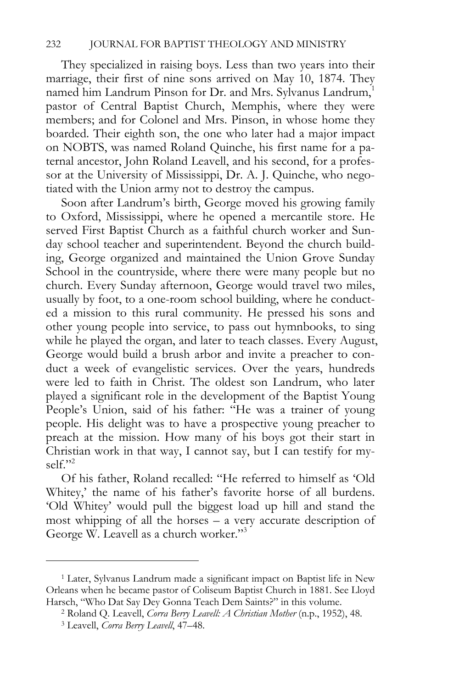They specialized in raising boys. Less than two years into their marriage, their first of nine sons arrived on May 10, 1874. They named him Landrum Pinson for Dr. and Mrs. Sylvanus Landrum,<sup>1</sup> pastor of Central Baptist Church, Memphis, where they were members; and for Colonel and Mrs. Pinson, in whose home they boarded. Their eighth son, the one who later had a major impact on NOBTS, was named Roland Quinche, his first name for a paternal ancestor, John Roland Leavell, and his second, for a professor at the University of Mississippi, Dr. A. J. Quinche, who negotiated with the Union army not to destroy the campus.

Soon after Landrum's birth, George moved his growing family to Oxford, Mississippi, where he opened a mercantile store. He served First Baptist Church as a faithful church worker and Sunday school teacher and superintendent. Beyond the church building, George organized and maintained the Union Grove Sunday School in the countryside, where there were many people but no church. Every Sunday afternoon, George would travel two miles, usually by foot, to a one-room school building, where he conducted a mission to this rural community. He pressed his sons and other young people into service, to pass out hymnbooks, to sing while he played the organ, and later to teach classes. Every August, George would build a brush arbor and invite a preacher to conduct a week of evangelistic services. Over the years, hundreds were led to faith in Christ. The oldest son Landrum, who later played a significant role in the development of the Baptist Young People's Union, said of his father: "He was a trainer of young people. His delight was to have a prospective young preacher to preach at the mission. How many of his boys got their start in Christian work in that way, I cannot say, but I can testify for myself."2

Of his father, Roland recalled: "He referred to himself as 'Old Whitey,' the name of his father's favorite horse of all burdens. 'Old Whitey' would pull the biggest load up hill and stand the most whipping of all the horses – a very accurate description of George W. Leavell as a church worker."3

<sup>1</sup> Later, Sylvanus Landrum made a significant impact on Baptist life in New Orleans when he became pastor of Coliseum Baptist Church in 1881. See Lloyd Harsch, "Who Dat Say Dey Gonna Teach Dem Saints?" in this volume. 2 Roland Q. Leavell, *Corra Berry Leavell: A Christian Mother* (n.p., 1952), 48. 3 Leavell, *Corra Berry Leavell*, 47–48.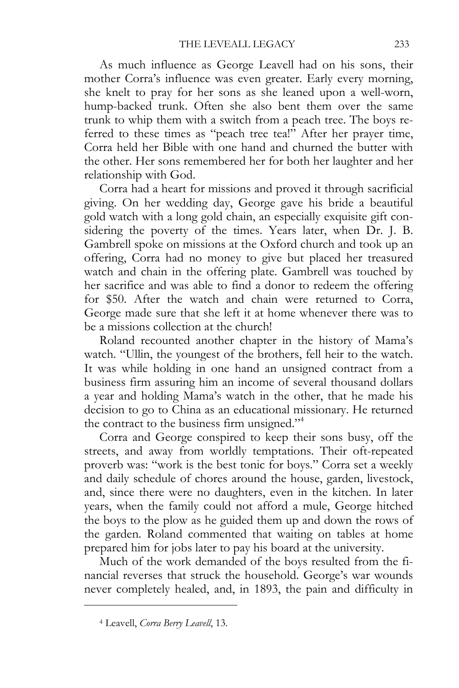As much influence as George Leavell had on his sons, their mother Corra's influence was even greater. Early every morning, she knelt to pray for her sons as she leaned upon a well-worn, hump-backed trunk. Often she also bent them over the same trunk to whip them with a switch from a peach tree. The boys referred to these times as "peach tree tea!" After her prayer time, Corra held her Bible with one hand and churned the butter with the other. Her sons remembered her for both her laughter and her relationship with God.

Corra had a heart for missions and proved it through sacrificial giving. On her wedding day, George gave his bride a beautiful gold watch with a long gold chain, an especially exquisite gift considering the poverty of the times. Years later, when Dr. J. B. Gambrell spoke on missions at the Oxford church and took up an offering, Corra had no money to give but placed her treasured watch and chain in the offering plate. Gambrell was touched by her sacrifice and was able to find a donor to redeem the offering for \$50. After the watch and chain were returned to Corra, George made sure that she left it at home whenever there was to be a missions collection at the church!

Roland recounted another chapter in the history of Mama's watch. "Ullin, the youngest of the brothers, fell heir to the watch. It was while holding in one hand an unsigned contract from a business firm assuring him an income of several thousand dollars a year and holding Mama's watch in the other, that he made his decision to go to China as an educational missionary. He returned the contract to the business firm unsigned."4

Corra and George conspired to keep their sons busy, off the streets, and away from worldly temptations. Their oft-repeated proverb was: "work is the best tonic for boys." Corra set a weekly and daily schedule of chores around the house, garden, livestock, and, since there were no daughters, even in the kitchen. In later years, when the family could not afford a mule, George hitched the boys to the plow as he guided them up and down the rows of the garden. Roland commented that waiting on tables at home prepared him for jobs later to pay his board at the university.

Much of the work demanded of the boys resulted from the financial reverses that struck the household. George's war wounds never completely healed, and, in 1893, the pain and difficulty in

<sup>4</sup> Leavell, *Corra Berry Leavell*, 13.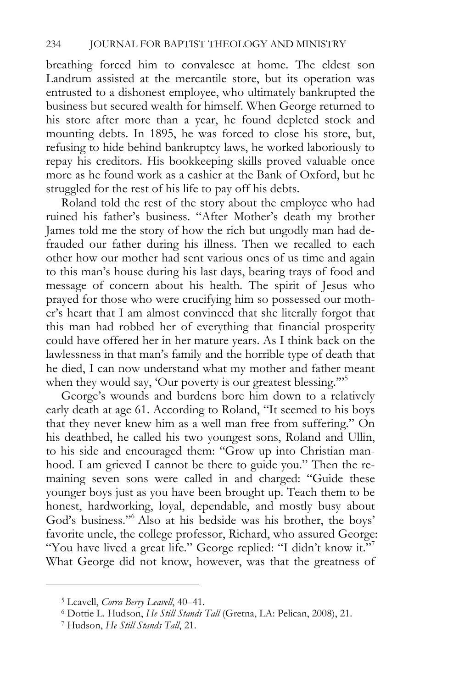breathing forced him to convalesce at home. The eldest son Landrum assisted at the mercantile store, but its operation was entrusted to a dishonest employee, who ultimately bankrupted the business but secured wealth for himself. When George returned to his store after more than a year, he found depleted stock and mounting debts. In 1895, he was forced to close his store, but, refusing to hide behind bankruptcy laws, he worked laboriously to repay his creditors. His bookkeeping skills proved valuable once more as he found work as a cashier at the Bank of Oxford, but he struggled for the rest of his life to pay off his debts.

Roland told the rest of the story about the employee who had ruined his father's business. "After Mother's death my brother James told me the story of how the rich but ungodly man had defrauded our father during his illness. Then we recalled to each other how our mother had sent various ones of us time and again to this man's house during his last days, bearing trays of food and message of concern about his health. The spirit of Jesus who prayed for those who were crucifying him so possessed our mother's heart that I am almost convinced that she literally forgot that this man had robbed her of everything that financial prosperity could have offered her in her mature years. As I think back on the lawlessness in that man's family and the horrible type of death that he died, I can now understand what my mother and father meant when they would say, 'Our poverty is our greatest blessing."<sup>55</sup>

George's wounds and burdens bore him down to a relatively early death at age 61. According to Roland, "It seemed to his boys that they never knew him as a well man free from suffering." On his deathbed, he called his two youngest sons, Roland and Ullin, to his side and encouraged them: "Grow up into Christian manhood. I am grieved I cannot be there to guide you." Then the remaining seven sons were called in and charged: "Guide these younger boys just as you have been brought up. Teach them to be honest, hardworking, loyal, dependable, and mostly busy about God's business."6 Also at his bedside was his brother, the boys' favorite uncle, the college professor, Richard, who assured George: "You have lived a great life." George replied: "I didn't know it."<sup>7</sup> What George did not know, however, was that the greatness of

<sup>5</sup> Leavell, *Corra Berry Leavell*, 40–41. 6 Dottie L. Hudson, *He Still Stands Tall* (Gretna, LA: Pelican, 2008), 21. 7 Hudson, *He Still Stands Tall*, 21.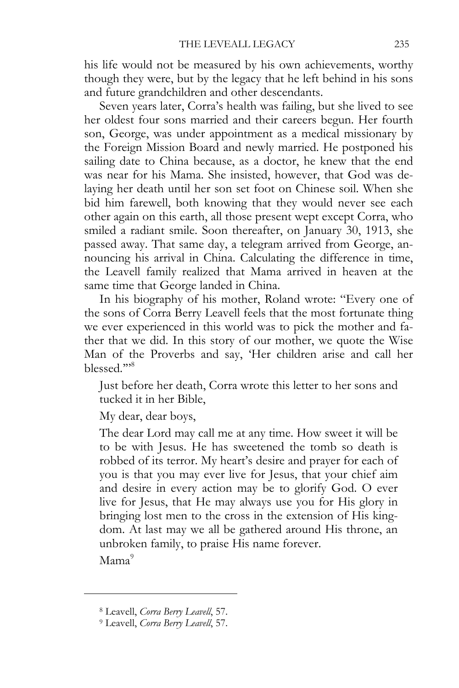his life would not be measured by his own achievements, worthy though they were, but by the legacy that he left behind in his sons and future grandchildren and other descendants.

Seven years later, Corra's health was failing, but she lived to see her oldest four sons married and their careers begun. Her fourth son, George, was under appointment as a medical missionary by the Foreign Mission Board and newly married. He postponed his sailing date to China because, as a doctor, he knew that the end was near for his Mama. She insisted, however, that God was delaying her death until her son set foot on Chinese soil. When she bid him farewell, both knowing that they would never see each other again on this earth, all those present wept except Corra, who smiled a radiant smile. Soon thereafter, on January 30, 1913, she passed away. That same day, a telegram arrived from George, announcing his arrival in China. Calculating the difference in time, the Leavell family realized that Mama arrived in heaven at the same time that George landed in China.

In his biography of his mother, Roland wrote: "Every one of the sons of Corra Berry Leavell feels that the most fortunate thing we ever experienced in this world was to pick the mother and father that we did. In this story of our mother, we quote the Wise Man of the Proverbs and say, 'Her children arise and call her blessed.'"8

Just before her death, Corra wrote this letter to her sons and tucked it in her Bible,

My dear, dear boys,

The dear Lord may call me at any time. How sweet it will be to be with Jesus. He has sweetened the tomb so death is robbed of its terror. My heart's desire and prayer for each of you is that you may ever live for Jesus, that your chief aim and desire in every action may be to glorify God. O ever live for Jesus, that He may always use you for His glory in bringing lost men to the cross in the extension of His kingdom. At last may we all be gathered around His throne, an unbroken family, to praise His name forever.

 $Mama<sup>9</sup>$ 

<sup>8</sup> Leavell, *Corra Berry Leavell*, 57. 9 Leavell, *Corra Berry Leavell*, 57.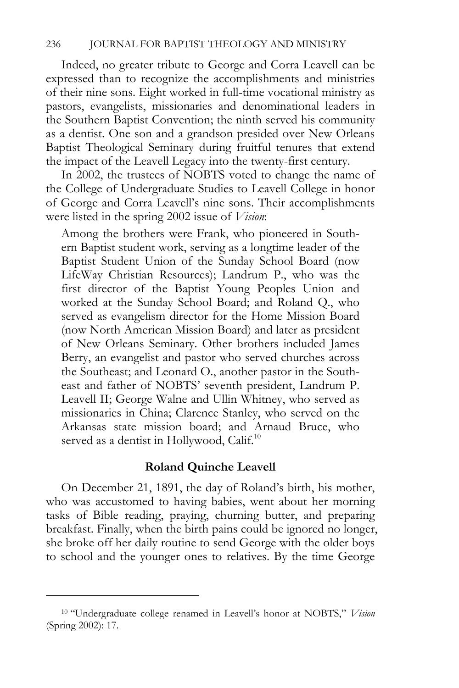Indeed, no greater tribute to George and Corra Leavell can be expressed than to recognize the accomplishments and ministries of their nine sons. Eight worked in full-time vocational ministry as pastors, evangelists, missionaries and denominational leaders in the Southern Baptist Convention; the ninth served his community as a dentist. One son and a grandson presided over New Orleans Baptist Theological Seminary during fruitful tenures that extend the impact of the Leavell Legacy into the twenty-first century.

In 2002, the trustees of NOBTS voted to change the name of the College of Undergraduate Studies to Leavell College in honor of George and Corra Leavell's nine sons. Their accomplishments were listed in the spring 2002 issue of *Vision*:

Among the brothers were Frank, who pioneered in Southern Baptist student work, serving as a longtime leader of the Baptist Student Union of the Sunday School Board (now LifeWay Christian Resources); Landrum P., who was the first director of the Baptist Young Peoples Union and worked at the Sunday School Board; and Roland Q., who served as evangelism director for the Home Mission Board (now North American Mission Board) and later as president of New Orleans Seminary. Other brothers included James Berry, an evangelist and pastor who served churches across the Southeast; and Leonard O., another pastor in the Southeast and father of NOBTS' seventh president, Landrum P. Leavell II; George Walne and Ullin Whitney, who served as missionaries in China; Clarence Stanley, who served on the Arkansas state mission board; and Arnaud Bruce, who served as a dentist in Hollywood, Calif. $10$ 

#### **Roland Quinche Leavell**

On December 21, 1891, the day of Roland's birth, his mother, who was accustomed to having babies, went about her morning tasks of Bible reading, praying, churning butter, and preparing breakfast. Finally, when the birth pains could be ignored no longer, she broke off her daily routine to send George with the older boys to school and the younger ones to relatives. By the time George

<sup>10 &</sup>quot;Undergraduate college renamed in Leavell's honor at NOBTS," *Vision* (Spring 2002): 17.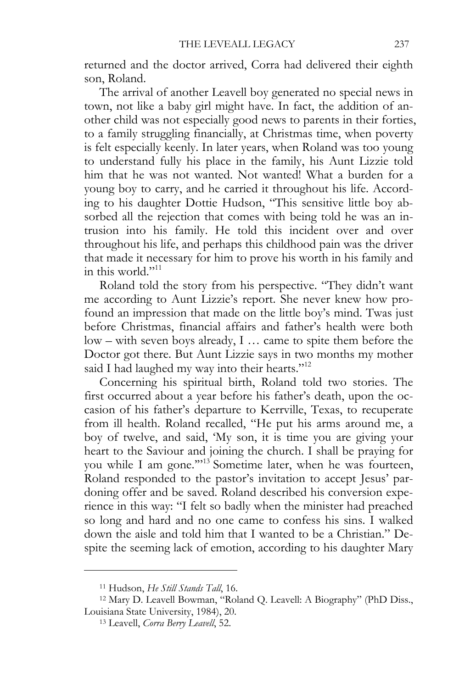returned and the doctor arrived, Corra had delivered their eighth son, Roland.

The arrival of another Leavell boy generated no special news in town, not like a baby girl might have. In fact, the addition of another child was not especially good news to parents in their forties, to a family struggling financially, at Christmas time, when poverty is felt especially keenly. In later years, when Roland was too young to understand fully his place in the family, his Aunt Lizzie told him that he was not wanted. Not wanted! What a burden for a young boy to carry, and he carried it throughout his life. According to his daughter Dottie Hudson, "This sensitive little boy absorbed all the rejection that comes with being told he was an intrusion into his family. He told this incident over and over throughout his life, and perhaps this childhood pain was the driver that made it necessary for him to prove his worth in his family and in this world." $^{11}$ 

Roland told the story from his perspective. "They didn't want me according to Aunt Lizzie's report. She never knew how profound an impression that made on the little boy's mind. Twas just before Christmas, financial affairs and father's health were both low – with seven boys already, I … came to spite them before the Doctor got there. But Aunt Lizzie says in two months my mother said I had laughed my way into their hearts."<sup>12</sup>

Concerning his spiritual birth, Roland told two stories. The first occurred about a year before his father's death, upon the occasion of his father's departure to Kerrville, Texas, to recuperate from ill health. Roland recalled, "He put his arms around me, a boy of twelve, and said, 'My son, it is time you are giving your heart to the Saviour and joining the church. I shall be praying for you while I am gone."<sup>13</sup> Sometime later, when he was fourteen, Roland responded to the pastor's invitation to accept Jesus' pardoning offer and be saved. Roland described his conversion experience in this way: "I felt so badly when the minister had preached so long and hard and no one came to confess his sins. I walked down the aisle and told him that I wanted to be a Christian." Despite the seeming lack of emotion, according to his daughter Mary

<sup>&</sup>lt;sup>11</sup> Hudson, *He Still Stands Tall*, 16.<br><sup>12</sup> Mary D. Leavell Bowman, "Roland Q. Leavell: A Biography" (PhD Diss., Louisiana State University, 1984), 20. 13 Leavell, *Corra Berry Leavell*, 52.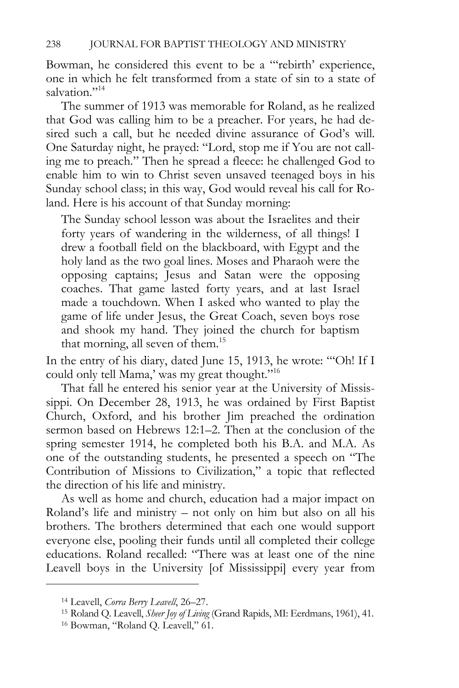Bowman, he considered this event to be a "'rebirth' experience, one in which he felt transformed from a state of sin to a state of salvation."<sup>14</sup>

The summer of 1913 was memorable for Roland, as he realized that God was calling him to be a preacher. For years, he had desired such a call, but he needed divine assurance of God's will. One Saturday night, he prayed: "Lord, stop me if You are not calling me to preach." Then he spread a fleece: he challenged God to enable him to win to Christ seven unsaved teenaged boys in his Sunday school class; in this way, God would reveal his call for Roland. Here is his account of that Sunday morning:

The Sunday school lesson was about the Israelites and their forty years of wandering in the wilderness, of all things! I drew a football field on the blackboard, with Egypt and the holy land as the two goal lines. Moses and Pharaoh were the opposing captains; Jesus and Satan were the opposing coaches. That game lasted forty years, and at last Israel made a touchdown. When I asked who wanted to play the game of life under Jesus, the Great Coach, seven boys rose and shook my hand. They joined the church for baptism that morning, all seven of them.<sup>15</sup>

In the entry of his diary, dated June 15, 1913, he wrote: "'Oh! If I could only tell Mama,' was my great thought."16

That fall he entered his senior year at the University of Mississippi. On December 28, 1913, he was ordained by First Baptist Church, Oxford, and his brother Jim preached the ordination sermon based on Hebrews 12:1–2. Then at the conclusion of the spring semester 1914, he completed both his B.A. and M.A. As one of the outstanding students, he presented a speech on "The Contribution of Missions to Civilization," a topic that reflected the direction of his life and ministry.

As well as home and church, education had a major impact on Roland's life and ministry – not only on him but also on all his brothers. The brothers determined that each one would support everyone else, pooling their funds until all completed their college educations. Roland recalled: "There was at least one of the nine Leavell boys in the University [of Mississippi] every year from

<sup>&</sup>lt;sup>14</sup> Leavell, *Corra Berry Leavell*, 26–27.<br><sup>15</sup> Roland Q. Leavell, *Sheer Joy of Living* (Grand Rapids, MI: Eerdmans, 1961), 41.<br><sup>16</sup> Bowman, "Roland Q. Leavell," 61.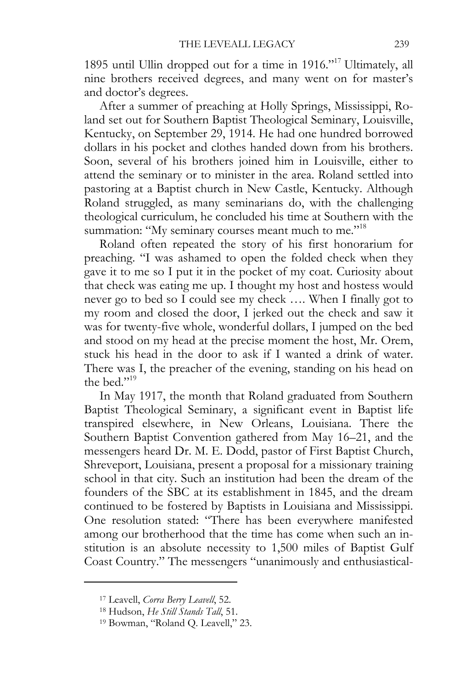1895 until Ullin dropped out for a time in 1916."17 Ultimately, all nine brothers received degrees, and many went on for master's and doctor's degrees.

After a summer of preaching at Holly Springs, Mississippi, Roland set out for Southern Baptist Theological Seminary, Louisville, Kentucky, on September 29, 1914. He had one hundred borrowed dollars in his pocket and clothes handed down from his brothers. Soon, several of his brothers joined him in Louisville, either to attend the seminary or to minister in the area. Roland settled into pastoring at a Baptist church in New Castle, Kentucky. Although Roland struggled, as many seminarians do, with the challenging theological curriculum, he concluded his time at Southern with the summation: "My seminary courses meant much to me."<sup>18</sup>

Roland often repeated the story of his first honorarium for preaching. "I was ashamed to open the folded check when they gave it to me so I put it in the pocket of my coat. Curiosity about that check was eating me up. I thought my host and hostess would never go to bed so I could see my check …. When I finally got to my room and closed the door, I jerked out the check and saw it was for twenty-five whole, wonderful dollars, I jumped on the bed and stood on my head at the precise moment the host, Mr. Orem, stuck his head in the door to ask if I wanted a drink of water. There was I, the preacher of the evening, standing on his head on the bed."<sup>19</sup>

In May 1917, the month that Roland graduated from Southern Baptist Theological Seminary, a significant event in Baptist life transpired elsewhere, in New Orleans, Louisiana. There the Southern Baptist Convention gathered from May 16–21, and the messengers heard Dr. M. E. Dodd, pastor of First Baptist Church, Shreveport, Louisiana, present a proposal for a missionary training school in that city. Such an institution had been the dream of the founders of the SBC at its establishment in 1845, and the dream continued to be fostered by Baptists in Louisiana and Mississippi. One resolution stated: "There has been everywhere manifested among our brotherhood that the time has come when such an institution is an absolute necessity to 1,500 miles of Baptist Gulf Coast Country." The messengers "unanimously and enthusiastical-

<sup>&</sup>lt;sup>17</sup> Leavell, *Corra Berry Leavell*, 52.<br><sup>18</sup> Hudson, *He Still Stands Tall*, 51.<br><sup>19</sup> Bowman, "Roland Q. Leavell," 23.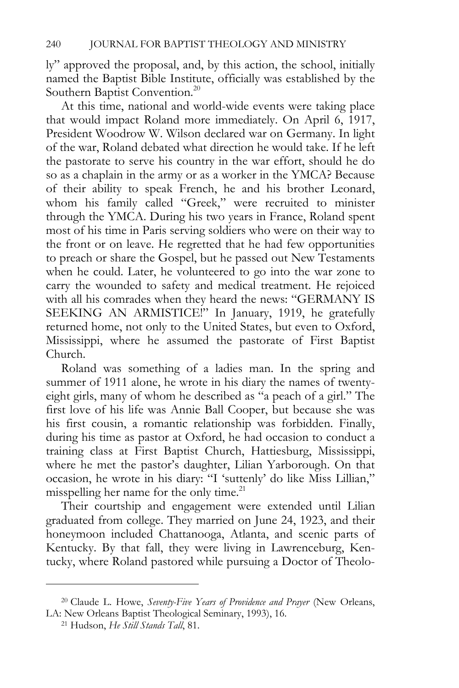ly" approved the proposal, and, by this action, the school, initially named the Baptist Bible Institute, officially was established by the Southern Baptist Convention.<sup>20</sup>

At this time, national and world-wide events were taking place that would impact Roland more immediately. On April 6, 1917, President Woodrow W. Wilson declared war on Germany. In light of the war, Roland debated what direction he would take. If he left the pastorate to serve his country in the war effort, should he do so as a chaplain in the army or as a worker in the YMCA? Because of their ability to speak French, he and his brother Leonard, whom his family called "Greek," were recruited to minister through the YMCA. During his two years in France, Roland spent most of his time in Paris serving soldiers who were on their way to the front or on leave. He regretted that he had few opportunities to preach or share the Gospel, but he passed out New Testaments when he could. Later, he volunteered to go into the war zone to carry the wounded to safety and medical treatment. He rejoiced with all his comrades when they heard the news: "GERMANY IS SEEKING AN ARMISTICE!" In January, 1919, he gratefully returned home, not only to the United States, but even to Oxford, Mississippi, where he assumed the pastorate of First Baptist Church.

Roland was something of a ladies man. In the spring and summer of 1911 alone, he wrote in his diary the names of twentyeight girls, many of whom he described as "a peach of a girl." The first love of his life was Annie Ball Cooper, but because she was his first cousin, a romantic relationship was forbidden. Finally, during his time as pastor at Oxford, he had occasion to conduct a training class at First Baptist Church, Hattiesburg, Mississippi, where he met the pastor's daughter, Lilian Yarborough. On that occasion, he wrote in his diary: "I 'suttenly' do like Miss Lillian," misspelling her name for the only time. $^{21}$ 

Their courtship and engagement were extended until Lilian graduated from college. They married on June 24, 1923, and their honeymoon included Chattanooga, Atlanta, and scenic parts of Kentucky. By that fall, they were living in Lawrenceburg, Kentucky, where Roland pastored while pursuing a Doctor of Theolo-

<sup>20</sup> Claude L. Howe, *Seventy-Five Years of Providence and Prayer* (New Orleans, LA: New Orleans Baptist Theological Seminary, 1993), 16. 21 Hudson, *He Still Stands Tall*, 81.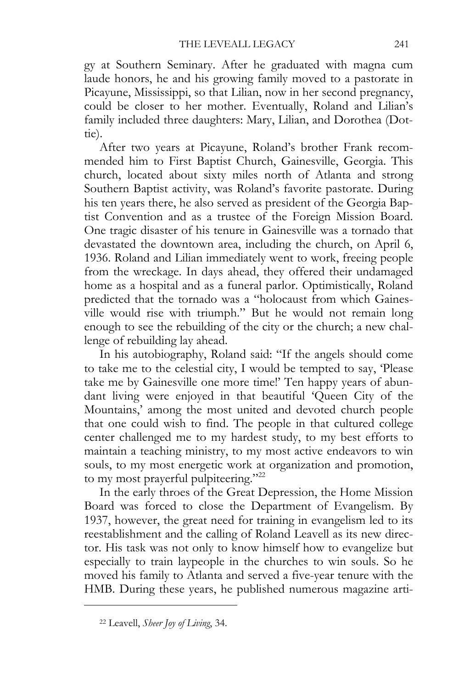gy at Southern Seminary. After he graduated with magna cum laude honors, he and his growing family moved to a pastorate in Picayune, Mississippi, so that Lilian, now in her second pregnancy, could be closer to her mother. Eventually, Roland and Lilian's family included three daughters: Mary, Lilian, and Dorothea (Dottie).

After two years at Picayune, Roland's brother Frank recommended him to First Baptist Church, Gainesville, Georgia. This church, located about sixty miles north of Atlanta and strong Southern Baptist activity, was Roland's favorite pastorate. During his ten years there, he also served as president of the Georgia Baptist Convention and as a trustee of the Foreign Mission Board. One tragic disaster of his tenure in Gainesville was a tornado that devastated the downtown area, including the church, on April 6, 1936. Roland and Lilian immediately went to work, freeing people from the wreckage. In days ahead, they offered their undamaged home as a hospital and as a funeral parlor. Optimistically, Roland predicted that the tornado was a "holocaust from which Gainesville would rise with triumph." But he would not remain long enough to see the rebuilding of the city or the church; a new challenge of rebuilding lay ahead.

In his autobiography, Roland said: "If the angels should come to take me to the celestial city, I would be tempted to say, 'Please take me by Gainesville one more time!' Ten happy years of abundant living were enjoyed in that beautiful 'Queen City of the Mountains,' among the most united and devoted church people that one could wish to find. The people in that cultured college center challenged me to my hardest study, to my best efforts to maintain a teaching ministry, to my most active endeavors to win souls, to my most energetic work at organization and promotion, to my most prayerful pulpiteering."<sup>22</sup>

In the early throes of the Great Depression, the Home Mission Board was forced to close the Department of Evangelism. By 1937, however, the great need for training in evangelism led to its reestablishment and the calling of Roland Leavell as its new director. His task was not only to know himself how to evangelize but especially to train laypeople in the churches to win souls. So he moved his family to Atlanta and served a five-year tenure with the HMB. During these years, he published numerous magazine arti-

<sup>22</sup> Leavell, *Sheer Joy of Living*, 34.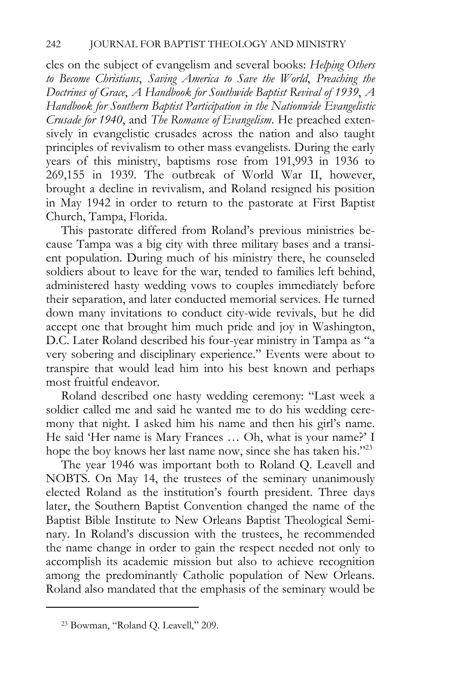cles on the subject of evangelism and several books: *Helping Others to Become Christians*, *Saving America to Save the World*, *Preaching the Doctrines of Grace*, *A Handbook for Southwide Baptist Revival of 1939*, *A Handbook for Southern Baptist Participation in the Nationwide Evangelistic Crusade for 1940*, and *The Romance of Evangelism*. He preached extensively in evangelistic crusades across the nation and also taught principles of revivalism to other mass evangelists. During the early years of this ministry, baptisms rose from 191,993 in 1936 to 269,155 in 1939. The outbreak of World War II, however, brought a decline in revivalism, and Roland resigned his position in May 1942 in order to return to the pastorate at First Baptist Church, Tampa, Florida.

This pastorate differed from Roland's previous ministries because Tampa was a big city with three military bases and a transient population. During much of his ministry there, he counseled soldiers about to leave for the war, tended to families left behind, administered hasty wedding vows to couples immediately before their separation, and later conducted memorial services. He turned down many invitations to conduct city-wide revivals, but he did accept one that brought him much pride and joy in Washington, D.C. Later Roland described his four-year ministry in Tampa as "a very sobering and disciplinary experience." Events were about to transpire that would lead him into his best known and perhaps most fruitful endeavor.

Roland described one hasty wedding ceremony: "Last week a soldier called me and said he wanted me to do his wedding ceremony that night. I asked him his name and then his girl's name. He said 'Her name is Mary Frances … Oh, what is your name?' I hope the boy knows her last name now, since she has taken his."<sup>23</sup>

The year 1946 was important both to Roland Q. Leavell and NOBTS. On May 14, the trustees of the seminary unanimously elected Roland as the institution's fourth president. Three days later, the Southern Baptist Convention changed the name of the Baptist Bible Institute to New Orleans Baptist Theological Seminary. In Roland's discussion with the trustees, he recommended the name change in order to gain the respect needed not only to accomplish its academic mission but also to achieve recognition among the predominantly Catholic population of New Orleans. Roland also mandated that the emphasis of the seminary would be

<sup>23</sup> Bowman, "Roland Q. Leavell," 209.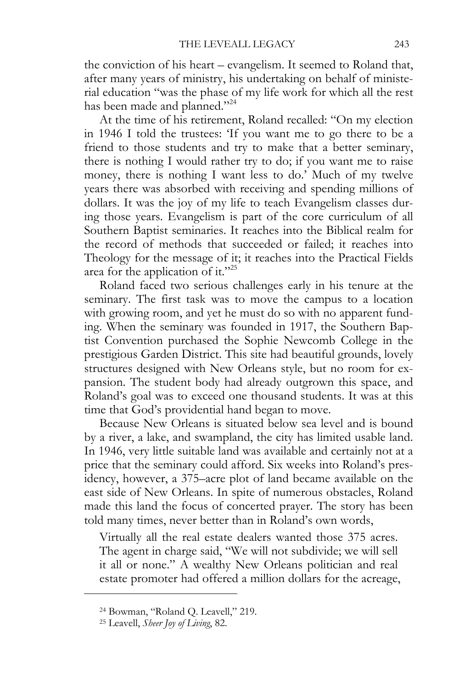the conviction of his heart – evangelism. It seemed to Roland that, after many years of ministry, his undertaking on behalf of ministerial education "was the phase of my life work for which all the rest has been made and planned."<sup>24</sup>

At the time of his retirement, Roland recalled: "On my election in 1946 I told the trustees: 'If you want me to go there to be a friend to those students and try to make that a better seminary, there is nothing I would rather try to do; if you want me to raise money, there is nothing I want less to do.' Much of my twelve years there was absorbed with receiving and spending millions of dollars. It was the joy of my life to teach Evangelism classes during those years. Evangelism is part of the core curriculum of all Southern Baptist seminaries. It reaches into the Biblical realm for the record of methods that succeeded or failed; it reaches into Theology for the message of it; it reaches into the Practical Fields area for the application of it."<sup>25</sup>

Roland faced two serious challenges early in his tenure at the seminary. The first task was to move the campus to a location with growing room, and yet he must do so with no apparent funding. When the seminary was founded in 1917, the Southern Baptist Convention purchased the Sophie Newcomb College in the prestigious Garden District. This site had beautiful grounds, lovely structures designed with New Orleans style, but no room for expansion. The student body had already outgrown this space, and Roland's goal was to exceed one thousand students. It was at this time that God's providential hand began to move.

Because New Orleans is situated below sea level and is bound by a river, a lake, and swampland, the city has limited usable land. In 1946, very little suitable land was available and certainly not at a price that the seminary could afford. Six weeks into Roland's presidency, however, a 375–acre plot of land became available on the east side of New Orleans. In spite of numerous obstacles, Roland made this land the focus of concerted prayer. The story has been told many times, never better than in Roland's own words,

Virtually all the real estate dealers wanted those 375 acres. The agent in charge said, "We will not subdivide; we will sell it all or none." A wealthy New Orleans politician and real estate promoter had offered a million dollars for the acreage,

<sup>24</sup> Bowman, "Roland Q. Leavell," 219.

<sup>25</sup> Leavell, *Sheer Joy of Living*, 82.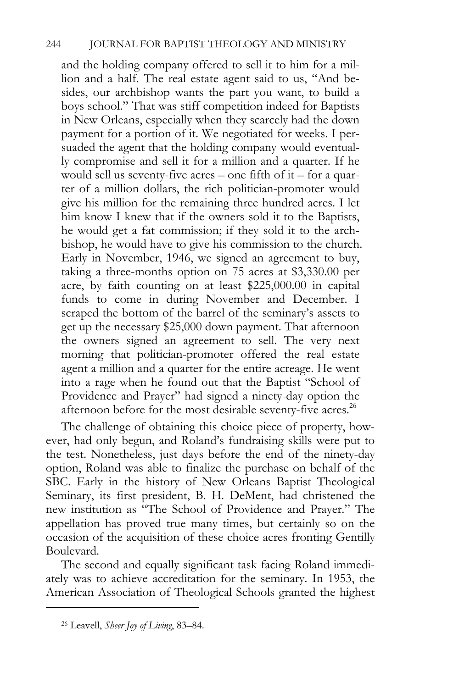and the holding company offered to sell it to him for a million and a half. The real estate agent said to us, "And besides, our archbishop wants the part you want, to build a boys school." That was stiff competition indeed for Baptists in New Orleans, especially when they scarcely had the down payment for a portion of it. We negotiated for weeks. I persuaded the agent that the holding company would eventually compromise and sell it for a million and a quarter. If he would sell us seventy-five acres – one fifth of it – for a quarter of a million dollars, the rich politician-promoter would give his million for the remaining three hundred acres. I let him know I knew that if the owners sold it to the Baptists, he would get a fat commission; if they sold it to the archbishop, he would have to give his commission to the church. Early in November, 1946, we signed an agreement to buy, taking a three-months option on 75 acres at \$3,330.00 per acre, by faith counting on at least \$225,000.00 in capital funds to come in during November and December. I scraped the bottom of the barrel of the seminary's assets to get up the necessary \$25,000 down payment. That afternoon the owners signed an agreement to sell. The very next morning that politician-promoter offered the real estate agent a million and a quarter for the entire acreage. He went into a rage when he found out that the Baptist "School of Providence and Prayer" had signed a ninety-day option the afternoon before for the most desirable seventy-five acres.<sup>26</sup>

The challenge of obtaining this choice piece of property, however, had only begun, and Roland's fundraising skills were put to the test. Nonetheless, just days before the end of the ninety-day option, Roland was able to finalize the purchase on behalf of the SBC. Early in the history of New Orleans Baptist Theological Seminary, its first president, B. H. DeMent, had christened the new institution as "The School of Providence and Prayer." The appellation has proved true many times, but certainly so on the occasion of the acquisition of these choice acres fronting Gentilly Boulevard.

The second and equally significant task facing Roland immediately was to achieve accreditation for the seminary. In 1953, the American Association of Theological Schools granted the highest

<sup>26</sup> Leavell, *Sheer Joy of Living*, 83–84.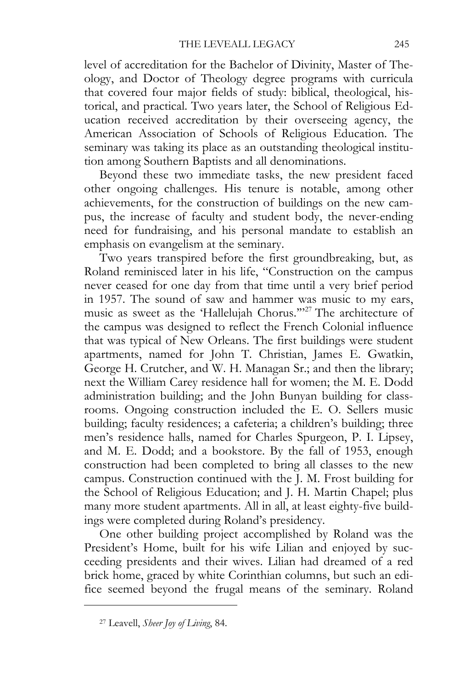level of accreditation for the Bachelor of Divinity, Master of Theology, and Doctor of Theology degree programs with curricula that covered four major fields of study: biblical, theological, historical, and practical. Two years later, the School of Religious Education received accreditation by their overseeing agency, the American Association of Schools of Religious Education. The seminary was taking its place as an outstanding theological institution among Southern Baptists and all denominations.

Beyond these two immediate tasks, the new president faced other ongoing challenges. His tenure is notable, among other achievements, for the construction of buildings on the new campus, the increase of faculty and student body, the never-ending need for fundraising, and his personal mandate to establish an emphasis on evangelism at the seminary.

Two years transpired before the first groundbreaking, but, as Roland reminisced later in his life, "Construction on the campus never ceased for one day from that time until a very brief period in 1957. The sound of saw and hammer was music to my ears, music as sweet as the 'Hallelujah Chorus.'"27 The architecture of the campus was designed to reflect the French Colonial influence that was typical of New Orleans. The first buildings were student apartments, named for John T. Christian, James E. Gwatkin, George H. Crutcher, and W. H. Managan Sr.; and then the library; next the William Carey residence hall for women; the M. E. Dodd administration building; and the John Bunyan building for classrooms. Ongoing construction included the E. O. Sellers music building; faculty residences; a cafeteria; a children's building; three men's residence halls, named for Charles Spurgeon, P. I. Lipsey, and M. E. Dodd; and a bookstore. By the fall of 1953, enough construction had been completed to bring all classes to the new campus. Construction continued with the J. M. Frost building for the School of Religious Education; and J. H. Martin Chapel; plus many more student apartments. All in all, at least eighty-five buildings were completed during Roland's presidency.

One other building project accomplished by Roland was the President's Home, built for his wife Lilian and enjoyed by succeeding presidents and their wives. Lilian had dreamed of a red brick home, graced by white Corinthian columns, but such an edifice seemed beyond the frugal means of the seminary. Roland

<sup>27</sup> Leavell, *Sheer Joy of Living*, 84.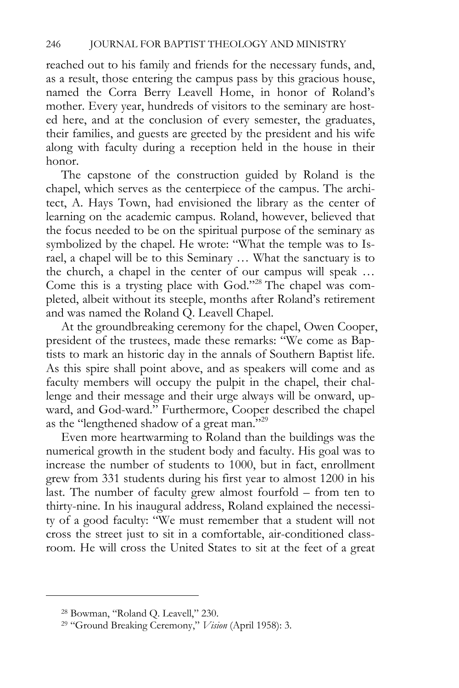reached out to his family and friends for the necessary funds, and, as a result, those entering the campus pass by this gracious house, named the Corra Berry Leavell Home, in honor of Roland's mother. Every year, hundreds of visitors to the seminary are hosted here, and at the conclusion of every semester, the graduates, their families, and guests are greeted by the president and his wife along with faculty during a reception held in the house in their honor.

The capstone of the construction guided by Roland is the chapel, which serves as the centerpiece of the campus. The architect, A. Hays Town, had envisioned the library as the center of learning on the academic campus. Roland, however, believed that the focus needed to be on the spiritual purpose of the seminary as symbolized by the chapel. He wrote: "What the temple was to Israel, a chapel will be to this Seminary … What the sanctuary is to the church, a chapel in the center of our campus will speak … Come this is a trysting place with God."28 The chapel was completed, albeit without its steeple, months after Roland's retirement and was named the Roland Q. Leavell Chapel.

At the groundbreaking ceremony for the chapel, Owen Cooper, president of the trustees, made these remarks: "We come as Baptists to mark an historic day in the annals of Southern Baptist life. As this spire shall point above, and as speakers will come and as faculty members will occupy the pulpit in the chapel, their challenge and their message and their urge always will be onward, upward, and God-ward." Furthermore, Cooper described the chapel as the "lengthened shadow of a great man."29

Even more heartwarming to Roland than the buildings was the numerical growth in the student body and faculty. His goal was to increase the number of students to 1000, but in fact, enrollment grew from 331 students during his first year to almost 1200 in his last. The number of faculty grew almost fourfold – from ten to thirty-nine. In his inaugural address, Roland explained the necessity of a good faculty: "We must remember that a student will not cross the street just to sit in a comfortable, air-conditioned classroom. He will cross the United States to sit at the feet of a great

<sup>28</sup> Bowman, "Roland Q. Leavell," 230.

<sup>29 &</sup>quot;Ground Breaking Ceremony," *Vision* (April 1958): 3.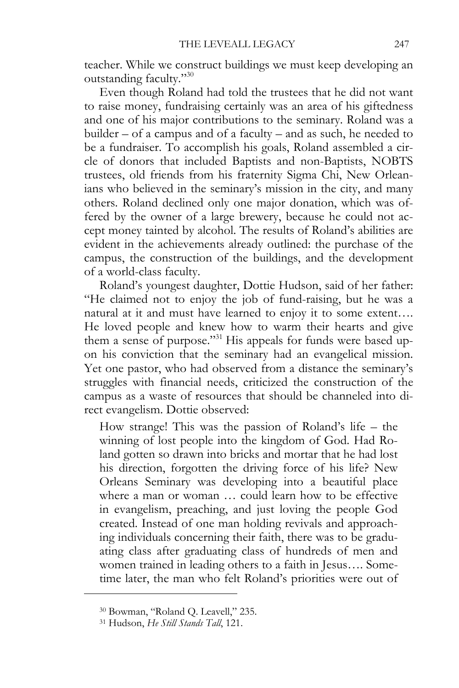teacher. While we construct buildings we must keep developing an outstanding faculty."30

Even though Roland had told the trustees that he did not want to raise money, fundraising certainly was an area of his giftedness and one of his major contributions to the seminary. Roland was a builder – of a campus and of a faculty – and as such, he needed to be a fundraiser. To accomplish his goals, Roland assembled a circle of donors that included Baptists and non-Baptists, NOBTS trustees, old friends from his fraternity Sigma Chi, New Orleanians who believed in the seminary's mission in the city, and many others. Roland declined only one major donation, which was offered by the owner of a large brewery, because he could not accept money tainted by alcohol. The results of Roland's abilities are evident in the achievements already outlined: the purchase of the campus, the construction of the buildings, and the development of a world-class faculty.

Roland's youngest daughter, Dottie Hudson, said of her father: "He claimed not to enjoy the job of fund-raising, but he was a natural at it and must have learned to enjoy it to some extent…. He loved people and knew how to warm their hearts and give them a sense of purpose."31 His appeals for funds were based upon his conviction that the seminary had an evangelical mission. Yet one pastor, who had observed from a distance the seminary's struggles with financial needs, criticized the construction of the campus as a waste of resources that should be channeled into direct evangelism. Dottie observed:

How strange! This was the passion of Roland's life – the winning of lost people into the kingdom of God. Had Roland gotten so drawn into bricks and mortar that he had lost his direction, forgotten the driving force of his life? New Orleans Seminary was developing into a beautiful place where a man or woman … could learn how to be effective in evangelism, preaching, and just loving the people God created. Instead of one man holding revivals and approaching individuals concerning their faith, there was to be graduating class after graduating class of hundreds of men and women trained in leading others to a faith in Jesus…. Sometime later, the man who felt Roland's priorities were out of

<sup>30</sup> Bowman, "Roland Q. Leavell," 235.

<sup>31</sup> Hudson, *He Still Stands Tall*, 121.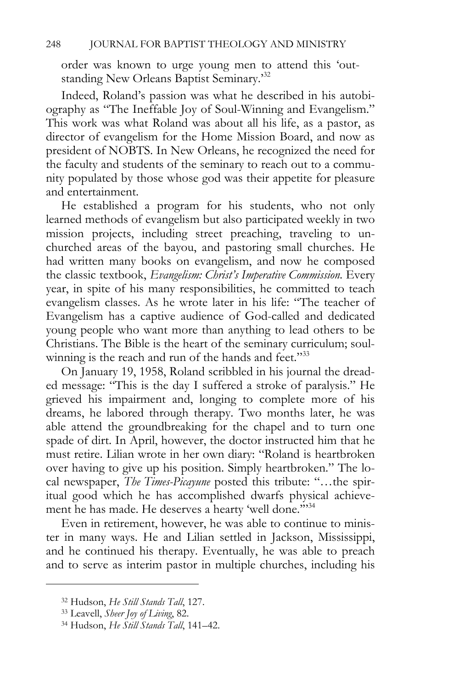order was known to urge young men to attend this 'outstanding New Orleans Baptist Seminary.'32

Indeed, Roland's passion was what he described in his autobiography as "The Ineffable Joy of Soul-Winning and Evangelism." This work was what Roland was about all his life, as a pastor, as director of evangelism for the Home Mission Board, and now as president of NOBTS. In New Orleans, he recognized the need for the faculty and students of the seminary to reach out to a community populated by those whose god was their appetite for pleasure and entertainment.

He established a program for his students, who not only learned methods of evangelism but also participated weekly in two mission projects, including street preaching, traveling to unchurched areas of the bayou, and pastoring small churches. He had written many books on evangelism, and now he composed the classic textbook, *Evangelism: Christ's Imperative Commission*. Every year, in spite of his many responsibilities, he committed to teach evangelism classes. As he wrote later in his life: "The teacher of Evangelism has a captive audience of God-called and dedicated young people who want more than anything to lead others to be Christians. The Bible is the heart of the seminary curriculum; soulwinning is the reach and run of the hands and feet."<sup>33</sup>

On January 19, 1958, Roland scribbled in his journal the dreaded message: "This is the day I suffered a stroke of paralysis." He grieved his impairment and, longing to complete more of his dreams, he labored through therapy. Two months later, he was able attend the groundbreaking for the chapel and to turn one spade of dirt. In April, however, the doctor instructed him that he must retire. Lilian wrote in her own diary: "Roland is heartbroken over having to give up his position. Simply heartbroken." The local newspaper, *The Times-Picayune* posted this tribute: "…the spiritual good which he has accomplished dwarfs physical achievement he has made. He deserves a hearty 'well done."<sup>34</sup>

Even in retirement, however, he was able to continue to minister in many ways. He and Lilian settled in Jackson, Mississippi, and he continued his therapy. Eventually, he was able to preach and to serve as interim pastor in multiple churches, including his

<sup>32</sup> Hudson, *He Still Stands Tall*, 127. 33 Leavell, *Sheer Joy of Living*, 82. 34 Hudson, *He Still Stands Tall*, 141–42.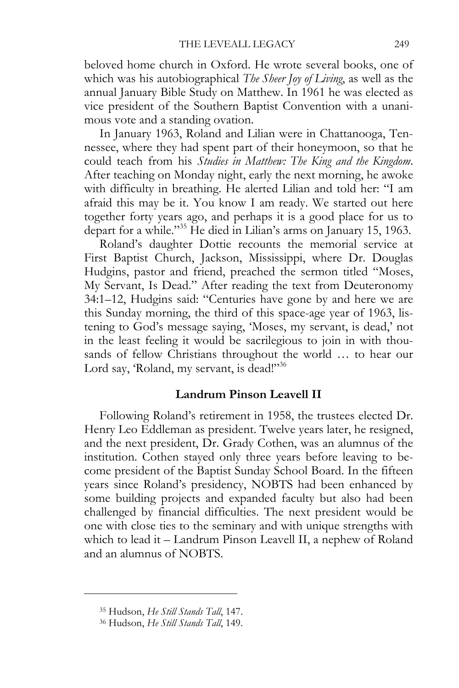beloved home church in Oxford. He wrote several books, one of which was his autobiographical *The Sheer Joy of Living*, as well as the annual January Bible Study on Matthew. In 1961 he was elected as vice president of the Southern Baptist Convention with a unanimous vote and a standing ovation.

In January 1963, Roland and Lilian were in Chattanooga, Tennessee, where they had spent part of their honeymoon, so that he could teach from his *Studies in Matthew: The King and the Kingdom*. After teaching on Monday night, early the next morning, he awoke with difficulty in breathing. He alerted Lilian and told her: "I am afraid this may be it. You know I am ready. We started out here together forty years ago, and perhaps it is a good place for us to depart for a while."35 He died in Lilian's arms on January 15, 1963.

Roland's daughter Dottie recounts the memorial service at First Baptist Church, Jackson, Mississippi, where Dr. Douglas Hudgins, pastor and friend, preached the sermon titled "Moses, My Servant, Is Dead." After reading the text from Deuteronomy 34:1–12, Hudgins said: "Centuries have gone by and here we are this Sunday morning, the third of this space-age year of 1963, listening to God's message saying, 'Moses, my servant, is dead,' not in the least feeling it would be sacrilegious to join in with thousands of fellow Christians throughout the world … to hear our Lord say, 'Roland, my servant, is dead!"<sup>36</sup>

## **Landrum Pinson Leavell II**

Following Roland's retirement in 1958, the trustees elected Dr. Henry Leo Eddleman as president. Twelve years later, he resigned, and the next president, Dr. Grady Cothen, was an alumnus of the institution. Cothen stayed only three years before leaving to become president of the Baptist Sunday School Board. In the fifteen years since Roland's presidency, NOBTS had been enhanced by some building projects and expanded faculty but also had been challenged by financial difficulties. The next president would be one with close ties to the seminary and with unique strengths with which to lead it – Landrum Pinson Leavell II, a nephew of Roland and an alumnus of NOBTS.

<sup>35</sup> Hudson, *He Still Stands Tall*, 147. 36 Hudson, *He Still Stands Tall*, 149.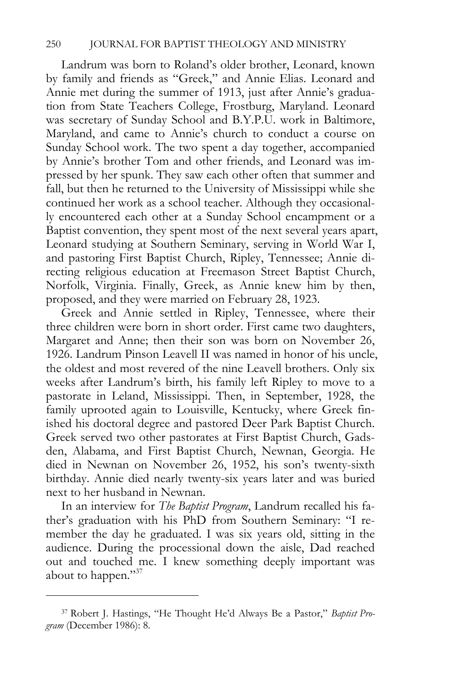Landrum was born to Roland's older brother, Leonard, known by family and friends as "Greek," and Annie Elias. Leonard and Annie met during the summer of 1913, just after Annie's graduation from State Teachers College, Frostburg, Maryland. Leonard was secretary of Sunday School and B.Y.P.U. work in Baltimore, Maryland, and came to Annie's church to conduct a course on Sunday School work. The two spent a day together, accompanied by Annie's brother Tom and other friends, and Leonard was impressed by her spunk. They saw each other often that summer and fall, but then he returned to the University of Mississippi while she continued her work as a school teacher. Although they occasionally encountered each other at a Sunday School encampment or a Baptist convention, they spent most of the next several years apart, Leonard studying at Southern Seminary, serving in World War I, and pastoring First Baptist Church, Ripley, Tennessee; Annie directing religious education at Freemason Street Baptist Church, Norfolk, Virginia. Finally, Greek, as Annie knew him by then, proposed, and they were married on February 28, 1923.

Greek and Annie settled in Ripley, Tennessee, where their three children were born in short order. First came two daughters, Margaret and Anne; then their son was born on November 26, 1926. Landrum Pinson Leavell II was named in honor of his uncle, the oldest and most revered of the nine Leavell brothers. Only six weeks after Landrum's birth, his family left Ripley to move to a pastorate in Leland, Mississippi. Then, in September, 1928, the family uprooted again to Louisville, Kentucky, where Greek finished his doctoral degree and pastored Deer Park Baptist Church. Greek served two other pastorates at First Baptist Church, Gadsden, Alabama, and First Baptist Church, Newnan, Georgia. He died in Newnan on November 26, 1952, his son's twenty-sixth birthday. Annie died nearly twenty-six years later and was buried next to her husband in Newnan.

In an interview for *The Baptist Program*, Landrum recalled his father's graduation with his PhD from Southern Seminary: "I remember the day he graduated. I was six years old, sitting in the audience. During the processional down the aisle, Dad reached out and touched me. I knew something deeply important was about to happen."<sup>37</sup>

<sup>37</sup> Robert J. Hastings, "He Thought He'd Always Be a Pastor," *Baptist Program* (December 1986): 8.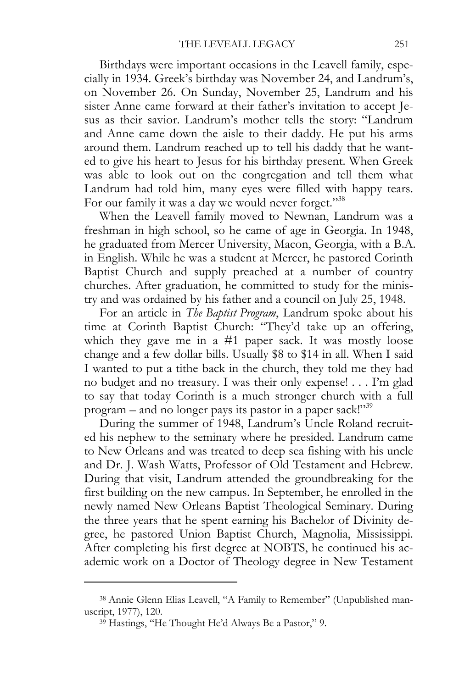Birthdays were important occasions in the Leavell family, especially in 1934. Greek's birthday was November 24, and Landrum's, on November 26. On Sunday, November 25, Landrum and his sister Anne came forward at their father's invitation to accept Jesus as their savior. Landrum's mother tells the story: "Landrum and Anne came down the aisle to their daddy. He put his arms around them. Landrum reached up to tell his daddy that he wanted to give his heart to Jesus for his birthday present. When Greek was able to look out on the congregation and tell them what Landrum had told him, many eyes were filled with happy tears. For our family it was a day we would never forget."<sup>38</sup>

When the Leavell family moved to Newnan, Landrum was a freshman in high school, so he came of age in Georgia. In 1948, he graduated from Mercer University, Macon, Georgia, with a B.A. in English. While he was a student at Mercer, he pastored Corinth Baptist Church and supply preached at a number of country churches. After graduation, he committed to study for the ministry and was ordained by his father and a council on July 25, 1948.

For an article in *The Baptist Program*, Landrum spoke about his time at Corinth Baptist Church: "They'd take up an offering, which they gave me in a #1 paper sack. It was mostly loose change and a few dollar bills. Usually \$8 to \$14 in all. When I said I wanted to put a tithe back in the church, they told me they had no budget and no treasury. I was their only expense! . . . I'm glad to say that today Corinth is a much stronger church with a full program – and no longer pays its pastor in a paper sack!"39

During the summer of 1948, Landrum's Uncle Roland recruited his nephew to the seminary where he presided. Landrum came to New Orleans and was treated to deep sea fishing with his uncle and Dr. J. Wash Watts, Professor of Old Testament and Hebrew. During that visit, Landrum attended the groundbreaking for the first building on the new campus. In September, he enrolled in the newly named New Orleans Baptist Theological Seminary. During the three years that he spent earning his Bachelor of Divinity degree, he pastored Union Baptist Church, Magnolia, Mississippi. After completing his first degree at NOBTS, he continued his academic work on a Doctor of Theology degree in New Testament

<sup>38</sup> Annie Glenn Elias Leavell, "A Family to Remember" (Unpublished manuscript, 1977), 120.<br><sup>39</sup> Hastings, "He Thought He'd Always Be a Pastor," 9.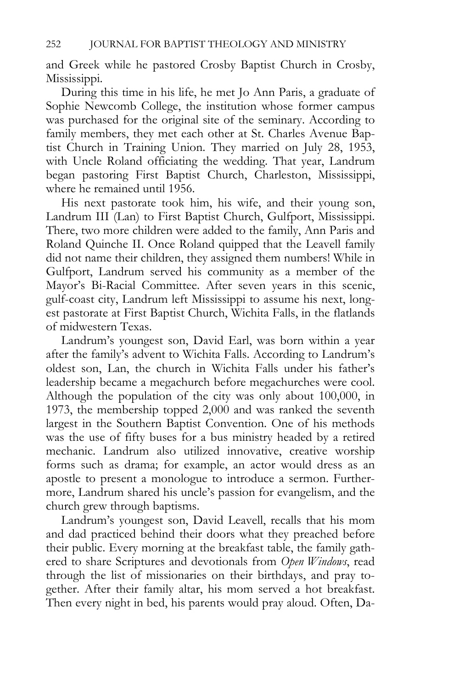and Greek while he pastored Crosby Baptist Church in Crosby, Mississippi.

During this time in his life, he met Jo Ann Paris, a graduate of Sophie Newcomb College, the institution whose former campus was purchased for the original site of the seminary. According to family members, they met each other at St. Charles Avenue Baptist Church in Training Union. They married on July 28, 1953, with Uncle Roland officiating the wedding. That year, Landrum began pastoring First Baptist Church, Charleston, Mississippi, where he remained until 1956.

His next pastorate took him, his wife, and their young son, Landrum III (Lan) to First Baptist Church, Gulfport, Mississippi. There, two more children were added to the family, Ann Paris and Roland Quinche II. Once Roland quipped that the Leavell family did not name their children, they assigned them numbers! While in Gulfport, Landrum served his community as a member of the Mayor's Bi-Racial Committee. After seven years in this scenic, gulf-coast city, Landrum left Mississippi to assume his next, longest pastorate at First Baptist Church, Wichita Falls, in the flatlands of midwestern Texas.

Landrum's youngest son, David Earl, was born within a year after the family's advent to Wichita Falls. According to Landrum's oldest son, Lan, the church in Wichita Falls under his father's leadership became a megachurch before megachurches were cool. Although the population of the city was only about 100,000, in 1973, the membership topped 2,000 and was ranked the seventh largest in the Southern Baptist Convention. One of his methods was the use of fifty buses for a bus ministry headed by a retired mechanic. Landrum also utilized innovative, creative worship forms such as drama; for example, an actor would dress as an apostle to present a monologue to introduce a sermon. Furthermore, Landrum shared his uncle's passion for evangelism, and the church grew through baptisms.

Landrum's youngest son, David Leavell, recalls that his mom and dad practiced behind their doors what they preached before their public. Every morning at the breakfast table, the family gathered to share Scriptures and devotionals from *Open Windows*, read through the list of missionaries on their birthdays, and pray together. After their family altar, his mom served a hot breakfast. Then every night in bed, his parents would pray aloud. Often, Da-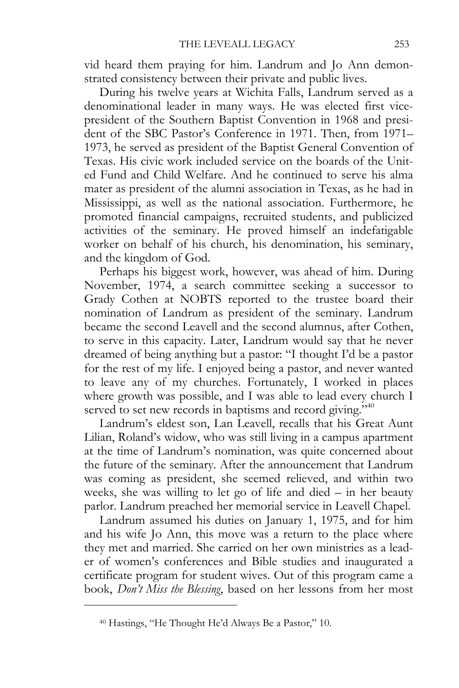vid heard them praying for him. Landrum and Jo Ann demonstrated consistency between their private and public lives.

During his twelve years at Wichita Falls, Landrum served as a denominational leader in many ways. He was elected first vicepresident of the Southern Baptist Convention in 1968 and president of the SBC Pastor's Conference in 1971. Then, from 1971– 1973, he served as president of the Baptist General Convention of Texas. His civic work included service on the boards of the United Fund and Child Welfare. And he continued to serve his alma mater as president of the alumni association in Texas, as he had in Mississippi, as well as the national association. Furthermore, he promoted financial campaigns, recruited students, and publicized activities of the seminary. He proved himself an indefatigable worker on behalf of his church, his denomination, his seminary, and the kingdom of God.

Perhaps his biggest work, however, was ahead of him. During November, 1974, a search committee seeking a successor to Grady Cothen at NOBTS reported to the trustee board their nomination of Landrum as president of the seminary. Landrum became the second Leavell and the second alumnus, after Cothen, to serve in this capacity. Later, Landrum would say that he never dreamed of being anything but a pastor: "I thought I'd be a pastor for the rest of my life. I enjoyed being a pastor, and never wanted to leave any of my churches. Fortunately, I worked in places where growth was possible, and I was able to lead every church I served to set new records in baptisms and record giving."<sup>40</sup>

Landrum's eldest son, Lan Leavell, recalls that his Great Aunt Lilian, Roland's widow, who was still living in a campus apartment at the time of Landrum's nomination, was quite concerned about the future of the seminary. After the announcement that Landrum was coming as president, she seemed relieved, and within two weeks, she was willing to let go of life and died – in her beauty parlor. Landrum preached her memorial service in Leavell Chapel.

Landrum assumed his duties on January 1, 1975, and for him and his wife Jo Ann, this move was a return to the place where they met and married. She carried on her own ministries as a leader of women's conferences and Bible studies and inaugurated a certificate program for student wives. Out of this program came a book, *Don't Miss the Blessing*, based on her lessons from her most

<sup>40</sup> Hastings, "He Thought He'd Always Be a Pastor," 10.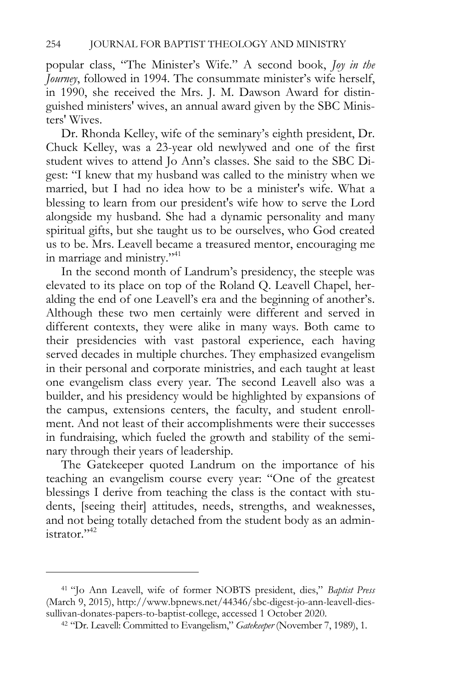popular class, "The Minister's Wife." A second book, *Joy in the Journey*, followed in 1994. The consummate minister's wife herself, in 1990, she received the Mrs. J. M. Dawson Award for distinguished ministers' wives, an annual award given by the SBC Ministers' Wives.

Dr. Rhonda Kelley, wife of the seminary's eighth president, Dr. Chuck Kelley, was a 23-year old newlywed and one of the first student wives to attend Jo Ann's classes. She said to the SBC Digest: "I knew that my husband was called to the ministry when we married, but I had no idea how to be a minister's wife. What a blessing to learn from our president's wife how to serve the Lord alongside my husband. She had a dynamic personality and many spiritual gifts, but she taught us to be ourselves, who God created us to be. Mrs. Leavell became a treasured mentor, encouraging me in marriage and ministry."<sup>41</sup>

In the second month of Landrum's presidency, the steeple was elevated to its place on top of the Roland Q. Leavell Chapel, heralding the end of one Leavell's era and the beginning of another's. Although these two men certainly were different and served in different contexts, they were alike in many ways. Both came to their presidencies with vast pastoral experience, each having served decades in multiple churches. They emphasized evangelism in their personal and corporate ministries, and each taught at least one evangelism class every year. The second Leavell also was a builder, and his presidency would be highlighted by expansions of the campus, extensions centers, the faculty, and student enrollment. And not least of their accomplishments were their successes in fundraising, which fueled the growth and stability of the seminary through their years of leadership.

The Gatekeeper quoted Landrum on the importance of his teaching an evangelism course every year: "One of the greatest blessings I derive from teaching the class is the contact with students, [seeing their] attitudes, needs, strengths, and weaknesses, and not being totally detached from the student body as an administrator."42

<sup>41 &</sup>quot;Jo Ann Leavell, wife of former NOBTS president, dies," *Baptist Press* (March 9, 2015), http://www.bpnews.net/44346/sbc-digest-jo-ann-leavell-diessullivan-donates-papers-to-baptist-college, accessed 1 October 2020. 42 "Dr. Leavell: Committed to Evangelism," *Gatekeeper* (November 7, 1989), 1.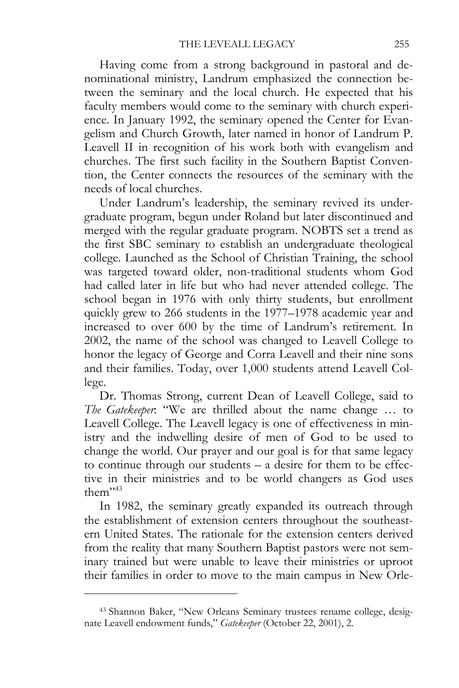Having come from a strong background in pastoral and denominational ministry, Landrum emphasized the connection between the seminary and the local church. He expected that his faculty members would come to the seminary with church experience. In January 1992, the seminary opened the Center for Evangelism and Church Growth, later named in honor of Landrum P. Leavell II in recognition of his work both with evangelism and churches. The first such facility in the Southern Baptist Convention, the Center connects the resources of the seminary with the needs of local churches.

Under Landrum's leadership, the seminary revived its undergraduate program, begun under Roland but later discontinued and merged with the regular graduate program. NOBTS set a trend as the first SBC seminary to establish an undergraduate theological college. Launched as the School of Christian Training, the school was targeted toward older, non-traditional students whom God had called later in life but who had never attended college. The school began in 1976 with only thirty students, but enrollment quickly grew to 266 students in the 1977–1978 academic year and increased to over 600 by the time of Landrum's retirement. In 2002, the name of the school was changed to Leavell College to honor the legacy of George and Corra Leavell and their nine sons and their families. Today, over 1,000 students attend Leavell College.

Dr. Thomas Strong, current Dean of Leavell College, said to *The Gatekeeper*: "We are thrilled about the name change … to Leavell College. The Leavell legacy is one of effectiveness in ministry and the indwelling desire of men of God to be used to change the world. Our prayer and our goal is for that same legacy to continue through our students – a desire for them to be effective in their ministries and to be world changers as God uses them $"$ <sup>43</sup>

In 1982, the seminary greatly expanded its outreach through the establishment of extension centers throughout the southeastern United States. The rationale for the extension centers derived from the reality that many Southern Baptist pastors were not seminary trained but were unable to leave their ministries or uproot their families in order to move to the main campus in New Orle-

<sup>43</sup> Shannon Baker, "New Orleans Seminary trustees rename college, designate Leavell endowment funds," *Gatekeeper* (October 22, 2001), 2.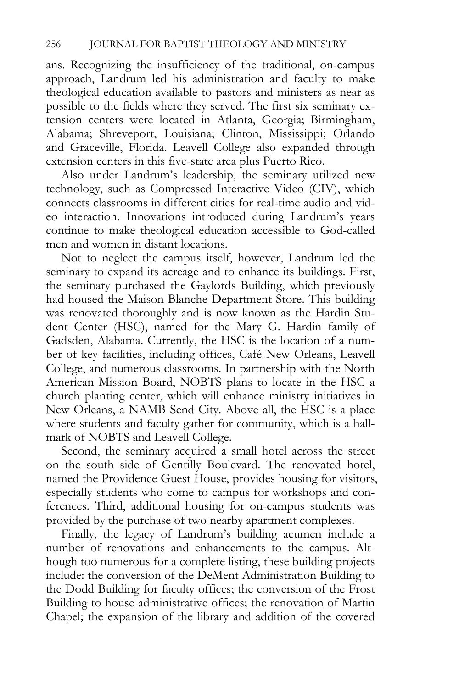ans. Recognizing the insufficiency of the traditional, on-campus approach, Landrum led his administration and faculty to make theological education available to pastors and ministers as near as possible to the fields where they served. The first six seminary extension centers were located in Atlanta, Georgia; Birmingham, Alabama; Shreveport, Louisiana; Clinton, Mississippi; Orlando and Graceville, Florida. Leavell College also expanded through extension centers in this five-state area plus Puerto Rico.

Also under Landrum's leadership, the seminary utilized new technology, such as Compressed Interactive Video (CIV), which connects classrooms in different cities for real-time audio and video interaction. Innovations introduced during Landrum's years continue to make theological education accessible to God-called men and women in distant locations.

Not to neglect the campus itself, however, Landrum led the seminary to expand its acreage and to enhance its buildings. First, the seminary purchased the Gaylords Building, which previously had housed the Maison Blanche Department Store. This building was renovated thoroughly and is now known as the Hardin Student Center (HSC), named for the Mary G. Hardin family of Gadsden, Alabama. Currently, the HSC is the location of a number of key facilities, including offices, Café New Orleans, Leavell College, and numerous classrooms. In partnership with the North American Mission Board, NOBTS plans to locate in the HSC a church planting center, which will enhance ministry initiatives in New Orleans, a NAMB Send City. Above all, the HSC is a place where students and faculty gather for community, which is a hallmark of NOBTS and Leavell College.

Second, the seminary acquired a small hotel across the street on the south side of Gentilly Boulevard. The renovated hotel, named the Providence Guest House, provides housing for visitors, especially students who come to campus for workshops and conferences. Third, additional housing for on-campus students was provided by the purchase of two nearby apartment complexes.

Finally, the legacy of Landrum's building acumen include a number of renovations and enhancements to the campus. Although too numerous for a complete listing, these building projects include: the conversion of the DeMent Administration Building to the Dodd Building for faculty offices; the conversion of the Frost Building to house administrative offices; the renovation of Martin Chapel; the expansion of the library and addition of the covered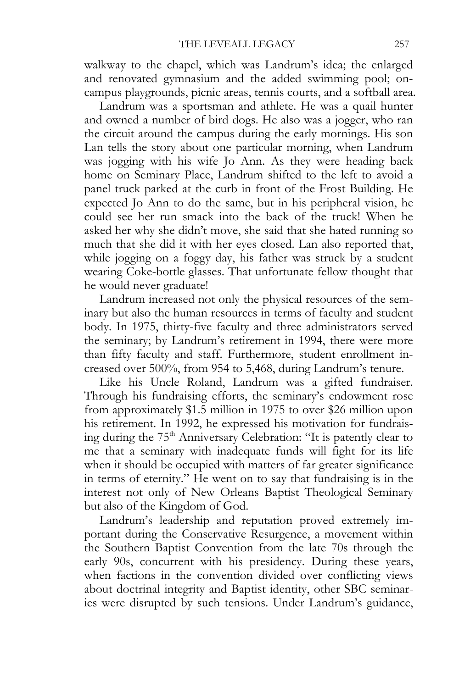walkway to the chapel, which was Landrum's idea; the enlarged and renovated gymnasium and the added swimming pool; oncampus playgrounds, picnic areas, tennis courts, and a softball area.

Landrum was a sportsman and athlete. He was a quail hunter and owned a number of bird dogs. He also was a jogger, who ran the circuit around the campus during the early mornings. His son Lan tells the story about one particular morning, when Landrum was jogging with his wife Jo Ann. As they were heading back home on Seminary Place, Landrum shifted to the left to avoid a panel truck parked at the curb in front of the Frost Building. He expected Jo Ann to do the same, but in his peripheral vision, he could see her run smack into the back of the truck! When he asked her why she didn't move, she said that she hated running so much that she did it with her eyes closed. Lan also reported that, while jogging on a foggy day, his father was struck by a student wearing Coke-bottle glasses. That unfortunate fellow thought that he would never graduate!

Landrum increased not only the physical resources of the seminary but also the human resources in terms of faculty and student body. In 1975, thirty-five faculty and three administrators served the seminary; by Landrum's retirement in 1994, there were more than fifty faculty and staff. Furthermore, student enrollment increased over 500%, from 954 to 5,468, during Landrum's tenure.

Like his Uncle Roland, Landrum was a gifted fundraiser. Through his fundraising efforts, the seminary's endowment rose from approximately \$1.5 million in 1975 to over \$26 million upon his retirement. In 1992, he expressed his motivation for fundraising during the 75<sup>th</sup> Anniversary Celebration: "It is patently clear to me that a seminary with inadequate funds will fight for its life when it should be occupied with matters of far greater significance in terms of eternity." He went on to say that fundraising is in the interest not only of New Orleans Baptist Theological Seminary but also of the Kingdom of God.

Landrum's leadership and reputation proved extremely important during the Conservative Resurgence, a movement within the Southern Baptist Convention from the late 70s through the early 90s, concurrent with his presidency. During these years, when factions in the convention divided over conflicting views about doctrinal integrity and Baptist identity, other SBC seminaries were disrupted by such tensions. Under Landrum's guidance,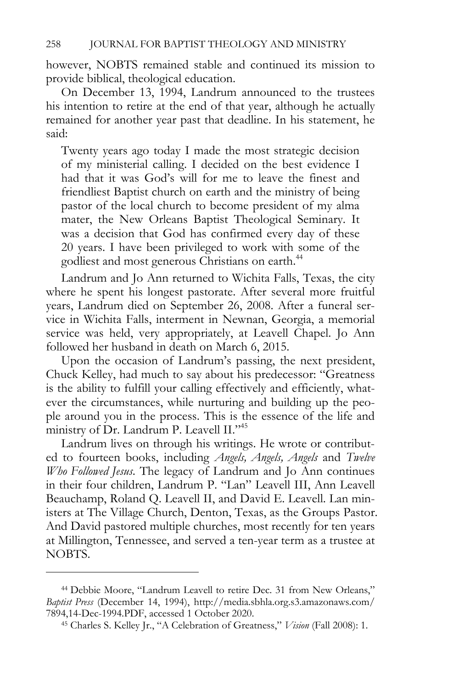however, NOBTS remained stable and continued its mission to provide biblical, theological education.

On December 13, 1994, Landrum announced to the trustees his intention to retire at the end of that year, although he actually remained for another year past that deadline. In his statement, he said:

Twenty years ago today I made the most strategic decision of my ministerial calling. I decided on the best evidence I had that it was God's will for me to leave the finest and friendliest Baptist church on earth and the ministry of being pastor of the local church to become president of my alma mater, the New Orleans Baptist Theological Seminary. It was a decision that God has confirmed every day of these 20 years. I have been privileged to work with some of the godliest and most generous Christians on earth.<sup>44</sup>

Landrum and Jo Ann returned to Wichita Falls, Texas, the city where he spent his longest pastorate. After several more fruitful years, Landrum died on September 26, 2008. After a funeral service in Wichita Falls, interment in Newnan, Georgia, a memorial service was held, very appropriately, at Leavell Chapel. Jo Ann followed her husband in death on March 6, 2015.

Upon the occasion of Landrum's passing, the next president, Chuck Kelley, had much to say about his predecessor: "Greatness is the ability to fulfill your calling effectively and efficiently, whatever the circumstances, while nurturing and building up the people around you in the process. This is the essence of the life and ministry of Dr. Landrum P. Leavell II."<sup>45</sup>

Landrum lives on through his writings. He wrote or contributed to fourteen books, including *Angels, Angels, Angels* and *Twelve Who Followed Jesus*. The legacy of Landrum and Jo Ann continues in their four children, Landrum P. "Lan" Leavell III, Ann Leavell Beauchamp, Roland Q. Leavell II, and David E. Leavell. Lan ministers at The Village Church, Denton, Texas, as the Groups Pastor. And David pastored multiple churches, most recently for ten years at Millington, Tennessee, and served a ten-year term as a trustee at NOBTS.

<sup>44</sup> Debbie Moore, "Landrum Leavell to retire Dec. 31 from New Orleans," *Baptist Press* (December 14, 1994), http://media.sbhla.org.s3.amazonaws.com/ 7894,14-Dec-1994.PDF, accessed 1 October 2020. 45 Charles S. Kelley Jr., "A Celebration of Greatness," *Vision* (Fall 2008): 1.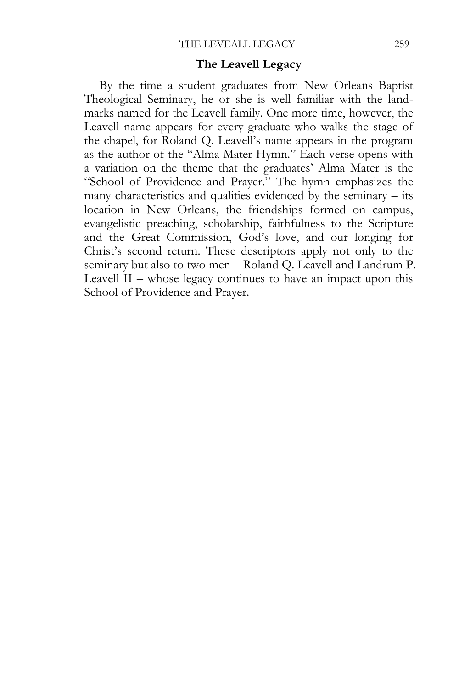#### **The Leavell Legacy**

By the time a student graduates from New Orleans Baptist Theological Seminary, he or she is well familiar with the landmarks named for the Leavell family. One more time, however, the Leavell name appears for every graduate who walks the stage of the chapel, for Roland Q. Leavell's name appears in the program as the author of the "Alma Mater Hymn." Each verse opens with a variation on the theme that the graduates' Alma Mater is the "School of Providence and Prayer." The hymn emphasizes the many characteristics and qualities evidenced by the seminary – its location in New Orleans, the friendships formed on campus, evangelistic preaching, scholarship, faithfulness to the Scripture and the Great Commission, God's love, and our longing for Christ's second return. These descriptors apply not only to the seminary but also to two men – Roland Q. Leavell and Landrum P. Leavell II – whose legacy continues to have an impact upon this School of Providence and Prayer.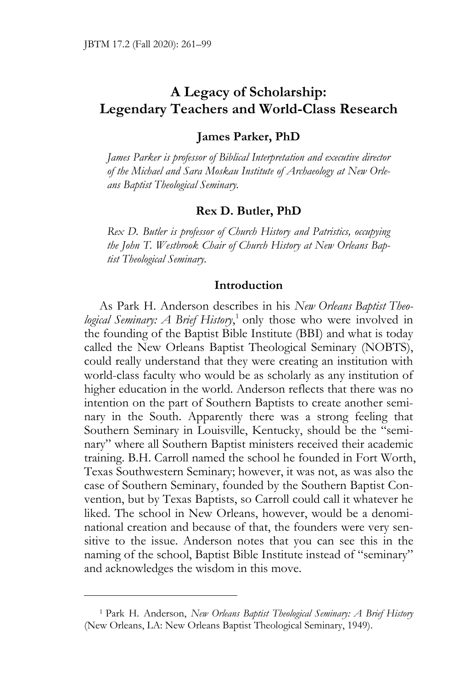# **A Legacy of Scholarship: Legendary Teachers and World-Class Research**

### **James Parker, PhD**

*James Parker is professor of Biblical Interpretation and executive director of the Michael and Sara Moskau Institute of Archaeology at New Orleans Baptist Theological Seminary.* 

### **Rex D. Butler, PhD**

*Rex D. Butler is professor of Church History and Patristics, occupying the John T. Westbrook Chair of Church History at New Orleans Baptist Theological Seminary.* 

## **Introduction**

As Park H. Anderson describes in his *New Orleans Baptist Theo*logical Seminary: A Brief History,<sup>1</sup> only those who were involved in the founding of the Baptist Bible Institute (BBI) and what is today called the New Orleans Baptist Theological Seminary (NOBTS), could really understand that they were creating an institution with world-class faculty who would be as scholarly as any institution of higher education in the world. Anderson reflects that there was no intention on the part of Southern Baptists to create another seminary in the South. Apparently there was a strong feeling that Southern Seminary in Louisville, Kentucky, should be the "seminary" where all Southern Baptist ministers received their academic training. B.H. Carroll named the school he founded in Fort Worth, Texas Southwestern Seminary; however, it was not, as was also the case of Southern Seminary, founded by the Southern Baptist Convention, but by Texas Baptists, so Carroll could call it whatever he liked. The school in New Orleans, however, would be a denominational creation and because of that, the founders were very sensitive to the issue. Anderson notes that you can see this in the naming of the school, Baptist Bible Institute instead of "seminary" and acknowledges the wisdom in this move.

<sup>1</sup> Park H. Anderson, *New Orleans Baptist Theological Seminary: A Brief History* (New Orleans, LA: New Orleans Baptist Theological Seminary, 1949).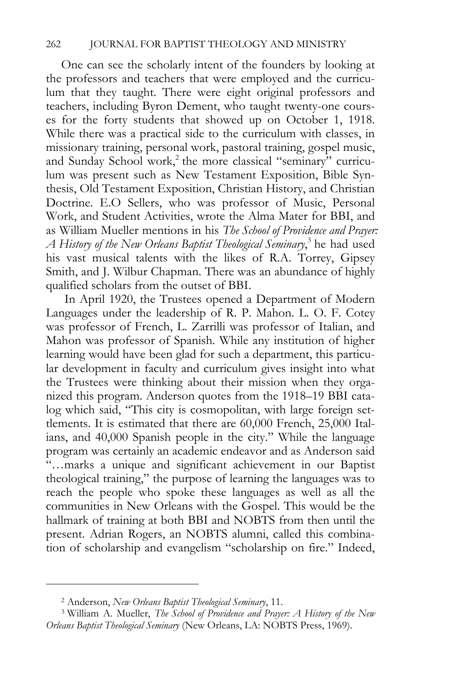One can see the scholarly intent of the founders by looking at the professors and teachers that were employed and the curriculum that they taught. There were eight original professors and teachers, including Byron Dement, who taught twenty-one courses for the forty students that showed up on October 1, 1918. While there was a practical side to the curriculum with classes, in missionary training, personal work, pastoral training, gospel music, and Sunday School work,<sup>2</sup> the more classical "seminary" curriculum was present such as New Testament Exposition, Bible Synthesis, Old Testament Exposition, Christian History, and Christian Doctrine. E.O Sellers, who was professor of Music, Personal Work, and Student Activities, wrote the Alma Mater for BBI, and as William Mueller mentions in his *The School of Providence and Prayer: A History of the New Orleans Baptist Theological Seminary*, 3 he had used his vast musical talents with the likes of R.A. Torrey, Gipsey Smith, and J. Wilbur Chapman. There was an abundance of highly qualified scholars from the outset of BBI.

 In April 1920, the Trustees opened a Department of Modern Languages under the leadership of R. P. Mahon. L. O. F. Cotey was professor of French, L. Zarrilli was professor of Italian, and Mahon was professor of Spanish. While any institution of higher learning would have been glad for such a department, this particular development in faculty and curriculum gives insight into what the Trustees were thinking about their mission when they organized this program. Anderson quotes from the 1918–19 BBI catalog which said, "This city is cosmopolitan, with large foreign settlements. It is estimated that there are 60,000 French, 25,000 Italians, and 40,000 Spanish people in the city." While the language program was certainly an academic endeavor and as Anderson said "…marks a unique and significant achievement in our Baptist theological training," the purpose of learning the languages was to reach the people who spoke these languages as well as all the communities in New Orleans with the Gospel. This would be the hallmark of training at both BBI and NOBTS from then until the present. Adrian Rogers, an NOBTS alumni, called this combination of scholarship and evangelism "scholarship on fire." Indeed,

<sup>2</sup> Anderson, *New Orleans Baptist Theological Seminary*, 11. 3 William A. Mueller, *The School of Providence and Prayer: A History of the New Orleans Baptist Theological Seminary* (New Orleans, LA: NOBTS Press, 1969).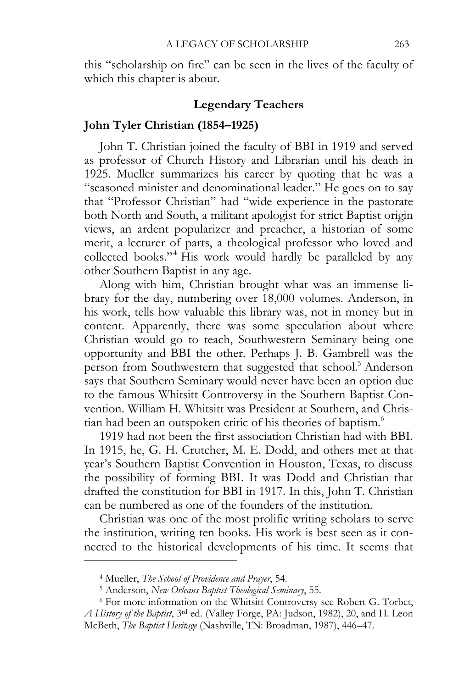this "scholarship on fire" can be seen in the lives of the faculty of which this chapter is about.

#### **Legendary Teachers**

### **John Tyler Christian (1854–1925)**

John T. Christian joined the faculty of BBI in 1919 and served as professor of Church History and Librarian until his death in 1925. Mueller summarizes his career by quoting that he was a "seasoned minister and denominational leader." He goes on to say that "Professor Christian" had "wide experience in the pastorate both North and South, a militant apologist for strict Baptist origin views, an ardent popularizer and preacher, a historian of some merit, a lecturer of parts, a theological professor who loved and collected books."<sup>4</sup> His work would hardly be paralleled by any other Southern Baptist in any age.

Along with him, Christian brought what was an immense library for the day, numbering over 18,000 volumes. Anderson, in his work, tells how valuable this library was, not in money but in content. Apparently, there was some speculation about where Christian would go to teach, Southwestern Seminary being one opportunity and BBI the other. Perhaps J. B. Gambrell was the person from Southwestern that suggested that school.<sup>5</sup> Anderson says that Southern Seminary would never have been an option due to the famous Whitsitt Controversy in the Southern Baptist Convention. William H. Whitsitt was President at Southern, and Christian had been an outspoken critic of his theories of baptism.<sup>6</sup>

1919 had not been the first association Christian had with BBI. In 1915, he, G. H. Crutcher, M. E. Dodd, and others met at that year's Southern Baptist Convention in Houston, Texas, to discuss the possibility of forming BBI. It was Dodd and Christian that drafted the constitution for BBI in 1917. In this, John T. Christian can be numbered as one of the founders of the institution.

Christian was one of the most prolific writing scholars to serve the institution, writing ten books. His work is best seen as it connected to the historical developments of his time. It seems that

<sup>&</sup>lt;sup>4</sup> Mueller, *The School of Providence and Prayer*, 54.<br><sup>5</sup> Anderson, *New Orleans Baptist Theological Seminary*, 55.<br><sup>6</sup> For more information on the Whitsitt Controversy see Robert G. Torbet, *A History of the Baptist*, 3rd ed. (Valley Forge, PA: Judson, 1982), 20, and H. Leon McBeth, *The Baptist Heritage* (Nashville, TN: Broadman, 1987), 446–47.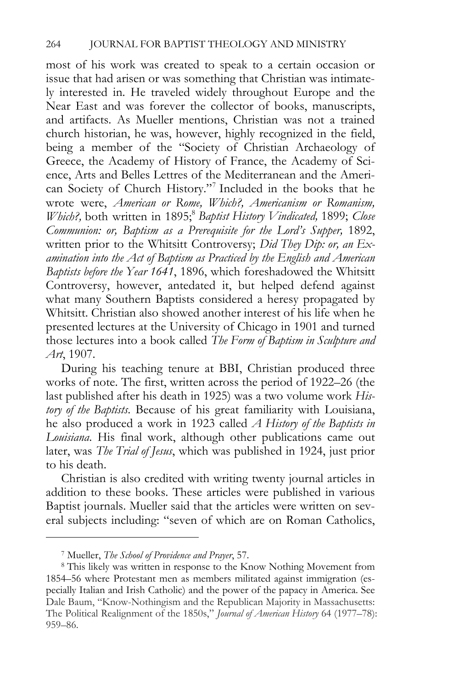most of his work was created to speak to a certain occasion or issue that had arisen or was something that Christian was intimately interested in. He traveled widely throughout Europe and the Near East and was forever the collector of books, manuscripts, and artifacts. As Mueller mentions, Christian was not a trained church historian, he was, however, highly recognized in the field, being a member of the "Society of Christian Archaeology of Greece, the Academy of History of France, the Academy of Science, Arts and Belles Lettres of the Mediterranean and the American Society of Church History."7 Included in the books that he wrote were, *American or Rome, Which?, Americanism or Romanism, Which?, both written in 1895;<sup>8</sup> Baptist History Vindicated, 1899; Close Communion: or, Baptism as a Prerequisite for the Lord's Supper, 1892,* written prior to the Whitsitt Controversy; *Did They Dip: or, an Examination into the Act of Baptism as Practiced by the English and American Baptists before the Year 1641*, 1896, which foreshadowed the Whitsitt Controversy, however, antedated it, but helped defend against what many Southern Baptists considered a heresy propagated by Whitsitt. Christian also showed another interest of his life when he presented lectures at the University of Chicago in 1901 and turned those lectures into a book called *The Form of Baptism in Sculpture and Art*, 1907.

During his teaching tenure at BBI, Christian produced three works of note. The first, written across the period of 1922–26 (the last published after his death in 1925) was a two volume work *History of the Baptists*. Because of his great familiarity with Louisiana, he also produced a work in 1923 called *A History of the Baptists in Louisiana*. His final work, although other publications came out later, was *The Trial of Jesus*, which was published in 1924, just prior to his death.

Christian is also credited with writing twenty journal articles in addition to these books. These articles were published in various Baptist journals. Mueller said that the articles were written on several subjects including: "seven of which are on Roman Catholics,

<sup>7</sup> Mueller, *The School of Providence and Prayer*, 57. 8 This likely was written in response to the Know Nothing Movement from 1854–56 where Protestant men as members militated against immigration (especially Italian and Irish Catholic) and the power of the papacy in America. See Dale Baum, "Know-Nothingism and the Republican Majority in Massachusetts: The Political Realignment of the 1850s," *Journal of American History* 64 (1977–78): 959–86.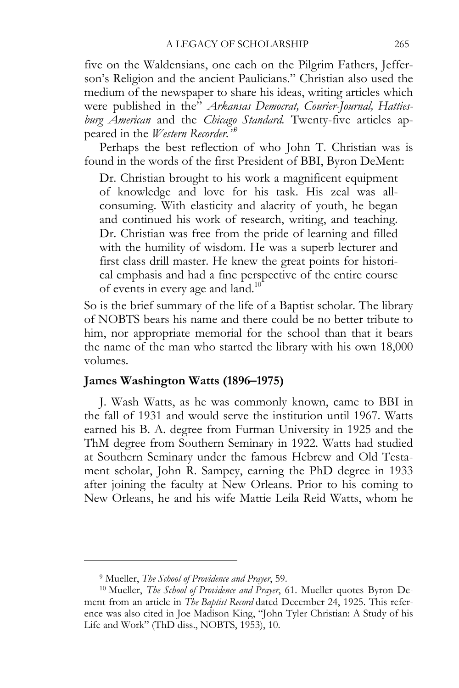five on the Waldensians, one each on the Pilgrim Fathers, Jefferson's Religion and the ancient Paulicians." Christian also used the medium of the newspaper to share his ideas, writing articles which were published in the" *Arkansas Democrat, Courier-Journal, Hattiesburg American* and the *Chicago Standard.* Twenty-five articles appeared in the *Western Recorder."*<sup>9</sup>

Perhaps the best reflection of who John T. Christian was is found in the words of the first President of BBI, Byron DeMent:

Dr. Christian brought to his work a magnificent equipment of knowledge and love for his task. His zeal was allconsuming. With elasticity and alacrity of youth, he began and continued his work of research, writing, and teaching. Dr. Christian was free from the pride of learning and filled with the humility of wisdom. He was a superb lecturer and first class drill master. He knew the great points for historical emphasis and had a fine perspective of the entire course of events in every age and land.<sup>10</sup>

So is the brief summary of the life of a Baptist scholar. The library of NOBTS bears his name and there could be no better tribute to him, nor appropriate memorial for the school than that it bears the name of the man who started the library with his own 18,000 volumes.

## **James Washington Watts (1896–1975)**

J. Wash Watts, as he was commonly known, came to BBI in the fall of 1931 and would serve the institution until 1967. Watts earned his B. A. degree from Furman University in 1925 and the ThM degree from Southern Seminary in 1922. Watts had studied at Southern Seminary under the famous Hebrew and Old Testament scholar, John R. Sampey, earning the PhD degree in 1933 after joining the faculty at New Orleans. Prior to his coming to New Orleans, he and his wife Mattie Leila Reid Watts, whom he

<sup>&</sup>lt;sup>9</sup> Mueller, *The School of Providence and Prayer*, 59.<br><sup>10</sup> Mueller, *The School of Providence and Prayer*, 61. Mueller quotes Byron Dement from an article in *The Baptist Record* dated December 24, 1925. This reference was also cited in Joe Madison King, "John Tyler Christian: A Study of his Life and Work" (ThD diss., NOBTS, 1953), 10.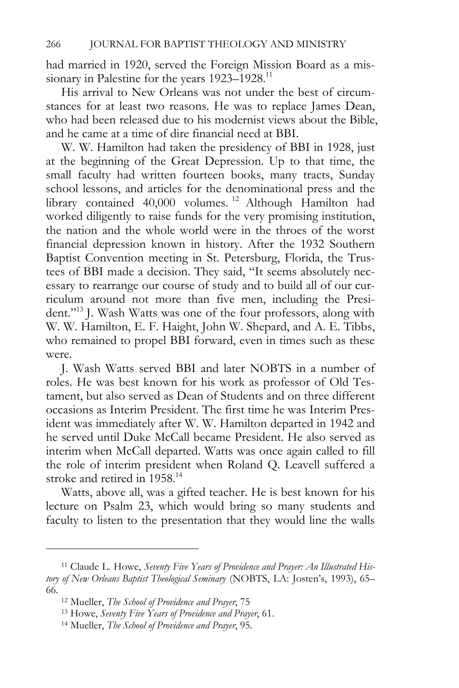had married in 1920, served the Foreign Mission Board as a missionary in Palestine for the years 1923–1928.<sup>11</sup>

His arrival to New Orleans was not under the best of circumstances for at least two reasons. He was to replace James Dean, who had been released due to his modernist views about the Bible, and he came at a time of dire financial need at BBI.

W. W. Hamilton had taken the presidency of BBI in 1928, just at the beginning of the Great Depression. Up to that time, the small faculty had written fourteen books, many tracts, Sunday school lessons, and articles for the denominational press and the library contained 40,000 volumes. 12 Although Hamilton had worked diligently to raise funds for the very promising institution, the nation and the whole world were in the throes of the worst financial depression known in history. After the 1932 Southern Baptist Convention meeting in St. Petersburg, Florida, the Trustees of BBI made a decision. They said, "It seems absolutely necessary to rearrange our course of study and to build all of our curriculum around not more than five men, including the President."<sup>13</sup> J. Wash Watts was one of the four professors, along with W. W. Hamilton, E. F. Haight, John W. Shepard, and A. E. Tibbs, who remained to propel BBI forward, even in times such as these were.

J. Wash Watts served BBI and later NOBTS in a number of roles. He was best known for his work as professor of Old Testament, but also served as Dean of Students and on three different occasions as Interim President. The first time he was Interim President was immediately after W. W. Hamilton departed in 1942 and he served until Duke McCall became President. He also served as interim when McCall departed. Watts was once again called to fill the role of interim president when Roland Q. Leavell suffered a stroke and retired in 1958.<sup>14</sup>

Watts, above all, was a gifted teacher. He is best known for his lecture on Psalm 23, which would bring so many students and faculty to listen to the presentation that they would line the walls

<sup>11</sup> Claude L. Howe, *Seventy Five Years of Providence and Prayer: An Illustrated History of New Orleans Baptist Theological Seminary* (NOBTS, LA: Josten's, 1993), 65–

<sup>66.&</sup>lt;br><sup>12</sup> Mueller, *The School of Providence and Prayer*, 75<br><sup>13</sup> Howe, *Seventy Five Years of Providence and Prayer*, 61.<br><sup>14</sup> Mueller, *The School of Providence and Prayer*, 95.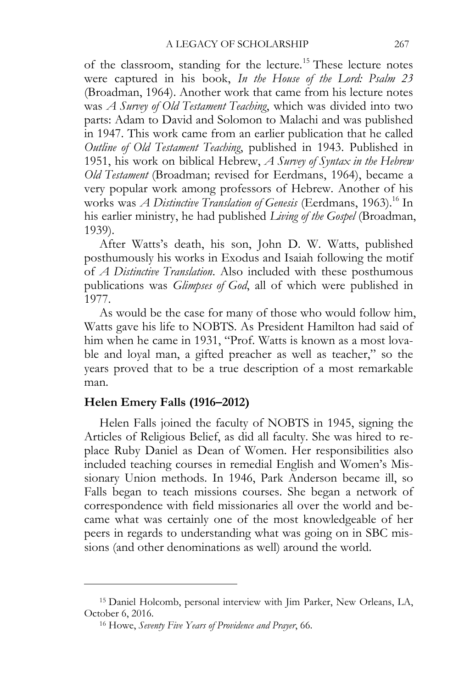of the classroom, standing for the lecture.<sup>15</sup> These lecture notes were captured in his book, *In the House of the Lord: Psalm 23* (Broadman, 1964). Another work that came from his lecture notes was *A Survey of Old Testament Teaching*, which was divided into two parts: Adam to David and Solomon to Malachi and was published in 1947. This work came from an earlier publication that he called *Outline of Old Testament Teaching*, published in 1943. Published in 1951, his work on biblical Hebrew, *A Survey of Syntax in the Hebrew Old Testament* (Broadman; revised for Eerdmans, 1964), became a very popular work among professors of Hebrew. Another of his works was *A Distinctive Translation of Genesis* (Eerdmans, 1963).<sup>16</sup> In his earlier ministry, he had published *Living of the Gospel* (Broadman, 1939).

After Watts's death, his son, John D. W. Watts, published posthumously his works in Exodus and Isaiah following the motif of *A Distinctive Translation*. Also included with these posthumous publications was *Glimpses of God*, all of which were published in 1977.

As would be the case for many of those who would follow him, Watts gave his life to NOBTS. As President Hamilton had said of him when he came in 1931, "Prof. Watts is known as a most lovable and loyal man, a gifted preacher as well as teacher," so the years proved that to be a true description of a most remarkable man.

# **Helen Emery Falls (1916–2012)**

 $\overline{a}$ 

Helen Falls joined the faculty of NOBTS in 1945, signing the Articles of Religious Belief, as did all faculty. She was hired to replace Ruby Daniel as Dean of Women. Her responsibilities also included teaching courses in remedial English and Women's Missionary Union methods. In 1946, Park Anderson became ill, so Falls began to teach missions courses. She began a network of correspondence with field missionaries all over the world and became what was certainly one of the most knowledgeable of her peers in regards to understanding what was going on in SBC missions (and other denominations as well) around the world.

<sup>15</sup> Daniel Holcomb, personal interview with Jim Parker, New Orleans, LA, October 6, 2016. 16 Howe, *Seventy Five Years of Providence and Prayer*, 66.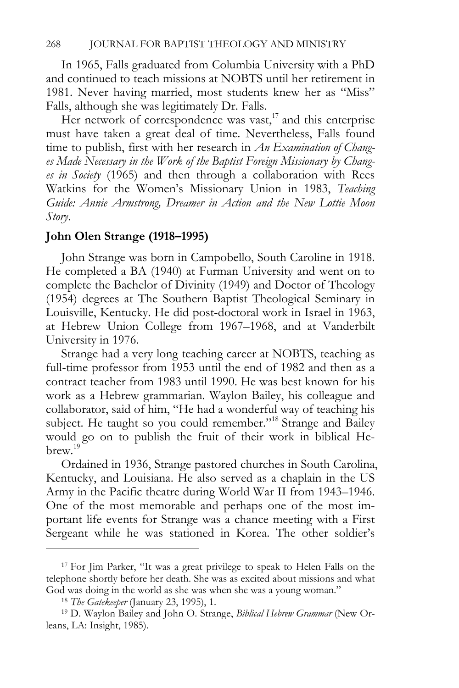In 1965, Falls graduated from Columbia University with a PhD and continued to teach missions at NOBTS until her retirement in 1981. Never having married, most students knew her as "Miss" Falls, although she was legitimately Dr. Falls.

Her network of correspondence was vast, $17$  and this enterprise must have taken a great deal of time. Nevertheless, Falls found time to publish, first with her research in *An Examination of Changes Made Necessary in the Work of the Baptist Foreign Missionary by Changes in Society* (1965) and then through a collaboration with Rees Watkins for the Women's Missionary Union in 1983, *Teaching Guide: Annie Armstrong, Dreamer in Action and the New Lottie Moon Story*.

# **John Olen Strange (1918–1995)**

John Strange was born in Campobello, South Caroline in 1918. He completed a BA (1940) at Furman University and went on to complete the Bachelor of Divinity (1949) and Doctor of Theology (1954) degrees at The Southern Baptist Theological Seminary in Louisville, Kentucky. He did post-doctoral work in Israel in 1963, at Hebrew Union College from 1967–1968, and at Vanderbilt University in 1976.

Strange had a very long teaching career at NOBTS, teaching as full-time professor from 1953 until the end of 1982 and then as a contract teacher from 1983 until 1990. He was best known for his work as a Hebrew grammarian. Waylon Bailey, his colleague and collaborator, said of him, "He had a wonderful way of teaching his subject. He taught so you could remember."<sup>18</sup> Strange and Bailey would go on to publish the fruit of their work in biblical Hebrew.19

Ordained in 1936, Strange pastored churches in South Carolina, Kentucky, and Louisiana. He also served as a chaplain in the US Army in the Pacific theatre during World War II from 1943–1946. One of the most memorable and perhaps one of the most important life events for Strange was a chance meeting with a First Sergeant while he was stationed in Korea. The other soldier's

<sup>&</sup>lt;sup>17</sup> For Jim Parker, "It was a great privilege to speak to Helen Falls on the telephone shortly before her death. She was as excited about missions and what God was doing in the world as she was when she was a young woman."<br><sup>18</sup> *The Gatekeeper* (January 23, 1995), 1.<br><sup>19</sup> D. Waylon Bailey and John O. Strange, *Biblical Hebrew Grammar* (New Or-

leans, LA: Insight, 1985).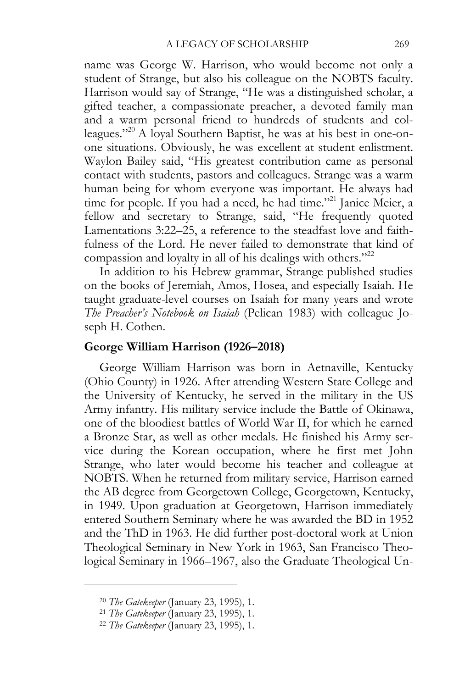name was George W. Harrison, who would become not only a student of Strange, but also his colleague on the NOBTS faculty. Harrison would say of Strange, "He was a distinguished scholar, a gifted teacher, a compassionate preacher, a devoted family man and a warm personal friend to hundreds of students and colleagues."20 A loyal Southern Baptist, he was at his best in one-onone situations. Obviously, he was excellent at student enlistment. Waylon Bailey said, "His greatest contribution came as personal contact with students, pastors and colleagues. Strange was a warm human being for whom everyone was important. He always had time for people. If you had a need, he had time."21 Janice Meier, a fellow and secretary to Strange, said, "He frequently quoted Lamentations 3:22–25, a reference to the steadfast love and faithfulness of the Lord. He never failed to demonstrate that kind of compassion and loyalty in all of his dealings with others."<sup>22</sup>

In addition to his Hebrew grammar, Strange published studies on the books of Jeremiah, Amos, Hosea, and especially Isaiah. He taught graduate-level courses on Isaiah for many years and wrote *The Preacher's Notebook on Isaiah* (Pelican 1983) with colleague Joseph H. Cothen.

# **George William Harrison (1926–2018)**

George William Harrison was born in Aetnaville, Kentucky (Ohio County) in 1926. After attending Western State College and the University of Kentucky, he served in the military in the US Army infantry. His military service include the Battle of Okinawa, one of the bloodiest battles of World War II, for which he earned a Bronze Star, as well as other medals. He finished his Army service during the Korean occupation, where he first met John Strange, who later would become his teacher and colleague at NOBTS. When he returned from military service, Harrison earned the AB degree from Georgetown College, Georgetown, Kentucky, in 1949. Upon graduation at Georgetown, Harrison immediately entered Southern Seminary where he was awarded the BD in 1952 and the ThD in 1963. He did further post-doctoral work at Union Theological Seminary in New York in 1963, San Francisco Theological Seminary in 1966–1967, also the Graduate Theological Un-

<sup>20</sup> *The Gatekeeper* (January 23, 1995), 1. 21 *The Gatekeeper* (January 23, 1995), 1. 22 *The Gatekeeper* (January 23, 1995), 1.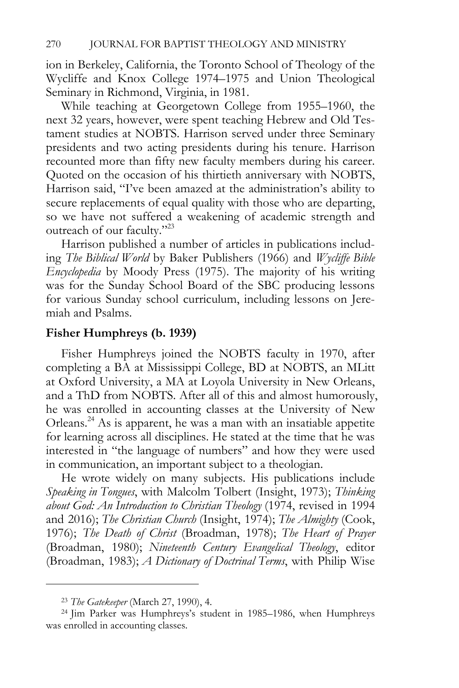ion in Berkeley, California, the Toronto School of Theology of the Wycliffe and Knox College 1974–1975 and Union Theological Seminary in Richmond, Virginia, in 1981.

While teaching at Georgetown College from 1955–1960, the next 32 years, however, were spent teaching Hebrew and Old Testament studies at NOBTS. Harrison served under three Seminary presidents and two acting presidents during his tenure. Harrison recounted more than fifty new faculty members during his career. Quoted on the occasion of his thirtieth anniversary with NOBTS, Harrison said, "I've been amazed at the administration's ability to secure replacements of equal quality with those who are departing, so we have not suffered a weakening of academic strength and outreach of our faculty."<sup>23</sup>

Harrison published a number of articles in publications including *The Biblical World* by Baker Publishers (1966) and *Wycliffe Bible Encyclopedia* by Moody Press (1975). The majority of his writing was for the Sunday School Board of the SBC producing lessons for various Sunday school curriculum, including lessons on Jeremiah and Psalms.

#### **Fisher Humphreys (b. 1939)**

Fisher Humphreys joined the NOBTS faculty in 1970, after completing a BA at Mississippi College, BD at NOBTS, an MLitt at Oxford University, a MA at Loyola University in New Orleans, and a ThD from NOBTS. After all of this and almost humorously, he was enrolled in accounting classes at the University of New Orleans.24 As is apparent, he was a man with an insatiable appetite for learning across all disciplines. He stated at the time that he was interested in "the language of numbers" and how they were used in communication, an important subject to a theologian.

He wrote widely on many subjects. His publications include *Speaking in Tongues*, with Malcolm Tolbert (Insight, 1973); *Thinking about God: An Introduction to Christian Theology* (1974, revised in 1994 and 2016); *The Christian Church* (Insight, 1974); *The Almighty* (Cook, 1976); *The Death of Christ* (Broadman, 1978); *The Heart of Prayer*  (Broadman, 1980); *Nineteenth Century Evangelical Theology*, editor (Broadman, 1983); *A Dictionary of Doctrinal Terms*, with Philip Wise

<sup>&</sup>lt;sup>23</sup> *The Gatekeeper* (March 27, 1990), 4.<br><sup>24</sup> Jim Parker was Humphreys's student in 1985–1986, when Humphreys was enrolled in accounting classes.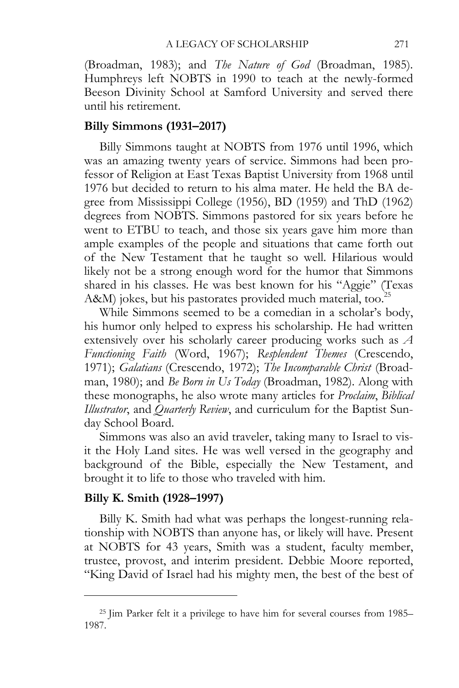(Broadman, 1983); and *The Nature of God* (Broadman, 1985)*.*  Humphreys left NOBTS in 1990 to teach at the newly-formed Beeson Divinity School at Samford University and served there until his retirement.

# **Billy Simmons (1931–2017)**

Billy Simmons taught at NOBTS from 1976 until 1996, which was an amazing twenty years of service. Simmons had been professor of Religion at East Texas Baptist University from 1968 until 1976 but decided to return to his alma mater. He held the BA degree from Mississippi College (1956), BD (1959) and ThD (1962) degrees from NOBTS. Simmons pastored for six years before he went to ETBU to teach, and those six years gave him more than ample examples of the people and situations that came forth out of the New Testament that he taught so well. Hilarious would likely not be a strong enough word for the humor that Simmons shared in his classes. He was best known for his "Aggie" (Texas A&M) jokes, but his pastorates provided much material, too.<sup>25</sup>

While Simmons seemed to be a comedian in a scholar's body, his humor only helped to express his scholarship. He had written extensively over his scholarly career producing works such as *A Functioning Faith* (Word, 1967); *Resplendent Themes* (Crescendo, 1971); *Galatians* (Crescendo, 1972); *The Incomparable Christ* (Broadman, 1980); and *Be Born in Us Today* (Broadman, 1982). Along with these monographs, he also wrote many articles for *Proclaim*, *Biblical Illustrator*, and *Quarterly Review*, and curriculum for the Baptist Sunday School Board.

Simmons was also an avid traveler, taking many to Israel to visit the Holy Land sites. He was well versed in the geography and background of the Bible, especially the New Testament, and brought it to life to those who traveled with him.

### **Billy K. Smith (1928–1997)**

 $\overline{a}$ 

Billy K. Smith had what was perhaps the longest-running relationship with NOBTS than anyone has, or likely will have. Present at NOBTS for 43 years, Smith was a student, faculty member, trustee, provost, and interim president. Debbie Moore reported, "King David of Israel had his mighty men, the best of the best of

<sup>25</sup> Jim Parker felt it a privilege to have him for several courses from 1985– 1987.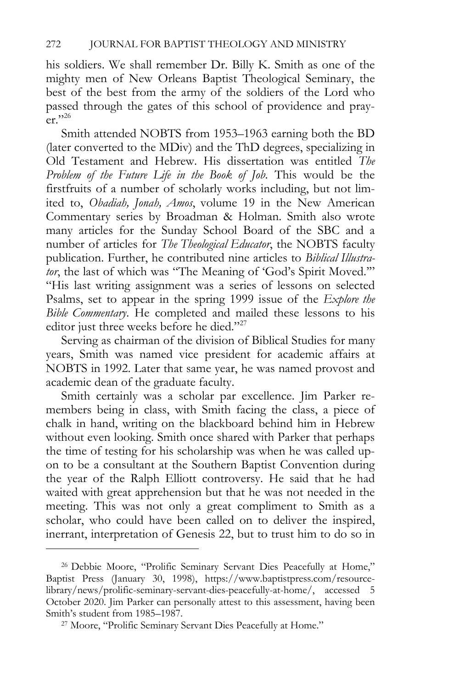his soldiers. We shall remember Dr. Billy K. Smith as one of the mighty men of New Orleans Baptist Theological Seminary, the best of the best from the army of the soldiers of the Lord who passed through the gates of this school of providence and prayer." $^{26}$ 

Smith attended NOBTS from 1953–1963 earning both the BD (later converted to the MDiv) and the ThD degrees, specializing in Old Testament and Hebrew. His dissertation was entitled *The Problem of the Future Life in the Book of Job*. This would be the firstfruits of a number of scholarly works including, but not limited to, *Obadiah, Jonah, Amos*, volume 19 in the New American Commentary series by Broadman & Holman. Smith also wrote many articles for the Sunday School Board of the SBC and a number of articles for *The Theological Educator*, the NOBTS faculty publication. Further, he contributed nine articles to *Biblical Illustrator*, the last of which was "The Meaning of 'God's Spirit Moved.'" "His last writing assignment was a series of lessons on selected Psalms, set to appear in the spring 1999 issue of the *Explore the Bible Commentary*. He completed and mailed these lessons to his editor just three weeks before he died."<sup>27</sup>

Serving as chairman of the division of Biblical Studies for many years, Smith was named vice president for academic affairs at NOBTS in 1992. Later that same year, he was named provost and academic dean of the graduate faculty.

Smith certainly was a scholar par excellence. Jim Parker remembers being in class, with Smith facing the class, a piece of chalk in hand, writing on the blackboard behind him in Hebrew without even looking. Smith once shared with Parker that perhaps the time of testing for his scholarship was when he was called upon to be a consultant at the Southern Baptist Convention during the year of the Ralph Elliott controversy. He said that he had waited with great apprehension but that he was not needed in the meeting. This was not only a great compliment to Smith as a scholar, who could have been called on to deliver the inspired, inerrant, interpretation of Genesis 22, but to trust him to do so in

<sup>26</sup> Debbie Moore, "Prolific Seminary Servant Dies Peacefully at Home," Baptist Press (January 30, 1998), https://www.baptistpress.com/resourcelibrary/news/prolific-seminary-servant-dies-peacefully-at-home/, accessed 5 October 2020. Jim Parker can personally attest to this assessment, having been Smith's student from 1985–1987. 27 Moore, "Prolific Seminary Servant Dies Peacefully at Home."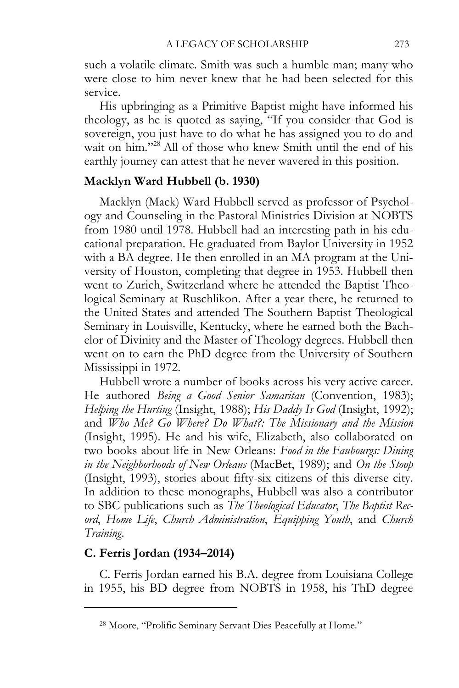such a volatile climate. Smith was such a humble man; many who were close to him never knew that he had been selected for this service.

His upbringing as a Primitive Baptist might have informed his theology, as he is quoted as saying, "If you consider that God is sovereign, you just have to do what he has assigned you to do and wait on him."<sup>28</sup> All of those who knew Smith until the end of his earthly journey can attest that he never wavered in this position.

# **Macklyn Ward Hubbell (b. 1930)**

Macklyn (Mack) Ward Hubbell served as professor of Psychology and Counseling in the Pastoral Ministries Division at NOBTS from 1980 until 1978. Hubbell had an interesting path in his educational preparation. He graduated from Baylor University in 1952 with a BA degree. He then enrolled in an MA program at the University of Houston, completing that degree in 1953. Hubbell then went to Zurich, Switzerland where he attended the Baptist Theological Seminary at Ruschlikon. After a year there, he returned to the United States and attended The Southern Baptist Theological Seminary in Louisville, Kentucky, where he earned both the Bachelor of Divinity and the Master of Theology degrees. Hubbell then went on to earn the PhD degree from the University of Southern Mississippi in 1972.

Hubbell wrote a number of books across his very active career. He authored *Being a Good Senior Samaritan* (Convention, 1983); *Helping the Hurting* (Insight, 1988); *His Daddy Is God* (Insight, 1992); and *Who Me? Go Where? Do What?: The Missionary and the Mission*  (Insight, 1995). He and his wife, Elizabeth, also collaborated on two books about life in New Orleans: *Food in the Faubourgs: Dining in the Neighborhoods of New Orleans* (MacBet, 1989); and *On the Stoop*  (Insight, 1993), stories about fifty-six citizens of this diverse city. In addition to these monographs, Hubbell was also a contributor to SBC publications such as *The Theological Educator*, *The Baptist Record*, *Home Life*, *Church Administration*, *Equipping Youth*, and *Church Training*.

# **C. Ferris Jordan (1934–2014)**

 $\overline{a}$ 

C. Ferris Jordan earned his B.A. degree from Louisiana College in 1955, his BD degree from NOBTS in 1958, his ThD degree

<sup>28</sup> Moore, "Prolific Seminary Servant Dies Peacefully at Home."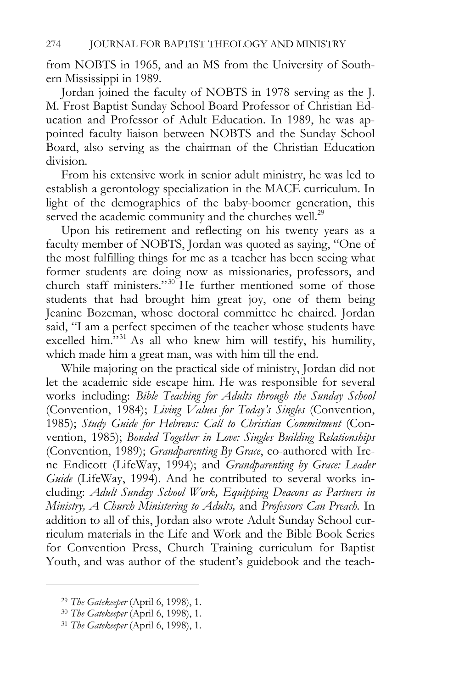from NOBTS in 1965, and an MS from the University of Southern Mississippi in 1989.

Jordan joined the faculty of NOBTS in 1978 serving as the J. M. Frost Baptist Sunday School Board Professor of Christian Education and Professor of Adult Education. In 1989, he was appointed faculty liaison between NOBTS and the Sunday School Board, also serving as the chairman of the Christian Education division.

From his extensive work in senior adult ministry, he was led to establish a gerontology specialization in the MACE curriculum. In light of the demographics of the baby-boomer generation, this served the academic community and the churches well.<sup>29</sup>

Upon his retirement and reflecting on his twenty years as a faculty member of NOBTS, Jordan was quoted as saying, "One of the most fulfilling things for me as a teacher has been seeing what former students are doing now as missionaries, professors, and church staff ministers."<sup>30</sup> He further mentioned some of those students that had brought him great joy, one of them being Jeanine Bozeman, whose doctoral committee he chaired. Jordan said, "I am a perfect specimen of the teacher whose students have excelled him."<sup>31</sup> As all who knew him will testify, his humility, which made him a great man, was with him till the end.

While majoring on the practical side of ministry, Jordan did not let the academic side escape him. He was responsible for several works including: *Bible Teaching for Adults through the Sunday School*  (Convention, 1984); *Living Values for Today's Singles* (Convention, 1985); *Study Guide for Hebrews: Call to Christian Commitment* (Convention, 1985); *Bonded Together in Love: Singles Building Relationships*  (Convention, 1989); *Grandparenting By Grace*, co-authored with Irene Endicott (LifeWay, 1994); and *Grandparenting by Grace: Leader Guide* (LifeWay, 1994). And he contributed to several works including: *Adult Sunday School Work, Equipping Deacons as Partners in Ministry, A Church Ministering to Adults,* and *Professors Can Preach.* In addition to all of this, Jordan also wrote Adult Sunday School curriculum materials in the Life and Work and the Bible Book Series for Convention Press, Church Training curriculum for Baptist Youth, and was author of the student's guidebook and the teach-

<sup>29</sup> *The Gatekeeper* (April 6, 1998), 1. 30 *The Gatekeeper* (April 6, 1998), 1. 31 *The Gatekeeper* (April 6, 1998), 1.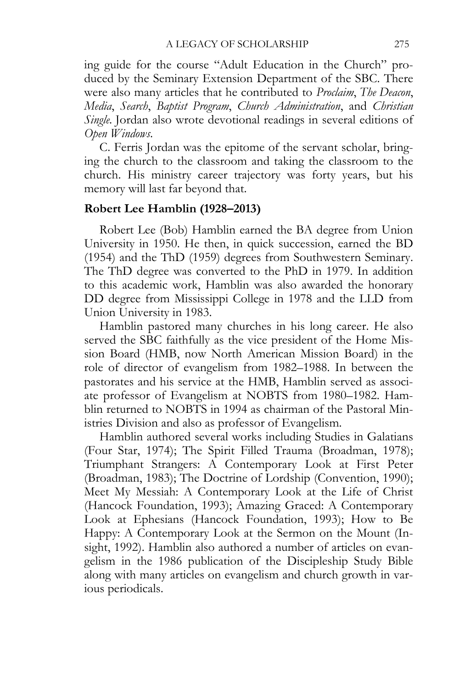ing guide for the course "Adult Education in the Church" produced by the Seminary Extension Department of the SBC. There were also many articles that he contributed to *Proclaim*, *The Deacon*, *Media*, *Search*, *Baptist Program*, *Church Administration*, and *Christian Single.* Jordan also wrote devotional readings in several editions of *Open Windows*.

C. Ferris Jordan was the epitome of the servant scholar, bringing the church to the classroom and taking the classroom to the church. His ministry career trajectory was forty years, but his memory will last far beyond that.

#### **Robert Lee Hamblin (1928–2013)**

Robert Lee (Bob) Hamblin earned the BA degree from Union University in 1950. He then, in quick succession, earned the BD (1954) and the ThD (1959) degrees from Southwestern Seminary. The ThD degree was converted to the PhD in 1979. In addition to this academic work, Hamblin was also awarded the honorary DD degree from Mississippi College in 1978 and the LLD from Union University in 1983.

Hamblin pastored many churches in his long career. He also served the SBC faithfully as the vice president of the Home Mission Board (HMB, now North American Mission Board) in the role of director of evangelism from 1982–1988. In between the pastorates and his service at the HMB, Hamblin served as associate professor of Evangelism at NOBTS from 1980–1982. Hamblin returned to NOBTS in 1994 as chairman of the Pastoral Ministries Division and also as professor of Evangelism.

Hamblin authored several works including Studies in Galatians (Four Star, 1974); The Spirit Filled Trauma (Broadman, 1978); Triumphant Strangers: A Contemporary Look at First Peter (Broadman, 1983); The Doctrine of Lordship (Convention, 1990); Meet My Messiah: A Contemporary Look at the Life of Christ (Hancock Foundation, 1993); Amazing Graced: A Contemporary Look at Ephesians (Hancock Foundation, 1993); How to Be Happy: A Contemporary Look at the Sermon on the Mount (Insight, 1992). Hamblin also authored a number of articles on evangelism in the 1986 publication of the Discipleship Study Bible along with many articles on evangelism and church growth in various periodicals.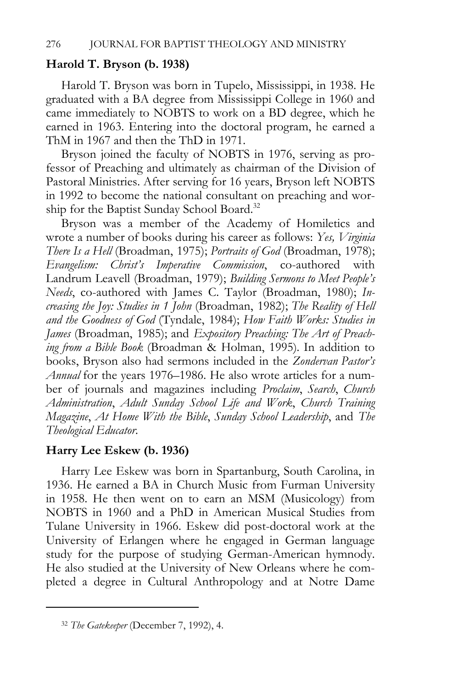### **Harold T. Bryson (b. 1938)**

Harold T. Bryson was born in Tupelo, Mississippi, in 1938. He graduated with a BA degree from Mississippi College in 1960 and came immediately to NOBTS to work on a BD degree, which he earned in 1963. Entering into the doctoral program, he earned a ThM in 1967 and then the ThD in 1971.

Bryson joined the faculty of NOBTS in 1976, serving as professor of Preaching and ultimately as chairman of the Division of Pastoral Ministries. After serving for 16 years, Bryson left NOBTS in 1992 to become the national consultant on preaching and worship for the Baptist Sunday School Board.<sup>32</sup>

Bryson was a member of the Academy of Homiletics and wrote a number of books during his career as follows: *Yes, Virginia There Is a Hell* (Broadman, 1975); *Portraits of God* (Broadman, 1978); *Evangelism: Christ's Imperative Commission*, co-authored with Landrum Leavell (Broadman, 1979); *Building Sermons to Meet People's Needs*, co-authored with James C. Taylor (Broadman, 1980); *Increasing the Joy: Studies in 1 John* (Broadman, 1982); *The Reality of Hell and the Goodness of God* (Tyndale, 1984); *How Faith Works: Studies in James* (Broadman, 1985); and *Expository Preaching: The Art of Preaching from a Bible Book* (Broadman & Holman, 1995)*.* In addition to books, Bryson also had sermons included in the *Zondervan Pastor's Annual* for the years 1976–1986. He also wrote articles for a number of journals and magazines including *Proclaim*, *Search*, *Church Administration*, *Adult Sunday School Life and Work*, *Church Training Magazine*, *At Home With the Bible*, *Sunday School Leadership*, and *The Theological Educator*.

## **Harry Lee Eskew (b. 1936)**

Harry Lee Eskew was born in Spartanburg, South Carolina, in 1936. He earned a BA in Church Music from Furman University in 1958. He then went on to earn an MSM (Musicology) from NOBTS in 1960 and a PhD in American Musical Studies from Tulane University in 1966. Eskew did post-doctoral work at the University of Erlangen where he engaged in German language study for the purpose of studying German-American hymnody. He also studied at the University of New Orleans where he completed a degree in Cultural Anthropology and at Notre Dame

<sup>32</sup> *The Gatekeeper* (December 7, 1992), 4.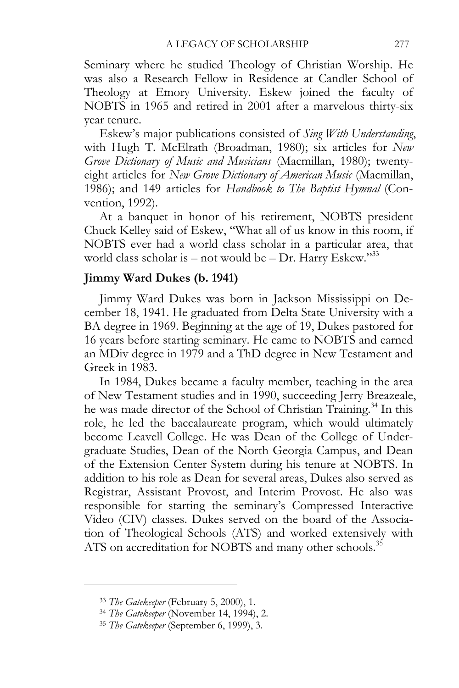Seminary where he studied Theology of Christian Worship. He was also a Research Fellow in Residence at Candler School of Theology at Emory University. Eskew joined the faculty of NOBTS in 1965 and retired in 2001 after a marvelous thirty-six year tenure.

Eskew's major publications consisted of *Sing With Understanding*, with Hugh T. McElrath (Broadman, 1980); six articles for *New Grove Dictionary of Music and Musicians* (Macmillan, 1980); twentyeight articles for *New Grove Dictionary of American Music* (Macmillan, 1986); and 149 articles for *Handbook to The Baptist Hymnal* (Convention, 1992).

At a banquet in honor of his retirement, NOBTS president Chuck Kelley said of Eskew, "What all of us know in this room, if NOBTS ever had a world class scholar in a particular area, that world class scholar is – not would be – Dr. Harry Eskew." $33$ 

# **Jimmy Ward Dukes (b. 1941)**

Jimmy Ward Dukes was born in Jackson Mississippi on December 18, 1941. He graduated from Delta State University with a BA degree in 1969. Beginning at the age of 19, Dukes pastored for 16 years before starting seminary. He came to NOBTS and earned an MDiv degree in 1979 and a ThD degree in New Testament and Greek in 1983.

In 1984, Dukes became a faculty member, teaching in the area of New Testament studies and in 1990, succeeding Jerry Breazeale, he was made director of the School of Christian Training.<sup>34</sup> In this role, he led the baccalaureate program, which would ultimately become Leavell College. He was Dean of the College of Undergraduate Studies, Dean of the North Georgia Campus, and Dean of the Extension Center System during his tenure at NOBTS. In addition to his role as Dean for several areas, Dukes also served as Registrar, Assistant Provost, and Interim Provost. He also was responsible for starting the seminary's Compressed Interactive Video (CIV) classes. Dukes served on the board of the Association of Theological Schools (ATS) and worked extensively with ATS on accreditation for NOBTS and many other schools.<sup>35</sup>

<sup>33</sup> *The Gatekeeper* (February 5, 2000), 1. 34 *The Gatekeeper* (November 14, 1994), 2. 35 *The Gatekeeper* (September 6, 1999), 3.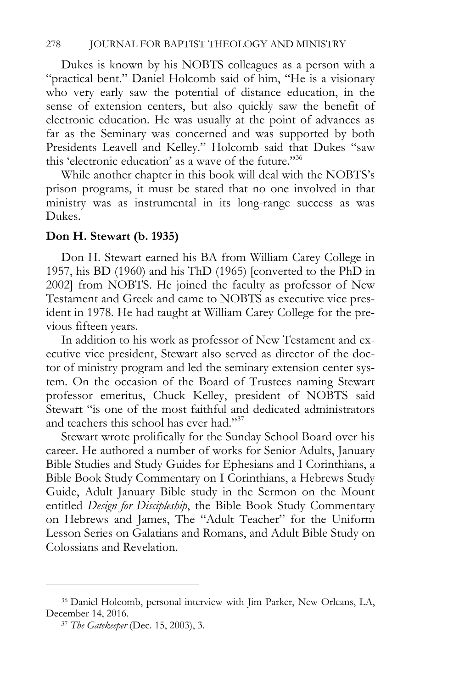Dukes is known by his NOBTS colleagues as a person with a "practical bent." Daniel Holcomb said of him, "He is a visionary who very early saw the potential of distance education, in the sense of extension centers, but also quickly saw the benefit of electronic education. He was usually at the point of advances as far as the Seminary was concerned and was supported by both Presidents Leavell and Kelley." Holcomb said that Dukes "saw this 'electronic education' as a wave of the future."36

While another chapter in this book will deal with the NOBTS's prison programs, it must be stated that no one involved in that ministry was as instrumental in its long-range success as was Dukes.

# **Don H. Stewart (b. 1935)**

Don H. Stewart earned his BA from William Carey College in 1957, his BD (1960) and his ThD (1965) [converted to the PhD in 2002] from NOBTS. He joined the faculty as professor of New Testament and Greek and came to NOBTS as executive vice president in 1978. He had taught at William Carey College for the previous fifteen years.

In addition to his work as professor of New Testament and executive vice president, Stewart also served as director of the doctor of ministry program and led the seminary extension center system. On the occasion of the Board of Trustees naming Stewart professor emeritus, Chuck Kelley, president of NOBTS said Stewart "is one of the most faithful and dedicated administrators and teachers this school has ever had."<sup>37</sup>

Stewart wrote prolifically for the Sunday School Board over his career. He authored a number of works for Senior Adults, January Bible Studies and Study Guides for Ephesians and I Corinthians, a Bible Book Study Commentary on I Corinthians, a Hebrews Study Guide, Adult January Bible study in the Sermon on the Mount entitled *Design for Discipleship*, the Bible Book Study Commentary on Hebrews and James, The "Adult Teacher" for the Uniform Lesson Series on Galatians and Romans, and Adult Bible Study on Colossians and Revelation.

<sup>36</sup> Daniel Holcomb, personal interview with Jim Parker, New Orleans, LA, December 14, 2016. 37 *The Gatekeeper* (Dec. 15, 2003), 3.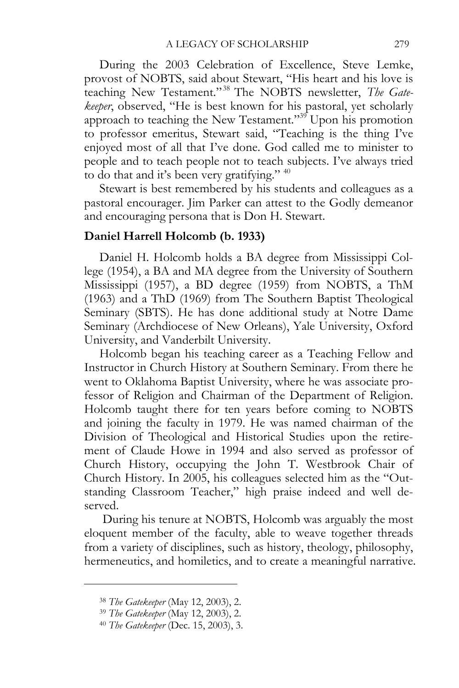During the 2003 Celebration of Excellence, Steve Lemke, provost of NOBTS, said about Stewart, "His heart and his love is teaching New Testament." 38 The NOBTS newsletter, *The Gatekeeper*, observed, "He is best known for his pastoral, yet scholarly approach to teaching the New Testament."39 Upon his promotion to professor emeritus, Stewart said, "Teaching is the thing I've enjoyed most of all that I've done. God called me to minister to people and to teach people not to teach subjects. I've always tried to do that and it's been very gratifying." 40

Stewart is best remembered by his students and colleagues as a pastoral encourager. Jim Parker can attest to the Godly demeanor and encouraging persona that is Don H. Stewart.

# **Daniel Harrell Holcomb (b. 1933)**

Daniel H. Holcomb holds a BA degree from Mississippi College (1954), a BA and MA degree from the University of Southern Mississippi (1957), a BD degree (1959) from NOBTS, a ThM (1963) and a ThD (1969) from The Southern Baptist Theological Seminary (SBTS). He has done additional study at Notre Dame Seminary (Archdiocese of New Orleans), Yale University, Oxford University, and Vanderbilt University.

Holcomb began his teaching career as a Teaching Fellow and Instructor in Church History at Southern Seminary. From there he went to Oklahoma Baptist University, where he was associate professor of Religion and Chairman of the Department of Religion. Holcomb taught there for ten years before coming to NOBTS and joining the faculty in 1979. He was named chairman of the Division of Theological and Historical Studies upon the retirement of Claude Howe in 1994 and also served as professor of Church History, occupying the John T. Westbrook Chair of Church History. In 2005, his colleagues selected him as the "Outstanding Classroom Teacher," high praise indeed and well deserved.

 During his tenure at NOBTS, Holcomb was arguably the most eloquent member of the faculty, able to weave together threads from a variety of disciplines, such as history, theology, philosophy, hermeneutics, and homiletics, and to create a meaningful narrative.

<sup>38</sup> *The Gatekeeper* (May 12, 2003), 2. 39 *The Gatekeeper* (May 12, 2003), 2. 40 *The Gatekeeper* (Dec. 15, 2003), 3.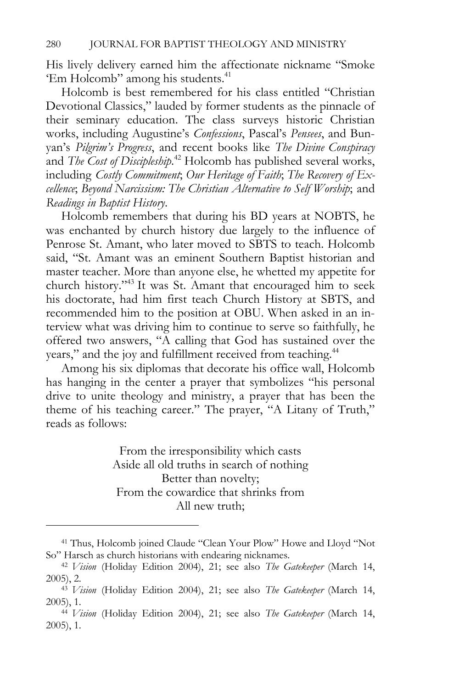His lively delivery earned him the affectionate nickname "Smoke 'Em Holcomb'' among his students.<sup>41</sup>

Holcomb is best remembered for his class entitled "Christian Devotional Classics," lauded by former students as the pinnacle of their seminary education. The class surveys historic Christian works, including Augustine's *Confessions*, Pascal's *Pensees*, and Bunyan's *Pilgrim's Progress*, and recent books like *The Divine Conspiracy*  and *The Cost of Discipleship*.<sup>42</sup> Holcomb has published several works, including *Costly Commitment*; *Our Heritage of Faith*; *The Recovery of Excellence*; *Beyond Narcissism: The Christian Alternative to Self Worship*; and *Readings in Baptist History*.

Holcomb remembers that during his BD years at NOBTS, he was enchanted by church history due largely to the influence of Penrose St. Amant, who later moved to SBTS to teach. Holcomb said, "St. Amant was an eminent Southern Baptist historian and master teacher. More than anyone else, he whetted my appetite for church history."43 It was St. Amant that encouraged him to seek his doctorate, had him first teach Church History at SBTS, and recommended him to the position at OBU. When asked in an interview what was driving him to continue to serve so faithfully, he offered two answers, "A calling that God has sustained over the years," and the joy and fulfillment received from teaching.<sup>44</sup>

Among his six diplomas that decorate his office wall, Holcomb has hanging in the center a prayer that symbolizes "his personal drive to unite theology and ministry, a prayer that has been the theme of his teaching career." The prayer, "A Litany of Truth," reads as follows:

> From the irresponsibility which casts Aside all old truths in search of nothing Better than novelty; From the cowardice that shrinks from All new truth;

<sup>41</sup> Thus, Holcomb joined Claude "Clean Your Plow" Howe and Lloyd "Not So" Harsch as church historians with endearing nicknames. 42 *Vision* (Holiday Edition 2004), 21; see also *The Gatekeeper* (March 14,

<sup>2005), 2. 43</sup> *Vision* (Holiday Edition 2004), 21; see also *The Gatekeeper* (March 14,

<sup>2005), 1. 44</sup> *Vision* (Holiday Edition 2004), 21; see also *The Gatekeeper* (March 14,

<sup>2005), 1.</sup>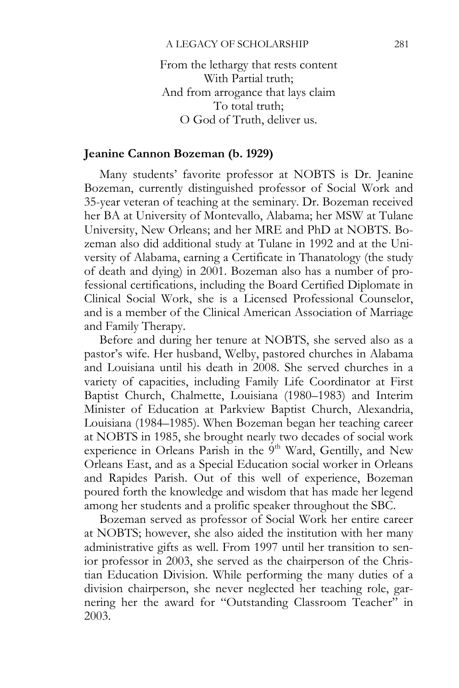From the lethargy that rests content With Partial truth; And from arrogance that lays claim To total truth; O God of Truth, deliver us.

### **Jeanine Cannon Bozeman (b. 1929)**

Many students' favorite professor at NOBTS is Dr. Jeanine Bozeman, currently distinguished professor of Social Work and 35-year veteran of teaching at the seminary. Dr. Bozeman received her BA at University of Montevallo, Alabama; her MSW at Tulane University, New Orleans; and her MRE and PhD at NOBTS. Bozeman also did additional study at Tulane in 1992 and at the University of Alabama, earning a Certificate in Thanatology (the study of death and dying) in 2001. Bozeman also has a number of professional certifications, including the Board Certified Diplomate in Clinical Social Work, she is a Licensed Professional Counselor, and is a member of the Clinical American Association of Marriage and Family Therapy.

Before and during her tenure at NOBTS, she served also as a pastor's wife. Her husband, Welby, pastored churches in Alabama and Louisiana until his death in 2008. She served churches in a variety of capacities, including Family Life Coordinator at First Baptist Church, Chalmette, Louisiana (1980–1983) and Interim Minister of Education at Parkview Baptist Church, Alexandria, Louisiana (1984–1985). When Bozeman began her teaching career at NOBTS in 1985, she brought nearly two decades of social work experience in Orleans Parish in the 9<sup>th</sup> Ward, Gentilly, and New Orleans East, and as a Special Education social worker in Orleans and Rapides Parish. Out of this well of experience, Bozeman poured forth the knowledge and wisdom that has made her legend among her students and a prolific speaker throughout the SBC.

Bozeman served as professor of Social Work her entire career at NOBTS; however, she also aided the institution with her many administrative gifts as well. From 1997 until her transition to senior professor in 2003, she served as the chairperson of the Christian Education Division. While performing the many duties of a division chairperson, she never neglected her teaching role, garnering her the award for "Outstanding Classroom Teacher" in 2003.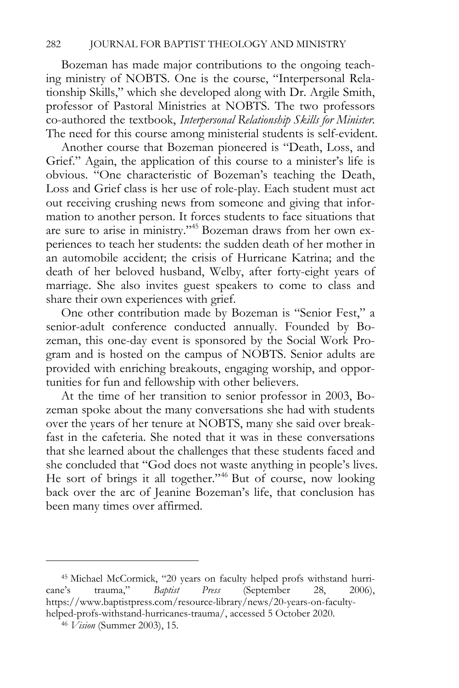Bozeman has made major contributions to the ongoing teaching ministry of NOBTS. One is the course, "Interpersonal Relationship Skills," which she developed along with Dr. Argile Smith, professor of Pastoral Ministries at NOBTS. The two professors co-authored the textbook, *Interpersonal Relationship Skills for Minister*. The need for this course among ministerial students is self-evident.

Another course that Bozeman pioneered is "Death, Loss, and Grief." Again, the application of this course to a minister's life is obvious. "One characteristic of Bozeman's teaching the Death, Loss and Grief class is her use of role-play. Each student must act out receiving crushing news from someone and giving that information to another person. It forces students to face situations that are sure to arise in ministry."45 Bozeman draws from her own experiences to teach her students: the sudden death of her mother in an automobile accident; the crisis of Hurricane Katrina; and the death of her beloved husband, Welby, after forty-eight years of marriage. She also invites guest speakers to come to class and share their own experiences with grief.

One other contribution made by Bozeman is "Senior Fest," a senior-adult conference conducted annually. Founded by Bozeman, this one-day event is sponsored by the Social Work Program and is hosted on the campus of NOBTS. Senior adults are provided with enriching breakouts, engaging worship, and opportunities for fun and fellowship with other believers.

At the time of her transition to senior professor in 2003, Bozeman spoke about the many conversations she had with students over the years of her tenure at NOBTS, many she said over breakfast in the cafeteria. She noted that it was in these conversations that she learned about the challenges that these students faced and she concluded that "God does not waste anything in people's lives. He sort of brings it all together."<sup>46</sup> But of course, now looking back over the arc of Jeanine Bozeman's life, that conclusion has been many times over affirmed.

<sup>45</sup> Michael McCormick, "20 years on faculty helped profs withstand hurricane's trauma," *Baptist Press* (September 28, 2006), https://www.baptistpress.com/resource-library/news/20-years-on-facultyhelped-profs-withstand-hurricanes-trauma/, accessed 5 October 2020. 46 *Vision* (Summer 2003), 15.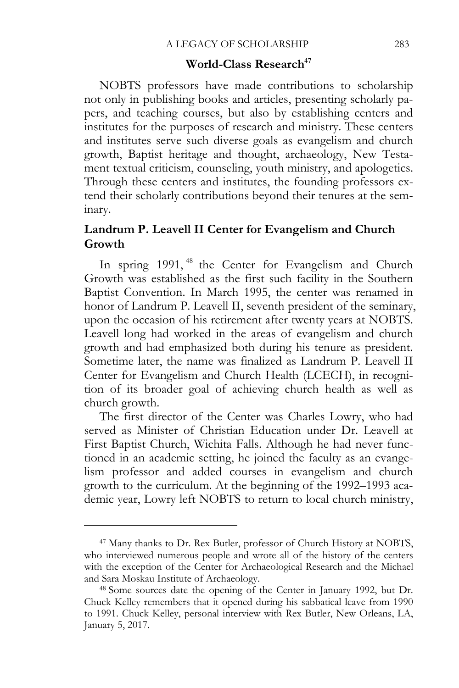# **World-Class Research<sup>47</sup>**

NOBTS professors have made contributions to scholarship not only in publishing books and articles, presenting scholarly papers, and teaching courses, but also by establishing centers and institutes for the purposes of research and ministry. These centers and institutes serve such diverse goals as evangelism and church growth, Baptist heritage and thought, archaeology, New Testament textual criticism, counseling, youth ministry, and apologetics. Through these centers and institutes, the founding professors extend their scholarly contributions beyond their tenures at the seminary.

# **Landrum P. Leavell II Center for Evangelism and Church Growth**

In spring 1991, <sup>48</sup> the Center for Evangelism and Church Growth was established as the first such facility in the Southern Baptist Convention. In March 1995, the center was renamed in honor of Landrum P. Leavell II, seventh president of the seminary, upon the occasion of his retirement after twenty years at NOBTS. Leavell long had worked in the areas of evangelism and church growth and had emphasized both during his tenure as president. Sometime later, the name was finalized as Landrum P. Leavell II Center for Evangelism and Church Health (LCECH), in recognition of its broader goal of achieving church health as well as church growth.

The first director of the Center was Charles Lowry, who had served as Minister of Christian Education under Dr. Leavell at First Baptist Church, Wichita Falls. Although he had never functioned in an academic setting, he joined the faculty as an evangelism professor and added courses in evangelism and church growth to the curriculum. At the beginning of the 1992–1993 academic year, Lowry left NOBTS to return to local church ministry,

<sup>47</sup> Many thanks to Dr. Rex Butler, professor of Church History at NOBTS, who interviewed numerous people and wrote all of the history of the centers with the exception of the Center for Archaeological Research and the Michael and Sara Moskau Institute of Archaeology. 48 Some sources date the opening of the Center in January 1992, but Dr.

Chuck Kelley remembers that it opened during his sabbatical leave from 1990 to 1991. Chuck Kelley, personal interview with Rex Butler, New Orleans, LA, January 5, 2017.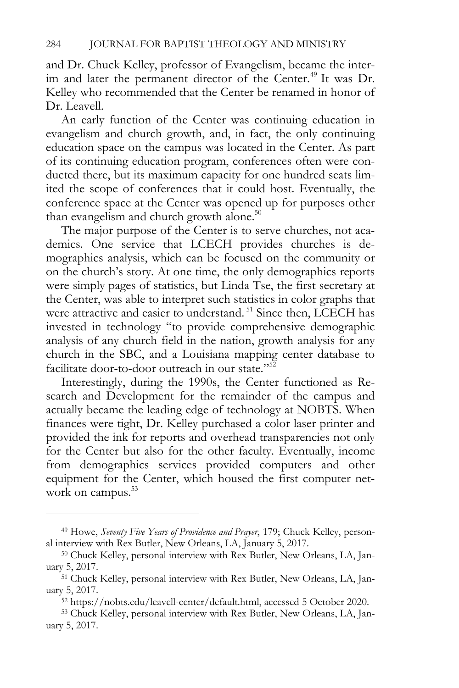and Dr. Chuck Kelley, professor of Evangelism, became the interim and later the permanent director of the Center.<sup>49</sup> It was Dr. Kelley who recommended that the Center be renamed in honor of Dr. Leavell.

An early function of the Center was continuing education in evangelism and church growth, and, in fact, the only continuing education space on the campus was located in the Center. As part of its continuing education program, conferences often were conducted there, but its maximum capacity for one hundred seats limited the scope of conferences that it could host. Eventually, the conference space at the Center was opened up for purposes other than evangelism and church growth alone.<sup>50</sup>

The major purpose of the Center is to serve churches, not academics. One service that LCECH provides churches is demographics analysis, which can be focused on the community or on the church's story. At one time, the only demographics reports were simply pages of statistics, but Linda Tse, the first secretary at the Center, was able to interpret such statistics in color graphs that were attractive and easier to understand.<sup>51</sup> Since then, LCECH has invested in technology "to provide comprehensive demographic analysis of any church field in the nation, growth analysis for any church in the SBC, and a Louisiana mapping center database to facilitate door-to-door outreach in our state."52

Interestingly, during the 1990s, the Center functioned as Research and Development for the remainder of the campus and actually became the leading edge of technology at NOBTS. When finances were tight, Dr. Kelley purchased a color laser printer and provided the ink for reports and overhead transparencies not only for the Center but also for the other faculty. Eventually, income from demographics services provided computers and other equipment for the Center, which housed the first computer network on campus.<sup>53</sup>

<sup>49</sup> Howe, *Seventy Five Years of Providence and Prayer*, 179; Chuck Kelley, personal interview with Rex Butler, New Orleans, LA, January 5, 2017. 50 Chuck Kelley, personal interview with Rex Butler, New Orleans, LA, Jan-

uary 5, 2017. 51 Chuck Kelley, personal interview with Rex Butler, New Orleans, LA, Jan-

uary 5, 2017. 52 https://nobts.edu/leavell-center/default.html, accessed 5 October 2020. 53 Chuck Kelley, personal interview with Rex Butler, New Orleans, LA, Jan-

uary 5, 2017.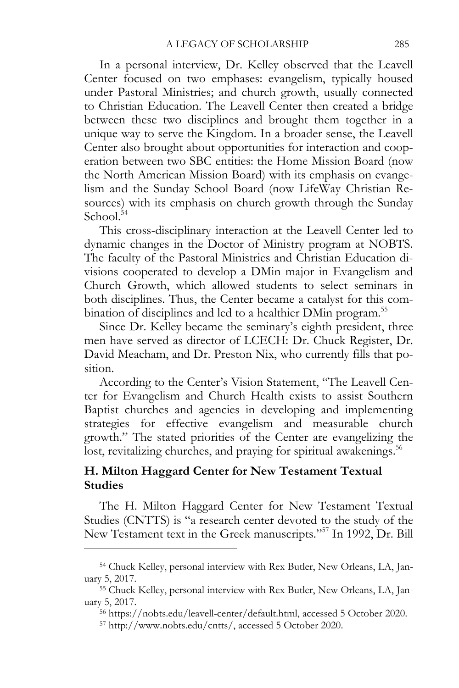In a personal interview, Dr. Kelley observed that the Leavell Center focused on two emphases: evangelism, typically housed under Pastoral Ministries; and church growth, usually connected to Christian Education. The Leavell Center then created a bridge between these two disciplines and brought them together in a unique way to serve the Kingdom. In a broader sense, the Leavell Center also brought about opportunities for interaction and cooperation between two SBC entities: the Home Mission Board (now the North American Mission Board) with its emphasis on evangelism and the Sunday School Board (now LifeWay Christian Resources) with its emphasis on church growth through the Sunday School.<sup>54</sup>

This cross-disciplinary interaction at the Leavell Center led to dynamic changes in the Doctor of Ministry program at NOBTS. The faculty of the Pastoral Ministries and Christian Education divisions cooperated to develop a DMin major in Evangelism and Church Growth, which allowed students to select seminars in both disciplines. Thus, the Center became a catalyst for this combination of disciplines and led to a healthier DMin program.<sup>55</sup>

Since Dr. Kelley became the seminary's eighth president, three men have served as director of LCECH: Dr. Chuck Register, Dr. David Meacham, and Dr. Preston Nix, who currently fills that position.

According to the Center's Vision Statement, "The Leavell Center for Evangelism and Church Health exists to assist Southern Baptist churches and agencies in developing and implementing strategies for effective evangelism and measurable church growth." The stated priorities of the Center are evangelizing the lost, revitalizing churches, and praying for spiritual awakenings.<sup>56</sup>

## **H. Milton Haggard Center for New Testament Textual Studies**

The H. Milton Haggard Center for New Testament Textual Studies (CNTTS) is "a research center devoted to the study of the New Testament text in the Greek manuscripts."57 In 1992, Dr. Bill

<sup>54</sup> Chuck Kelley, personal interview with Rex Butler, New Orleans, LA, January 5, 2017. 55 Chuck Kelley, personal interview with Rex Butler, New Orleans, LA, Jan-

uary 5, 2017. 56 https://nobts.edu/leavell-center/default.html, accessed 5 October 2020. 57 http://www.nobts.edu/cntts/, accessed 5 October 2020.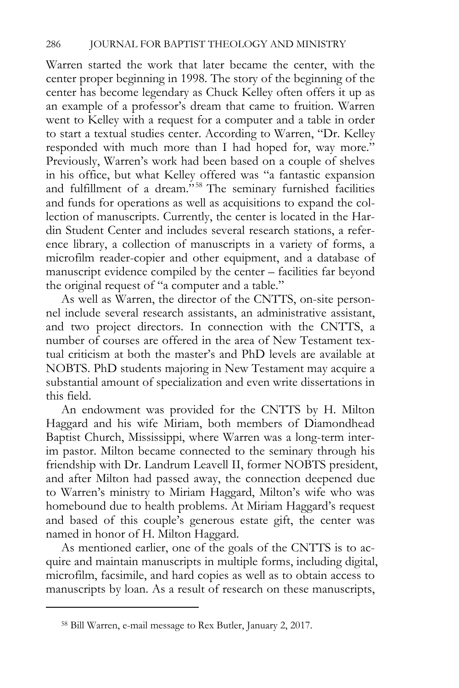Warren started the work that later became the center, with the center proper beginning in 1998. The story of the beginning of the center has become legendary as Chuck Kelley often offers it up as an example of a professor's dream that came to fruition. Warren went to Kelley with a request for a computer and a table in order to start a textual studies center. According to Warren, "Dr. Kelley responded with much more than I had hoped for, way more." Previously, Warren's work had been based on a couple of shelves in his office, but what Kelley offered was "a fantastic expansion and fulfillment of a dream."<sup>58</sup> The seminary furnished facilities and funds for operations as well as acquisitions to expand the collection of manuscripts. Currently, the center is located in the Hardin Student Center and includes several research stations, a reference library, a collection of manuscripts in a variety of forms, a microfilm reader-copier and other equipment, and a database of manuscript evidence compiled by the center – facilities far beyond the original request of "a computer and a table."

As well as Warren, the director of the CNTTS, on-site personnel include several research assistants, an administrative assistant, and two project directors. In connection with the CNTTS, a number of courses are offered in the area of New Testament textual criticism at both the master's and PhD levels are available at NOBTS. PhD students majoring in New Testament may acquire a substantial amount of specialization and even write dissertations in this field.

An endowment was provided for the CNTTS by H. Milton Haggard and his wife Miriam, both members of Diamondhead Baptist Church, Mississippi, where Warren was a long-term interim pastor. Milton became connected to the seminary through his friendship with Dr. Landrum Leavell II, former NOBTS president, and after Milton had passed away, the connection deepened due to Warren's ministry to Miriam Haggard, Milton's wife who was homebound due to health problems. At Miriam Haggard's request and based of this couple's generous estate gift, the center was named in honor of H. Milton Haggard.

As mentioned earlier, one of the goals of the CNTTS is to acquire and maintain manuscripts in multiple forms, including digital, microfilm, facsimile, and hard copies as well as to obtain access to manuscripts by loan. As a result of research on these manuscripts,

<sup>58</sup> Bill Warren, e-mail message to Rex Butler, January 2, 2017.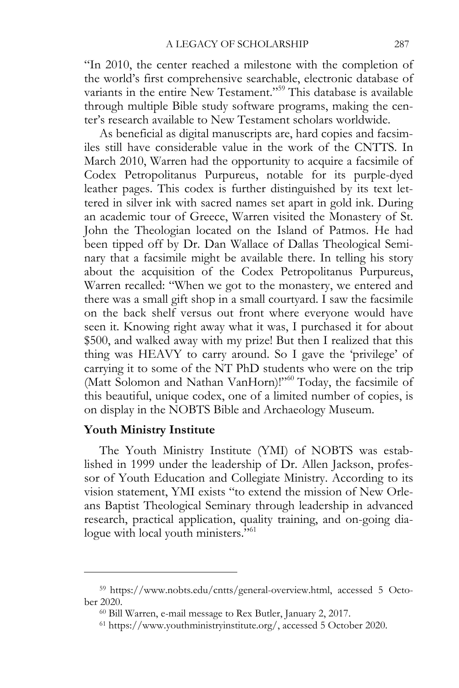"In 2010, the center reached a milestone with the completion of the world's first comprehensive searchable, electronic database of variants in the entire New Testament."59 This database is available through multiple Bible study software programs, making the center's research available to New Testament scholars worldwide.

As beneficial as digital manuscripts are, hard copies and facsimiles still have considerable value in the work of the CNTTS. In March 2010, Warren had the opportunity to acquire a facsimile of Codex Petropolitanus Purpureus, notable for its purple-dyed leather pages. This codex is further distinguished by its text lettered in silver ink with sacred names set apart in gold ink. During an academic tour of Greece, Warren visited the Monastery of St. John the Theologian located on the Island of Patmos. He had been tipped off by Dr. Dan Wallace of Dallas Theological Seminary that a facsimile might be available there. In telling his story about the acquisition of the Codex Petropolitanus Purpureus, Warren recalled: "When we got to the monastery, we entered and there was a small gift shop in a small courtyard. I saw the facsimile on the back shelf versus out front where everyone would have seen it. Knowing right away what it was, I purchased it for about \$500, and walked away with my prize! But then I realized that this thing was HEAVY to carry around. So I gave the 'privilege' of carrying it to some of the NT PhD students who were on the trip (Matt Solomon and Nathan VanHorn)!"60 Today, the facsimile of this beautiful, unique codex, one of a limited number of copies, is on display in the NOBTS Bible and Archaeology Museum.

## **Youth Ministry Institute**

 $\overline{a}$ 

The Youth Ministry Institute (YMI) of NOBTS was established in 1999 under the leadership of Dr. Allen Jackson, professor of Youth Education and Collegiate Ministry. According to its vision statement, YMI exists "to extend the mission of New Orleans Baptist Theological Seminary through leadership in advanced research, practical application, quality training, and on-going dialogue with local youth ministers."<sup>61</sup>

<sup>59</sup> https://www.nobts.edu/cntts/general-overview.html, accessed 5 October 2020.<br><sup>60</sup> Bill Warren, e-mail message to Rex Butler, January 2, 2017.<br><sup>61</sup> https://www.youthministryinstitute.org/, accessed 5 October 2020.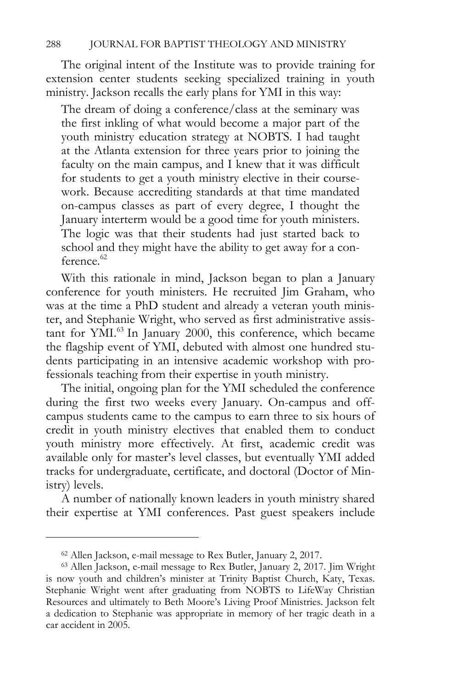The original intent of the Institute was to provide training for extension center students seeking specialized training in youth ministry. Jackson recalls the early plans for YMI in this way:

The dream of doing a conference/class at the seminary was the first inkling of what would become a major part of the youth ministry education strategy at NOBTS. I had taught at the Atlanta extension for three years prior to joining the faculty on the main campus, and I knew that it was difficult for students to get a youth ministry elective in their coursework. Because accrediting standards at that time mandated on-campus classes as part of every degree, I thought the January interterm would be a good time for youth ministers. The logic was that their students had just started back to school and they might have the ability to get away for a con $f$ erence<sup> $62$ </sup>

With this rationale in mind, Jackson began to plan a January conference for youth ministers. He recruited Jim Graham, who was at the time a PhD student and already a veteran youth minister, and Stephanie Wright, who served as first administrative assistant for YMI.<sup>63</sup> In January 2000, this conference, which became the flagship event of YMI, debuted with almost one hundred students participating in an intensive academic workshop with professionals teaching from their expertise in youth ministry.

The initial, ongoing plan for the YMI scheduled the conference during the first two weeks every January. On-campus and offcampus students came to the campus to earn three to six hours of credit in youth ministry electives that enabled them to conduct youth ministry more effectively. At first, academic credit was available only for master's level classes, but eventually YMI added tracks for undergraduate, certificate, and doctoral (Doctor of Ministry) levels.

A number of nationally known leaders in youth ministry shared their expertise at YMI conferences. Past guest speakers include

 $62$  Allen Jackson, e-mail message to Rex Butler, January 2, 2017. Jim Wright  $63$  Allen Jackson, e-mail message to Rex Butler, January 2, 2017. Jim Wright is now youth and children's minister at Trinity Baptist Church, Katy, Texas. Stephanie Wright went after graduating from NOBTS to LifeWay Christian Resources and ultimately to Beth Moore's Living Proof Ministries. Jackson felt a dedication to Stephanie was appropriate in memory of her tragic death in a car accident in 2005.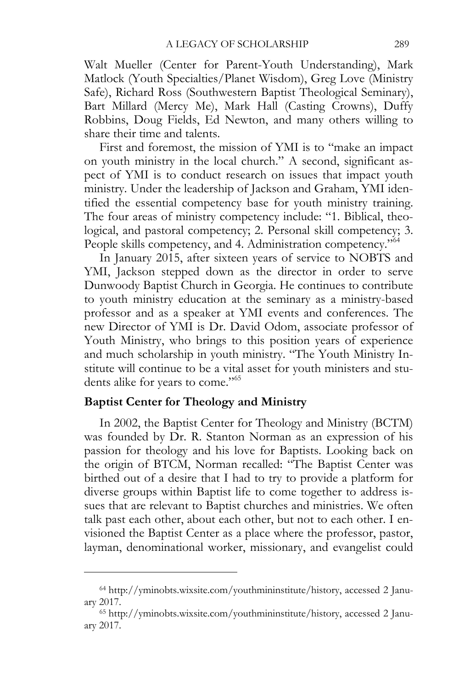Walt Mueller (Center for Parent-Youth Understanding), Mark Matlock (Youth Specialties/Planet Wisdom), Greg Love (Ministry Safe), Richard Ross (Southwestern Baptist Theological Seminary), Bart Millard (Mercy Me), Mark Hall (Casting Crowns), Duffy Robbins, Doug Fields, Ed Newton, and many others willing to share their time and talents.

First and foremost, the mission of YMI is to "make an impact on youth ministry in the local church." A second, significant aspect of YMI is to conduct research on issues that impact youth ministry. Under the leadership of Jackson and Graham, YMI identified the essential competency base for youth ministry training. The four areas of ministry competency include: "1. Biblical, theological, and pastoral competency; 2. Personal skill competency; 3. People skills competency, and 4. Administration competency."64

In January 2015, after sixteen years of service to NOBTS and YMI, Jackson stepped down as the director in order to serve Dunwoody Baptist Church in Georgia. He continues to contribute to youth ministry education at the seminary as a ministry-based professor and as a speaker at YMI events and conferences. The new Director of YMI is Dr. David Odom, associate professor of Youth Ministry, who brings to this position years of experience and much scholarship in youth ministry. "The Youth Ministry Institute will continue to be a vital asset for youth ministers and students alike for years to come."<sup>65</sup>

## **Baptist Center for Theology and Ministry**

 $\overline{a}$ 

In 2002, the Baptist Center for Theology and Ministry (BCTM) was founded by Dr. R. Stanton Norman as an expression of his passion for theology and his love for Baptists. Looking back on the origin of BTCM, Norman recalled: "The Baptist Center was birthed out of a desire that I had to try to provide a platform for diverse groups within Baptist life to come together to address issues that are relevant to Baptist churches and ministries. We often talk past each other, about each other, but not to each other. I envisioned the Baptist Center as a place where the professor, pastor, layman, denominational worker, missionary, and evangelist could

<sup>64</sup> http://yminobts.wixsite.com/youthmininstitute/history, accessed 2 January 2017. 65 http://yminobts.wixsite.com/youthmininstitute/history, accessed 2 Janu-

ary 2017.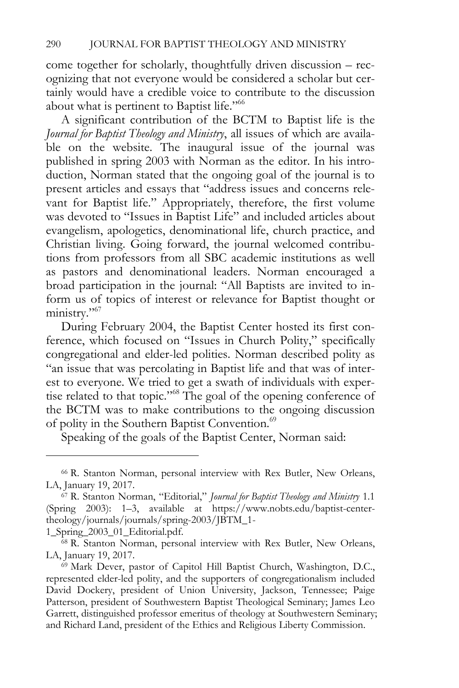come together for scholarly, thoughtfully driven discussion – recognizing that not everyone would be considered a scholar but certainly would have a credible voice to contribute to the discussion about what is pertinent to Baptist life."<sup>66</sup>

A significant contribution of the BCTM to Baptist life is the *Journal for Baptist Theology and Ministry*, all issues of which are available on the website. The inaugural issue of the journal was published in spring 2003 with Norman as the editor. In his introduction, Norman stated that the ongoing goal of the journal is to present articles and essays that "address issues and concerns relevant for Baptist life." Appropriately, therefore, the first volume was devoted to "Issues in Baptist Life" and included articles about evangelism, apologetics, denominational life, church practice, and Christian living. Going forward, the journal welcomed contributions from professors from all SBC academic institutions as well as pastors and denominational leaders. Norman encouraged a broad participation in the journal: "All Baptists are invited to inform us of topics of interest or relevance for Baptist thought or ministry."<sup>67</sup>

During February 2004, the Baptist Center hosted its first conference, which focused on "Issues in Church Polity," specifically congregational and elder-led polities. Norman described polity as "an issue that was percolating in Baptist life and that was of interest to everyone. We tried to get a swath of individuals with expertise related to that topic."68 The goal of the opening conference of the BCTM was to make contributions to the ongoing discussion of polity in the Southern Baptist Convention.<sup>69</sup>

Speaking of the goals of the Baptist Center, Norman said:

<sup>66</sup> R. Stanton Norman, personal interview with Rex Butler, New Orleans, LA, January 19, 2017. 67 R. Stanton Norman, "Editorial," *Journal for Baptist Theology and Ministry* 1.1

<sup>(</sup>Spring 2003): 1–3, available at https://www.nobts.edu/baptist-centertheology/journals/journals/spring-2003/JBTM\_1-

<sup>1</sup>\_Spring\_2003\_01\_Editorial.pdf. 68 R. Stanton Norman, personal interview with Rex Butler, New Orleans, LA, January 19, 2017.<br><sup>69</sup> Mark Dever, pastor of Capitol Hill Baptist Church, Washington, D.C.,

represented elder-led polity, and the supporters of congregationalism included David Dockery, president of Union University, Jackson, Tennessee; Paige Patterson, president of Southwestern Baptist Theological Seminary; James Leo Garrett, distinguished professor emeritus of theology at Southwestern Seminary; and Richard Land, president of the Ethics and Religious Liberty Commission.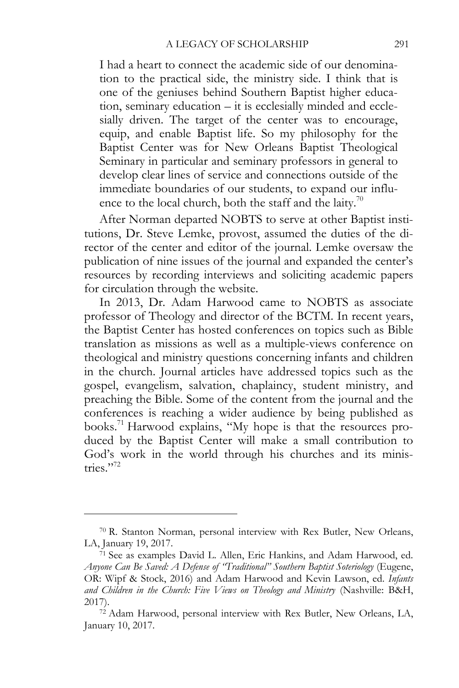I had a heart to connect the academic side of our denomination to the practical side, the ministry side. I think that is one of the geniuses behind Southern Baptist higher education, seminary education – it is ecclesially minded and ecclesially driven. The target of the center was to encourage, equip, and enable Baptist life. So my philosophy for the Baptist Center was for New Orleans Baptist Theological Seminary in particular and seminary professors in general to develop clear lines of service and connections outside of the immediate boundaries of our students, to expand our influence to the local church, both the staff and the laity.<sup>70</sup>

After Norman departed NOBTS to serve at other Baptist institutions, Dr. Steve Lemke, provost, assumed the duties of the director of the center and editor of the journal. Lemke oversaw the publication of nine issues of the journal and expanded the center's resources by recording interviews and soliciting academic papers for circulation through the website.

In 2013, Dr. Adam Harwood came to NOBTS as associate professor of Theology and director of the BCTM. In recent years, the Baptist Center has hosted conferences on topics such as Bible translation as missions as well as a multiple-views conference on theological and ministry questions concerning infants and children in the church. Journal articles have addressed topics such as the gospel, evangelism, salvation, chaplaincy, student ministry, and preaching the Bible. Some of the content from the journal and the conferences is reaching a wider audience by being published as books.<sup>71</sup> Harwood explains, "My hope is that the resources produced by the Baptist Center will make a small contribution to God's work in the world through his churches and its ministries $"$ <sup>772</sup>

<sup>70</sup> R. Stanton Norman, personal interview with Rex Butler, New Orleans, LA, January 19, 2017.<br><sup>71</sup> See as examples David L. Allen, Eric Hankins, and Adam Harwood, ed.

*Anyone Can Be Saved: A Defense of "Traditional" Southern Baptist Soteriology* (Eugene, OR: Wipf & Stock, 2016) and Adam Harwood and Kevin Lawson, ed. *Infants and Children in the Church: Five Views on Theology and Ministry* (Nashville: B&H, 2017). 72 Adam Harwood, personal interview with Rex Butler, New Orleans, LA,

January 10, 2017.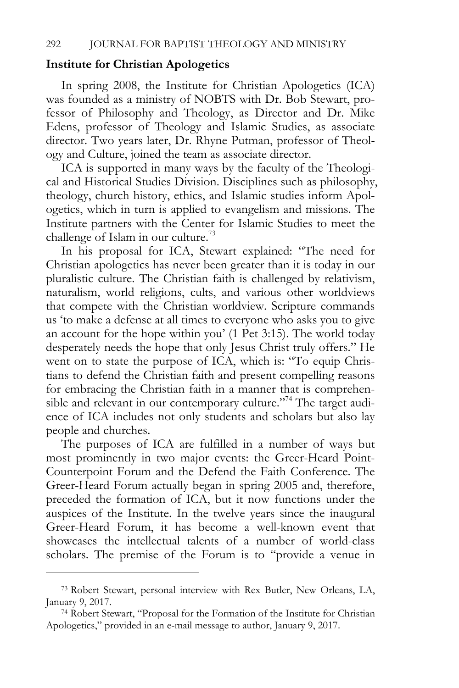#### **Institute for Christian Apologetics**

In spring 2008, the Institute for Christian Apologetics (ICA) was founded as a ministry of NOBTS with Dr. Bob Stewart, professor of Philosophy and Theology, as Director and Dr. Mike Edens, professor of Theology and Islamic Studies, as associate director. Two years later, Dr. Rhyne Putman, professor of Theology and Culture, joined the team as associate director.

ICA is supported in many ways by the faculty of the Theological and Historical Studies Division. Disciplines such as philosophy, theology, church history, ethics, and Islamic studies inform Apologetics, which in turn is applied to evangelism and missions. The Institute partners with the Center for Islamic Studies to meet the challenge of Islam in our culture.73

In his proposal for ICA, Stewart explained: "The need for Christian apologetics has never been greater than it is today in our pluralistic culture. The Christian faith is challenged by relativism, naturalism, world religions, cults, and various other worldviews that compete with the Christian worldview. Scripture commands us 'to make a defense at all times to everyone who asks you to give an account for the hope within you' (1 Pet 3:15). The world today desperately needs the hope that only Jesus Christ truly offers." He went on to state the purpose of ICA, which is: "To equip Christians to defend the Christian faith and present compelling reasons for embracing the Christian faith in a manner that is comprehensible and relevant in our contemporary culture."<sup>74</sup> The target audience of ICA includes not only students and scholars but also lay people and churches.

The purposes of ICA are fulfilled in a number of ways but most prominently in two major events: the Greer-Heard Point-Counterpoint Forum and the Defend the Faith Conference. The Greer-Heard Forum actually began in spring 2005 and, therefore, preceded the formation of ICA, but it now functions under the auspices of the Institute. In the twelve years since the inaugural Greer-Heard Forum, it has become a well-known event that showcases the intellectual talents of a number of world-class scholars. The premise of the Forum is to "provide a venue in

<sup>73</sup> Robert Stewart, personal interview with Rex Butler, New Orleans, LA, January 9, 2017.<br><sup>74</sup> Robert Stewart, "Proposal for the Formation of the Institute for Christian

Apologetics," provided in an e-mail message to author, January 9, 2017.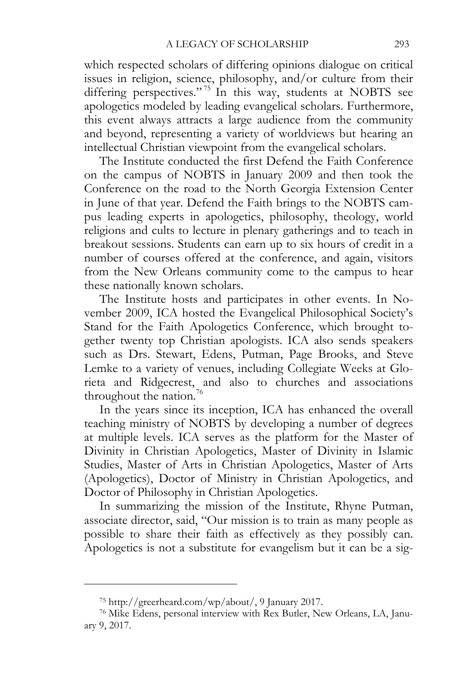which respected scholars of differing opinions dialogue on critical issues in religion, science, philosophy, and/or culture from their differing perspectives."<sup>75</sup> In this way, students at NOBTS see apologetics modeled by leading evangelical scholars. Furthermore, this event always attracts a large audience from the community and beyond, representing a variety of worldviews but hearing an intellectual Christian viewpoint from the evangelical scholars.

The Institute conducted the first Defend the Faith Conference on the campus of NOBTS in January 2009 and then took the Conference on the road to the North Georgia Extension Center in June of that year. Defend the Faith brings to the NOBTS campus leading experts in apologetics, philosophy, theology, world religions and cults to lecture in plenary gatherings and to teach in breakout sessions. Students can earn up to six hours of credit in a number of courses offered at the conference, and again, visitors from the New Orleans community come to the campus to hear these nationally known scholars.

The Institute hosts and participates in other events. In November 2009, ICA hosted the Evangelical Philosophical Society's Stand for the Faith Apologetics Conference, which brought together twenty top Christian apologists. ICA also sends speakers such as Drs. Stewart, Edens, Putman, Page Brooks, and Steve Lemke to a variety of venues, including Collegiate Weeks at Glorieta and Ridgecrest, and also to churches and associations throughout the nation.<sup>76</sup>

In the years since its inception, ICA has enhanced the overall teaching ministry of NOBTS by developing a number of degrees at multiple levels. ICA serves as the platform for the Master of Divinity in Christian Apologetics, Master of Divinity in Islamic Studies, Master of Arts in Christian Apologetics, Master of Arts (Apologetics), Doctor of Ministry in Christian Apologetics, and Doctor of Philosophy in Christian Apologetics.

In summarizing the mission of the Institute, Rhyne Putman, associate director, said, "Our mission is to train as many people as possible to share their faith as effectively as they possibly can. Apologetics is not a substitute for evangelism but it can be a sig-

<sup>75</sup> http://greerheard.com/wp/about/, 9 January 2017. 76 Mike Edens, personal interview with Rex Butler, New Orleans, LA, January 9, 2017.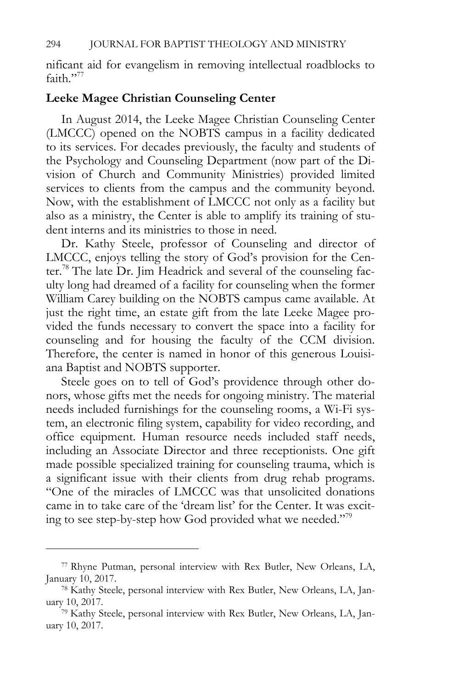nificant aid for evangelism in removing intellectual roadblocks to faith."77

#### **Leeke Magee Christian Counseling Center**

In August 2014, the Leeke Magee Christian Counseling Center (LMCCC) opened on the NOBTS campus in a facility dedicated to its services. For decades previously, the faculty and students of the Psychology and Counseling Department (now part of the Division of Church and Community Ministries) provided limited services to clients from the campus and the community beyond. Now, with the establishment of LMCCC not only as a facility but also as a ministry, the Center is able to amplify its training of student interns and its ministries to those in need.

Dr. Kathy Steele, professor of Counseling and director of LMCCC, enjoys telling the story of God's provision for the Center.78 The late Dr. Jim Headrick and several of the counseling faculty long had dreamed of a facility for counseling when the former William Carey building on the NOBTS campus came available. At just the right time, an estate gift from the late Leeke Magee provided the funds necessary to convert the space into a facility for counseling and for housing the faculty of the CCM division. Therefore, the center is named in honor of this generous Louisiana Baptist and NOBTS supporter.

Steele goes on to tell of God's providence through other donors, whose gifts met the needs for ongoing ministry. The material needs included furnishings for the counseling rooms, a Wi-Fi system, an electronic filing system, capability for video recording, and office equipment. Human resource needs included staff needs, including an Associate Director and three receptionists. One gift made possible specialized training for counseling trauma, which is a significant issue with their clients from drug rehab programs. "One of the miracles of LMCCC was that unsolicited donations came in to take care of the 'dream list' for the Center. It was exciting to see step-by-step how God provided what we needed."79

<sup>77</sup> Rhyne Putman, personal interview with Rex Butler, New Orleans, LA, January 10, 2017.<br><sup>78</sup> Kathy Steele, personal interview with Rex Butler, New Orleans, LA, Jan-

uary 10, 2017.<br><sup>79</sup> Kathy Steele, personal interview with Rex Butler, New Orleans, LA, Jan-

uary 10, 2017.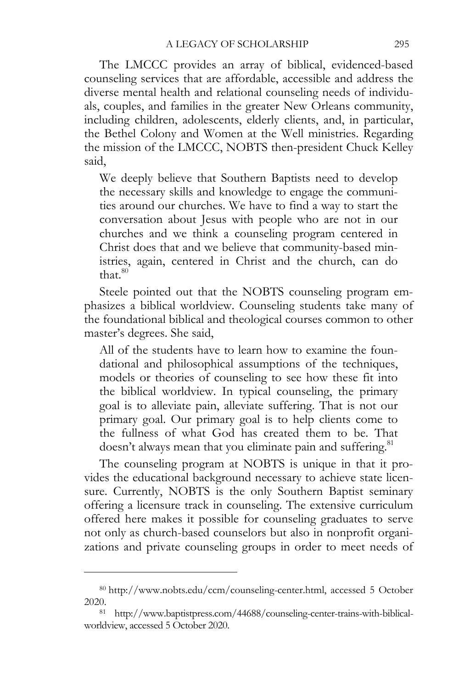The LMCCC provides an array of biblical, evidenced-based counseling services that are affordable, accessible and address the diverse mental health and relational counseling needs of individuals, couples, and families in the greater New Orleans community, including children, adolescents, elderly clients, and, in particular, the Bethel Colony and Women at the Well ministries. Regarding the mission of the LMCCC, NOBTS then-president Chuck Kelley said,

We deeply believe that Southern Baptists need to develop the necessary skills and knowledge to engage the communities around our churches. We have to find a way to start the conversation about Jesus with people who are not in our churches and we think a counseling program centered in Christ does that and we believe that community-based ministries, again, centered in Christ and the church, can do that. $80$ 

Steele pointed out that the NOBTS counseling program emphasizes a biblical worldview. Counseling students take many of the foundational biblical and theological courses common to other master's degrees. She said,

All of the students have to learn how to examine the foundational and philosophical assumptions of the techniques, models or theories of counseling to see how these fit into the biblical worldview. In typical counseling, the primary goal is to alleviate pain, alleviate suffering. That is not our primary goal. Our primary goal is to help clients come to the fullness of what God has created them to be. That doesn't always mean that you eliminate pain and suffering.<sup>81</sup>

The counseling program at NOBTS is unique in that it provides the educational background necessary to achieve state licensure. Currently, NOBTS is the only Southern Baptist seminary offering a licensure track in counseling. The extensive curriculum offered here makes it possible for counseling graduates to serve not only as church-based counselors but also in nonprofit organizations and private counseling groups in order to meet needs of

<sup>80</sup> http://www.nobts.edu/ccm/counseling-center.html, accessed 5 October 2020. 81 http://www.baptistpress.com/44688/counseling-center-trains-with-biblical-

worldview, accessed 5 October 2020.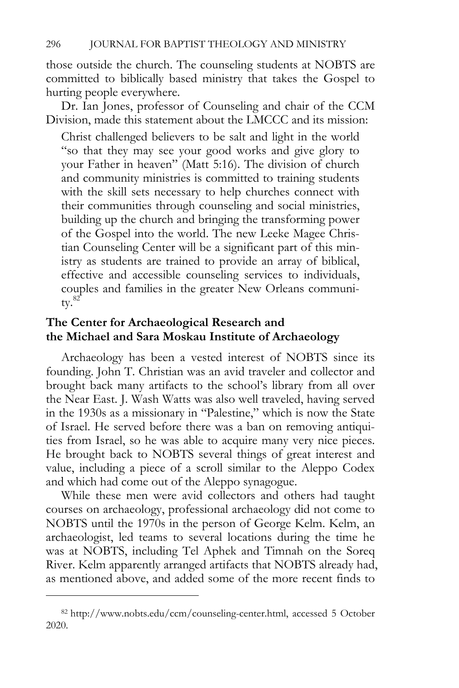those outside the church. The counseling students at NOBTS are committed to biblically based ministry that takes the Gospel to hurting people everywhere.

Dr. Ian Jones, professor of Counseling and chair of the CCM Division, made this statement about the LMCCC and its mission:

Christ challenged believers to be salt and light in the world "so that they may see your good works and give glory to your Father in heaven" (Matt 5:16). The division of church and community ministries is committed to training students with the skill sets necessary to help churches connect with their communities through counseling and social ministries, building up the church and bringing the transforming power of the Gospel into the world. The new Leeke Magee Christian Counseling Center will be a significant part of this ministry as students are trained to provide an array of biblical, effective and accessible counseling services to individuals, couples and families in the greater New Orleans communi $tv.^{82}$ 

## **The Center for Archaeological Research and the Michael and Sara Moskau Institute of Archaeology**

Archaeology has been a vested interest of NOBTS since its founding. John T. Christian was an avid traveler and collector and brought back many artifacts to the school's library from all over the Near East. J. Wash Watts was also well traveled, having served in the 1930s as a missionary in "Palestine," which is now the State of Israel. He served before there was a ban on removing antiquities from Israel, so he was able to acquire many very nice pieces. He brought back to NOBTS several things of great interest and value, including a piece of a scroll similar to the Aleppo Codex and which had come out of the Aleppo synagogue.

While these men were avid collectors and others had taught courses on archaeology, professional archaeology did not come to NOBTS until the 1970s in the person of George Kelm. Kelm, an archaeologist, led teams to several locations during the time he was at NOBTS, including Tel Aphek and Timnah on the Soreq River. Kelm apparently arranged artifacts that NOBTS already had, as mentioned above, and added some of the more recent finds to

<sup>82</sup> http://www.nobts.edu/ccm/counseling-center.html, accessed 5 October 2020.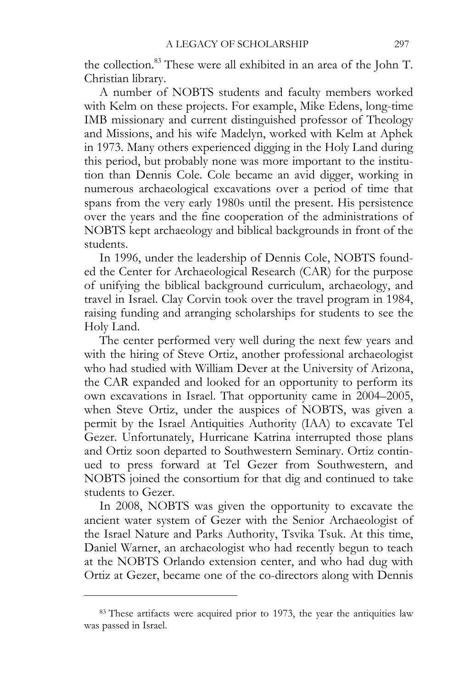the collection.<sup>83</sup> These were all exhibited in an area of the John T. Christian library.

A number of NOBTS students and faculty members worked with Kelm on these projects. For example, Mike Edens, long-time IMB missionary and current distinguished professor of Theology and Missions, and his wife Madelyn, worked with Kelm at Aphek in 1973. Many others experienced digging in the Holy Land during this period, but probably none was more important to the institution than Dennis Cole. Cole became an avid digger, working in numerous archaeological excavations over a period of time that spans from the very early 1980s until the present. His persistence over the years and the fine cooperation of the administrations of NOBTS kept archaeology and biblical backgrounds in front of the students.

In 1996, under the leadership of Dennis Cole, NOBTS founded the Center for Archaeological Research (CAR) for the purpose of unifying the biblical background curriculum, archaeology, and travel in Israel. Clay Corvin took over the travel program in 1984, raising funding and arranging scholarships for students to see the Holy Land.

The center performed very well during the next few years and with the hiring of Steve Ortiz, another professional archaeologist who had studied with William Dever at the University of Arizona, the CAR expanded and looked for an opportunity to perform its own excavations in Israel. That opportunity came in 2004–2005, when Steve Ortiz, under the auspices of NOBTS, was given a permit by the Israel Antiquities Authority (IAA) to excavate Tel Gezer. Unfortunately, Hurricane Katrina interrupted those plans and Ortiz soon departed to Southwestern Seminary. Ortiz continued to press forward at Tel Gezer from Southwestern, and NOBTS joined the consortium for that dig and continued to take students to Gezer.

In 2008, NOBTS was given the opportunity to excavate the ancient water system of Gezer with the Senior Archaeologist of the Israel Nature and Parks Authority, Tsvika Tsuk. At this time, Daniel Warner, an archaeologist who had recently begun to teach at the NOBTS Orlando extension center, and who had dug with Ortiz at Gezer, became one of the co-directors along with Dennis

<sup>83</sup> These artifacts were acquired prior to 1973, the year the antiquities law was passed in Israel.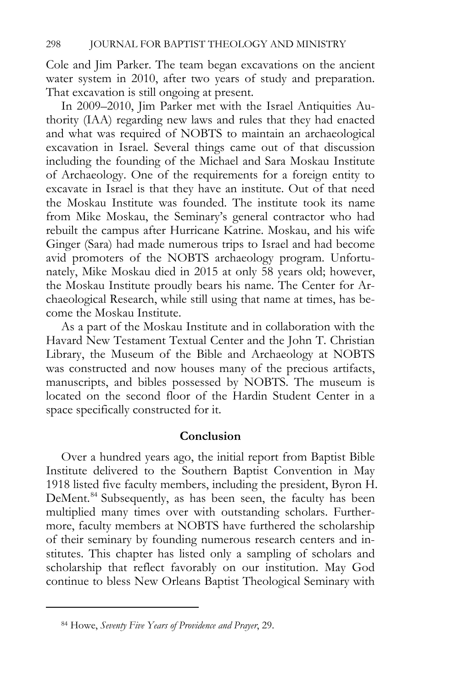Cole and Jim Parker. The team began excavations on the ancient water system in 2010, after two years of study and preparation. That excavation is still ongoing at present.

In 2009–2010, Jim Parker met with the Israel Antiquities Authority (IAA) regarding new laws and rules that they had enacted and what was required of NOBTS to maintain an archaeological excavation in Israel. Several things came out of that discussion including the founding of the Michael and Sara Moskau Institute of Archaeology. One of the requirements for a foreign entity to excavate in Israel is that they have an institute. Out of that need the Moskau Institute was founded. The institute took its name from Mike Moskau, the Seminary's general contractor who had rebuilt the campus after Hurricane Katrine. Moskau, and his wife Ginger (Sara) had made numerous trips to Israel and had become avid promoters of the NOBTS archaeology program. Unfortunately, Mike Moskau died in 2015 at only 58 years old; however, the Moskau Institute proudly bears his name. The Center for Archaeological Research, while still using that name at times, has become the Moskau Institute.

As a part of the Moskau Institute and in collaboration with the Havard New Testament Textual Center and the John T. Christian Library, the Museum of the Bible and Archaeology at NOBTS was constructed and now houses many of the precious artifacts, manuscripts, and bibles possessed by NOBTS. The museum is located on the second floor of the Hardin Student Center in a space specifically constructed for it.

#### **Conclusion**

Over a hundred years ago, the initial report from Baptist Bible Institute delivered to the Southern Baptist Convention in May 1918 listed five faculty members, including the president, Byron H. DeMent.<sup>84</sup> Subsequently, as has been seen, the faculty has been multiplied many times over with outstanding scholars. Furthermore, faculty members at NOBTS have furthered the scholarship of their seminary by founding numerous research centers and institutes. This chapter has listed only a sampling of scholars and scholarship that reflect favorably on our institution. May God continue to bless New Orleans Baptist Theological Seminary with

<sup>84</sup> Howe, *Seventy Five Years of Providence and Prayer*, 29.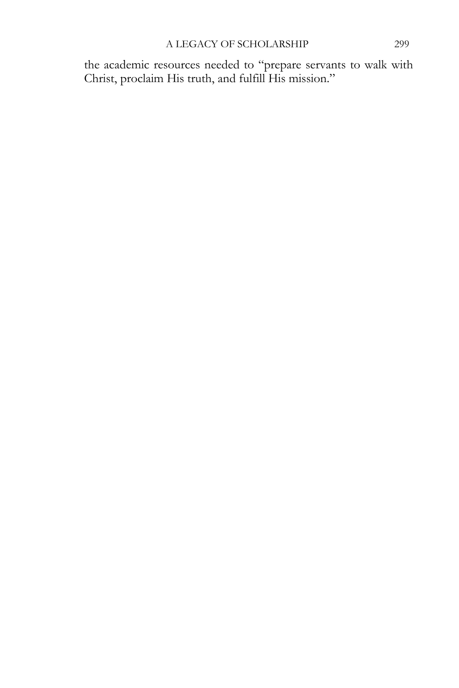the academic resources needed to "prepare servants to walk with Christ, proclaim His truth, and fulfill His mission."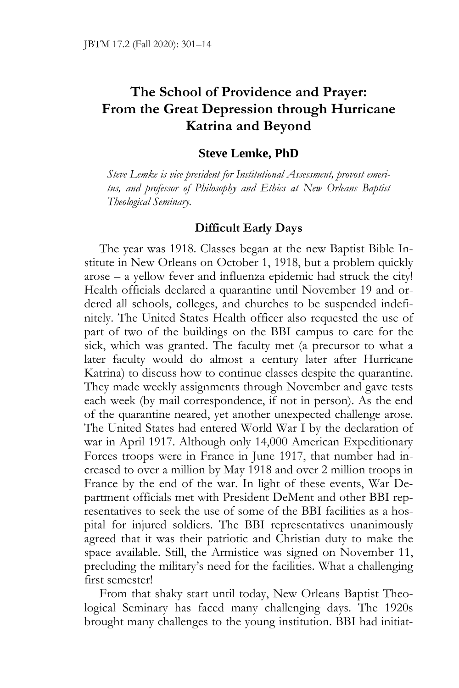# **The School of Providence and Prayer: From the Great Depression through Hurricane Katrina and Beyond**

## **Steve Lemke, PhD**

*Steve Lemke is vice president for Institutional Assessment, provost emeritus, and professor of Philosophy and Ethics at New Orleans Baptist Theological Seminary.* 

## **Difficult Early Days**

The year was 1918. Classes began at the new Baptist Bible Institute in New Orleans on October 1, 1918, but a problem quickly arose – a yellow fever and influenza epidemic had struck the city! Health officials declared a quarantine until November 19 and ordered all schools, colleges, and churches to be suspended indefinitely. The United States Health officer also requested the use of part of two of the buildings on the BBI campus to care for the sick, which was granted. The faculty met (a precursor to what a later faculty would do almost a century later after Hurricane Katrina) to discuss how to continue classes despite the quarantine. They made weekly assignments through November and gave tests each week (by mail correspondence, if not in person). As the end of the quarantine neared, yet another unexpected challenge arose. The United States had entered World War I by the declaration of war in April 1917. Although only 14,000 American Expeditionary Forces troops were in France in June 1917, that number had increased to over a million by May 1918 and over 2 million troops in France by the end of the war. In light of these events, War Department officials met with President DeMent and other BBI representatives to seek the use of some of the BBI facilities as a hospital for injured soldiers. The BBI representatives unanimously agreed that it was their patriotic and Christian duty to make the space available. Still, the Armistice was signed on November 11, precluding the military's need for the facilities. What a challenging first semester!

From that shaky start until today, New Orleans Baptist Theological Seminary has faced many challenging days. The 1920s brought many challenges to the young institution. BBI had initiat-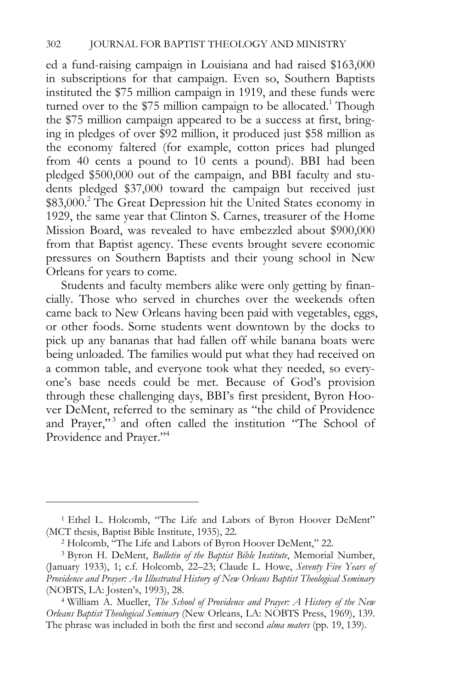ed a fund-raising campaign in Louisiana and had raised \$163,000 in subscriptions for that campaign. Even so, Southern Baptists instituted the \$75 million campaign in 1919, and these funds were turned over to the \$75 million campaign to be allocated.<sup>1</sup> Though the \$75 million campaign appeared to be a success at first, bringing in pledges of over \$92 million, it produced just \$58 million as the economy faltered (for example, cotton prices had plunged from 40 cents a pound to 10 cents a pound). BBI had been pledged \$500,000 out of the campaign, and BBI faculty and students pledged \$37,000 toward the campaign but received just \$83,000.<sup>2</sup> The Great Depression hit the United States economy in 1929, the same year that Clinton S. Carnes, treasurer of the Home Mission Board, was revealed to have embezzled about \$900,000 from that Baptist agency. These events brought severe economic pressures on Southern Baptists and their young school in New Orleans for years to come.

Students and faculty members alike were only getting by financially. Those who served in churches over the weekends often came back to New Orleans having been paid with vegetables, eggs, or other foods. Some students went downtown by the docks to pick up any bananas that had fallen off while banana boats were being unloaded. The families would put what they had received on a common table, and everyone took what they needed, so everyone's base needs could be met. Because of God's provision through these challenging days, BBI's first president, Byron Hoover DeMent, referred to the seminary as "the child of Providence and Prayer,"<sup>3</sup> and often called the institution "The School of Providence and Prayer."<sup>4</sup>

<sup>1</sup> Ethel L. Holcomb, "The Life and Labors of Byron Hoover DeMent" (MCT thesis, Baptist Bible Institute, 1935), 22.<br><sup>2</sup> Holcomb, "The Life and Labors of Byron Hoover DeMent," 22.<br><sup>3</sup> Byron H. DeMent, *Bulletin of the Baptist Bible Institute*, Memorial Number,

<sup>(</sup>January 1933), 1; c.f. Holcomb, 22–23; Claude L. Howe, *Seventy Five Years of Providence and Prayer: An Illustrated History of New Orleans Baptist Theological Seminary* (NOBTS, LA: Josten's, 1993), 28. 4 William A. Mueller, *The School of Providence and Prayer: A History of the New* 

*Orleans Baptist Theological Seminary* (New Orleans, LA: NOBTS Press, 1969), 139. The phrase was included in both the first and second *alma maters* (pp. 19, 139).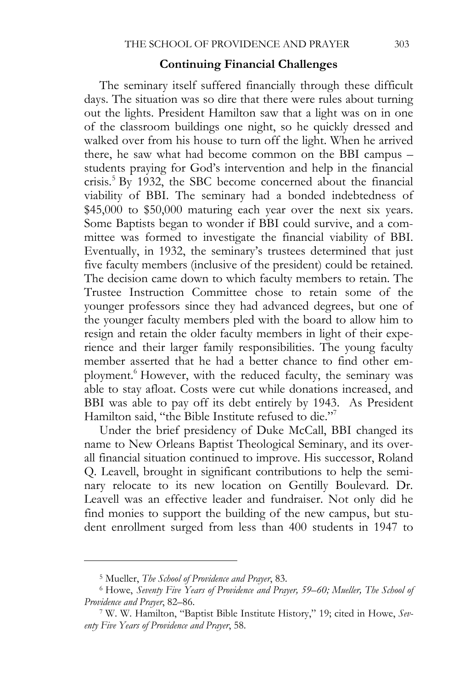#### **Continuing Financial Challenges**

The seminary itself suffered financially through these difficult days. The situation was so dire that there were rules about turning out the lights. President Hamilton saw that a light was on in one of the classroom buildings one night, so he quickly dressed and walked over from his house to turn off the light. When he arrived there, he saw what had become common on the BBI campus – students praying for God's intervention and help in the financial crisis.5 By 1932, the SBC become concerned about the financial viability of BBI. The seminary had a bonded indebtedness of \$45,000 to \$50,000 maturing each year over the next six years. Some Baptists began to wonder if BBI could survive, and a committee was formed to investigate the financial viability of BBI. Eventually, in 1932, the seminary's trustees determined that just five faculty members (inclusive of the president) could be retained. The decision came down to which faculty members to retain. The Trustee Instruction Committee chose to retain some of the younger professors since they had advanced degrees, but one of the younger faculty members pled with the board to allow him to resign and retain the older faculty members in light of their experience and their larger family responsibilities. The young faculty member asserted that he had a better chance to find other employment.<sup>6</sup> However, with the reduced faculty, the seminary was able to stay afloat. Costs were cut while donations increased, and BBI was able to pay off its debt entirely by 1943. As President Hamilton said, "the Bible Institute refused to die."<sup>7</sup>

Under the brief presidency of Duke McCall, BBI changed its name to New Orleans Baptist Theological Seminary, and its overall financial situation continued to improve. His successor, Roland Q. Leavell, brought in significant contributions to help the seminary relocate to its new location on Gentilly Boulevard. Dr. Leavell was an effective leader and fundraiser. Not only did he find monies to support the building of the new campus, but student enrollment surged from less than 400 students in 1947 to

<sup>&</sup>lt;sup>5</sup> Mueller, *The School of Providence and Prayer*, 83.<br><sup>6</sup> Howe, *Seventy Five Years of Providence and Prayer, 59–60; Mueller, The School of Providence and Prayer*, 82–86.<br><sup>7</sup> W. W. Hamilton, "Baptist Bible Institute History," 19; cited in Howe, *Sev-*

*enty Five Years of Providence and Prayer*, 58.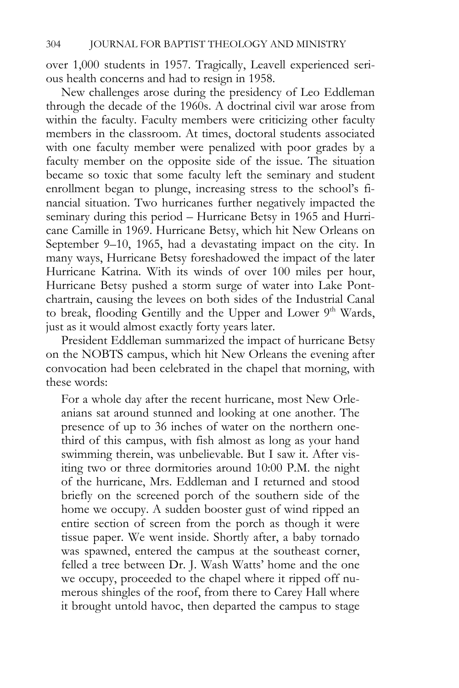over 1,000 students in 1957. Tragically, Leavell experienced serious health concerns and had to resign in 1958.

New challenges arose during the presidency of Leo Eddleman through the decade of the 1960s. A doctrinal civil war arose from within the faculty. Faculty members were criticizing other faculty members in the classroom. At times, doctoral students associated with one faculty member were penalized with poor grades by a faculty member on the opposite side of the issue. The situation became so toxic that some faculty left the seminary and student enrollment began to plunge, increasing stress to the school's financial situation. Two hurricanes further negatively impacted the seminary during this period – Hurricane Betsy in 1965 and Hurricane Camille in 1969. Hurricane Betsy, which hit New Orleans on September 9–10, 1965, had a devastating impact on the city. In many ways, Hurricane Betsy foreshadowed the impact of the later Hurricane Katrina. With its winds of over 100 miles per hour, Hurricane Betsy pushed a storm surge of water into Lake Pontchartrain, causing the levees on both sides of the Industrial Canal to break, flooding Gentilly and the Upper and Lower 9<sup>th</sup> Wards, just as it would almost exactly forty years later.

President Eddleman summarized the impact of hurricane Betsy on the NOBTS campus, which hit New Orleans the evening after convocation had been celebrated in the chapel that morning, with these words:

For a whole day after the recent hurricane, most New Orleanians sat around stunned and looking at one another. The presence of up to 36 inches of water on the northern onethird of this campus, with fish almost as long as your hand swimming therein, was unbelievable. But I saw it. After visiting two or three dormitories around 10:00 P.M. the night of the hurricane, Mrs. Eddleman and I returned and stood briefly on the screened porch of the southern side of the home we occupy. A sudden booster gust of wind ripped an entire section of screen from the porch as though it were tissue paper. We went inside. Shortly after, a baby tornado was spawned, entered the campus at the southeast corner, felled a tree between Dr. J. Wash Watts' home and the one we occupy, proceeded to the chapel where it ripped off numerous shingles of the roof, from there to Carey Hall where it brought untold havoc, then departed the campus to stage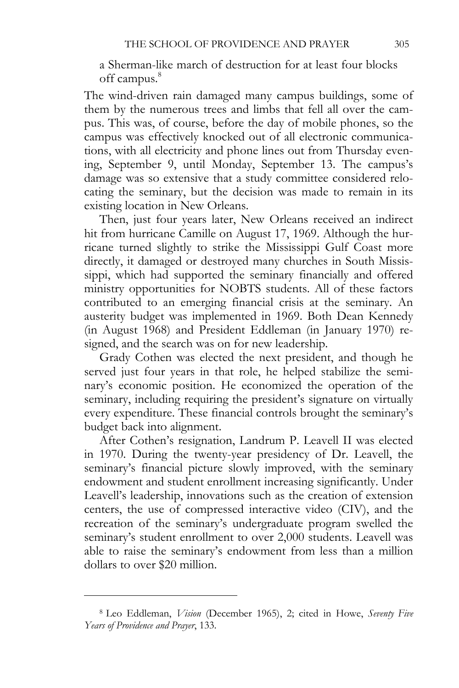a Sherman-like march of destruction for at least four blocks off campus.<sup>8</sup>

The wind-driven rain damaged many campus buildings, some of them by the numerous trees and limbs that fell all over the campus. This was, of course, before the day of mobile phones, so the campus was effectively knocked out of all electronic communications, with all electricity and phone lines out from Thursday evening, September 9, until Monday, September 13. The campus's damage was so extensive that a study committee considered relocating the seminary, but the decision was made to remain in its existing location in New Orleans.

Then, just four years later, New Orleans received an indirect hit from hurricane Camille on August 17, 1969. Although the hurricane turned slightly to strike the Mississippi Gulf Coast more directly, it damaged or destroyed many churches in South Mississippi, which had supported the seminary financially and offered ministry opportunities for NOBTS students. All of these factors contributed to an emerging financial crisis at the seminary. An austerity budget was implemented in 1969. Both Dean Kennedy (in August 1968) and President Eddleman (in January 1970) resigned, and the search was on for new leadership.

Grady Cothen was elected the next president, and though he served just four years in that role, he helped stabilize the seminary's economic position. He economized the operation of the seminary, including requiring the president's signature on virtually every expenditure. These financial controls brought the seminary's budget back into alignment.

After Cothen's resignation, Landrum P. Leavell II was elected in 1970. During the twenty-year presidency of Dr. Leavell, the seminary's financial picture slowly improved, with the seminary endowment and student enrollment increasing significantly. Under Leavell's leadership, innovations such as the creation of extension centers, the use of compressed interactive video (CIV), and the recreation of the seminary's undergraduate program swelled the seminary's student enrollment to over 2,000 students. Leavell was able to raise the seminary's endowment from less than a million dollars to over \$20 million.

<sup>8</sup> Leo Eddleman, *Vision* (December 1965), 2; cited in Howe, *Seventy Five Years of Providence and Prayer*, 133.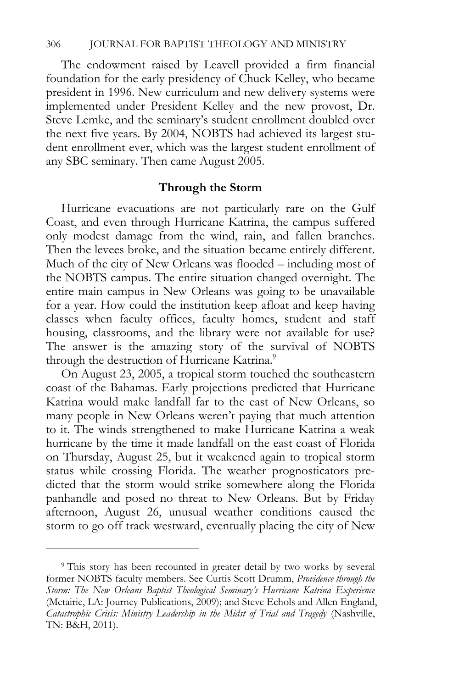The endowment raised by Leavell provided a firm financial foundation for the early presidency of Chuck Kelley, who became president in 1996. New curriculum and new delivery systems were implemented under President Kelley and the new provost, Dr. Steve Lemke, and the seminary's student enrollment doubled over the next five years. By 2004, NOBTS had achieved its largest student enrollment ever, which was the largest student enrollment of any SBC seminary. Then came August 2005.

#### **Through the Storm**

Hurricane evacuations are not particularly rare on the Gulf Coast, and even through Hurricane Katrina, the campus suffered only modest damage from the wind, rain, and fallen branches. Then the levees broke, and the situation became entirely different. Much of the city of New Orleans was flooded – including most of the NOBTS campus. The entire situation changed overnight. The entire main campus in New Orleans was going to be unavailable for a year. How could the institution keep afloat and keep having classes when faculty offices, faculty homes, student and staff housing, classrooms, and the library were not available for use? The answer is the amazing story of the survival of NOBTS through the destruction of Hurricane Katrina.<sup>9</sup>

On August 23, 2005, a tropical storm touched the southeastern coast of the Bahamas. Early projections predicted that Hurricane Katrina would make landfall far to the east of New Orleans, so many people in New Orleans weren't paying that much attention to it. The winds strengthened to make Hurricane Katrina a weak hurricane by the time it made landfall on the east coast of Florida on Thursday, August 25, but it weakened again to tropical storm status while crossing Florida. The weather prognosticators predicted that the storm would strike somewhere along the Florida panhandle and posed no threat to New Orleans. But by Friday afternoon, August 26, unusual weather conditions caused the storm to go off track westward, eventually placing the city of New

<sup>9</sup> This story has been recounted in greater detail by two works by several former NOBTS faculty members. See Curtis Scott Drumm, *Providence through the Storm: The New Orleans Baptist Theological Seminary's Hurricane Katrina Experience* (Metairie, LA: Journey Publications, 2009); and Steve Echols and Allen England, *Catastrophic Crisis: Ministry Leadership in the Midst of Trial and Tragedy* (Nashville, TN: B&H, 2011).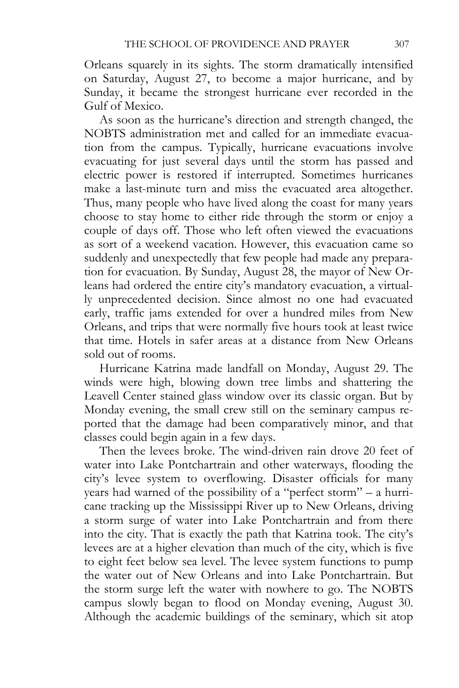Orleans squarely in its sights. The storm dramatically intensified on Saturday, August 27, to become a major hurricane, and by Sunday, it became the strongest hurricane ever recorded in the Gulf of Mexico.

As soon as the hurricane's direction and strength changed, the NOBTS administration met and called for an immediate evacuation from the campus. Typically, hurricane evacuations involve evacuating for just several days until the storm has passed and electric power is restored if interrupted. Sometimes hurricanes make a last-minute turn and miss the evacuated area altogether. Thus, many people who have lived along the coast for many years choose to stay home to either ride through the storm or enjoy a couple of days off. Those who left often viewed the evacuations as sort of a weekend vacation. However, this evacuation came so suddenly and unexpectedly that few people had made any preparation for evacuation. By Sunday, August 28, the mayor of New Orleans had ordered the entire city's mandatory evacuation, a virtually unprecedented decision. Since almost no one had evacuated early, traffic jams extended for over a hundred miles from New Orleans, and trips that were normally five hours took at least twice that time. Hotels in safer areas at a distance from New Orleans sold out of rooms.

Hurricane Katrina made landfall on Monday, August 29. The winds were high, blowing down tree limbs and shattering the Leavell Center stained glass window over its classic organ. But by Monday evening, the small crew still on the seminary campus reported that the damage had been comparatively minor, and that classes could begin again in a few days.

Then the levees broke. The wind-driven rain drove 20 feet of water into Lake Pontchartrain and other waterways, flooding the city's levee system to overflowing. Disaster officials for many years had warned of the possibility of a "perfect storm" – a hurricane tracking up the Mississippi River up to New Orleans, driving a storm surge of water into Lake Pontchartrain and from there into the city. That is exactly the path that Katrina took. The city's levees are at a higher elevation than much of the city, which is five to eight feet below sea level. The levee system functions to pump the water out of New Orleans and into Lake Pontchartrain. But the storm surge left the water with nowhere to go. The NOBTS campus slowly began to flood on Monday evening, August 30. Although the academic buildings of the seminary, which sit atop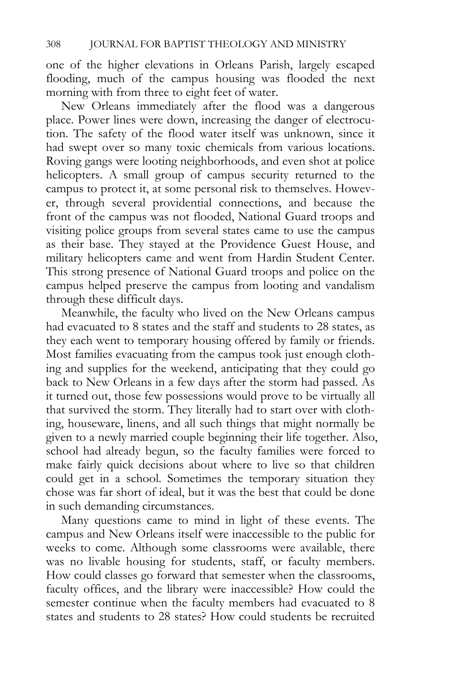one of the higher elevations in Orleans Parish, largely escaped flooding, much of the campus housing was flooded the next morning with from three to eight feet of water.

New Orleans immediately after the flood was a dangerous place. Power lines were down, increasing the danger of electrocution. The safety of the flood water itself was unknown, since it had swept over so many toxic chemicals from various locations. Roving gangs were looting neighborhoods, and even shot at police helicopters. A small group of campus security returned to the campus to protect it, at some personal risk to themselves. However, through several providential connections, and because the front of the campus was not flooded, National Guard troops and visiting police groups from several states came to use the campus as their base. They stayed at the Providence Guest House, and military helicopters came and went from Hardin Student Center. This strong presence of National Guard troops and police on the campus helped preserve the campus from looting and vandalism through these difficult days.

Meanwhile, the faculty who lived on the New Orleans campus had evacuated to 8 states and the staff and students to 28 states, as they each went to temporary housing offered by family or friends. Most families evacuating from the campus took just enough clothing and supplies for the weekend, anticipating that they could go back to New Orleans in a few days after the storm had passed. As it turned out, those few possessions would prove to be virtually all that survived the storm. They literally had to start over with clothing, houseware, linens, and all such things that might normally be given to a newly married couple beginning their life together. Also, school had already begun, so the faculty families were forced to make fairly quick decisions about where to live so that children could get in a school. Sometimes the temporary situation they chose was far short of ideal, but it was the best that could be done in such demanding circumstances.

Many questions came to mind in light of these events. The campus and New Orleans itself were inaccessible to the public for weeks to come. Although some classrooms were available, there was no livable housing for students, staff, or faculty members. How could classes go forward that semester when the classrooms, faculty offices, and the library were inaccessible? How could the semester continue when the faculty members had evacuated to 8 states and students to 28 states? How could students be recruited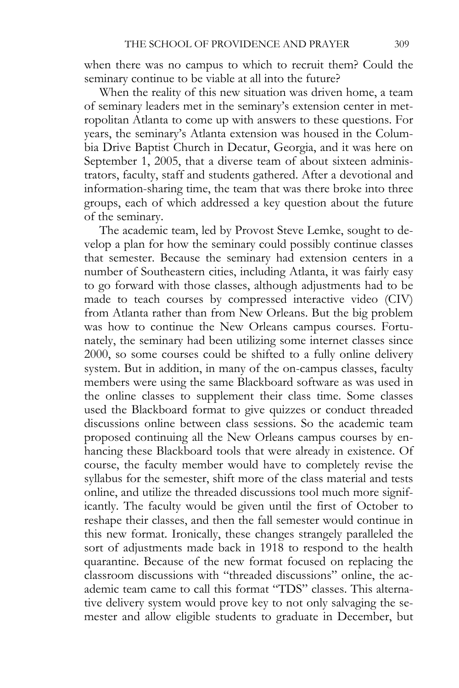when there was no campus to which to recruit them? Could the seminary continue to be viable at all into the future?

When the reality of this new situation was driven home, a team of seminary leaders met in the seminary's extension center in metropolitan Atlanta to come up with answers to these questions. For years, the seminary's Atlanta extension was housed in the Columbia Drive Baptist Church in Decatur, Georgia, and it was here on September 1, 2005, that a diverse team of about sixteen administrators, faculty, staff and students gathered. After a devotional and information-sharing time, the team that was there broke into three groups, each of which addressed a key question about the future of the seminary.

The academic team, led by Provost Steve Lemke, sought to develop a plan for how the seminary could possibly continue classes that semester. Because the seminary had extension centers in a number of Southeastern cities, including Atlanta, it was fairly easy to go forward with those classes, although adjustments had to be made to teach courses by compressed interactive video (CIV) from Atlanta rather than from New Orleans. But the big problem was how to continue the New Orleans campus courses. Fortunately, the seminary had been utilizing some internet classes since 2000, so some courses could be shifted to a fully online delivery system. But in addition, in many of the on-campus classes, faculty members were using the same Blackboard software as was used in the online classes to supplement their class time. Some classes used the Blackboard format to give quizzes or conduct threaded discussions online between class sessions. So the academic team proposed continuing all the New Orleans campus courses by enhancing these Blackboard tools that were already in existence. Of course, the faculty member would have to completely revise the syllabus for the semester, shift more of the class material and tests online, and utilize the threaded discussions tool much more significantly. The faculty would be given until the first of October to reshape their classes, and then the fall semester would continue in this new format. Ironically, these changes strangely paralleled the sort of adjustments made back in 1918 to respond to the health quarantine. Because of the new format focused on replacing the classroom discussions with "threaded discussions" online, the academic team came to call this format "TDS" classes. This alternative delivery system would prove key to not only salvaging the semester and allow eligible students to graduate in December, but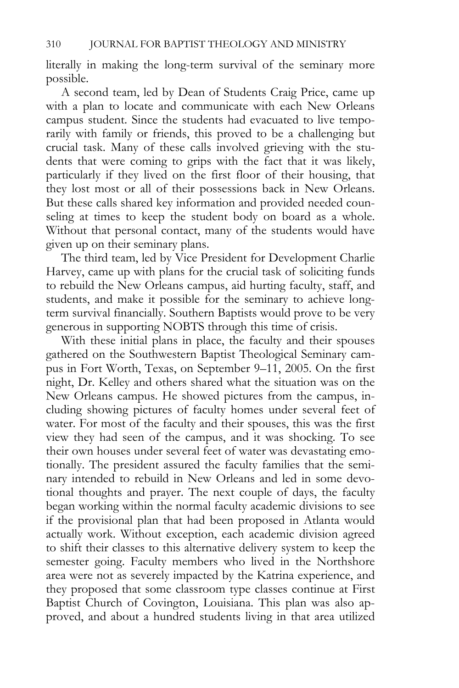literally in making the long-term survival of the seminary more possible.

A second team, led by Dean of Students Craig Price, came up with a plan to locate and communicate with each New Orleans campus student. Since the students had evacuated to live temporarily with family or friends, this proved to be a challenging but crucial task. Many of these calls involved grieving with the students that were coming to grips with the fact that it was likely, particularly if they lived on the first floor of their housing, that they lost most or all of their possessions back in New Orleans. But these calls shared key information and provided needed counseling at times to keep the student body on board as a whole. Without that personal contact, many of the students would have given up on their seminary plans.

The third team, led by Vice President for Development Charlie Harvey, came up with plans for the crucial task of soliciting funds to rebuild the New Orleans campus, aid hurting faculty, staff, and students, and make it possible for the seminary to achieve longterm survival financially. Southern Baptists would prove to be very generous in supporting NOBTS through this time of crisis.

With these initial plans in place, the faculty and their spouses gathered on the Southwestern Baptist Theological Seminary campus in Fort Worth, Texas, on September 9–11, 2005. On the first night, Dr. Kelley and others shared what the situation was on the New Orleans campus. He showed pictures from the campus, including showing pictures of faculty homes under several feet of water. For most of the faculty and their spouses, this was the first view they had seen of the campus, and it was shocking. To see their own houses under several feet of water was devastating emotionally. The president assured the faculty families that the seminary intended to rebuild in New Orleans and led in some devotional thoughts and prayer. The next couple of days, the faculty began working within the normal faculty academic divisions to see if the provisional plan that had been proposed in Atlanta would actually work. Without exception, each academic division agreed to shift their classes to this alternative delivery system to keep the semester going. Faculty members who lived in the Northshore area were not as severely impacted by the Katrina experience, and they proposed that some classroom type classes continue at First Baptist Church of Covington, Louisiana. This plan was also approved, and about a hundred students living in that area utilized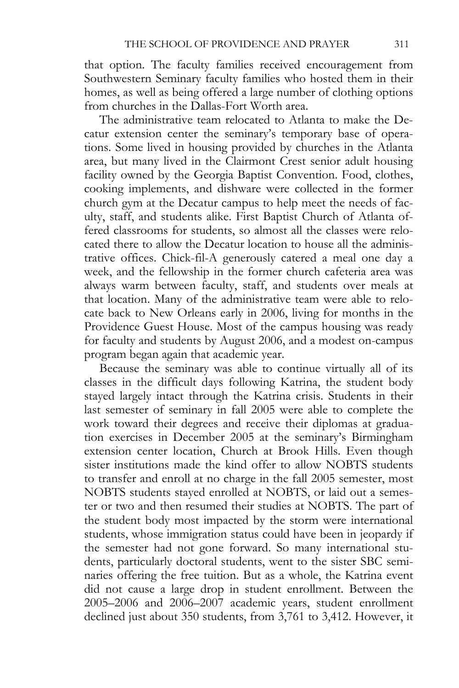that option. The faculty families received encouragement from Southwestern Seminary faculty families who hosted them in their homes, as well as being offered a large number of clothing options from churches in the Dallas-Fort Worth area.

The administrative team relocated to Atlanta to make the Decatur extension center the seminary's temporary base of operations. Some lived in housing provided by churches in the Atlanta area, but many lived in the Clairmont Crest senior adult housing facility owned by the Georgia Baptist Convention. Food, clothes, cooking implements, and dishware were collected in the former church gym at the Decatur campus to help meet the needs of faculty, staff, and students alike. First Baptist Church of Atlanta offered classrooms for students, so almost all the classes were relocated there to allow the Decatur location to house all the administrative offices. Chick-fil-A generously catered a meal one day a week, and the fellowship in the former church cafeteria area was always warm between faculty, staff, and students over meals at that location. Many of the administrative team were able to relocate back to New Orleans early in 2006, living for months in the Providence Guest House. Most of the campus housing was ready for faculty and students by August 2006, and a modest on-campus program began again that academic year.

Because the seminary was able to continue virtually all of its classes in the difficult days following Katrina, the student body stayed largely intact through the Katrina crisis. Students in their last semester of seminary in fall 2005 were able to complete the work toward their degrees and receive their diplomas at graduation exercises in December 2005 at the seminary's Birmingham extension center location, Church at Brook Hills. Even though sister institutions made the kind offer to allow NOBTS students to transfer and enroll at no charge in the fall 2005 semester, most NOBTS students stayed enrolled at NOBTS, or laid out a semester or two and then resumed their studies at NOBTS. The part of the student body most impacted by the storm were international students, whose immigration status could have been in jeopardy if the semester had not gone forward. So many international students, particularly doctoral students, went to the sister SBC seminaries offering the free tuition. But as a whole, the Katrina event did not cause a large drop in student enrollment. Between the 2005–2006 and 2006–2007 academic years, student enrollment declined just about 350 students, from 3,761 to 3,412. However, it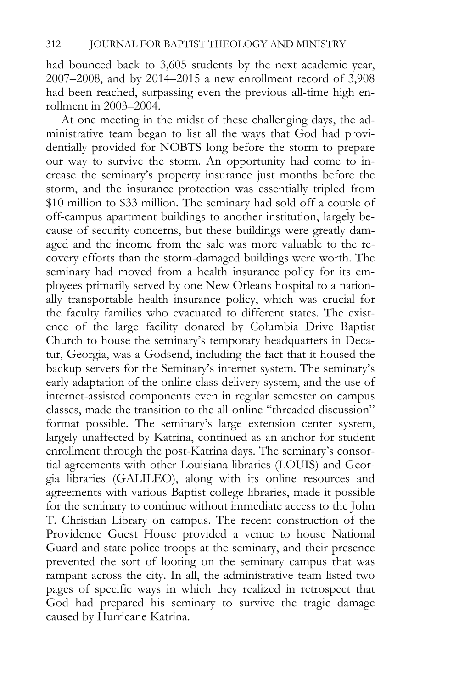had bounced back to 3,605 students by the next academic year, 2007–2008, and by 2014–2015 a new enrollment record of 3,908 had been reached, surpassing even the previous all-time high enrollment in 2003–2004.

At one meeting in the midst of these challenging days, the administrative team began to list all the ways that God had providentially provided for NOBTS long before the storm to prepare our way to survive the storm. An opportunity had come to increase the seminary's property insurance just months before the storm, and the insurance protection was essentially tripled from \$10 million to \$33 million. The seminary had sold off a couple of off-campus apartment buildings to another institution, largely because of security concerns, but these buildings were greatly damaged and the income from the sale was more valuable to the recovery efforts than the storm-damaged buildings were worth. The seminary had moved from a health insurance policy for its employees primarily served by one New Orleans hospital to a nationally transportable health insurance policy, which was crucial for the faculty families who evacuated to different states. The existence of the large facility donated by Columbia Drive Baptist Church to house the seminary's temporary headquarters in Decatur, Georgia, was a Godsend, including the fact that it housed the backup servers for the Seminary's internet system. The seminary's early adaptation of the online class delivery system, and the use of internet-assisted components even in regular semester on campus classes, made the transition to the all-online "threaded discussion" format possible. The seminary's large extension center system, largely unaffected by Katrina, continued as an anchor for student enrollment through the post-Katrina days. The seminary's consortial agreements with other Louisiana libraries (LOUIS) and Georgia libraries (GALILEO), along with its online resources and agreements with various Baptist college libraries, made it possible for the seminary to continue without immediate access to the John T. Christian Library on campus. The recent construction of the Providence Guest House provided a venue to house National Guard and state police troops at the seminary, and their presence prevented the sort of looting on the seminary campus that was rampant across the city. In all, the administrative team listed two pages of specific ways in which they realized in retrospect that God had prepared his seminary to survive the tragic damage caused by Hurricane Katrina.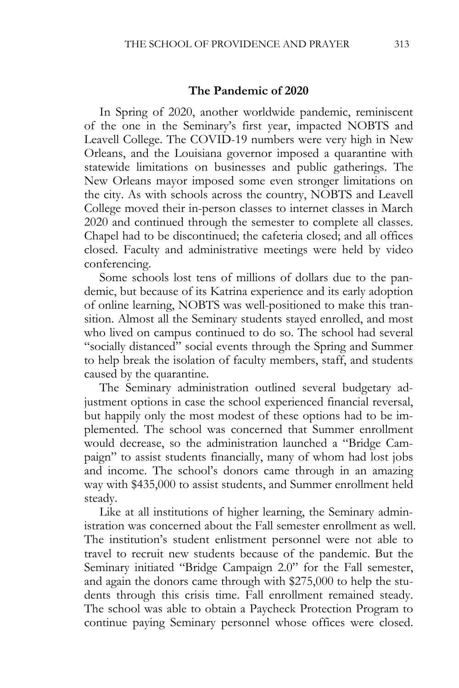#### **The Pandemic of 2020**

In Spring of 2020, another worldwide pandemic, reminiscent of the one in the Seminary's first year, impacted NOBTS and Leavell College. The COVID-19 numbers were very high in New Orleans, and the Louisiana governor imposed a quarantine with statewide limitations on businesses and public gatherings. The New Orleans mayor imposed some even stronger limitations on the city. As with schools across the country, NOBTS and Leavell College moved their in-person classes to internet classes in March 2020 and continued through the semester to complete all classes. Chapel had to be discontinued; the cafeteria closed; and all offices closed. Faculty and administrative meetings were held by video conferencing.

Some schools lost tens of millions of dollars due to the pandemic, but because of its Katrina experience and its early adoption of online learning, NOBTS was well-positioned to make this transition. Almost all the Seminary students stayed enrolled, and most who lived on campus continued to do so. The school had several "socially distanced" social events through the Spring and Summer to help break the isolation of faculty members, staff, and students caused by the quarantine.

The Seminary administration outlined several budgetary adjustment options in case the school experienced financial reversal, but happily only the most modest of these options had to be implemented. The school was concerned that Summer enrollment would decrease, so the administration launched a "Bridge Campaign" to assist students financially, many of whom had lost jobs and income. The school's donors came through in an amazing way with \$435,000 to assist students, and Summer enrollment held steady.

Like at all institutions of higher learning, the Seminary administration was concerned about the Fall semester enrollment as well. The institution's student enlistment personnel were not able to travel to recruit new students because of the pandemic. But the Seminary initiated "Bridge Campaign 2.0" for the Fall semester, and again the donors came through with \$275,000 to help the students through this crisis time. Fall enrollment remained steady. The school was able to obtain a Paycheck Protection Program to continue paying Seminary personnel whose offices were closed.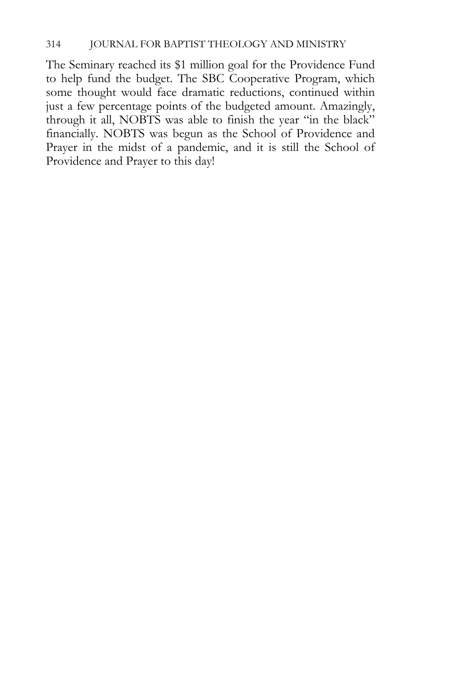The Seminary reached its \$1 million goal for the Providence Fund to help fund the budget. The SBC Cooperative Program, which some thought would face dramatic reductions, continued within just a few percentage points of the budgeted amount. Amazingly, through it all, NOBTS was able to finish the year "in the black" financially. NOBTS was begun as the School of Providence and Prayer in the midst of a pandemic, and it is still the School of Providence and Prayer to this day!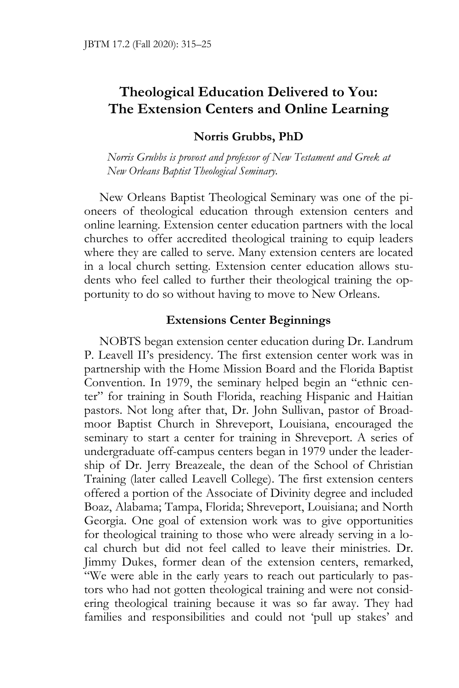## **Theological Education Delivered to You: The Extension Centers and Online Learning**

## **Norris Grubbs, PhD**

*Norris Grubbs is provost and professor of New Testament and Greek at New Orleans Baptist Theological Seminary.* 

New Orleans Baptist Theological Seminary was one of the pioneers of theological education through extension centers and online learning. Extension center education partners with the local churches to offer accredited theological training to equip leaders where they are called to serve. Many extension centers are located in a local church setting. Extension center education allows students who feel called to further their theological training the opportunity to do so without having to move to New Orleans.

#### **Extensions Center Beginnings**

NOBTS began extension center education during Dr. Landrum P. Leavell II's presidency. The first extension center work was in partnership with the Home Mission Board and the Florida Baptist Convention. In 1979, the seminary helped begin an "ethnic center" for training in South Florida, reaching Hispanic and Haitian pastors. Not long after that, Dr. John Sullivan, pastor of Broadmoor Baptist Church in Shreveport, Louisiana, encouraged the seminary to start a center for training in Shreveport. A series of undergraduate off-campus centers began in 1979 under the leadership of Dr. Jerry Breazeale, the dean of the School of Christian Training (later called Leavell College). The first extension centers offered a portion of the Associate of Divinity degree and included Boaz, Alabama; Tampa, Florida; Shreveport, Louisiana; and North Georgia. One goal of extension work was to give opportunities for theological training to those who were already serving in a local church but did not feel called to leave their ministries. Dr. Jimmy Dukes, former dean of the extension centers, remarked, "We were able in the early years to reach out particularly to pastors who had not gotten theological training and were not considering theological training because it was so far away. They had families and responsibilities and could not 'pull up stakes' and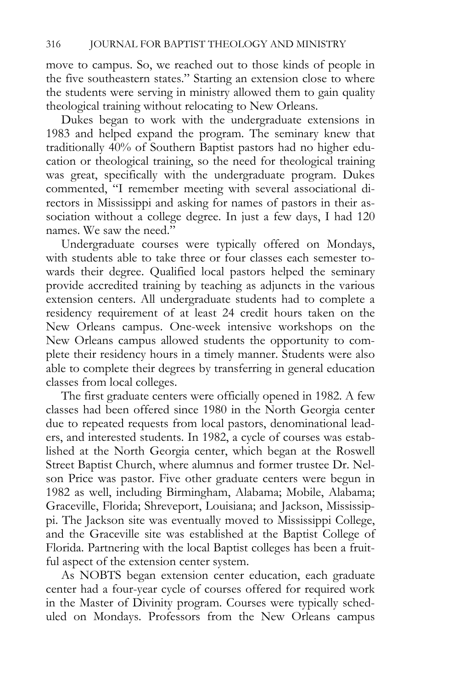move to campus. So, we reached out to those kinds of people in the five southeastern states." Starting an extension close to where the students were serving in ministry allowed them to gain quality theological training without relocating to New Orleans.

Dukes began to work with the undergraduate extensions in 1983 and helped expand the program. The seminary knew that traditionally 40% of Southern Baptist pastors had no higher education or theological training, so the need for theological training was great, specifically with the undergraduate program. Dukes commented, "I remember meeting with several associational directors in Mississippi and asking for names of pastors in their association without a college degree. In just a few days, I had 120 names. We saw the need."

Undergraduate courses were typically offered on Mondays, with students able to take three or four classes each semester towards their degree. Qualified local pastors helped the seminary provide accredited training by teaching as adjuncts in the various extension centers. All undergraduate students had to complete a residency requirement of at least 24 credit hours taken on the New Orleans campus. One-week intensive workshops on the New Orleans campus allowed students the opportunity to complete their residency hours in a timely manner. Students were also able to complete their degrees by transferring in general education classes from local colleges.

The first graduate centers were officially opened in 1982. A few classes had been offered since 1980 in the North Georgia center due to repeated requests from local pastors, denominational leaders, and interested students. In 1982, a cycle of courses was established at the North Georgia center, which began at the Roswell Street Baptist Church, where alumnus and former trustee Dr. Nelson Price was pastor. Five other graduate centers were begun in 1982 as well, including Birmingham, Alabama; Mobile, Alabama; Graceville, Florida; Shreveport, Louisiana; and Jackson, Mississippi. The Jackson site was eventually moved to Mississippi College, and the Graceville site was established at the Baptist College of Florida. Partnering with the local Baptist colleges has been a fruitful aspect of the extension center system.

As NOBTS began extension center education, each graduate center had a four-year cycle of courses offered for required work in the Master of Divinity program. Courses were typically scheduled on Mondays. Professors from the New Orleans campus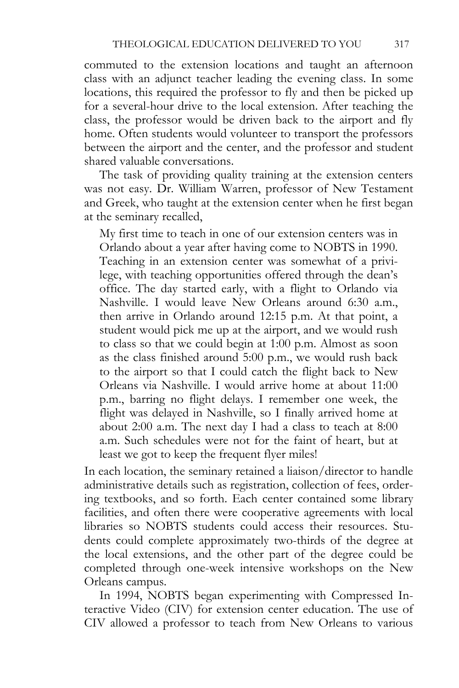commuted to the extension locations and taught an afternoon class with an adjunct teacher leading the evening class. In some locations, this required the professor to fly and then be picked up for a several-hour drive to the local extension. After teaching the class, the professor would be driven back to the airport and fly home. Often students would volunteer to transport the professors between the airport and the center, and the professor and student shared valuable conversations.

The task of providing quality training at the extension centers was not easy. Dr. William Warren, professor of New Testament and Greek, who taught at the extension center when he first began at the seminary recalled,

My first time to teach in one of our extension centers was in Orlando about a year after having come to NOBTS in 1990. Teaching in an extension center was somewhat of a privilege, with teaching opportunities offered through the dean's office. The day started early, with a flight to Orlando via Nashville. I would leave New Orleans around 6:30 a.m., then arrive in Orlando around 12:15 p.m. At that point, a student would pick me up at the airport, and we would rush to class so that we could begin at 1:00 p.m. Almost as soon as the class finished around 5:00 p.m., we would rush back to the airport so that I could catch the flight back to New Orleans via Nashville. I would arrive home at about 11:00 p.m., barring no flight delays. I remember one week, the flight was delayed in Nashville, so I finally arrived home at about 2:00 a.m. The next day I had a class to teach at 8:00 a.m. Such schedules were not for the faint of heart, but at least we got to keep the frequent flyer miles!

In each location, the seminary retained a liaison/director to handle administrative details such as registration, collection of fees, ordering textbooks, and so forth. Each center contained some library facilities, and often there were cooperative agreements with local libraries so NOBTS students could access their resources. Students could complete approximately two-thirds of the degree at the local extensions, and the other part of the degree could be completed through one-week intensive workshops on the New Orleans campus.

In 1994, NOBTS began experimenting with Compressed Interactive Video (CIV) for extension center education. The use of CIV allowed a professor to teach from New Orleans to various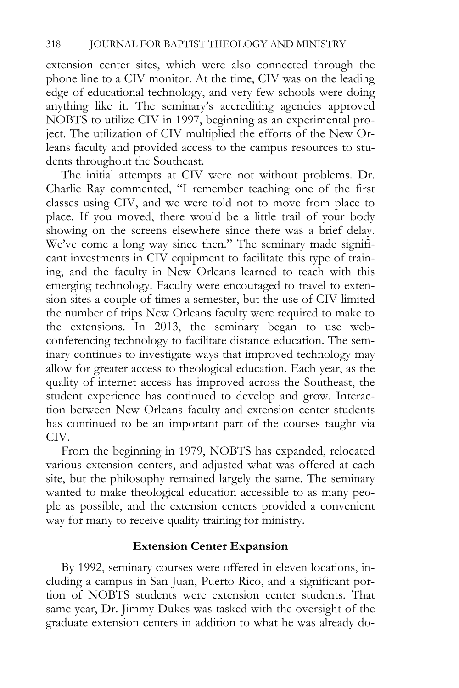extension center sites, which were also connected through the phone line to a CIV monitor. At the time, CIV was on the leading edge of educational technology, and very few schools were doing anything like it. The seminary's accrediting agencies approved NOBTS to utilize CIV in 1997, beginning as an experimental project. The utilization of CIV multiplied the efforts of the New Orleans faculty and provided access to the campus resources to students throughout the Southeast.

The initial attempts at CIV were not without problems. Dr. Charlie Ray commented, "I remember teaching one of the first classes using CIV, and we were told not to move from place to place. If you moved, there would be a little trail of your body showing on the screens elsewhere since there was a brief delay. We've come a long way since then." The seminary made significant investments in CIV equipment to facilitate this type of training, and the faculty in New Orleans learned to teach with this emerging technology. Faculty were encouraged to travel to extension sites a couple of times a semester, but the use of CIV limited the number of trips New Orleans faculty were required to make to the extensions. In 2013, the seminary began to use webconferencing technology to facilitate distance education. The seminary continues to investigate ways that improved technology may allow for greater access to theological education. Each year, as the quality of internet access has improved across the Southeast, the student experience has continued to develop and grow. Interaction between New Orleans faculty and extension center students has continued to be an important part of the courses taught via CIV.

From the beginning in 1979, NOBTS has expanded, relocated various extension centers, and adjusted what was offered at each site, but the philosophy remained largely the same. The seminary wanted to make theological education accessible to as many people as possible, and the extension centers provided a convenient way for many to receive quality training for ministry.

## **Extension Center Expansion**

By 1992, seminary courses were offered in eleven locations, including a campus in San Juan, Puerto Rico, and a significant portion of NOBTS students were extension center students. That same year, Dr. Jimmy Dukes was tasked with the oversight of the graduate extension centers in addition to what he was already do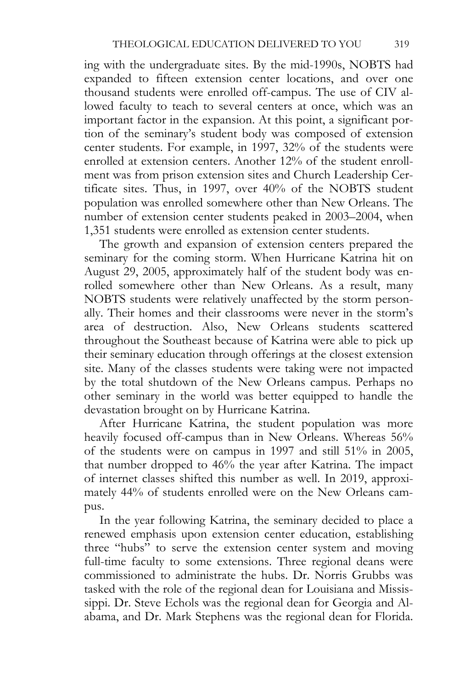ing with the undergraduate sites. By the mid-1990s, NOBTS had expanded to fifteen extension center locations, and over one thousand students were enrolled off-campus. The use of CIV allowed faculty to teach to several centers at once, which was an important factor in the expansion. At this point, a significant portion of the seminary's student body was composed of extension center students. For example, in 1997, 32% of the students were enrolled at extension centers. Another 12% of the student enrollment was from prison extension sites and Church Leadership Certificate sites. Thus, in 1997, over 40% of the NOBTS student population was enrolled somewhere other than New Orleans. The number of extension center students peaked in 2003–2004, when 1,351 students were enrolled as extension center students.

The growth and expansion of extension centers prepared the seminary for the coming storm. When Hurricane Katrina hit on August 29, 2005, approximately half of the student body was enrolled somewhere other than New Orleans. As a result, many NOBTS students were relatively unaffected by the storm personally. Their homes and their classrooms were never in the storm's area of destruction. Also, New Orleans students scattered throughout the Southeast because of Katrina were able to pick up their seminary education through offerings at the closest extension site. Many of the classes students were taking were not impacted by the total shutdown of the New Orleans campus. Perhaps no other seminary in the world was better equipped to handle the devastation brought on by Hurricane Katrina.

After Hurricane Katrina, the student population was more heavily focused off-campus than in New Orleans. Whereas 56% of the students were on campus in 1997 and still 51% in 2005, that number dropped to 46% the year after Katrina. The impact of internet classes shifted this number as well. In 2019, approximately 44% of students enrolled were on the New Orleans campus.

In the year following Katrina, the seminary decided to place a renewed emphasis upon extension center education, establishing three "hubs" to serve the extension center system and moving full-time faculty to some extensions. Three regional deans were commissioned to administrate the hubs. Dr. Norris Grubbs was tasked with the role of the regional dean for Louisiana and Mississippi. Dr. Steve Echols was the regional dean for Georgia and Alabama, and Dr. Mark Stephens was the regional dean for Florida.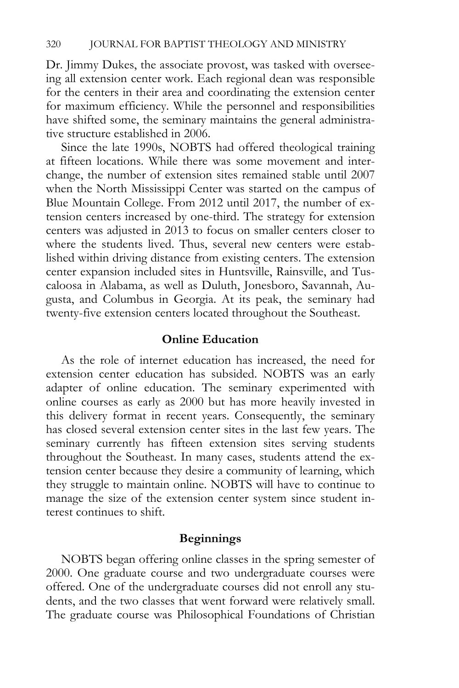Dr. Jimmy Dukes, the associate provost, was tasked with overseeing all extension center work. Each regional dean was responsible for the centers in their area and coordinating the extension center for maximum efficiency. While the personnel and responsibilities have shifted some, the seminary maintains the general administrative structure established in 2006.

Since the late 1990s, NOBTS had offered theological training at fifteen locations. While there was some movement and interchange, the number of extension sites remained stable until 2007 when the North Mississippi Center was started on the campus of Blue Mountain College. From 2012 until 2017, the number of extension centers increased by one-third. The strategy for extension centers was adjusted in 2013 to focus on smaller centers closer to where the students lived. Thus, several new centers were established within driving distance from existing centers. The extension center expansion included sites in Huntsville, Rainsville, and Tuscaloosa in Alabama, as well as Duluth, Jonesboro, Savannah, Augusta, and Columbus in Georgia. At its peak, the seminary had twenty-five extension centers located throughout the Southeast.

## **Online Education**

As the role of internet education has increased, the need for extension center education has subsided. NOBTS was an early adapter of online education. The seminary experimented with online courses as early as 2000 but has more heavily invested in this delivery format in recent years. Consequently, the seminary has closed several extension center sites in the last few years. The seminary currently has fifteen extension sites serving students throughout the Southeast. In many cases, students attend the extension center because they desire a community of learning, which they struggle to maintain online. NOBTS will have to continue to manage the size of the extension center system since student interest continues to shift.

## **Beginnings**

NOBTS began offering online classes in the spring semester of 2000. One graduate course and two undergraduate courses were offered. One of the undergraduate courses did not enroll any students, and the two classes that went forward were relatively small. The graduate course was Philosophical Foundations of Christian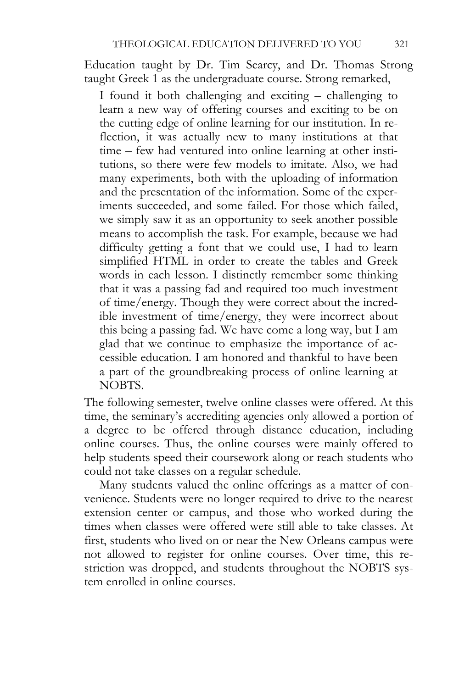Education taught by Dr. Tim Searcy, and Dr. Thomas Strong taught Greek 1 as the undergraduate course. Strong remarked,

I found it both challenging and exciting – challenging to learn a new way of offering courses and exciting to be on the cutting edge of online learning for our institution. In reflection, it was actually new to many institutions at that time – few had ventured into online learning at other institutions, so there were few models to imitate. Also, we had many experiments, both with the uploading of information and the presentation of the information. Some of the experiments succeeded, and some failed. For those which failed, we simply saw it as an opportunity to seek another possible means to accomplish the task. For example, because we had difficulty getting a font that we could use, I had to learn simplified HTML in order to create the tables and Greek words in each lesson. I distinctly remember some thinking that it was a passing fad and required too much investment of time/energy. Though they were correct about the incredible investment of time/energy, they were incorrect about this being a passing fad. We have come a long way, but I am glad that we continue to emphasize the importance of accessible education. I am honored and thankful to have been a part of the groundbreaking process of online learning at NOBTS.

The following semester, twelve online classes were offered. At this time, the seminary's accrediting agencies only allowed a portion of a degree to be offered through distance education, including online courses. Thus, the online courses were mainly offered to help students speed their coursework along or reach students who could not take classes on a regular schedule.

Many students valued the online offerings as a matter of convenience. Students were no longer required to drive to the nearest extension center or campus, and those who worked during the times when classes were offered were still able to take classes. At first, students who lived on or near the New Orleans campus were not allowed to register for online courses. Over time, this restriction was dropped, and students throughout the NOBTS system enrolled in online courses.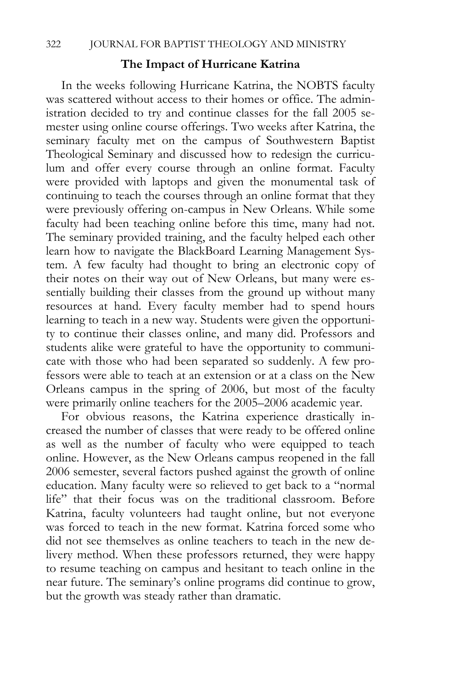#### **The Impact of Hurricane Katrina**

In the weeks following Hurricane Katrina, the NOBTS faculty was scattered without access to their homes or office. The administration decided to try and continue classes for the fall 2005 semester using online course offerings. Two weeks after Katrina, the seminary faculty met on the campus of Southwestern Baptist Theological Seminary and discussed how to redesign the curriculum and offer every course through an online format. Faculty were provided with laptops and given the monumental task of continuing to teach the courses through an online format that they were previously offering on-campus in New Orleans. While some faculty had been teaching online before this time, many had not. The seminary provided training, and the faculty helped each other learn how to navigate the BlackBoard Learning Management System. A few faculty had thought to bring an electronic copy of their notes on their way out of New Orleans, but many were essentially building their classes from the ground up without many resources at hand. Every faculty member had to spend hours learning to teach in a new way. Students were given the opportunity to continue their classes online, and many did. Professors and students alike were grateful to have the opportunity to communicate with those who had been separated so suddenly. A few professors were able to teach at an extension or at a class on the New Orleans campus in the spring of 2006, but most of the faculty were primarily online teachers for the 2005–2006 academic year.

For obvious reasons, the Katrina experience drastically increased the number of classes that were ready to be offered online as well as the number of faculty who were equipped to teach online. However, as the New Orleans campus reopened in the fall 2006 semester, several factors pushed against the growth of online education. Many faculty were so relieved to get back to a "normal life" that their focus was on the traditional classroom. Before Katrina, faculty volunteers had taught online, but not everyone was forced to teach in the new format. Katrina forced some who did not see themselves as online teachers to teach in the new delivery method. When these professors returned, they were happy to resume teaching on campus and hesitant to teach online in the near future. The seminary's online programs did continue to grow, but the growth was steady rather than dramatic.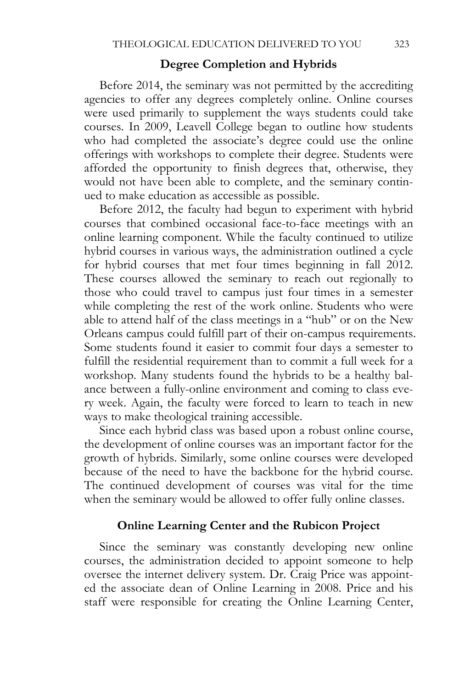### **Degree Completion and Hybrids**

Before 2014, the seminary was not permitted by the accrediting agencies to offer any degrees completely online. Online courses were used primarily to supplement the ways students could take courses. In 2009, Leavell College began to outline how students who had completed the associate's degree could use the online offerings with workshops to complete their degree. Students were afforded the opportunity to finish degrees that, otherwise, they would not have been able to complete, and the seminary continued to make education as accessible as possible.

Before 2012, the faculty had begun to experiment with hybrid courses that combined occasional face-to-face meetings with an online learning component. While the faculty continued to utilize hybrid courses in various ways, the administration outlined a cycle for hybrid courses that met four times beginning in fall 2012. These courses allowed the seminary to reach out regionally to those who could travel to campus just four times in a semester while completing the rest of the work online. Students who were able to attend half of the class meetings in a "hub" or on the New Orleans campus could fulfill part of their on-campus requirements. Some students found it easier to commit four days a semester to fulfill the residential requirement than to commit a full week for a workshop. Many students found the hybrids to be a healthy balance between a fully-online environment and coming to class every week. Again, the faculty were forced to learn to teach in new ways to make theological training accessible.

Since each hybrid class was based upon a robust online course, the development of online courses was an important factor for the growth of hybrids. Similarly, some online courses were developed because of the need to have the backbone for the hybrid course. The continued development of courses was vital for the time when the seminary would be allowed to offer fully online classes.

## **Online Learning Center and the Rubicon Project**

Since the seminary was constantly developing new online courses, the administration decided to appoint someone to help oversee the internet delivery system. Dr. Craig Price was appointed the associate dean of Online Learning in 2008. Price and his staff were responsible for creating the Online Learning Center,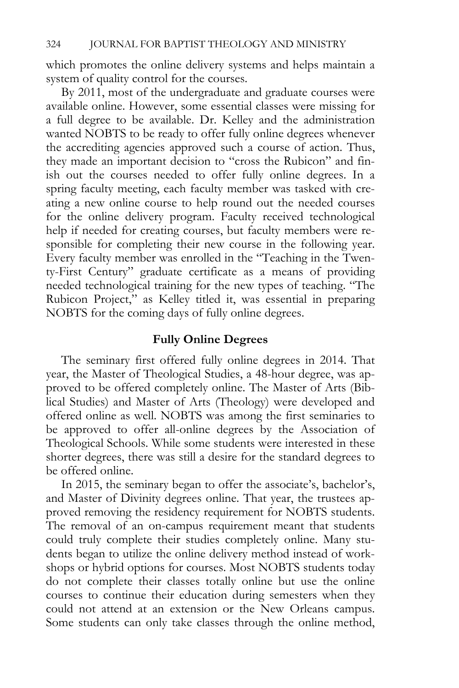which promotes the online delivery systems and helps maintain a system of quality control for the courses.

By 2011, most of the undergraduate and graduate courses were available online. However, some essential classes were missing for a full degree to be available. Dr. Kelley and the administration wanted NOBTS to be ready to offer fully online degrees whenever the accrediting agencies approved such a course of action. Thus, they made an important decision to "cross the Rubicon" and finish out the courses needed to offer fully online degrees. In a spring faculty meeting, each faculty member was tasked with creating a new online course to help round out the needed courses for the online delivery program. Faculty received technological help if needed for creating courses, but faculty members were responsible for completing their new course in the following year. Every faculty member was enrolled in the "Teaching in the Twenty-First Century" graduate certificate as a means of providing needed technological training for the new types of teaching. "The Rubicon Project," as Kelley titled it, was essential in preparing NOBTS for the coming days of fully online degrees.

## **Fully Online Degrees**

The seminary first offered fully online degrees in 2014. That year, the Master of Theological Studies, a 48-hour degree, was approved to be offered completely online. The Master of Arts (Biblical Studies) and Master of Arts (Theology) were developed and offered online as well. NOBTS was among the first seminaries to be approved to offer all-online degrees by the Association of Theological Schools. While some students were interested in these shorter degrees, there was still a desire for the standard degrees to be offered online.

In 2015, the seminary began to offer the associate's, bachelor's, and Master of Divinity degrees online. That year, the trustees approved removing the residency requirement for NOBTS students. The removal of an on-campus requirement meant that students could truly complete their studies completely online. Many students began to utilize the online delivery method instead of workshops or hybrid options for courses. Most NOBTS students today do not complete their classes totally online but use the online courses to continue their education during semesters when they could not attend at an extension or the New Orleans campus. Some students can only take classes through the online method,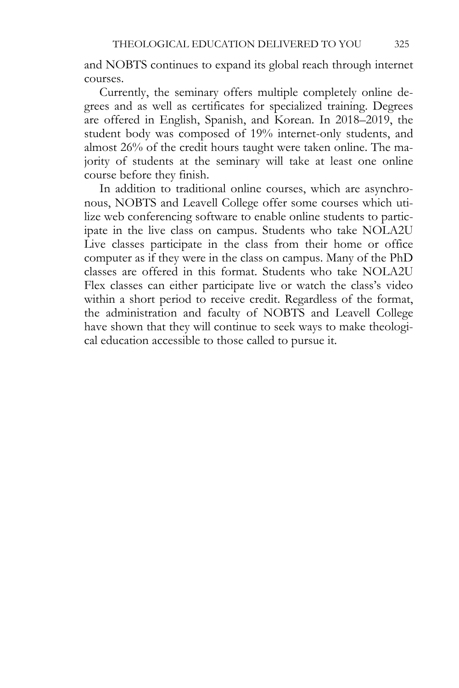and NOBTS continues to expand its global reach through internet courses.

Currently, the seminary offers multiple completely online degrees and as well as certificates for specialized training. Degrees are offered in English, Spanish, and Korean. In 2018–2019, the student body was composed of 19% internet-only students, and almost 26% of the credit hours taught were taken online. The majority of students at the seminary will take at least one online course before they finish.

In addition to traditional online courses, which are asynchronous, NOBTS and Leavell College offer some courses which utilize web conferencing software to enable online students to participate in the live class on campus. Students who take NOLA2U Live classes participate in the class from their home or office computer as if they were in the class on campus. Many of the PhD classes are offered in this format. Students who take NOLA2U Flex classes can either participate live or watch the class's video within a short period to receive credit. Regardless of the format, the administration and faculty of NOBTS and Leavell College have shown that they will continue to seek ways to make theological education accessible to those called to pursue it.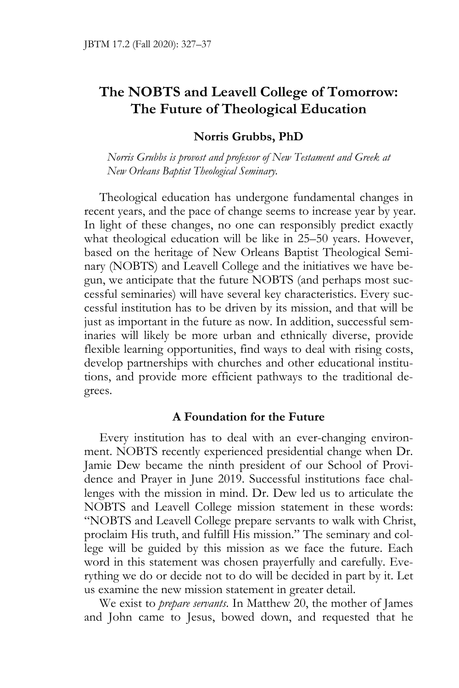# **The NOBTS and Leavell College of Tomorrow: The Future of Theological Education**

## **Norris Grubbs, PhD**

*Norris Grubbs is provost and professor of New Testament and Greek at New Orleans Baptist Theological Seminary.* 

Theological education has undergone fundamental changes in recent years, and the pace of change seems to increase year by year. In light of these changes, no one can responsibly predict exactly what theological education will be like in 25–50 years. However, based on the heritage of New Orleans Baptist Theological Seminary (NOBTS) and Leavell College and the initiatives we have begun, we anticipate that the future NOBTS (and perhaps most successful seminaries) will have several key characteristics. Every successful institution has to be driven by its mission, and that will be just as important in the future as now. In addition, successful seminaries will likely be more urban and ethnically diverse, provide flexible learning opportunities, find ways to deal with rising costs, develop partnerships with churches and other educational institutions, and provide more efficient pathways to the traditional degrees.

### **A Foundation for the Future**

Every institution has to deal with an ever-changing environment. NOBTS recently experienced presidential change when Dr. Jamie Dew became the ninth president of our School of Providence and Prayer in June 2019. Successful institutions face challenges with the mission in mind. Dr. Dew led us to articulate the NOBTS and Leavell College mission statement in these words: "NOBTS and Leavell College prepare servants to walk with Christ, proclaim His truth, and fulfill His mission." The seminary and college will be guided by this mission as we face the future. Each word in this statement was chosen prayerfully and carefully. Everything we do or decide not to do will be decided in part by it. Let us examine the new mission statement in greater detail.

We exist to *prepare servants*. In Matthew 20, the mother of James and John came to Jesus, bowed down, and requested that he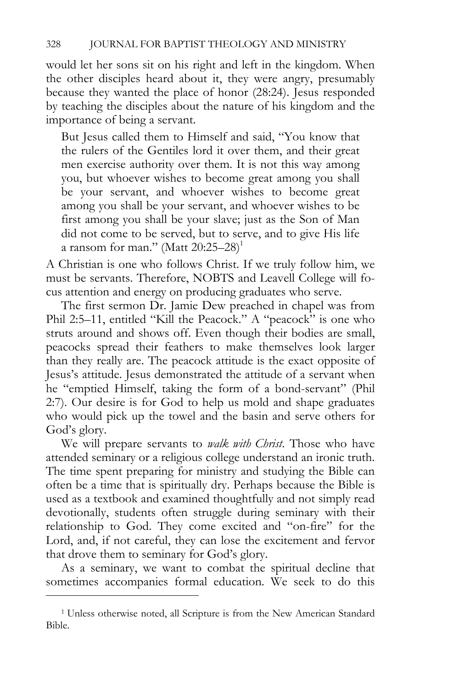would let her sons sit on his right and left in the kingdom. When the other disciples heard about it, they were angry, presumably because they wanted the place of honor (28:24). Jesus responded by teaching the disciples about the nature of his kingdom and the importance of being a servant.

But Jesus called them to Himself and said, "You know that the rulers of the Gentiles lord it over them, and their great men exercise authority over them. It is not this way among you, but whoever wishes to become great among you shall be your servant, and whoever wishes to become great among you shall be your servant, and whoever wishes to be first among you shall be your slave; just as the Son of Man did not come to be served, but to serve, and to give His life a ransom for man." (Matt  $20:25-28$ )<sup>1</sup>

A Christian is one who follows Christ. If we truly follow him, we must be servants. Therefore, NOBTS and Leavell College will focus attention and energy on producing graduates who serve.

The first sermon Dr. Jamie Dew preached in chapel was from Phil 2:5–11, entitled "Kill the Peacock." A "peacock" is one who struts around and shows off. Even though their bodies are small, peacocks spread their feathers to make themselves look larger than they really are. The peacock attitude is the exact opposite of Jesus's attitude. Jesus demonstrated the attitude of a servant when he "emptied Himself, taking the form of a bond-servant" (Phil 2:7). Our desire is for God to help us mold and shape graduates who would pick up the towel and the basin and serve others for God's glory.

We will prepare servants to *walk with Christ*. Those who have attended seminary or a religious college understand an ironic truth. The time spent preparing for ministry and studying the Bible can often be a time that is spiritually dry. Perhaps because the Bible is used as a textbook and examined thoughtfully and not simply read devotionally, students often struggle during seminary with their relationship to God. They come excited and "on-fire" for the Lord, and, if not careful, they can lose the excitement and fervor that drove them to seminary for God's glory.

As a seminary, we want to combat the spiritual decline that sometimes accompanies formal education. We seek to do this

<sup>&</sup>lt;sup>1</sup> Unless otherwise noted, all Scripture is from the New American Standard Bible.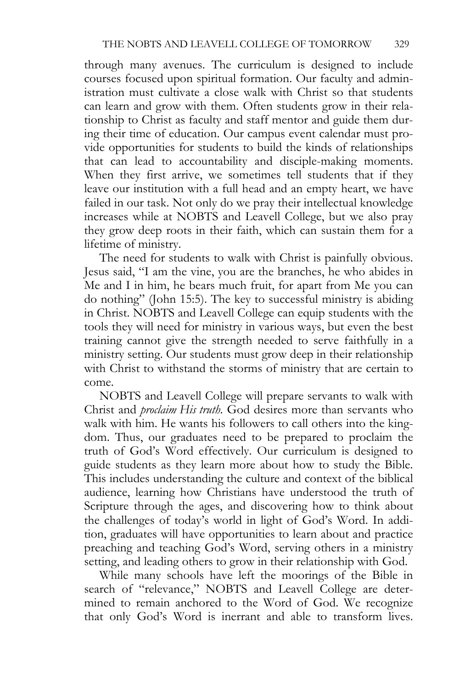through many avenues. The curriculum is designed to include courses focused upon spiritual formation. Our faculty and administration must cultivate a close walk with Christ so that students can learn and grow with them. Often students grow in their relationship to Christ as faculty and staff mentor and guide them during their time of education. Our campus event calendar must provide opportunities for students to build the kinds of relationships that can lead to accountability and disciple-making moments. When they first arrive, we sometimes tell students that if they leave our institution with a full head and an empty heart, we have failed in our task. Not only do we pray their intellectual knowledge increases while at NOBTS and Leavell College, but we also pray they grow deep roots in their faith, which can sustain them for a lifetime of ministry.

The need for students to walk with Christ is painfully obvious. Jesus said, "I am the vine, you are the branches, he who abides in Me and I in him, he bears much fruit, for apart from Me you can do nothing" (John 15:5). The key to successful ministry is abiding in Christ. NOBTS and Leavell College can equip students with the tools they will need for ministry in various ways, but even the best training cannot give the strength needed to serve faithfully in a ministry setting. Our students must grow deep in their relationship with Christ to withstand the storms of ministry that are certain to come.

NOBTS and Leavell College will prepare servants to walk with Christ and *proclaim His truth*. God desires more than servants who walk with him. He wants his followers to call others into the kingdom. Thus, our graduates need to be prepared to proclaim the truth of God's Word effectively. Our curriculum is designed to guide students as they learn more about how to study the Bible. This includes understanding the culture and context of the biblical audience, learning how Christians have understood the truth of Scripture through the ages, and discovering how to think about the challenges of today's world in light of God's Word. In addition, graduates will have opportunities to learn about and practice preaching and teaching God's Word, serving others in a ministry setting, and leading others to grow in their relationship with God.

While many schools have left the moorings of the Bible in search of "relevance," NOBTS and Leavell College are determined to remain anchored to the Word of God. We recognize that only God's Word is inerrant and able to transform lives.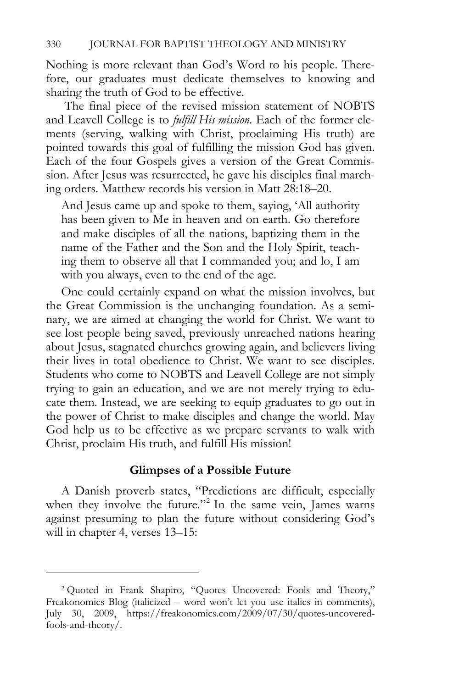Nothing is more relevant than God's Word to his people. Therefore, our graduates must dedicate themselves to knowing and sharing the truth of God to be effective.

 The final piece of the revised mission statement of NOBTS and Leavell College is to *fulfill His mission*. Each of the former elements (serving, walking with Christ, proclaiming His truth) are pointed towards this goal of fulfilling the mission God has given. Each of the four Gospels gives a version of the Great Commission. After Jesus was resurrected, he gave his disciples final marching orders. Matthew records his version in Matt 28:18–20.

And Jesus came up and spoke to them, saying, 'All authority has been given to Me in heaven and on earth. Go therefore and make disciples of all the nations, baptizing them in the name of the Father and the Son and the Holy Spirit, teaching them to observe all that I commanded you; and lo, I am with you always, even to the end of the age.

One could certainly expand on what the mission involves, but the Great Commission is the unchanging foundation. As a seminary, we are aimed at changing the world for Christ. We want to see lost people being saved, previously unreached nations hearing about Jesus, stagnated churches growing again, and believers living their lives in total obedience to Christ. We want to see disciples. Students who come to NOBTS and Leavell College are not simply trying to gain an education, and we are not merely trying to educate them. Instead, we are seeking to equip graduates to go out in the power of Christ to make disciples and change the world. May God help us to be effective as we prepare servants to walk with Christ, proclaim His truth, and fulfill His mission!

#### **Glimpses of a Possible Future**

A Danish proverb states, "Predictions are difficult, especially when they involve the future."<sup>2</sup> In the same vein, James warns against presuming to plan the future without considering God's will in chapter 4, verses 13–15:

<sup>2</sup> Quoted in Frank Shapiro, "Quotes Uncovered: Fools and Theory," Freakonomics Blog (italicized – word won't let you use italics in comments), July 30, 2009, https://freakonomics.com/2009/07/30/quotes-uncoveredfools-and-theory/.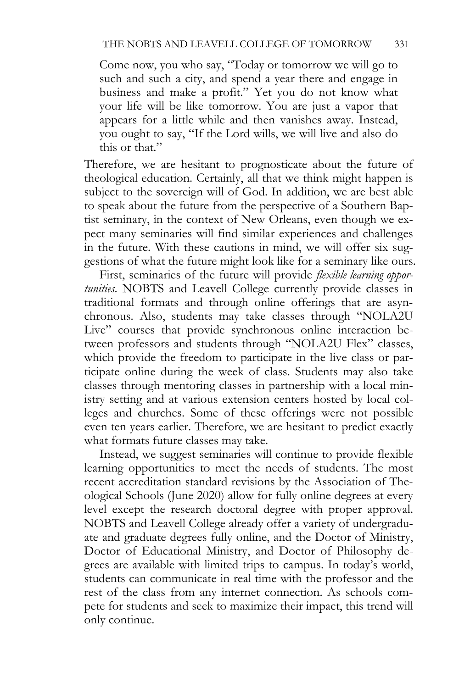Come now, you who say, "Today or tomorrow we will go to such and such a city, and spend a year there and engage in business and make a profit." Yet you do not know what your life will be like tomorrow. You are just a vapor that appears for a little while and then vanishes away. Instead, you ought to say, "If the Lord wills, we will live and also do this or that."

Therefore, we are hesitant to prognosticate about the future of theological education. Certainly, all that we think might happen is subject to the sovereign will of God. In addition, we are best able to speak about the future from the perspective of a Southern Baptist seminary, in the context of New Orleans, even though we expect many seminaries will find similar experiences and challenges in the future. With these cautions in mind, we will offer six suggestions of what the future might look like for a seminary like ours.

First, seminaries of the future will provide *flexible learning opportunities*. NOBTS and Leavell College currently provide classes in traditional formats and through online offerings that are asynchronous. Also, students may take classes through "NOLA2U Live" courses that provide synchronous online interaction between professors and students through "NOLA2U Flex" classes, which provide the freedom to participate in the live class or participate online during the week of class. Students may also take classes through mentoring classes in partnership with a local ministry setting and at various extension centers hosted by local colleges and churches. Some of these offerings were not possible even ten years earlier. Therefore, we are hesitant to predict exactly what formats future classes may take.

Instead, we suggest seminaries will continue to provide flexible learning opportunities to meet the needs of students. The most recent accreditation standard revisions by the Association of Theological Schools (June 2020) allow for fully online degrees at every level except the research doctoral degree with proper approval. NOBTS and Leavell College already offer a variety of undergraduate and graduate degrees fully online, and the Doctor of Ministry, Doctor of Educational Ministry, and Doctor of Philosophy degrees are available with limited trips to campus. In today's world, students can communicate in real time with the professor and the rest of the class from any internet connection. As schools compete for students and seek to maximize their impact, this trend will only continue.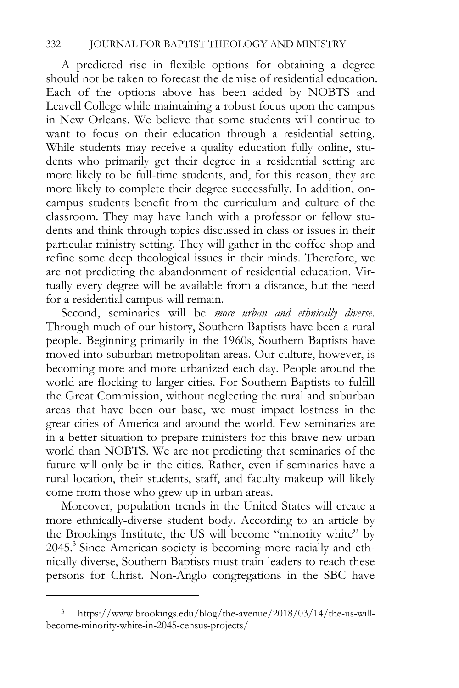A predicted rise in flexible options for obtaining a degree should not be taken to forecast the demise of residential education. Each of the options above has been added by NOBTS and Leavell College while maintaining a robust focus upon the campus in New Orleans. We believe that some students will continue to want to focus on their education through a residential setting. While students may receive a quality education fully online, students who primarily get their degree in a residential setting are more likely to be full-time students, and, for this reason, they are more likely to complete their degree successfully. In addition, oncampus students benefit from the curriculum and culture of the classroom. They may have lunch with a professor or fellow students and think through topics discussed in class or issues in their particular ministry setting. They will gather in the coffee shop and refine some deep theological issues in their minds. Therefore, we are not predicting the abandonment of residential education. Virtually every degree will be available from a distance, but the need for a residential campus will remain.

Second, seminaries will be *more urban and ethnically diverse*. Through much of our history, Southern Baptists have been a rural people. Beginning primarily in the 1960s, Southern Baptists have moved into suburban metropolitan areas. Our culture, however, is becoming more and more urbanized each day. People around the world are flocking to larger cities. For Southern Baptists to fulfill the Great Commission, without neglecting the rural and suburban areas that have been our base, we must impact lostness in the great cities of America and around the world. Few seminaries are in a better situation to prepare ministers for this brave new urban world than NOBTS. We are not predicting that seminaries of the future will only be in the cities. Rather, even if seminaries have a rural location, their students, staff, and faculty makeup will likely come from those who grew up in urban areas.

Moreover, population trends in the United States will create a more ethnically-diverse student body. According to an article by the Brookings Institute, the US will become "minority white" by 2045.<sup>3</sup> Since American society is becoming more racially and ethnically diverse, Southern Baptists must train leaders to reach these persons for Christ. Non-Anglo congregations in the SBC have

<sup>3</sup> https://www.brookings.edu/blog/the-avenue/2018/03/14/the-us-willbecome-minority-white-in-2045-census-projects/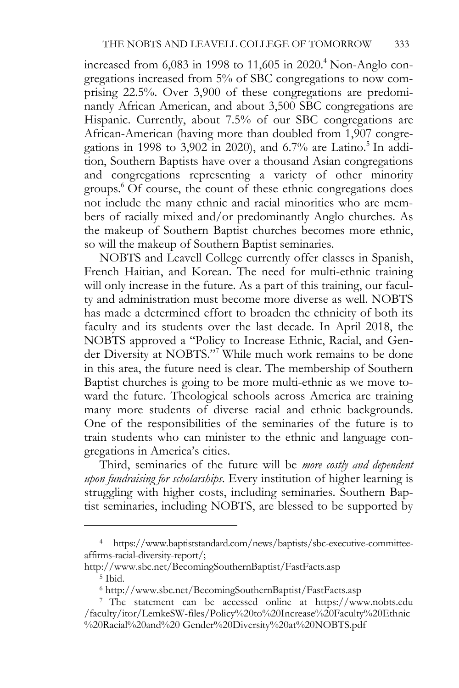increased from  $6,083$  in 1998 to 11,605 in 2020.<sup>4</sup> Non-Anglo congregations increased from 5% of SBC congregations to now comprising 22.5%. Over 3,900 of these congregations are predominantly African American, and about 3,500 SBC congregations are Hispanic. Currently, about 7.5% of our SBC congregations are African-American (having more than doubled from 1,907 congregations in 1998 to 3,902 in 2020), and 6.7% are Latino.<sup>5</sup> In addition, Southern Baptists have over a thousand Asian congregations and congregations representing a variety of other minority groups.<sup>6</sup> Of course, the count of these ethnic congregations does not include the many ethnic and racial minorities who are members of racially mixed and/or predominantly Anglo churches. As the makeup of Southern Baptist churches becomes more ethnic, so will the makeup of Southern Baptist seminaries.

NOBTS and Leavell College currently offer classes in Spanish, French Haitian, and Korean. The need for multi-ethnic training will only increase in the future. As a part of this training, our faculty and administration must become more diverse as well. NOBTS has made a determined effort to broaden the ethnicity of both its faculty and its students over the last decade. In April 2018, the NOBTS approved a "Policy to Increase Ethnic, Racial, and Gender Diversity at NOBTS."<sup>7</sup> While much work remains to be done in this area, the future need is clear. The membership of Southern Baptist churches is going to be more multi-ethnic as we move toward the future. Theological schools across America are training many more students of diverse racial and ethnic backgrounds. One of the responsibilities of the seminaries of the future is to train students who can minister to the ethnic and language congregations in America's cities.

Third, seminaries of the future will be *more costly and dependent upon fundraising for scholarships*. Every institution of higher learning is struggling with higher costs, including seminaries. Southern Baptist seminaries, including NOBTS, are blessed to be supported by

<sup>4</sup> https://www.baptiststandard.com/news/baptists/sbc-executive-committeeaffirms-racial-diversity-report/;

http://www.sbc.net/BecomingSouthernBaptist/FastFacts.asp 5 Ibid.

<sup>6</sup> http://www.sbc.net/BecomingSouthernBaptist/FastFacts.asp 7 The statement can be accessed online at https://www.nobts.edu /faculty/itor/LemkeSW-files/Policy%20to%20Increase%20Faculty%20Ethnic %20Racial%20and%20 Gender%20Diversity%20at%20NOBTS.pdf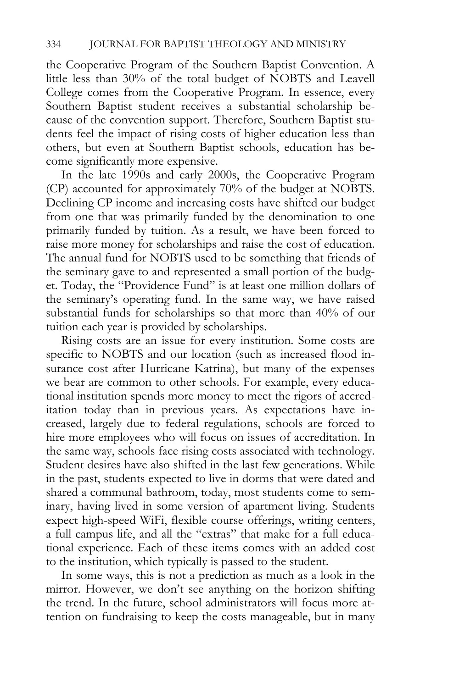the Cooperative Program of the Southern Baptist Convention. A little less than 30% of the total budget of NOBTS and Leavell College comes from the Cooperative Program. In essence, every Southern Baptist student receives a substantial scholarship because of the convention support. Therefore, Southern Baptist students feel the impact of rising costs of higher education less than others, but even at Southern Baptist schools, education has become significantly more expensive.

In the late 1990s and early 2000s, the Cooperative Program (CP) accounted for approximately 70% of the budget at NOBTS. Declining CP income and increasing costs have shifted our budget from one that was primarily funded by the denomination to one primarily funded by tuition. As a result, we have been forced to raise more money for scholarships and raise the cost of education. The annual fund for NOBTS used to be something that friends of the seminary gave to and represented a small portion of the budget. Today, the "Providence Fund" is at least one million dollars of the seminary's operating fund. In the same way, we have raised substantial funds for scholarships so that more than 40% of our tuition each year is provided by scholarships.

Rising costs are an issue for every institution. Some costs are specific to NOBTS and our location (such as increased flood insurance cost after Hurricane Katrina), but many of the expenses we bear are common to other schools. For example, every educational institution spends more money to meet the rigors of accreditation today than in previous years. As expectations have increased, largely due to federal regulations, schools are forced to hire more employees who will focus on issues of accreditation. In the same way, schools face rising costs associated with technology. Student desires have also shifted in the last few generations. While in the past, students expected to live in dorms that were dated and shared a communal bathroom, today, most students come to seminary, having lived in some version of apartment living. Students expect high-speed WiFi, flexible course offerings, writing centers, a full campus life, and all the "extras" that make for a full educational experience. Each of these items comes with an added cost to the institution, which typically is passed to the student.

In some ways, this is not a prediction as much as a look in the mirror. However, we don't see anything on the horizon shifting the trend. In the future, school administrators will focus more attention on fundraising to keep the costs manageable, but in many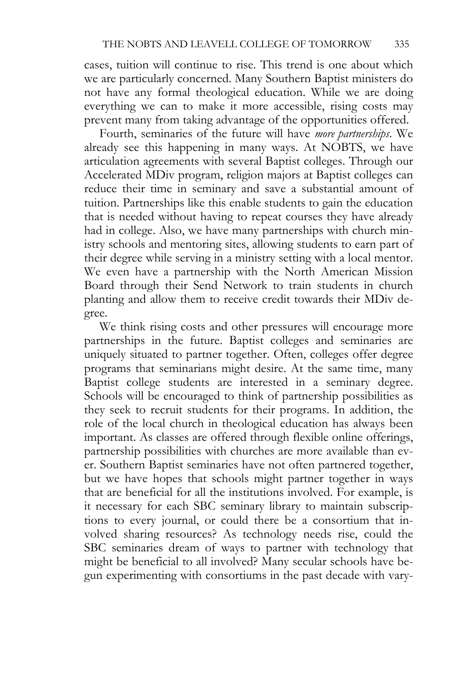cases, tuition will continue to rise. This trend is one about which we are particularly concerned. Many Southern Baptist ministers do not have any formal theological education. While we are doing everything we can to make it more accessible, rising costs may prevent many from taking advantage of the opportunities offered.

Fourth, seminaries of the future will have *more partnerships*. We already see this happening in many ways. At NOBTS, we have articulation agreements with several Baptist colleges. Through our Accelerated MDiv program, religion majors at Baptist colleges can reduce their time in seminary and save a substantial amount of tuition. Partnerships like this enable students to gain the education that is needed without having to repeat courses they have already had in college. Also, we have many partnerships with church ministry schools and mentoring sites, allowing students to earn part of their degree while serving in a ministry setting with a local mentor. We even have a partnership with the North American Mission Board through their Send Network to train students in church planting and allow them to receive credit towards their MDiv degree.

We think rising costs and other pressures will encourage more partnerships in the future. Baptist colleges and seminaries are uniquely situated to partner together. Often, colleges offer degree programs that seminarians might desire. At the same time, many Baptist college students are interested in a seminary degree. Schools will be encouraged to think of partnership possibilities as they seek to recruit students for their programs. In addition, the role of the local church in theological education has always been important. As classes are offered through flexible online offerings, partnership possibilities with churches are more available than ever. Southern Baptist seminaries have not often partnered together, but we have hopes that schools might partner together in ways that are beneficial for all the institutions involved. For example, is it necessary for each SBC seminary library to maintain subscriptions to every journal, or could there be a consortium that involved sharing resources? As technology needs rise, could the SBC seminaries dream of ways to partner with technology that might be beneficial to all involved? Many secular schools have begun experimenting with consortiums in the past decade with vary-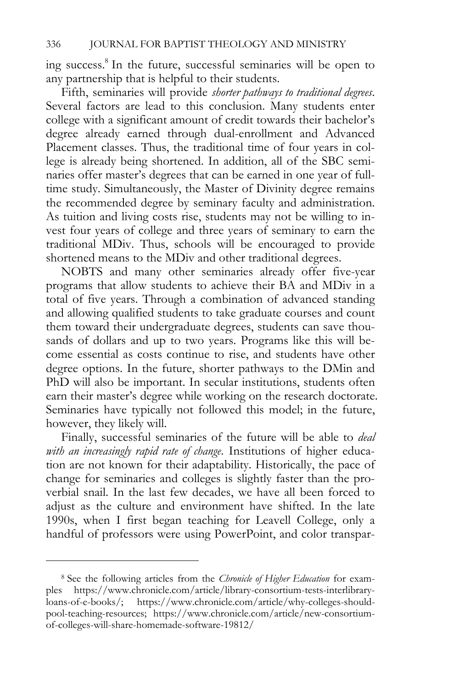ing success.<sup>8</sup> In the future, successful seminaries will be open to any partnership that is helpful to their students.

Fifth, seminaries will provide *shorter pathways to traditional degrees*. Several factors are lead to this conclusion. Many students enter college with a significant amount of credit towards their bachelor's degree already earned through dual-enrollment and Advanced Placement classes. Thus, the traditional time of four years in college is already being shortened. In addition, all of the SBC seminaries offer master's degrees that can be earned in one year of fulltime study. Simultaneously, the Master of Divinity degree remains the recommended degree by seminary faculty and administration. As tuition and living costs rise, students may not be willing to invest four years of college and three years of seminary to earn the traditional MDiv. Thus, schools will be encouraged to provide shortened means to the MDiv and other traditional degrees.

NOBTS and many other seminaries already offer five-year programs that allow students to achieve their BA and MDiv in a total of five years. Through a combination of advanced standing and allowing qualified students to take graduate courses and count them toward their undergraduate degrees, students can save thousands of dollars and up to two years. Programs like this will become essential as costs continue to rise, and students have other degree options. In the future, shorter pathways to the DMin and PhD will also be important. In secular institutions, students often earn their master's degree while working on the research doctorate. Seminaries have typically not followed this model; in the future, however, they likely will.

Finally, successful seminaries of the future will be able to *deal with an increasingly rapid rate of change*. Institutions of higher education are not known for their adaptability. Historically, the pace of change for seminaries and colleges is slightly faster than the proverbial snail. In the last few decades, we have all been forced to adjust as the culture and environment have shifted. In the late 1990s, when I first began teaching for Leavell College, only a handful of professors were using PowerPoint, and color transpar-

<sup>8</sup> See the following articles from the *Chronicle of Higher Education* for examples https://www.chronicle.com/article/library-consortium-tests-interlibraryloans-of-e-books/; https://www.chronicle.com/article/why-colleges-shouldpool-teaching-resources; https://www.chronicle.com/article/new-consortiumof-colleges-will-share-homemade-software-19812/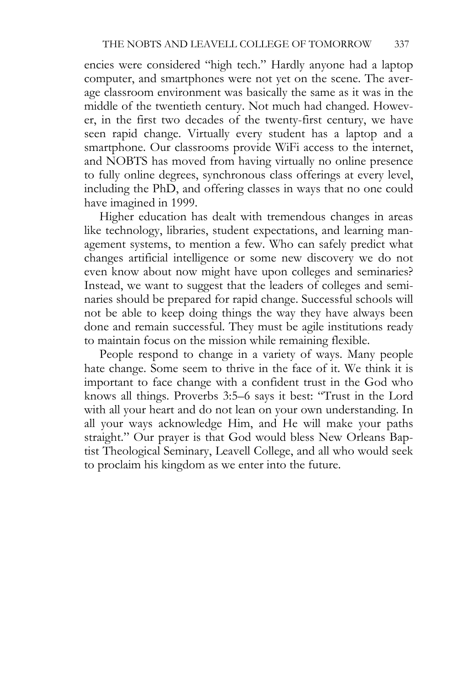encies were considered "high tech." Hardly anyone had a laptop computer, and smartphones were not yet on the scene. The average classroom environment was basically the same as it was in the middle of the twentieth century. Not much had changed. However, in the first two decades of the twenty-first century, we have seen rapid change. Virtually every student has a laptop and a smartphone. Our classrooms provide WiFi access to the internet, and NOBTS has moved from having virtually no online presence to fully online degrees, synchronous class offerings at every level, including the PhD, and offering classes in ways that no one could have imagined in 1999.

Higher education has dealt with tremendous changes in areas like technology, libraries, student expectations, and learning management systems, to mention a few. Who can safely predict what changes artificial intelligence or some new discovery we do not even know about now might have upon colleges and seminaries? Instead, we want to suggest that the leaders of colleges and seminaries should be prepared for rapid change. Successful schools will not be able to keep doing things the way they have always been done and remain successful. They must be agile institutions ready to maintain focus on the mission while remaining flexible.

People respond to change in a variety of ways. Many people hate change. Some seem to thrive in the face of it. We think it is important to face change with a confident trust in the God who knows all things. Proverbs 3:5–6 says it best: "Trust in the Lord with all your heart and do not lean on your own understanding. In all your ways acknowledge Him, and He will make your paths straight." Our prayer is that God would bless New Orleans Baptist Theological Seminary, Leavell College, and all who would seek to proclaim his kingdom as we enter into the future.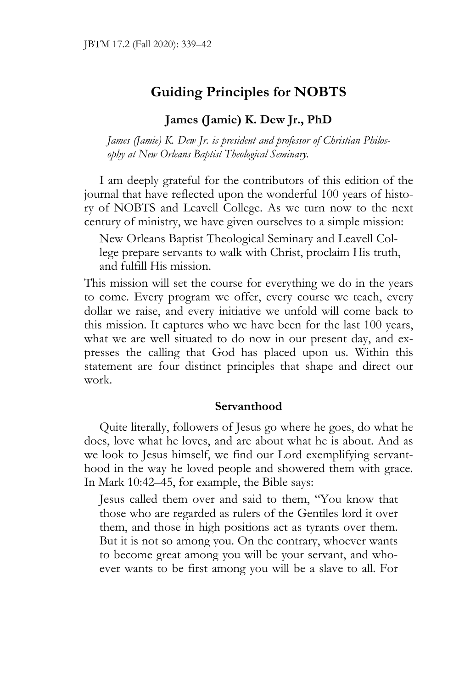# **Guiding Principles for NOBTS**

## **James (Jamie) K. Dew Jr., PhD**

*James (Jamie) K. Dew Jr. is president and professor of Christian Philosophy at New Orleans Baptist Theological Seminary.* 

I am deeply grateful for the contributors of this edition of the journal that have reflected upon the wonderful 100 years of history of NOBTS and Leavell College. As we turn now to the next century of ministry, we have given ourselves to a simple mission:

New Orleans Baptist Theological Seminary and Leavell College prepare servants to walk with Christ, proclaim His truth, and fulfill His mission.

This mission will set the course for everything we do in the years to come. Every program we offer, every course we teach, every dollar we raise, and every initiative we unfold will come back to this mission. It captures who we have been for the last 100 years, what we are well situated to do now in our present day, and expresses the calling that God has placed upon us. Within this statement are four distinct principles that shape and direct our work.

## **Servanthood**

Quite literally, followers of Jesus go where he goes, do what he does, love what he loves, and are about what he is about. And as we look to Jesus himself, we find our Lord exemplifying servanthood in the way he loved people and showered them with grace. In Mark 10:42–45, for example, the Bible says:

Jesus called them over and said to them, "You know that those who are regarded as rulers of the Gentiles lord it over them, and those in high positions act as tyrants over them. But it is not so among you. On the contrary, whoever wants to become great among you will be your servant, and whoever wants to be first among you will be a slave to all. For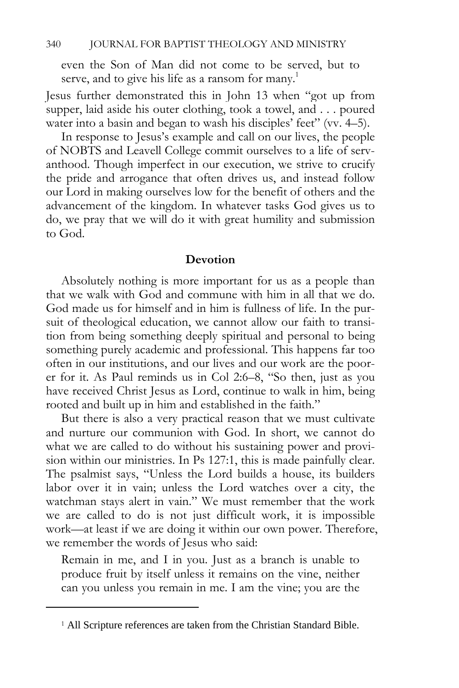even the Son of Man did not come to be served, but to serve, and to give his life as a ransom for many.<sup>1</sup>

Jesus further demonstrated this in John 13 when "got up from supper, laid aside his outer clothing, took a towel, and . . . poured water into a basin and began to wash his disciples' feet" (vv. 4–5).

In response to Jesus's example and call on our lives, the people of NOBTS and Leavell College commit ourselves to a life of servanthood. Though imperfect in our execution, we strive to crucify the pride and arrogance that often drives us, and instead follow our Lord in making ourselves low for the benefit of others and the advancement of the kingdom. In whatever tasks God gives us to do, we pray that we will do it with great humility and submission to God.

#### **Devotion**

Absolutely nothing is more important for us as a people than that we walk with God and commune with him in all that we do. God made us for himself and in him is fullness of life. In the pursuit of theological education, we cannot allow our faith to transition from being something deeply spiritual and personal to being something purely academic and professional. This happens far too often in our institutions, and our lives and our work are the poorer for it. As Paul reminds us in Col 2:6–8, "So then, just as you have received Christ Jesus as Lord, continue to walk in him, being rooted and built up in him and established in the faith."

But there is also a very practical reason that we must cultivate and nurture our communion with God. In short, we cannot do what we are called to do without his sustaining power and provision within our ministries. In Ps 127:1, this is made painfully clear. The psalmist says, "Unless the Lord builds a house, its builders labor over it in vain; unless the Lord watches over a city, the watchman stays alert in vain." We must remember that the work we are called to do is not just difficult work, it is impossible work—at least if we are doing it within our own power. Therefore, we remember the words of Jesus who said:

Remain in me, and I in you. Just as a branch is unable to produce fruit by itself unless it remains on the vine, neither can you unless you remain in me. I am the vine; you are the

<sup>&</sup>lt;sup>1</sup> All Scripture references are taken from the Christian Standard Bible.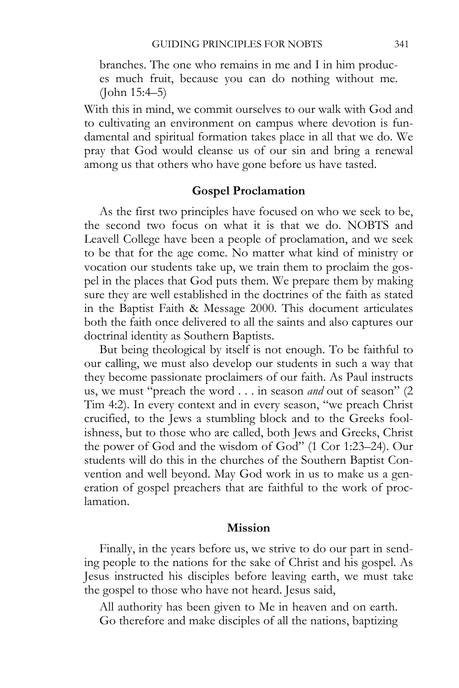branches. The one who remains in me and I in him produces much fruit, because you can do nothing without me. (John 15:4–5)

With this in mind, we commit ourselves to our walk with God and to cultivating an environment on campus where devotion is fundamental and spiritual formation takes place in all that we do. We pray that God would cleanse us of our sin and bring a renewal among us that others who have gone before us have tasted.

## **Gospel Proclamation**

As the first two principles have focused on who we seek to be, the second two focus on what it is that we do. NOBTS and Leavell College have been a people of proclamation, and we seek to be that for the age come. No matter what kind of ministry or vocation our students take up, we train them to proclaim the gospel in the places that God puts them. We prepare them by making sure they are well established in the doctrines of the faith as stated in the Baptist Faith & Message 2000. This document articulates both the faith once delivered to all the saints and also captures our doctrinal identity as Southern Baptists.

But being theological by itself is not enough. To be faithful to our calling, we must also develop our students in such a way that they become passionate proclaimers of our faith. As Paul instructs us, we must "preach the word . . . in season *and* out of season" (2 Tim 4:2). In every context and in every season, "we preach Christ crucified, to the Jews a stumbling block and to the Greeks foolishness, but to those who are called, both Jews and Greeks, Christ the power of God and the wisdom of God" (1 Cor 1:23–24). Our students will do this in the churches of the Southern Baptist Convention and well beyond. May God work in us to make us a generation of gospel preachers that are faithful to the work of proclamation.

#### **Mission**

Finally, in the years before us, we strive to do our part in sending people to the nations for the sake of Christ and his gospel. As Jesus instructed his disciples before leaving earth, we must take the gospel to those who have not heard. Jesus said,

All authority has been given to Me in heaven and on earth. Go therefore and make disciples of all the nations, baptizing